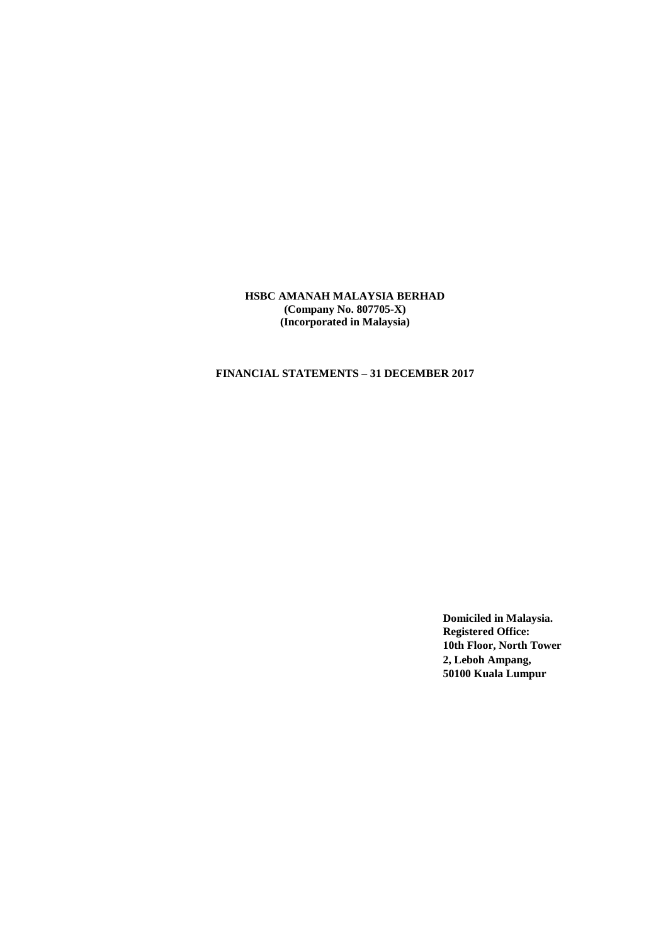# **FINANCIAL STATEMENTS – 31 DECEMBER 2017**

**Domiciled in Malaysia. Registered Office: 10th Floor, North Tower 2, Leboh Ampang, 50100 Kuala Lumpur**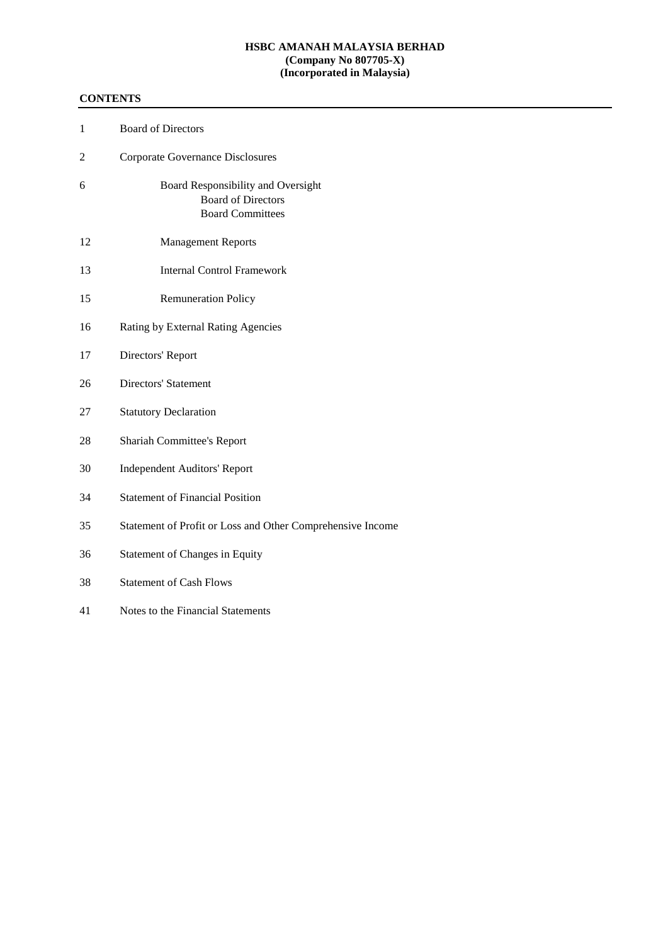# **CONTENTS**

| $\mathbf{1}$   | <b>Board of Directors</b>                                                                  |
|----------------|--------------------------------------------------------------------------------------------|
| $\overline{c}$ | <b>Corporate Governance Disclosures</b>                                                    |
| 6              | Board Responsibility and Oversight<br><b>Board of Directors</b><br><b>Board Committees</b> |
| 12             | <b>Management Reports</b>                                                                  |
| 13             | <b>Internal Control Framework</b>                                                          |
| 15             | <b>Remuneration Policy</b>                                                                 |
| 16             | Rating by External Rating Agencies                                                         |
| 17             | Directors' Report                                                                          |
| 26             | Directors' Statement                                                                       |
| 27             | <b>Statutory Declaration</b>                                                               |
| 28             | Shariah Committee's Report                                                                 |
| 30             | <b>Independent Auditors' Report</b>                                                        |
| 34             | <b>Statement of Financial Position</b>                                                     |
| 35             | Statement of Profit or Loss and Other Comprehensive Income                                 |
| 36             | Statement of Changes in Equity                                                             |
| 38             | <b>Statement of Cash Flows</b>                                                             |
| 41             | Notes to the Financial Statements                                                          |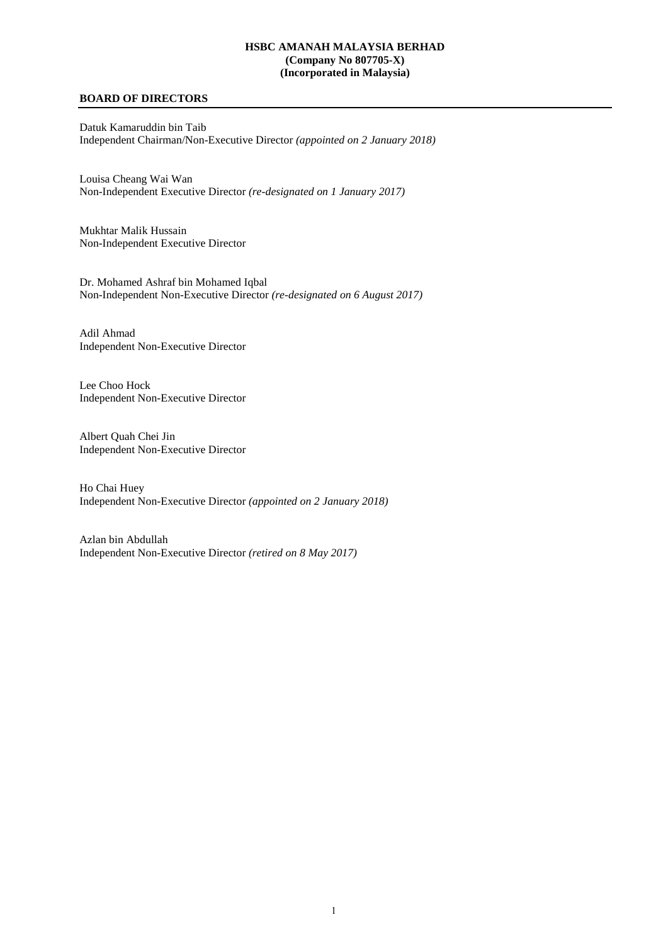# **BOARD OF DIRECTORS**

Datuk Kamaruddin bin Taib Independent Chairman/Non-Executive Director *(appointed on 2 January 2018)*

Louisa Cheang Wai Wan Non-Independent Executive Director *(re-designated on 1 January 2017)*

Mukhtar Malik Hussain Non-Independent Executive Director

Dr. Mohamed Ashraf bin Mohamed Iqbal Non-Independent Non-Executive Director *(re-designated on 6 August 2017)*

Adil Ahmad Independent Non-Executive Director

Lee Choo Hock Independent Non-Executive Director

Albert Quah Chei Jin Independent Non-Executive Director

Ho Chai Huey Independent Non-Executive Director *(appointed on 2 January 2018)*

Azlan bin Abdullah Independent Non-Executive Director *(retired on 8 May 2017)*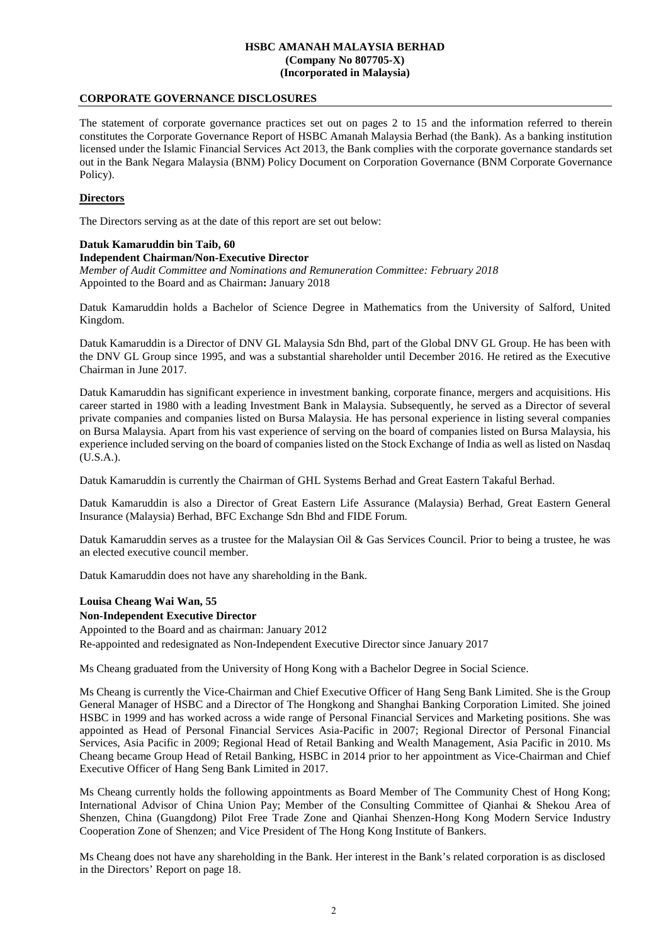# **CORPORATE GOVERNANCE DISCLOSURES**

The statement of corporate governance practices set out on pages 2 to 15 and the information referred to therein constitutes the Corporate Governance Report of HSBC Amanah Malaysia Berhad (the Bank). As a banking institution licensed under the Islamic Financial Services Act 2013, the Bank complies with the corporate governance standards set out in the Bank Negara Malaysia (BNM) Policy Document on Corporation Governance (BNM Corporate Governance Policy).

# **Directors**

The Directors serving as at the date of this report are set out below:

# **Datuk Kamaruddin bin Taib, 60**

#### **Independent Chairman/Non-Executive Director**

*Member of Audit Committee and Nominations and Remuneration Committee: February 2018*  Appointed to the Board and as Chairman**:** January 2018

Datuk Kamaruddin holds a Bachelor of Science Degree in Mathematics from the University of Salford, United Kingdom.

Datuk Kamaruddin is a Director of DNV GL Malaysia Sdn Bhd, part of the Global DNV GL Group. He has been with the DNV GL Group since 1995, and was a substantial shareholder until December 2016. He retired as the Executive Chairman in June 2017.

Datuk Kamaruddin has significant experience in investment banking, corporate finance, mergers and acquisitions. His career started in 1980 with a leading Investment Bank in Malaysia. Subsequently, he served as a Director of several private companies and companies listed on Bursa Malaysia. He has personal experience in listing several companies on Bursa Malaysia. Apart from his vast experience of serving on the board of companies listed on Bursa Malaysia, his experience included serving on the board of companies listed on the Stock Exchange of India as well as listed on Nasdaq (U.S.A.).

Datuk Kamaruddin is currently the Chairman of GHL Systems Berhad and Great Eastern Takaful Berhad.

Datuk Kamaruddin is also a Director of Great Eastern Life Assurance (Malaysia) Berhad, Great Eastern General Insurance (Malaysia) Berhad, BFC Exchange Sdn Bhd and FIDE Forum.

Datuk Kamaruddin serves as a trustee for the Malaysian Oil & Gas Services Council. Prior to being a trustee, he was an elected executive council member.

Datuk Kamaruddin does not have any shareholding in the Bank.

# **Louisa Cheang Wai Wan, 55**

# **Non-Independent Executive Director**

Appointed to the Board and as chairman: January 2012 Re-appointed and redesignated as Non-Independent Executive Director since January 2017

Ms Cheang graduated from the University of Hong Kong with a Bachelor Degree in Social Science.

Ms Cheang is currently the Vice-Chairman and Chief Executive Officer of Hang Seng Bank Limited. She is the Group General Manager of HSBC and a Director of The Hongkong and Shanghai Banking Corporation Limited. She joined HSBC in 1999 and has worked across a wide range of Personal Financial Services and Marketing positions. She was appointed as Head of Personal Financial Services Asia-Pacific in 2007; Regional Director of Personal Financial Services, Asia Pacific in 2009; Regional Head of Retail Banking and Wealth Management, Asia Pacific in 2010. Ms Cheang became Group Head of Retail Banking, HSBC in 2014 prior to her appointment as Vice-Chairman and Chief Executive Officer of Hang Seng Bank Limited in 2017.

Ms Cheang currently holds the following appointments as Board Member of The Community Chest of Hong Kong; International Advisor of China Union Pay; Member of the Consulting Committee of Qianhai & Shekou Area of Shenzen, China (Guangdong) Pilot Free Trade Zone and Qianhai Shenzen-Hong Kong Modern Service Industry Cooperation Zone of Shenzen; and Vice President of The Hong Kong Institute of Bankers.

Ms Cheang does not have any shareholding in the Bank. Her interest in the Bank's related corporation is as disclosed in the Directors' Report on page 18.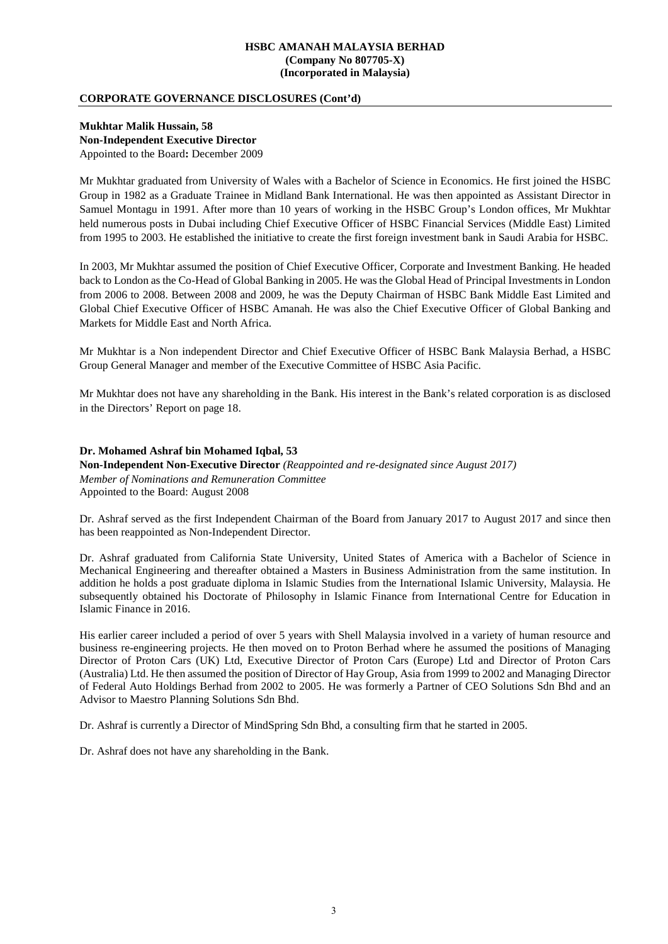# **CORPORATE GOVERNANCE DISCLOSURES (Cont'd)**

**Mukhtar Malik Hussain, 58 Non-Independent Executive Director**  Appointed to the Board**:** December 2009

Mr Mukhtar graduated from University of Wales with a Bachelor of Science in Economics. He first joined the HSBC Group in 1982 as a Graduate Trainee in Midland Bank International. He was then appointed as Assistant Director in Samuel Montagu in 1991. After more than 10 years of working in the HSBC Group's London offices, Mr Mukhtar held numerous posts in Dubai including Chief Executive Officer of HSBC Financial Services (Middle East) Limited from 1995 to 2003. He established the initiative to create the first foreign investment bank in Saudi Arabia for HSBC.

In 2003, Mr Mukhtar assumed the position of Chief Executive Officer, Corporate and Investment Banking. He headed back to London as the Co-Head of Global Banking in 2005. He was the Global Head of Principal Investments in London from 2006 to 2008. Between 2008 and 2009, he was the Deputy Chairman of HSBC Bank Middle East Limited and Global Chief Executive Officer of HSBC Amanah. He was also the Chief Executive Officer of Global Banking and Markets for Middle East and North Africa.

Mr Mukhtar is a Non independent Director and Chief Executive Officer of HSBC Bank Malaysia Berhad, a HSBC Group General Manager and member of the Executive Committee of HSBC Asia Pacific.

Mr Mukhtar does not have any shareholding in the Bank. His interest in the Bank's related corporation is as disclosed in the Directors' Report on page 18.

**Dr. Mohamed Ashraf bin Mohamed Iqbal, 53 Non-Independent Non-Executive Director** *(Reappointed and re-designated since August 2017) Member of Nominations and Remuneration Committee*  Appointed to the Board: August 2008

Dr. Ashraf served as the first Independent Chairman of the Board from January 2017 to August 2017 and since then has been reappointed as Non-Independent Director.

Dr. Ashraf graduated from California State University, United States of America with a Bachelor of Science in Mechanical Engineering and thereafter obtained a Masters in Business Administration from the same institution. In addition he holds a post graduate diploma in Islamic Studies from the International Islamic University, Malaysia. He subsequently obtained his Doctorate of Philosophy in Islamic Finance from International Centre for Education in Islamic Finance in 2016.

His earlier career included a period of over 5 years with Shell Malaysia involved in a variety of human resource and business re-engineering projects. He then moved on to Proton Berhad where he assumed the positions of Managing Director of Proton Cars (UK) Ltd, Executive Director of Proton Cars (Europe) Ltd and Director of Proton Cars (Australia) Ltd. He then assumed the position of Director of Hay Group, Asia from 1999 to 2002 and Managing Director of Federal Auto Holdings Berhad from 2002 to 2005. He was formerly a Partner of CEO Solutions Sdn Bhd and an Advisor to Maestro Planning Solutions Sdn Bhd.

Dr. Ashraf is currently a Director of MindSpring Sdn Bhd, a consulting firm that he started in 2005.

Dr. Ashraf does not have any shareholding in the Bank.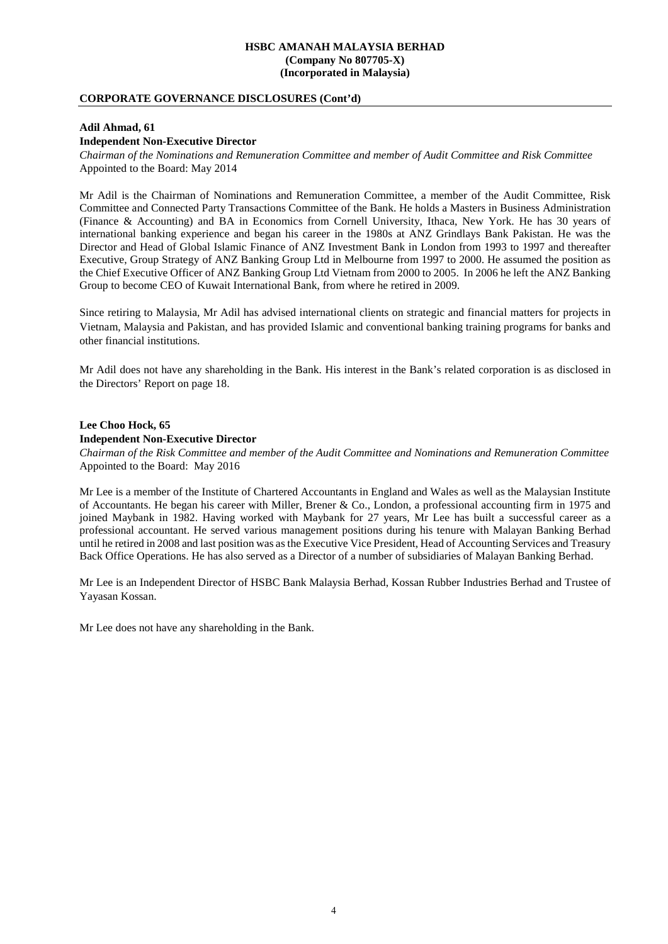# **CORPORATE GOVERNANCE DISCLOSURES (Cont'd)**

#### **Adil Ahmad, 61**

### **Independent Non-Executive Director**

*Chairman of the Nominations and Remuneration Committee and member of Audit Committee and Risk Committee*  Appointed to the Board: May 2014

Mr Adil is the Chairman of Nominations and Remuneration Committee, a member of the Audit Committee, Risk Committee and Connected Party Transactions Committee of the Bank. He holds a Masters in Business Administration (Finance & Accounting) and BA in Economics from Cornell University, Ithaca, New York. He has 30 years of international banking experience and began his career in the 1980s at ANZ Grindlays Bank Pakistan. He was the Director and Head of Global Islamic Finance of ANZ Investment Bank in London from 1993 to 1997 and thereafter Executive, Group Strategy of ANZ Banking Group Ltd in Melbourne from 1997 to 2000. He assumed the position as the Chief Executive Officer of ANZ Banking Group Ltd Vietnam from 2000 to 2005. In 2006 he left the ANZ Banking Group to become CEO of Kuwait International Bank, from where he retired in 2009.

Since retiring to Malaysia, Mr Adil has advised international clients on strategic and financial matters for projects in Vietnam, Malaysia and Pakistan, and has provided Islamic and conventional banking training programs for banks and other financial institutions.

Mr Adil does not have any shareholding in the Bank. His interest in the Bank's related corporation is as disclosed in the Directors' Report on page 18.

# **Lee Choo Hock, 65 Independent Non-Executive Director**

*Chairman of the Risk Committee and member of the Audit Committee and Nominations and Remuneration Committee*  Appointed to the Board: May 2016

Mr Lee is a member of the Institute of Chartered Accountants in England and Wales as well as the Malaysian Institute of Accountants. He began his career with Miller, Brener & Co., London, a professional accounting firm in 1975 and joined Maybank in 1982. Having worked with Maybank for 27 years, Mr Lee has built a successful career as a professional accountant. He served various management positions during his tenure with Malayan Banking Berhad until he retired in 2008 and last position was as the Executive Vice President, Head of Accounting Services and Treasury Back Office Operations. He has also served as a Director of a number of subsidiaries of Malayan Banking Berhad.

Mr Lee is an Independent Director of HSBC Bank Malaysia Berhad, Kossan Rubber Industries Berhad and Trustee of Yayasan Kossan.

Mr Lee does not have any shareholding in the Bank.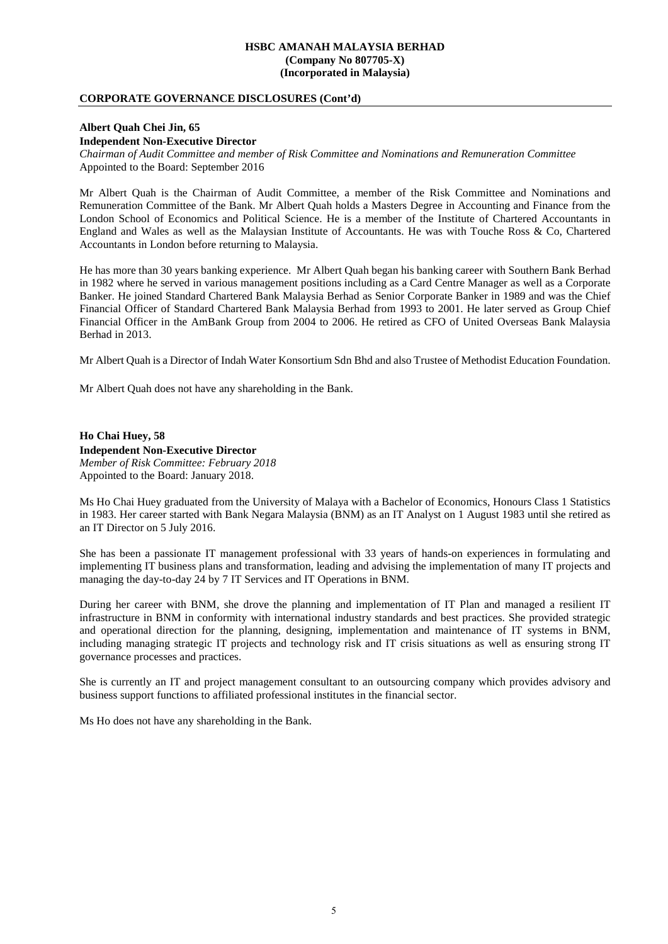# **CORPORATE GOVERNANCE DISCLOSURES (Cont'd)**

#### **Albert Quah Chei Jin, 65**

**Independent Non-Executive Director** 

*Chairman of Audit Committee and member of Risk Committee and Nominations and Remuneration Committee*  Appointed to the Board: September 2016

Mr Albert Quah is the Chairman of Audit Committee, a member of the Risk Committee and Nominations and Remuneration Committee of the Bank. Mr Albert Quah holds a Masters Degree in Accounting and Finance from the London School of Economics and Political Science. He is a member of the Institute of Chartered Accountants in England and Wales as well as the Malaysian Institute of Accountants. He was with Touche Ross & Co, Chartered Accountants in London before returning to Malaysia.

He has more than 30 years banking experience. Mr Albert Quah began his banking career with Southern Bank Berhad in 1982 where he served in various management positions including as a Card Centre Manager as well as a Corporate Banker. He joined Standard Chartered Bank Malaysia Berhad as Senior Corporate Banker in 1989 and was the Chief Financial Officer of Standard Chartered Bank Malaysia Berhad from 1993 to 2001. He later served as Group Chief Financial Officer in the AmBank Group from 2004 to 2006. He retired as CFO of United Overseas Bank Malaysia Berhad in 2013.

Mr Albert Quah is a Director of Indah Water Konsortium Sdn Bhd and also Trustee of Methodist Education Foundation.

Mr Albert Quah does not have any shareholding in the Bank.

**Ho Chai Huey, 58 Independent Non-Executive Director**  *Member of Risk Committee: February 2018* Appointed to the Board: January 2018.

Ms Ho Chai Huey graduated from the University of Malaya with a Bachelor of Economics, Honours Class 1 Statistics in 1983. Her career started with Bank Negara Malaysia (BNM) as an IT Analyst on 1 August 1983 until she retired as an IT Director on 5 July 2016.

She has been a passionate IT management professional with 33 years of hands-on experiences in formulating and implementing IT business plans and transformation, leading and advising the implementation of many IT projects and managing the day-to-day 24 by 7 IT Services and IT Operations in BNM.

During her career with BNM, she drove the planning and implementation of IT Plan and managed a resilient IT infrastructure in BNM in conformity with international industry standards and best practices. She provided strategic and operational direction for the planning, designing, implementation and maintenance of IT systems in BNM, including managing strategic IT projects and technology risk and IT crisis situations as well as ensuring strong IT governance processes and practices.

She is currently an IT and project management consultant to an outsourcing company which provides advisory and business support functions to affiliated professional institutes in the financial sector.

Ms Ho does not have any shareholding in the Bank.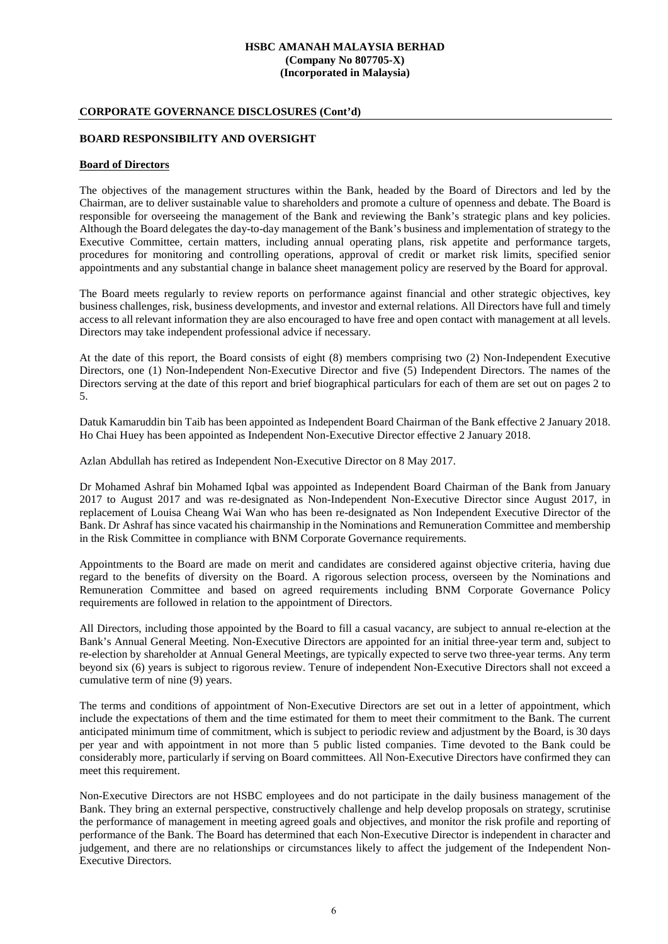# **CORPORATE GOVERNANCE DISCLOSURES (Cont'd)**

### **BOARD RESPONSIBILITY AND OVERSIGHT**

### **Board of Directors**

The objectives of the management structures within the Bank, headed by the Board of Directors and led by the Chairman, are to deliver sustainable value to shareholders and promote a culture of openness and debate. The Board is responsible for overseeing the management of the Bank and reviewing the Bank's strategic plans and key policies. Although the Board delegates the day-to-day management of the Bank's business and implementation of strategy to the Executive Committee, certain matters, including annual operating plans, risk appetite and performance targets, procedures for monitoring and controlling operations, approval of credit or market risk limits, specified senior appointments and any substantial change in balance sheet management policy are reserved by the Board for approval.

The Board meets regularly to review reports on performance against financial and other strategic objectives, key business challenges, risk, business developments, and investor and external relations. All Directors have full and timely access to all relevant information they are also encouraged to have free and open contact with management at all levels. Directors may take independent professional advice if necessary.

At the date of this report, the Board consists of eight (8) members comprising two (2) Non-Independent Executive Directors, one (1) Non-Independent Non-Executive Director and five (5) Independent Directors. The names of the Directors serving at the date of this report and brief biographical particulars for each of them are set out on pages 2 to 5.

Datuk Kamaruddin bin Taib has been appointed as Independent Board Chairman of the Bank effective 2 January 2018. Ho Chai Huey has been appointed as Independent Non-Executive Director effective 2 January 2018.

Azlan Abdullah has retired as Independent Non-Executive Director on 8 May 2017.

Dr Mohamed Ashraf bin Mohamed Iqbal was appointed as Independent Board Chairman of the Bank from January 2017 to August 2017 and was re-designated as Non-Independent Non-Executive Director since August 2017, in replacement of Louisa Cheang Wai Wan who has been re-designated as Non Independent Executive Director of the Bank. Dr Ashraf has since vacated his chairmanship in the Nominations and Remuneration Committee and membership in the Risk Committee in compliance with BNM Corporate Governance requirements.

Appointments to the Board are made on merit and candidates are considered against objective criteria, having due regard to the benefits of diversity on the Board. A rigorous selection process, overseen by the Nominations and Remuneration Committee and based on agreed requirements including BNM Corporate Governance Policy requirements are followed in relation to the appointment of Directors.

All Directors, including those appointed by the Board to fill a casual vacancy, are subject to annual re-election at the Bank's Annual General Meeting. Non-Executive Directors are appointed for an initial three-year term and, subject to re-election by shareholder at Annual General Meetings, are typically expected to serve two three-year terms. Any term beyond six (6) years is subject to rigorous review. Tenure of independent Non-Executive Directors shall not exceed a cumulative term of nine (9) years.

The terms and conditions of appointment of Non-Executive Directors are set out in a letter of appointment, which include the expectations of them and the time estimated for them to meet their commitment to the Bank. The current anticipated minimum time of commitment, which is subject to periodic review and adjustment by the Board, is 30 days per year and with appointment in not more than 5 public listed companies. Time devoted to the Bank could be considerably more, particularly if serving on Board committees. All Non-Executive Directors have confirmed they can meet this requirement.

Non-Executive Directors are not HSBC employees and do not participate in the daily business management of the Bank. They bring an external perspective, constructively challenge and help develop proposals on strategy, scrutinise the performance of management in meeting agreed goals and objectives, and monitor the risk profile and reporting of performance of the Bank. The Board has determined that each Non-Executive Director is independent in character and judgement, and there are no relationships or circumstances likely to affect the judgement of the Independent Non-Executive Directors.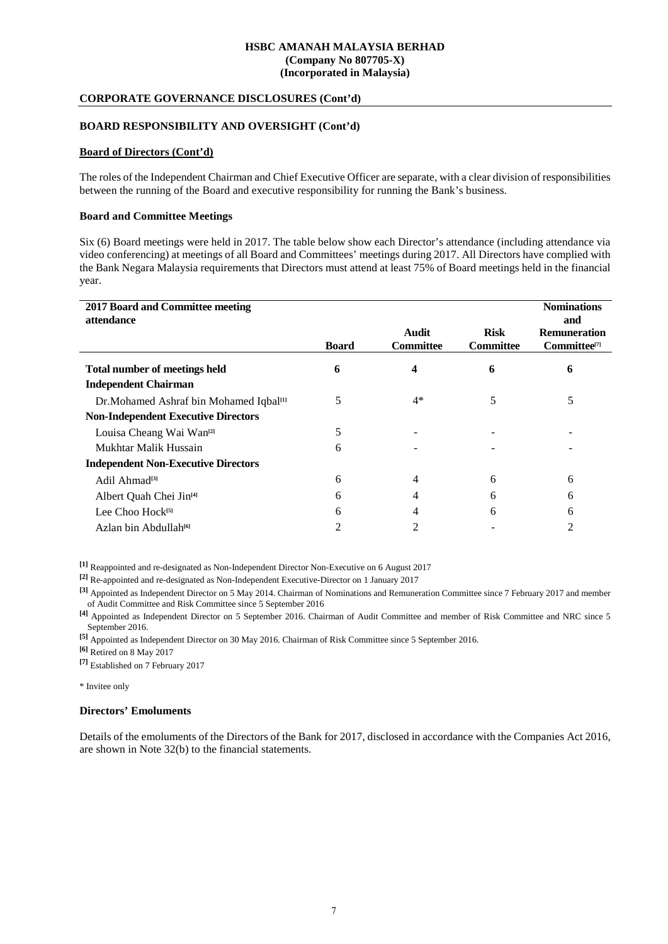# **CORPORATE GOVERNANCE DISCLOSURES (Cont'd)**

# **BOARD RESPONSIBILITY AND OVERSIGHT (Cont'd)**

# **Board of Directors (Cont'd)**

The roles of the Independent Chairman and Chief Executive Officer are separate, with a clear division of responsibilities between the running of the Board and executive responsibility for running the Bank's business.

### **Board and Committee Meetings**

Six (6) Board meetings were held in 2017. The table below show each Director's attendance (including attendance via video conferencing) at meetings of all Board and Committees' meetings during 2017. All Directors have complied with the Bank Negara Malaysia requirements that Directors must attend at least 75% of Board meetings held in the financial year.

| 2017 Board and Committee meeting<br>attendance     |              |                           |                                 | <b>Nominations</b><br>and                |
|----------------------------------------------------|--------------|---------------------------|---------------------------------|------------------------------------------|
|                                                    | <b>Board</b> | Audit<br><b>Committee</b> | <b>Risk</b><br><b>Committee</b> | <b>Remuneration</b><br>$Committee^{[7]}$ |
| <b>Total number of meetings held</b>               | 6            | 4                         | 6                               | 6                                        |
| <b>Independent Chairman</b>                        |              |                           |                                 |                                          |
| Dr.Mohamed Ashraf bin Mohamed Iqbal <sup>[1]</sup> | 5            | $4*$                      | 5                               | 5                                        |
| <b>Non-Independent Executive Directors</b>         |              |                           |                                 |                                          |
| Louisa Cheang Wai Wan <sup>[2]</sup>               | 5            |                           |                                 |                                          |
| Mukhtar Malik Hussain                              | 6            |                           |                                 |                                          |
| <b>Independent Non-Executive Directors</b>         |              |                           |                                 |                                          |
| Adil Ahmad <sup>[3]</sup>                          | 6            | 4                         | 6                               | 6                                        |
| Albert Quah Chei Jin <sup>[4]</sup>                | 6            | 4                         | 6                               | 6                                        |
| Lee Choo Hock <sup>[5]</sup>                       | 6            |                           | 6                               | 6                                        |
| Azlan bin Abdullah <sup>[6]</sup>                  | 2            | $\mathfrak{D}$            |                                 | っ                                        |

**[1]** Reappointed and re-designated as Non-Independent Director Non-Executive on 6 August 2017

**[2]** Re-appointed and re-designated as Non-Independent Executive-Director on 1 January 2017

**[3]** Appointed as Independent Director on 5 May 2014. Chairman of Nominations and Remuneration Committee since 7 February 2017 and member of Audit Committee and Risk Committee since 5 September 2016

**[4]** Appointed as Independent Director on 5 September 2016. Chairman of Audit Committee and member of Risk Committee and NRC since 5 September 2016.

**[5]** Appointed as Independent Director on 30 May 2016. Chairman of Risk Committee since 5 September 2016.

**[6]** Retired on 8 May 2017

**[7]** Established on 7 February 2017

\* Invitee only

# **Directors' Emoluments**

Details of the emoluments of the Directors of the Bank for 2017, disclosed in accordance with the Companies Act 2016, are shown in Note 32(b) to the financial statements.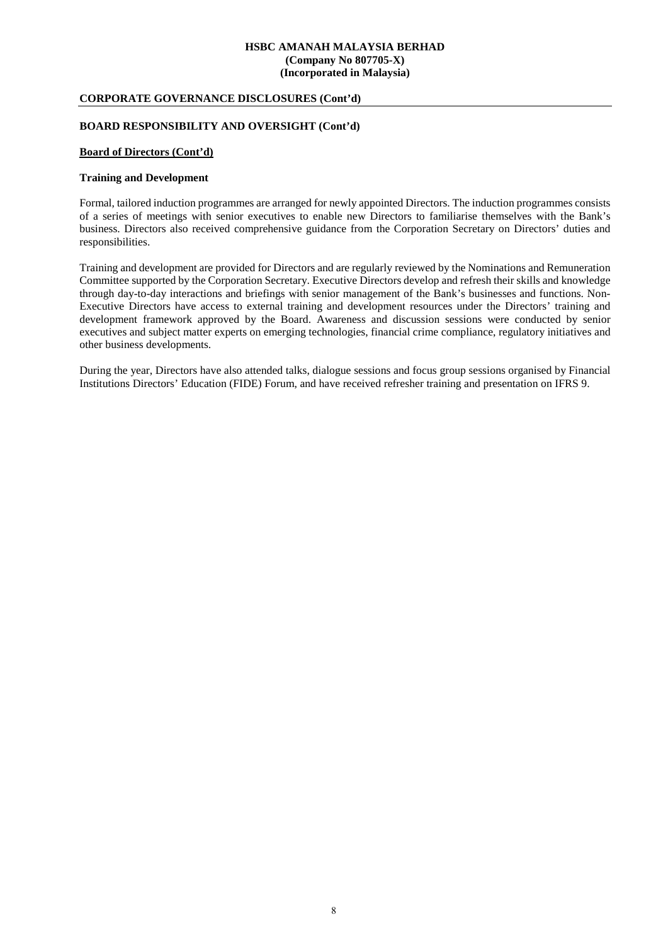# **CORPORATE GOVERNANCE DISCLOSURES (Cont'd)**

# **BOARD RESPONSIBILITY AND OVERSIGHT (Cont'd)**

# **Board of Directors (Cont'd)**

#### **Training and Development**

Formal, tailored induction programmes are arranged for newly appointed Directors. The induction programmes consists of a series of meetings with senior executives to enable new Directors to familiarise themselves with the Bank's business. Directors also received comprehensive guidance from the Corporation Secretary on Directors' duties and responsibilities.

Training and development are provided for Directors and are regularly reviewed by the Nominations and Remuneration Committee supported by the Corporation Secretary. Executive Directors develop and refresh their skills and knowledge through day-to-day interactions and briefings with senior management of the Bank's businesses and functions. Non-Executive Directors have access to external training and development resources under the Directors' training and development framework approved by the Board. Awareness and discussion sessions were conducted by senior executives and subject matter experts on emerging technologies, financial crime compliance, regulatory initiatives and other business developments.

During the year, Directors have also attended talks, dialogue sessions and focus group sessions organised by Financial Institutions Directors' Education (FIDE) Forum, and have received refresher training and presentation on IFRS 9.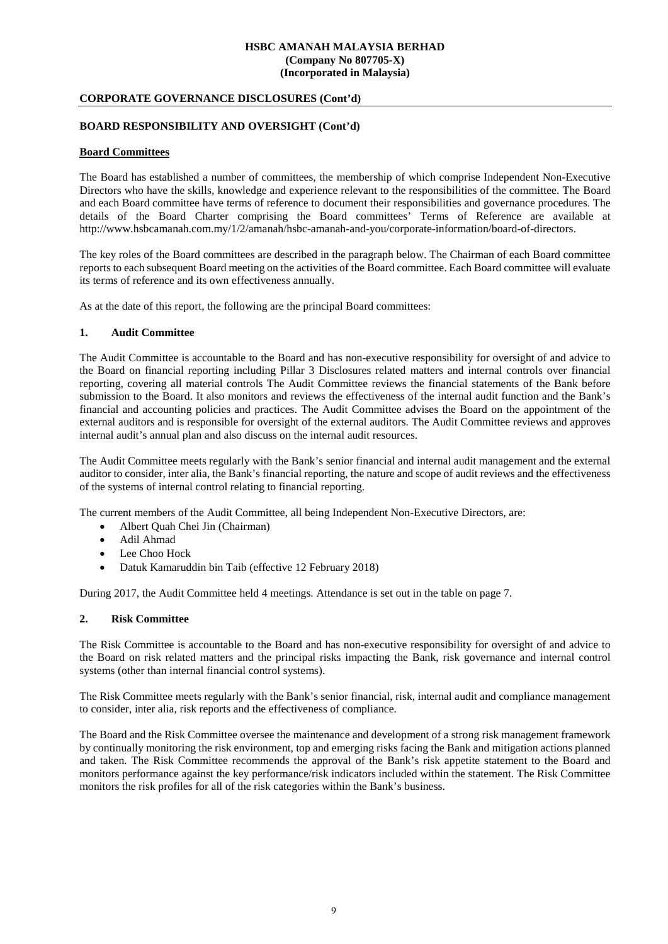# **CORPORATE GOVERNANCE DISCLOSURES (Cont'd)**

# **BOARD RESPONSIBILITY AND OVERSIGHT (Cont'd)**

### **Board Committees**

The Board has established a number of committees, the membership of which comprise Independent Non-Executive Directors who have the skills, knowledge and experience relevant to the responsibilities of the committee. The Board and each Board committee have terms of reference to document their responsibilities and governance procedures. The details of the Board Charter comprising the Board committees' Terms of Reference are available at http://www.hsbcamanah.com.my/1/2/amanah/hsbc-amanah-and-you/corporate-information/board-of-directors.

The key roles of the Board committees are described in the paragraph below. The Chairman of each Board committee reports to each subsequent Board meeting on the activities of the Board committee. Each Board committee will evaluate its terms of reference and its own effectiveness annually.

As at the date of this report, the following are the principal Board committees:

### **1. Audit Committee**

The Audit Committee is accountable to the Board and has non-executive responsibility for oversight of and advice to the Board on financial reporting including Pillar 3 Disclosures related matters and internal controls over financial reporting, covering all material controls The Audit Committee reviews the financial statements of the Bank before submission to the Board. It also monitors and reviews the effectiveness of the internal audit function and the Bank's financial and accounting policies and practices. The Audit Committee advises the Board on the appointment of the external auditors and is responsible for oversight of the external auditors. The Audit Committee reviews and approves internal audit's annual plan and also discuss on the internal audit resources.

The Audit Committee meets regularly with the Bank's senior financial and internal audit management and the external auditor to consider, inter alia, the Bank's financial reporting, the nature and scope of audit reviews and the effectiveness of the systems of internal control relating to financial reporting.

The current members of the Audit Committee, all being Independent Non-Executive Directors, are:

- Albert Quah Chei Jin (Chairman)
- Adil Ahmad
- Lee Choo Hock
- Datuk Kamaruddin bin Taib (effective 12 February 2018)

During 2017, the Audit Committee held 4 meetings. Attendance is set out in the table on page 7.

# **2. Risk Committee**

The Risk Committee is accountable to the Board and has non-executive responsibility for oversight of and advice to the Board on risk related matters and the principal risks impacting the Bank, risk governance and internal control systems (other than internal financial control systems).

The Risk Committee meets regularly with the Bank's senior financial, risk, internal audit and compliance management to consider, inter alia, risk reports and the effectiveness of compliance.

The Board and the Risk Committee oversee the maintenance and development of a strong risk management framework by continually monitoring the risk environment, top and emerging risks facing the Bank and mitigation actions planned and taken. The Risk Committee recommends the approval of the Bank's risk appetite statement to the Board and monitors performance against the key performance/risk indicators included within the statement. The Risk Committee monitors the risk profiles for all of the risk categories within the Bank's business.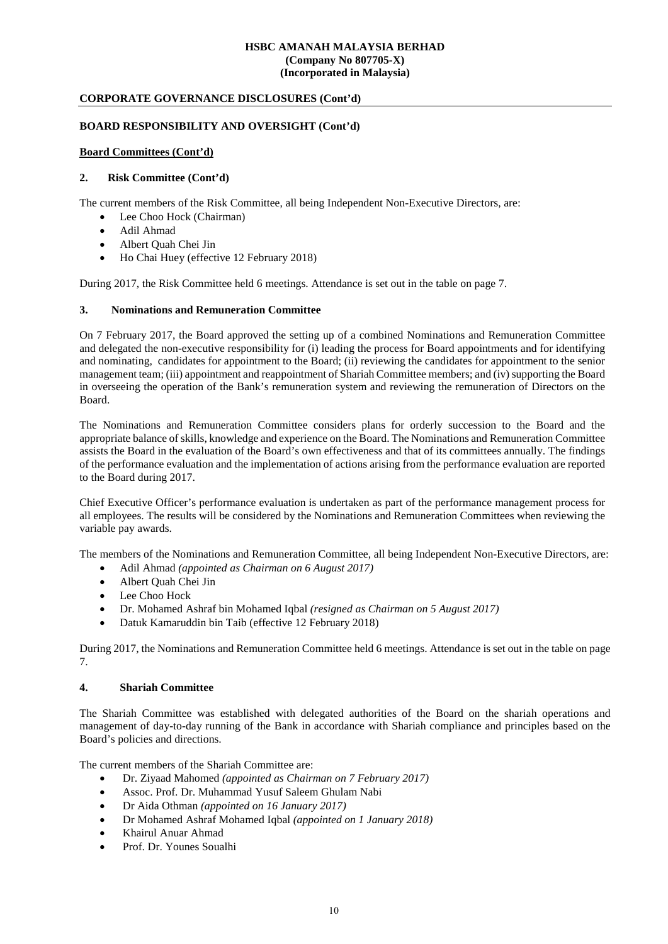# **CORPORATE GOVERNANCE DISCLOSURES (Cont'd)**

# **BOARD RESPONSIBILITY AND OVERSIGHT (Cont'd)**

# **Board Committees (Cont'd)**

# **2. Risk Committee (Cont'd)**

The current members of the Risk Committee, all being Independent Non-Executive Directors, are:

- Lee Choo Hock (Chairman)
- Adil Ahmad
- Albert Quah Chei Jin
- Ho Chai Huey (effective 12 February 2018)

During 2017, the Risk Committee held 6 meetings. Attendance is set out in the table on page 7.

# **3. Nominations and Remuneration Committee**

On 7 February 2017, the Board approved the setting up of a combined Nominations and Remuneration Committee and delegated the non-executive responsibility for (i) leading the process for Board appointments and for identifying and nominating, candidates for appointment to the Board; (ii) reviewing the candidates for appointment to the senior management team; (iii) appointment and reappointment of Shariah Committee members; and (iv) supporting the Board in overseeing the operation of the Bank's remuneration system and reviewing the remuneration of Directors on the Board.

The Nominations and Remuneration Committee considers plans for orderly succession to the Board and the appropriate balance of skills, knowledge and experience on the Board. The Nominations and Remuneration Committee assists the Board in the evaluation of the Board's own effectiveness and that of its committees annually. The findings of the performance evaluation and the implementation of actions arising from the performance evaluation are reported to the Board during 2017.

Chief Executive Officer's performance evaluation is undertaken as part of the performance management process for all employees. The results will be considered by the Nominations and Remuneration Committees when reviewing the variable pay awards.

The members of the Nominations and Remuneration Committee, all being Independent Non-Executive Directors, are:

- Adil Ahmad *(appointed as Chairman on 6 August 2017)*
- Albert Quah Chei Jin
- Lee Choo Hock
- Dr. Mohamed Ashraf bin Mohamed Iqbal *(resigned as Chairman on 5 August 2017)*
- Datuk Kamaruddin bin Taib (effective 12 February 2018)

During 2017, the Nominations and Remuneration Committee held 6 meetings. Attendance is set out in the table on page 7.

# **4. Shariah Committee**

The Shariah Committee was established with delegated authorities of the Board on the shariah operations and management of day-to-day running of the Bank in accordance with Shariah compliance and principles based on the Board's policies and directions.

The current members of the Shariah Committee are:

- Dr. Ziyaad Mahomed *(appointed as Chairman on 7 February 2017)*
- Assoc. Prof. Dr. Muhammad Yusuf Saleem Ghulam Nabi
- Dr Aida Othman *(appointed on 16 January 2017)*
- Dr Mohamed Ashraf Mohamed Iqbal *(appointed on 1 January 2018)*
- Khairul Anuar Ahmad
- Prof. Dr. Younes Soualhi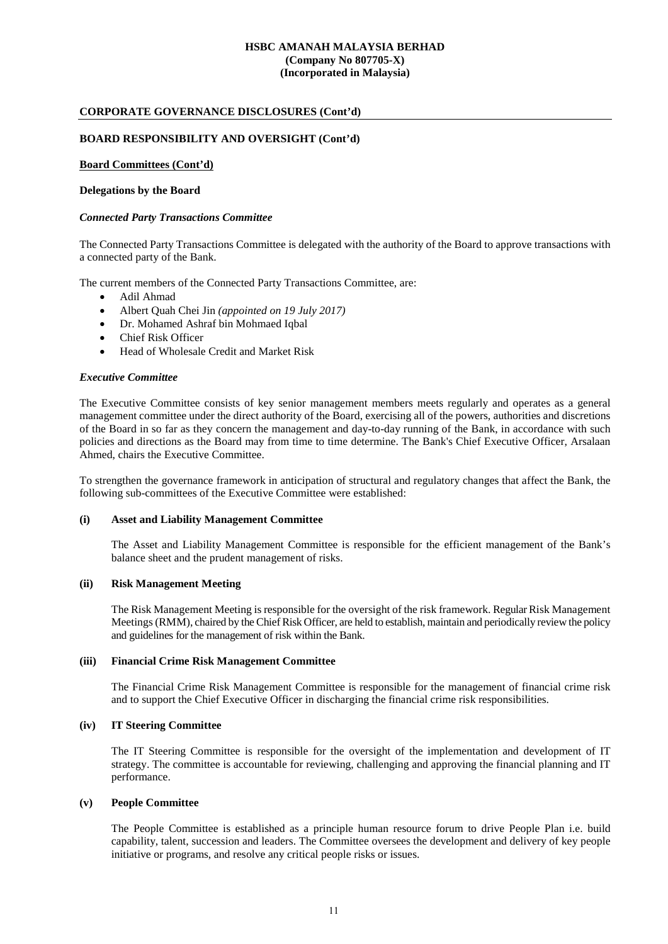# **CORPORATE GOVERNANCE DISCLOSURES (Cont'd)**

### **BOARD RESPONSIBILITY AND OVERSIGHT (Cont'd)**

# **Board Committees (Cont'd)**

#### **Delegations by the Board**

#### *Connected Party Transactions Committee*

The Connected Party Transactions Committee is delegated with the authority of the Board to approve transactions with a connected party of the Bank.

The current members of the Connected Party Transactions Committee, are:

- Adil Ahmad
- Albert Quah Chei Jin *(appointed on 19 July 2017)*
- Dr. Mohamed Ashraf bin Mohmaed Iqbal
- Chief Risk Officer
- Head of Wholesale Credit and Market Risk

#### *Executive Committee*

The Executive Committee consists of key senior management members meets regularly and operates as a general management committee under the direct authority of the Board, exercising all of the powers, authorities and discretions of the Board in so far as they concern the management and day-to-day running of the Bank, in accordance with such policies and directions as the Board may from time to time determine. The Bank's Chief Executive Officer, Arsalaan Ahmed, chairs the Executive Committee.

To strengthen the governance framework in anticipation of structural and regulatory changes that affect the Bank, the following sub-committees of the Executive Committee were established:

#### **(i) Asset and Liability Management Committee**

The Asset and Liability Management Committee is responsible for the efficient management of the Bank's balance sheet and the prudent management of risks.

#### **(ii) Risk Management Meeting**

The Risk Management Meeting is responsible for the oversight of the risk framework. Regular Risk Management Meetings (RMM), chaired by the Chief Risk Officer, are held to establish, maintain and periodically review the policy and guidelines for the management of risk within the Bank.

#### **(iii) Financial Crime Risk Management Committee**

The Financial Crime Risk Management Committee is responsible for the management of financial crime risk and to support the Chief Executive Officer in discharging the financial crime risk responsibilities.

#### **(iv) IT Steering Committee**

The IT Steering Committee is responsible for the oversight of the implementation and development of IT strategy. The committee is accountable for reviewing, challenging and approving the financial planning and IT performance.

### **(v) People Committee**

The People Committee is established as a principle human resource forum to drive People Plan i.e. build capability, talent, succession and leaders. The Committee oversees the development and delivery of key people initiative or programs, and resolve any critical people risks or issues.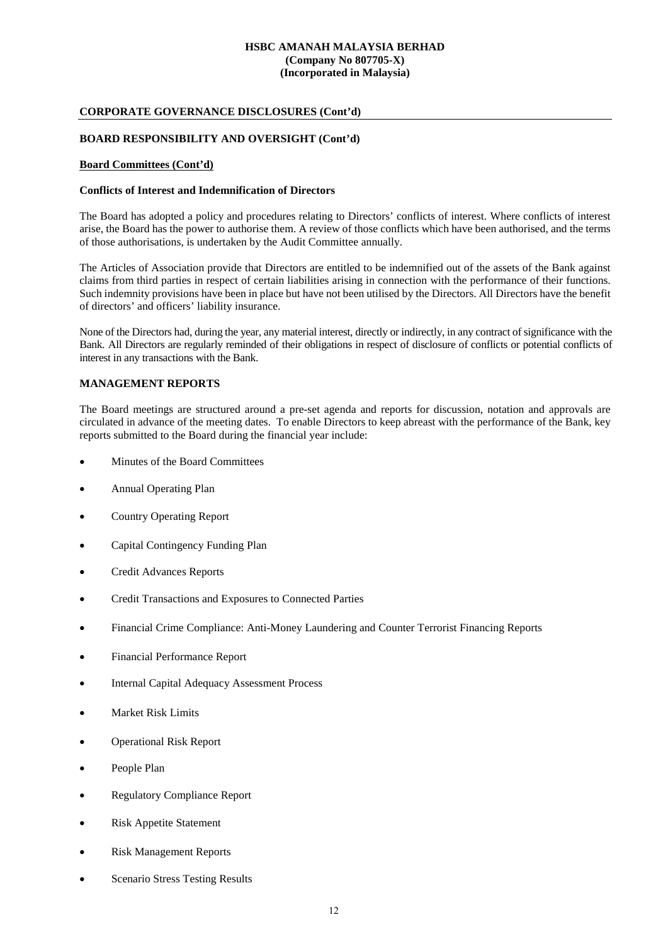# **CORPORATE GOVERNANCE DISCLOSURES (Cont'd)**

# **BOARD RESPONSIBILITY AND OVERSIGHT (Cont'd)**

#### **Board Committees (Cont'd)**

#### **Conflicts of Interest and Indemnification of Directors**

The Board has adopted a policy and procedures relating to Directors' conflicts of interest. Where conflicts of interest arise, the Board has the power to authorise them. A review of those conflicts which have been authorised, and the terms of those authorisations, is undertaken by the Audit Committee annually.

The Articles of Association provide that Directors are entitled to be indemnified out of the assets of the Bank against claims from third parties in respect of certain liabilities arising in connection with the performance of their functions. Such indemnity provisions have been in place but have not been utilised by the Directors. All Directors have the benefit of directors' and officers' liability insurance.

None of the Directors had, during the year, any material interest, directly or indirectly, in any contract of significance with the Bank. All Directors are regularly reminded of their obligations in respect of disclosure of conflicts or potential conflicts of interest in any transactions with the Bank.

# **MANAGEMENT REPORTS**

The Board meetings are structured around a pre-set agenda and reports for discussion, notation and approvals are circulated in advance of the meeting dates. To enable Directors to keep abreast with the performance of the Bank, key reports submitted to the Board during the financial year include:

- Minutes of the Board Committees
- Annual Operating Plan
- Country Operating Report
- Capital Contingency Funding Plan
- Credit Advances Reports
- Credit Transactions and Exposures to Connected Parties
- Financial Crime Compliance: Anti-Money Laundering and Counter Terrorist Financing Reports
- Financial Performance Report
- Internal Capital Adequacy Assessment Process
- Market Risk Limits
- Operational Risk Report
- People Plan
- Regulatory Compliance Report
- Risk Appetite Statement
- Risk Management Reports
- Scenario Stress Testing Results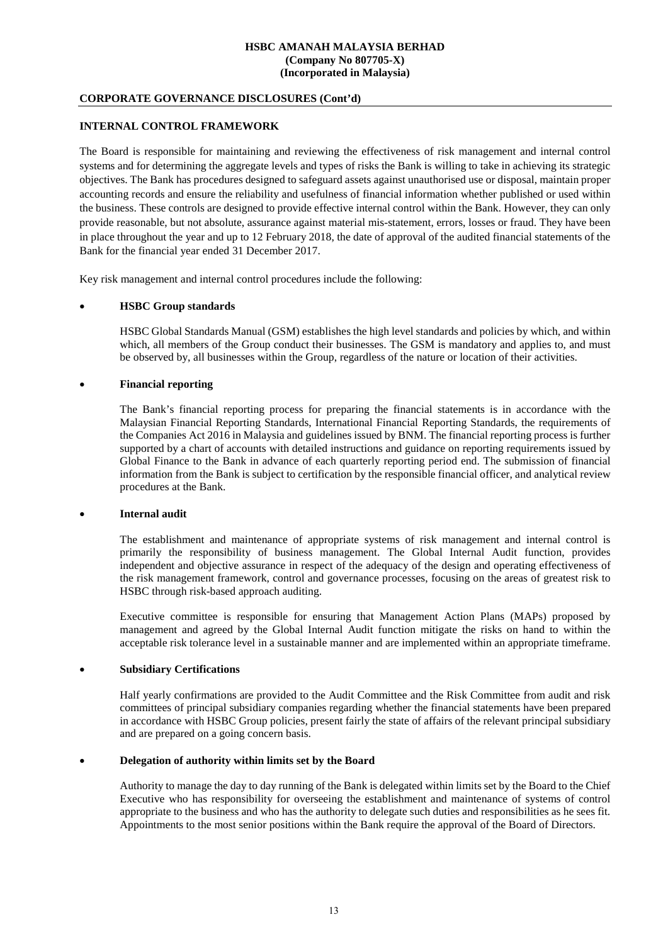# **CORPORATE GOVERNANCE DISCLOSURES (Cont'd)**

# **INTERNAL CONTROL FRAMEWORK**

The Board is responsible for maintaining and reviewing the effectiveness of risk management and internal control systems and for determining the aggregate levels and types of risks the Bank is willing to take in achieving its strategic objectives. The Bank has procedures designed to safeguard assets against unauthorised use or disposal, maintain proper accounting records and ensure the reliability and usefulness of financial information whether published or used within the business. These controls are designed to provide effective internal control within the Bank. However, they can only provide reasonable, but not absolute, assurance against material mis-statement, errors, losses or fraud. They have been in place throughout the year and up to 12 February 2018, the date of approval of the audited financial statements of the Bank for the financial year ended 31 December 2017.

Key risk management and internal control procedures include the following:

# • **HSBC Group standards**

HSBC Global Standards Manual (GSM) establishes the high level standards and policies by which, and within which, all members of the Group conduct their businesses. The GSM is mandatory and applies to, and must be observed by, all businesses within the Group, regardless of the nature or location of their activities.

# • **Financial reporting**

The Bank's financial reporting process for preparing the financial statements is in accordance with the Malaysian Financial Reporting Standards, International Financial Reporting Standards, the requirements of the Companies Act 2016 in Malaysia and guidelines issued by BNM. The financial reporting process is further supported by a chart of accounts with detailed instructions and guidance on reporting requirements issued by Global Finance to the Bank in advance of each quarterly reporting period end. The submission of financial information from the Bank is subject to certification by the responsible financial officer, and analytical review procedures at the Bank.

# • **Internal audit**

The establishment and maintenance of appropriate systems of risk management and internal control is primarily the responsibility of business management. The Global Internal Audit function, provides independent and objective assurance in respect of the adequacy of the design and operating effectiveness of the risk management framework, control and governance processes, focusing on the areas of greatest risk to HSBC through risk-based approach auditing.

Executive committee is responsible for ensuring that Management Action Plans (MAPs) proposed by management and agreed by the Global Internal Audit function mitigate the risks on hand to within the acceptable risk tolerance level in a sustainable manner and are implemented within an appropriate timeframe.

# • **Subsidiary Certifications**

Half yearly confirmations are provided to the Audit Committee and the Risk Committee from audit and risk committees of principal subsidiary companies regarding whether the financial statements have been prepared in accordance with HSBC Group policies, present fairly the state of affairs of the relevant principal subsidiary and are prepared on a going concern basis.

# • **Delegation of authority within limits set by the Board**

Authority to manage the day to day running of the Bank is delegated within limits set by the Board to the Chief Executive who has responsibility for overseeing the establishment and maintenance of systems of control appropriate to the business and who has the authority to delegate such duties and responsibilities as he sees fit. Appointments to the most senior positions within the Bank require the approval of the Board of Directors.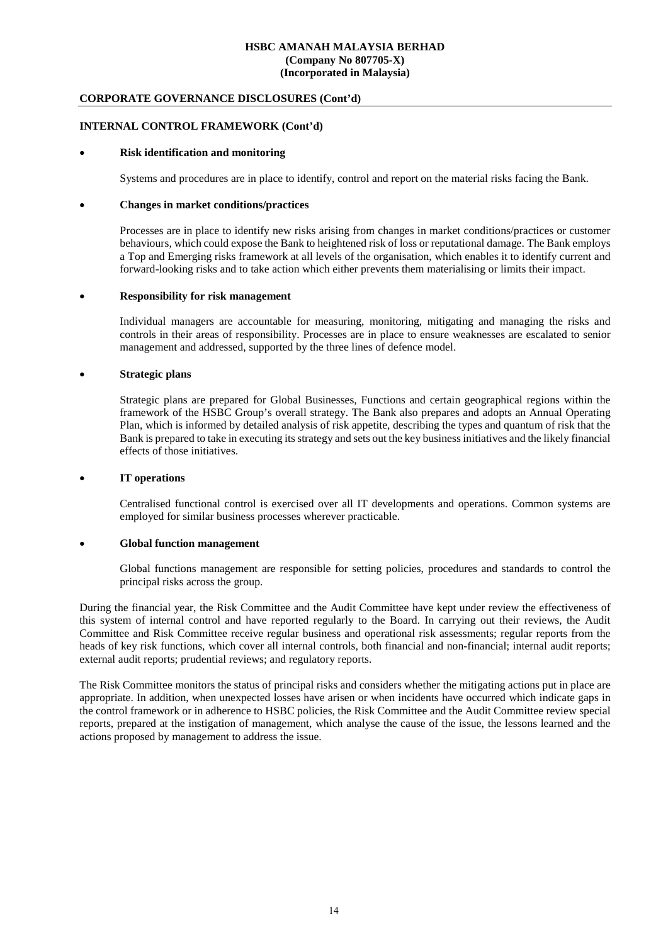# **CORPORATE GOVERNANCE DISCLOSURES (Cont'd)**

# **INTERNAL CONTROL FRAMEWORK (Cont'd)**

### • **Risk identification and monitoring**

Systems and procedures are in place to identify, control and report on the material risks facing the Bank.

#### • **Changes in market conditions/practices**

Processes are in place to identify new risks arising from changes in market conditions/practices or customer behaviours, which could expose the Bank to heightened risk of loss or reputational damage. The Bank employs a Top and Emerging risks framework at all levels of the organisation, which enables it to identify current and forward-looking risks and to take action which either prevents them materialising or limits their impact.

#### • **Responsibility for risk management**

Individual managers are accountable for measuring, monitoring, mitigating and managing the risks and controls in their areas of responsibility. Processes are in place to ensure weaknesses are escalated to senior management and addressed, supported by the three lines of defence model.

# • **Strategic plans**

Strategic plans are prepared for Global Businesses, Functions and certain geographical regions within the framework of the HSBC Group's overall strategy. The Bank also prepares and adopts an Annual Operating Plan, which is informed by detailed analysis of risk appetite, describing the types and quantum of risk that the Bank is prepared to take in executing its strategy and sets out the key business initiatives and the likely financial effects of those initiatives.

#### • **IT operations**

Centralised functional control is exercised over all IT developments and operations. Common systems are employed for similar business processes wherever practicable.

#### • **Global function management**

Global functions management are responsible for setting policies, procedures and standards to control the principal risks across the group.

During the financial year, the Risk Committee and the Audit Committee have kept under review the effectiveness of this system of internal control and have reported regularly to the Board. In carrying out their reviews, the Audit Committee and Risk Committee receive regular business and operational risk assessments; regular reports from the heads of key risk functions, which cover all internal controls, both financial and non-financial; internal audit reports; external audit reports; prudential reviews; and regulatory reports.

The Risk Committee monitors the status of principal risks and considers whether the mitigating actions put in place are appropriate. In addition, when unexpected losses have arisen or when incidents have occurred which indicate gaps in the control framework or in adherence to HSBC policies, the Risk Committee and the Audit Committee review special reports, prepared at the instigation of management, which analyse the cause of the issue, the lessons learned and the actions proposed by management to address the issue.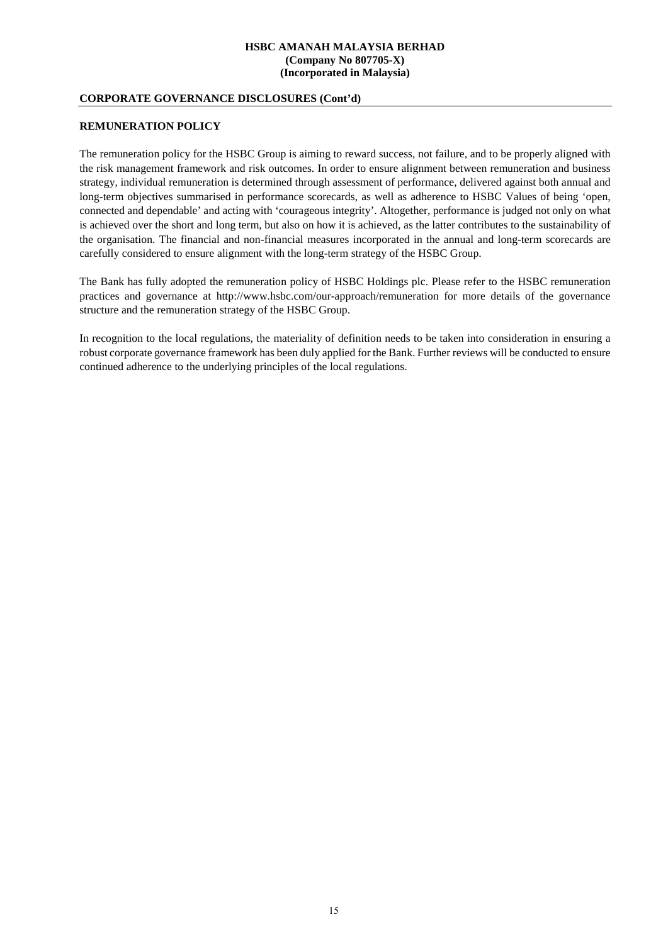# **CORPORATE GOVERNANCE DISCLOSURES (Cont'd)**

# **REMUNERATION POLICY**

The remuneration policy for the HSBC Group is aiming to reward success, not failure, and to be properly aligned with the risk management framework and risk outcomes. In order to ensure alignment between remuneration and business strategy, individual remuneration is determined through assessment of performance, delivered against both annual and long-term objectives summarised in performance scorecards, as well as adherence to HSBC Values of being 'open, connected and dependable' and acting with 'courageous integrity'. Altogether, performance is judged not only on what is achieved over the short and long term, but also on how it is achieved, as the latter contributes to the sustainability of the organisation. The financial and non-financial measures incorporated in the annual and long-term scorecards are carefully considered to ensure alignment with the long-term strategy of the HSBC Group.

The Bank has fully adopted the remuneration policy of HSBC Holdings plc. Please refer to the HSBC remuneration practices and governance at http://www.hsbc.com/our-approach/remuneration for more details of the governance structure and the remuneration strategy of the HSBC Group.

In recognition to the local regulations, the materiality of definition needs to be taken into consideration in ensuring a robust corporate governance framework has been duly applied for the Bank. Further reviews will be conducted to ensure continued adherence to the underlying principles of the local regulations.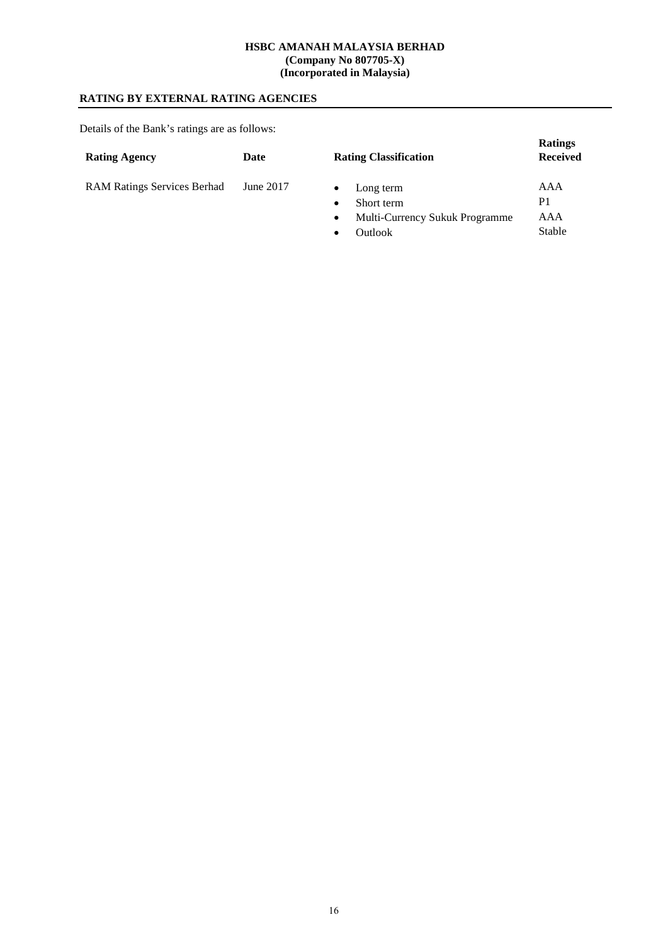# **RATING BY EXTERNAL RATING AGENCIES**

Details of the Bank's ratings are as follows:

| <b>Rating Agency</b>               | Date      | <b>Rating Classification</b>   | <b>Ratings</b><br><b>Received</b> |
|------------------------------------|-----------|--------------------------------|-----------------------------------|
| <b>RAM Ratings Services Berhad</b> | June 2017 | Long term                      | AAA                               |
|                                    |           | Short term                     | P <sub>1</sub>                    |
|                                    |           | Multi-Currency Sukuk Programme | AAA                               |

 $cy$  Sukuk Progr • Outlook Stable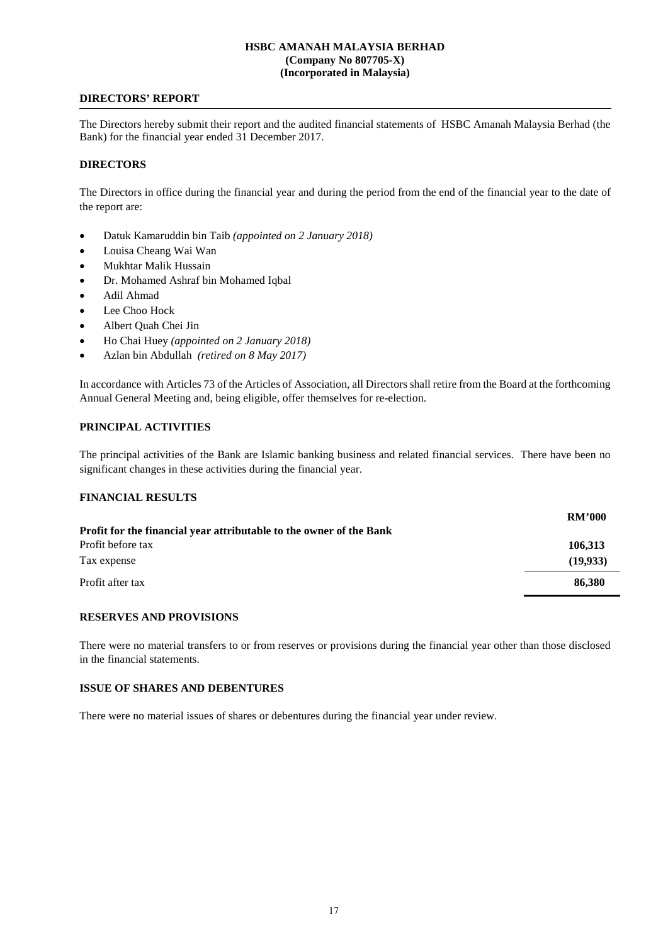# **DIRECTORS' REPORT**

The Directors hereby submit their report and the audited financial statements of HSBC Amanah Malaysia Berhad (the Bank) for the financial year ended 31 December 2017.

### **DIRECTORS**

The Directors in office during the financial year and during the period from the end of the financial year to the date of the report are:

- Datuk Kamaruddin bin Taib *(appointed on 2 January 2018)*
- Louisa Cheang Wai Wan
- Mukhtar Malik Hussain
- Dr. Mohamed Ashraf bin Mohamed Iqbal
- Adil Ahmad
- Lee Choo Hock
- Albert Quah Chei Jin
- Ho Chai Huey *(appointed on 2 January 2018)*
- Azlan bin Abdullah *(retired on 8 May 2017)*

In accordance with Articles 73 of the Articles of Association, all Directors shall retire from the Board at the forthcoming Annual General Meeting and, being eligible, offer themselves for re-election.

# **PRINCIPAL ACTIVITIES**

The principal activities of the Bank are Islamic banking business and related financial services. There have been no significant changes in these activities during the financial year.

# **FINANCIAL RESULTS**

|                                                                     | <b>RM'000</b> |
|---------------------------------------------------------------------|---------------|
| Profit for the financial year attributable to the owner of the Bank |               |
| Profit before tax                                                   | 106,313       |
| Tax expense                                                         | (19,933)      |
| Profit after tax                                                    | 86.380        |

#### **RESERVES AND PROVISIONS**

There were no material transfers to or from reserves or provisions during the financial year other than those disclosed in the financial statements.

# **ISSUE OF SHARES AND DEBENTURES**

There were no material issues of shares or debentures during the financial year under review.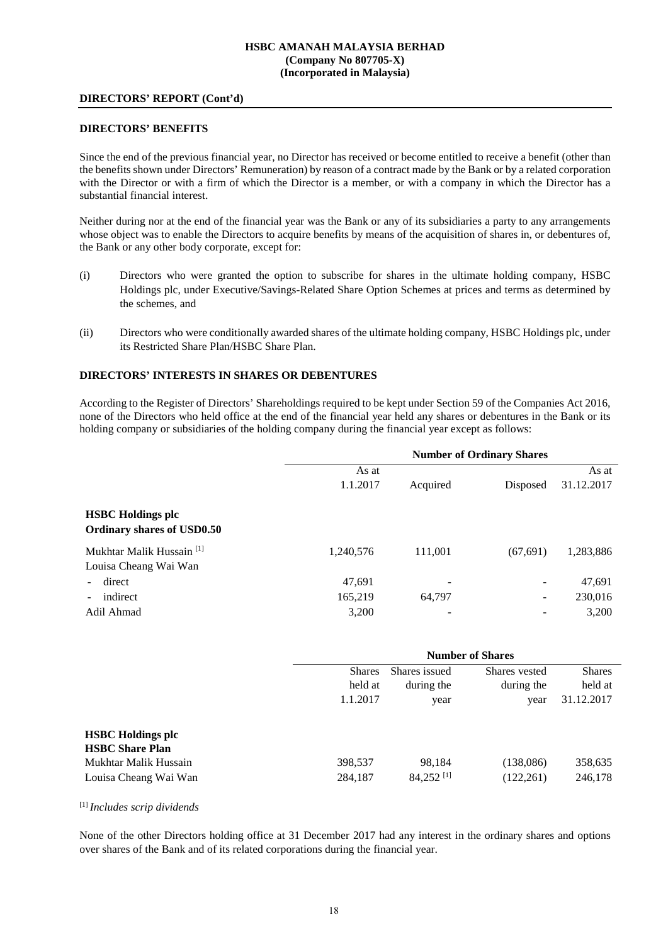#### **DIRECTORS' REPORT (Cont'd)**

#### **DIRECTORS' BENEFITS**

Since the end of the previous financial year, no Director has received or become entitled to receive a benefit (other than the benefits shown under Directors' Remuneration) by reason of a contract made by the Bank or by a related corporation with the Director or with a firm of which the Director is a member, or with a company in which the Director has a substantial financial interest.

Neither during nor at the end of the financial year was the Bank or any of its subsidiaries a party to any arrangements whose object was to enable the Directors to acquire benefits by means of the acquisition of shares in, or debentures of, the Bank or any other body corporate, except for:

- (i) Directors who were granted the option to subscribe for shares in the ultimate holding company, HSBC Holdings plc, under Executive/Savings-Related Share Option Schemes at prices and terms as determined by the schemes, and
- (ii) Directors who were conditionally awarded shares of the ultimate holding company, HSBC Holdings plc, under its Restricted Share Plan/HSBC Share Plan.

# **DIRECTORS' INTERESTS IN SHARES OR DEBENTURES**

According to the Register of Directors' Shareholdings required to be kept under Section 59 of the Companies Act 2016, none of the Directors who held office at the end of the financial year held any shares or debentures in the Bank or its holding company or subsidiaries of the holding company during the financial year except as follows:

|                                                               | <b>Number of Ordinary Shares</b> |                          |           |            |
|---------------------------------------------------------------|----------------------------------|--------------------------|-----------|------------|
|                                                               | As at                            |                          |           | As at      |
|                                                               | 1.1.2017                         | Acquired                 | Disposed  | 31.12.2017 |
| <b>HSBC</b> Holdings plc<br>Ordinary shares of USD0.50        |                                  |                          |           |            |
| Mukhtar Malik Hussain <sup>[1]</sup><br>Louisa Cheang Wai Wan | 1,240,576                        | 111,001                  | (67, 691) | 1,283,886  |
| direct                                                        | 47,691                           | -                        |           | 47,691     |
| indirect                                                      | 165,219                          | 64,797                   |           | 230,016    |
| Adil Ahmad                                                    | 3,200                            | $\overline{\phantom{a}}$ |           | 3,200      |

|                          | <b>Number of Shares</b> |                       |               |               |
|--------------------------|-------------------------|-----------------------|---------------|---------------|
|                          | <b>Shares</b>           | Shares issued         | Shares vested | <b>Shares</b> |
|                          | held at                 | during the            | during the    | held at       |
|                          | 1.1.2017                | year                  | year          | 31.12.2017    |
|                          |                         |                       |               |               |
| <b>HSBC</b> Holdings plc |                         |                       |               |               |
| <b>HSBC Share Plan</b>   |                         |                       |               |               |
| Mukhtar Malik Hussain    | 398,537                 | 98,184                | (138,086)     | 358,635       |
| Louisa Cheang Wai Wan    | 284,187                 | 84,252 <sup>[1]</sup> | (122,261)     | 246,178       |

#### [1] *Includes scrip dividends*

None of the other Directors holding office at 31 December 2017 had any interest in the ordinary shares and options over shares of the Bank and of its related corporations during the financial year.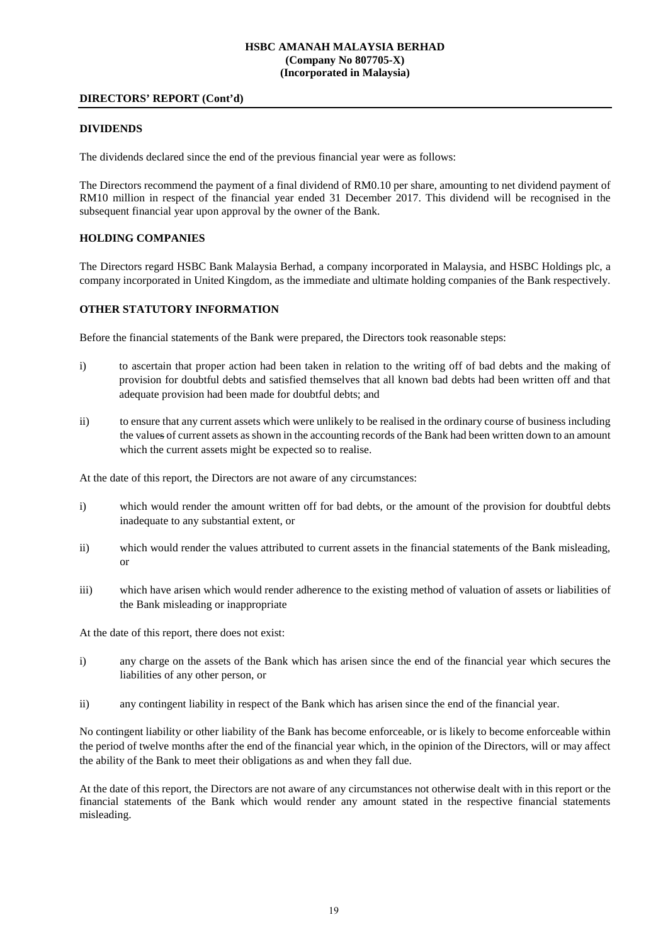### **DIRECTORS' REPORT (Cont'd)**

#### **DIVIDENDS**

The dividends declared since the end of the previous financial year were as follows:

The Directors recommend the payment of a final dividend of RM0.10 per share, amounting to net dividend payment of RM10 million in respect of the financial year ended 31 December 2017. This dividend will be recognised in the subsequent financial year upon approval by the owner of the Bank.

### **HOLDING COMPANIES**

The Directors regard HSBC Bank Malaysia Berhad, a company incorporated in Malaysia, and HSBC Holdings plc, a company incorporated in United Kingdom, as the immediate and ultimate holding companies of the Bank respectively.

# **OTHER STATUTORY INFORMATION**

Before the financial statements of the Bank were prepared, the Directors took reasonable steps:

- i) to ascertain that proper action had been taken in relation to the writing off of bad debts and the making of provision for doubtful debts and satisfied themselves that all known bad debts had been written off and that adequate provision had been made for doubtful debts; and
- ii) to ensure that any current assets which were unlikely to be realised in the ordinary course of business including the values of current assets as shown in the accounting records of the Bank had been written down to an amount which the current assets might be expected so to realise.

At the date of this report, the Directors are not aware of any circumstances:

- i) which would render the amount written off for bad debts, or the amount of the provision for doubtful debts inadequate to any substantial extent, or
- ii) which would render the values attributed to current assets in the financial statements of the Bank misleading, or
- iii) which have arisen which would render adherence to the existing method of valuation of assets or liabilities of the Bank misleading or inappropriate

At the date of this report, there does not exist:

- i) any charge on the assets of the Bank which has arisen since the end of the financial year which secures the liabilities of any other person, or
- ii) any contingent liability in respect of the Bank which has arisen since the end of the financial year.

No contingent liability or other liability of the Bank has become enforceable, or is likely to become enforceable within the period of twelve months after the end of the financial year which, in the opinion of the Directors, will or may affect the ability of the Bank to meet their obligations as and when they fall due.

At the date of this report, the Directors are not aware of any circumstances not otherwise dealt with in this report or the financial statements of the Bank which would render any amount stated in the respective financial statements misleading.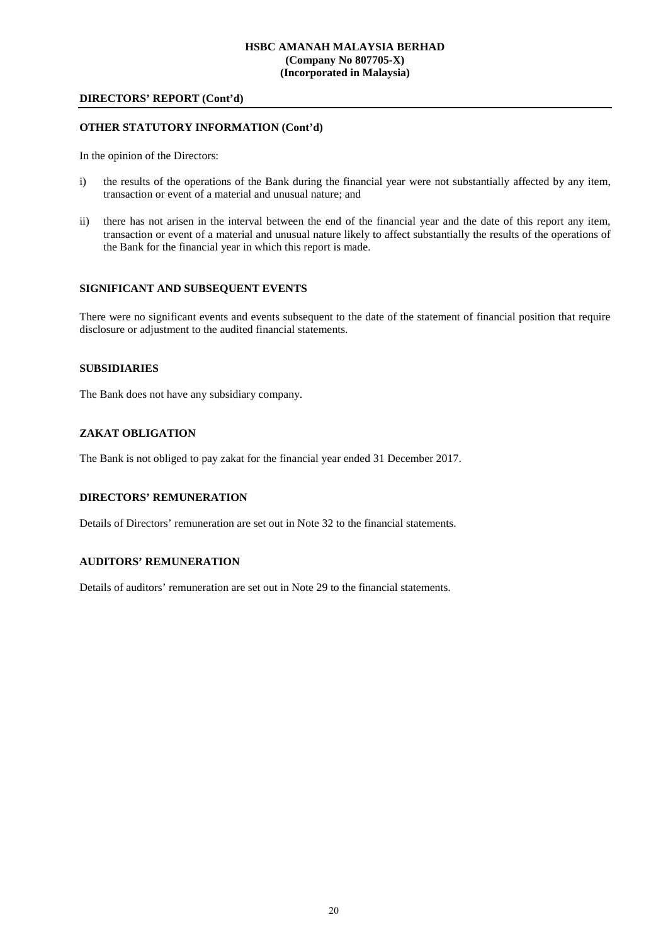### **DIRECTORS' REPORT (Cont'd)**

# **OTHER STATUTORY INFORMATION (Cont'd)**

In the opinion of the Directors:

- i) the results of the operations of the Bank during the financial year were not substantially affected by any item, transaction or event of a material and unusual nature; and
- ii) there has not arisen in the interval between the end of the financial year and the date of this report any item, transaction or event of a material and unusual nature likely to affect substantially the results of the operations of the Bank for the financial year in which this report is made.

#### **SIGNIFICANT AND SUBSEQUENT EVENTS**

There were no significant events and events subsequent to the date of the statement of financial position that require disclosure or adjustment to the audited financial statements.

#### **SUBSIDIARIES**

The Bank does not have any subsidiary company.

# **ZAKAT OBLIGATION**

The Bank is not obliged to pay zakat for the financial year ended 31 December 2017.

# **DIRECTORS' REMUNERATION**

Details of Directors' remuneration are set out in Note 32 to the financial statements.

# **AUDITORS' REMUNERATION**

Details of auditors' remuneration are set out in Note 29 to the financial statements.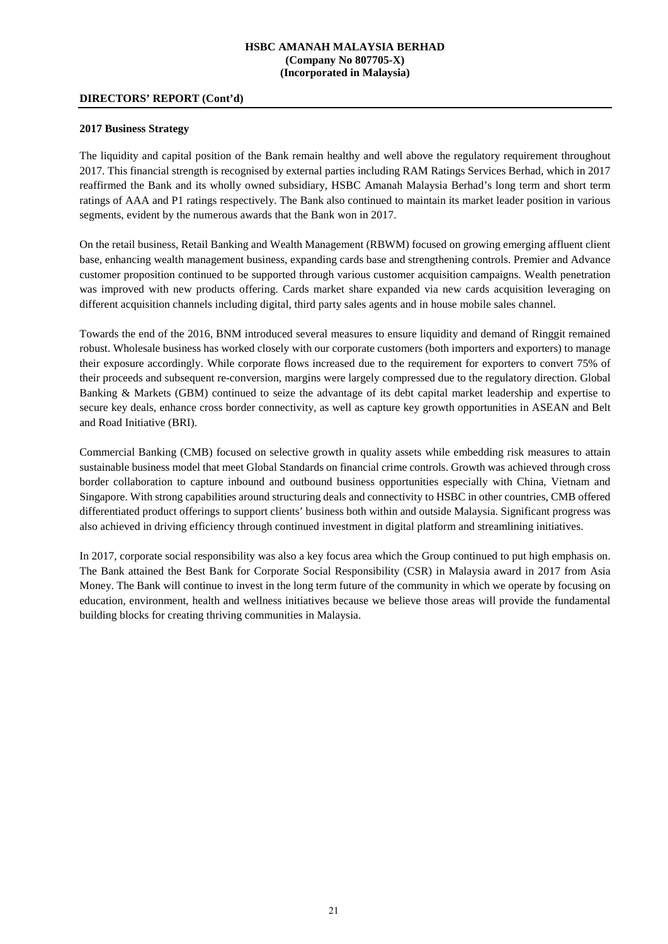#### **DIRECTORS' REPORT (Cont'd)**

#### **2017 Business Strategy**

The liquidity and capital position of the Bank remain healthy and well above the regulatory requirement throughout 2017. This financial strength is recognised by external parties including RAM Ratings Services Berhad, which in 2017 reaffirmed the Bank and its wholly owned subsidiary, HSBC Amanah Malaysia Berhad's long term and short term ratings of AAA and P1 ratings respectively. The Bank also continued to maintain its market leader position in various segments, evident by the numerous awards that the Bank won in 2017.

On the retail business, Retail Banking and Wealth Management (RBWM) focused on growing emerging affluent client base, enhancing wealth management business, expanding cards base and strengthening controls. Premier and Advance customer proposition continued to be supported through various customer acquisition campaigns. Wealth penetration was improved with new products offering. Cards market share expanded via new cards acquisition leveraging on different acquisition channels including digital, third party sales agents and in house mobile sales channel.

Towards the end of the 2016, BNM introduced several measures to ensure liquidity and demand of Ringgit remained robust. Wholesale business has worked closely with our corporate customers (both importers and exporters) to manage their exposure accordingly. While corporate flows increased due to the requirement for exporters to convert 75% of their proceeds and subsequent re-conversion, margins were largely compressed due to the regulatory direction. Global Banking & Markets (GBM) continued to seize the advantage of its debt capital market leadership and expertise to secure key deals, enhance cross border connectivity, as well as capture key growth opportunities in ASEAN and Belt and Road Initiative (BRI).

Commercial Banking (CMB) focused on selective growth in quality assets while embedding risk measures to attain sustainable business model that meet Global Standards on financial crime controls. Growth was achieved through cross border collaboration to capture inbound and outbound business opportunities especially with China, Vietnam and Singapore. With strong capabilities around structuring deals and connectivity to HSBC in other countries, CMB offered differentiated product offerings to support clients' business both within and outside Malaysia. Significant progress was also achieved in driving efficiency through continued investment in digital platform and streamlining initiatives.

In 2017, corporate social responsibility was also a key focus area which the Group continued to put high emphasis on. The Bank attained the Best Bank for Corporate Social Responsibility (CSR) in Malaysia award in 2017 from Asia Money. The Bank will continue to invest in the long term future of the community in which we operate by focusing on education, environment, health and wellness initiatives because we believe those areas will provide the fundamental building blocks for creating thriving communities in Malaysia.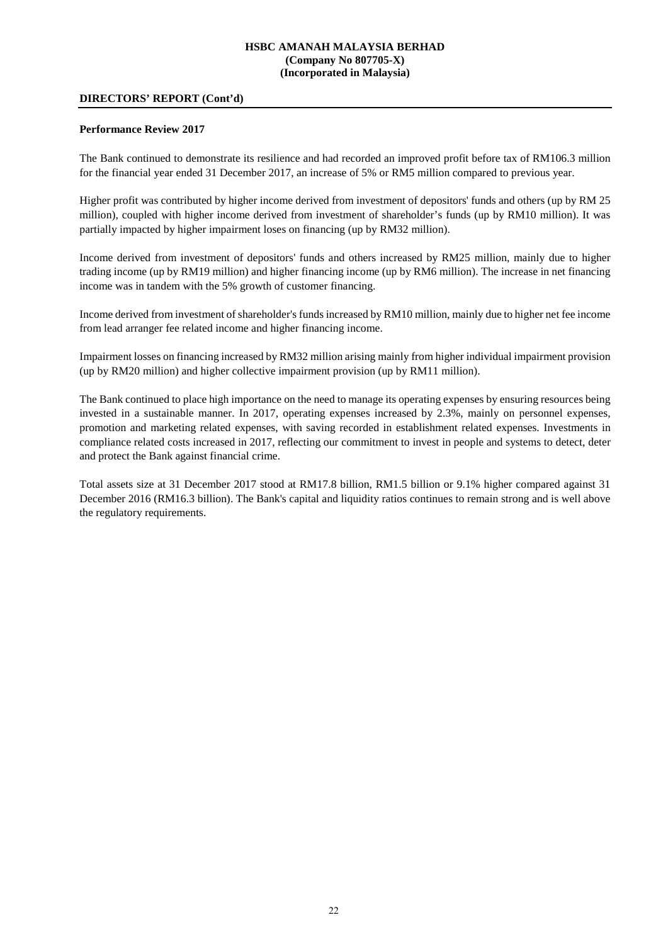### **DIRECTORS' REPORT (Cont'd)**

#### **Performance Review 2017**

The Bank continued to demonstrate its resilience and had recorded an improved profit before tax of RM106.3 million for the financial year ended 31 December 2017, an increase of 5% or RM5 million compared to previous year.

Higher profit was contributed by higher income derived from investment of depositors' funds and others (up by RM 25 million), coupled with higher income derived from investment of shareholder's funds (up by RM10 million). It was partially impacted by higher impairment loses on financing (up by RM32 million).

Income derived from investment of depositors' funds and others increased by RM25 million, mainly due to higher trading income (up by RM19 million) and higher financing income (up by RM6 million). The increase in net financing income was in tandem with the 5% growth of customer financing.

Income derived from investment of shareholder's funds increased by RM10 million, mainly due to higher net fee income from lead arranger fee related income and higher financing income.

Impairment losses on financing increased by RM32 million arising mainly from higher individual impairment provision (up by RM20 million) and higher collective impairment provision (up by RM11 million).

The Bank continued to place high importance on the need to manage its operating expenses by ensuring resources being invested in a sustainable manner. In 2017, operating expenses increased by 2.3%, mainly on personnel expenses, promotion and marketing related expenses, with saving recorded in establishment related expenses. Investments in compliance related costs increased in 2017, reflecting our commitment to invest in people and systems to detect, deter and protect the Bank against financial crime.

Total assets size at 31 December 2017 stood at RM17.8 billion, RM1.5 billion or 9.1% higher compared against 31 December 2016 (RM16.3 billion). The Bank's capital and liquidity ratios continues to remain strong and is well above the regulatory requirements.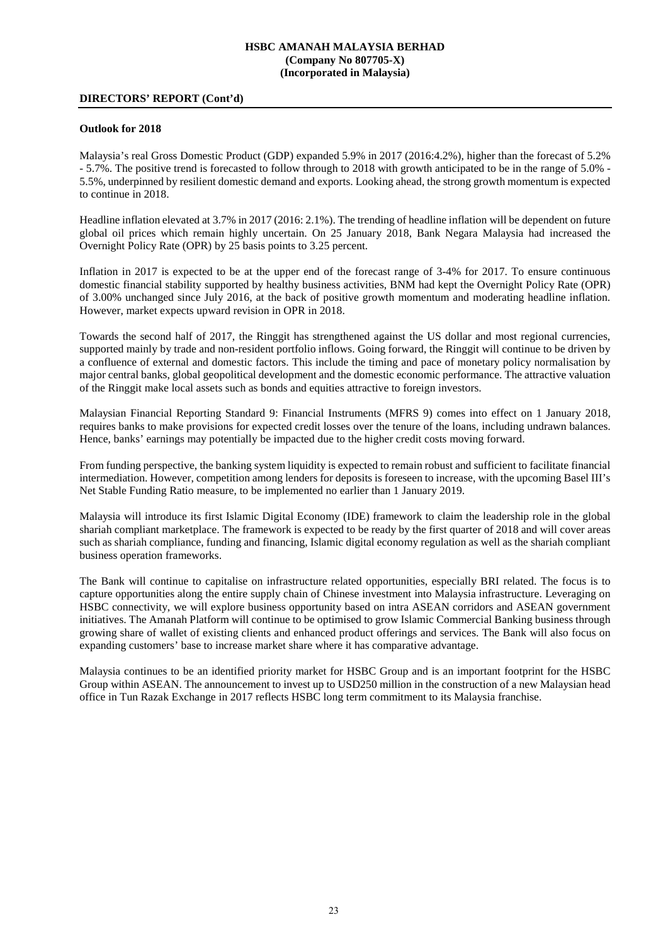# **DIRECTORS' REPORT (Cont'd)**

#### **Outlook for 2018**

Malaysia's real Gross Domestic Product (GDP) expanded 5.9% in 2017 (2016:4.2%), higher than the forecast of 5.2% - 5.7%. The positive trend is forecasted to follow through to 2018 with growth anticipated to be in the range of 5.0% - 5.5%, underpinned by resilient domestic demand and exports. Looking ahead, the strong growth momentum is expected to continue in 2018.

Headline inflation elevated at 3.7% in 2017 (2016: 2.1%). The trending of headline inflation will be dependent on future global oil prices which remain highly uncertain. On 25 January 2018, Bank Negara Malaysia had increased the Overnight Policy Rate (OPR) by 25 basis points to 3.25 percent.

Inflation in 2017 is expected to be at the upper end of the forecast range of 3-4% for 2017. To ensure continuous domestic financial stability supported by healthy business activities, BNM had kept the Overnight Policy Rate (OPR) of 3.00% unchanged since July 2016, at the back of positive growth momentum and moderating headline inflation. However, market expects upward revision in OPR in 2018.

Towards the second half of 2017, the Ringgit has strengthened against the US dollar and most regional currencies, supported mainly by trade and non-resident portfolio inflows. Going forward, the Ringgit will continue to be driven by a confluence of external and domestic factors. This include the timing and pace of monetary policy normalisation by major central banks, global geopolitical development and the domestic economic performance. The attractive valuation of the Ringgit make local assets such as bonds and equities attractive to foreign investors.

Malaysian Financial Reporting Standard 9: Financial Instruments (MFRS 9) comes into effect on 1 January 2018, requires banks to make provisions for expected credit losses over the tenure of the loans, including undrawn balances. Hence, banks' earnings may potentially be impacted due to the higher credit costs moving forward.

From funding perspective, the banking system liquidity is expected to remain robust and sufficient to facilitate financial intermediation. However, competition among lenders for deposits is foreseen to increase, with the upcoming Basel III's Net Stable Funding Ratio measure, to be implemented no earlier than 1 January 2019.

Malaysia will introduce its first Islamic Digital Economy (IDE) framework to claim the leadership role in the global shariah compliant marketplace. The framework is expected to be ready by the first quarter of 2018 and will cover areas such as shariah compliance, funding and financing, Islamic digital economy regulation as well as the shariah compliant business operation frameworks.

The Bank will continue to capitalise on infrastructure related opportunities, especially BRI related. The focus is to capture opportunities along the entire supply chain of Chinese investment into Malaysia infrastructure. Leveraging on HSBC connectivity, we will explore business opportunity based on intra ASEAN corridors and ASEAN government initiatives. The Amanah Platform will continue to be optimised to grow Islamic Commercial Banking business through growing share of wallet of existing clients and enhanced product offerings and services. The Bank will also focus on expanding customers' base to increase market share where it has comparative advantage.

Malaysia continues to be an identified priority market for HSBC Group and is an important footprint for the HSBC Group within ASEAN. The announcement to invest up to USD250 million in the construction of a new Malaysian head office in Tun Razak Exchange in 2017 reflects HSBC long term commitment to its Malaysia franchise.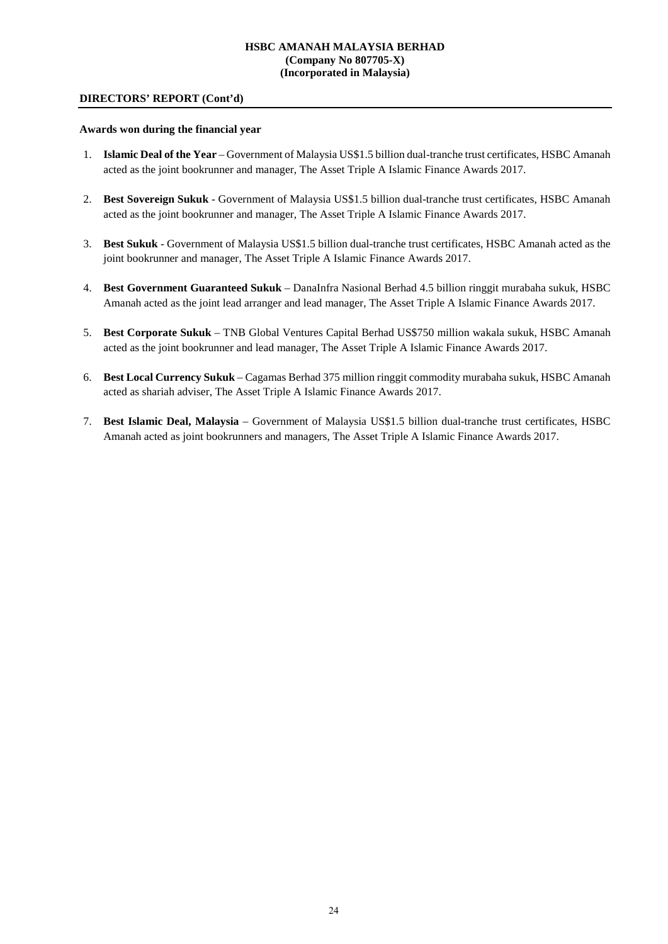### **DIRECTORS' REPORT (Cont'd)**

#### **Awards won during the financial year**

- 1. **Islamic Deal of the Year** Government of Malaysia US\$1.5 billion dual-tranche trust certificates, HSBC Amanah acted as the joint bookrunner and manager, The Asset Triple A Islamic Finance Awards 2017.
- 2. **Best Sovereign Sukuk** Government of Malaysia US\$1.5 billion dual-tranche trust certificates, HSBC Amanah acted as the joint bookrunner and manager, The Asset Triple A Islamic Finance Awards 2017.
- 3. **Best Sukuk** Government of Malaysia US\$1.5 billion dual-tranche trust certificates, HSBC Amanah acted as the joint bookrunner and manager, The Asset Triple A Islamic Finance Awards 2017.
- 4. **Best Government Guaranteed Sukuk** DanaInfra Nasional Berhad 4.5 billion ringgit murabaha sukuk, HSBC Amanah acted as the joint lead arranger and lead manager, The Asset Triple A Islamic Finance Awards 2017.
- 5. **Best Corporate Sukuk**  TNB Global Ventures Capital Berhad US\$750 million wakala sukuk, HSBC Amanah acted as the joint bookrunner and lead manager, The Asset Triple A Islamic Finance Awards 2017.
- 6. **Best Local Currency Sukuk**  Cagamas Berhad 375 million ringgit commodity murabaha sukuk, HSBC Amanah acted as shariah adviser, The Asset Triple A Islamic Finance Awards 2017.
- 7. **Best Islamic Deal, Malaysia**  Government of Malaysia US\$1.5 billion dual-tranche trust certificates, HSBC Amanah acted as joint bookrunners and managers, The Asset Triple A Islamic Finance Awards 2017.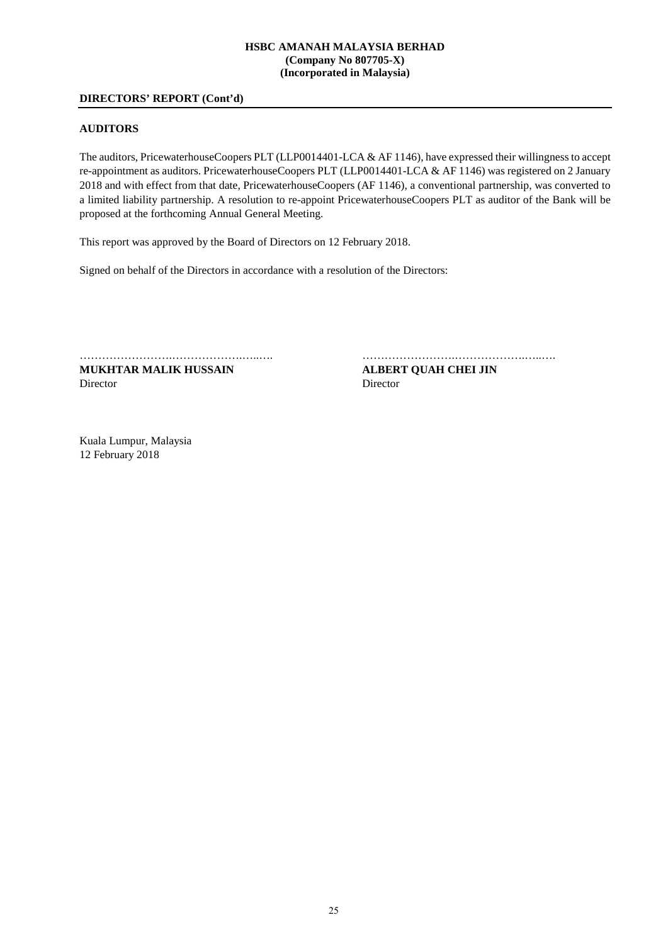# **DIRECTORS' REPORT (Cont'd)**

#### **AUDITORS**

The auditors, PricewaterhouseCoopers PLT (LLP0014401-LCA & AF 1146), have expressed their willingness to accept re-appointment as auditors. PricewaterhouseCoopers PLT (LLP0014401-LCA & AF 1146) was registered on 2 January 2018 and with effect from that date, PricewaterhouseCoopers (AF 1146), a conventional partnership, was converted to a limited liability partnership. A resolution to re-appoint PricewaterhouseCoopers PLT as auditor of the Bank will be proposed at the forthcoming Annual General Meeting.

This report was approved by the Board of Directors on 12 February 2018.

Signed on behalf of the Directors in accordance with a resolution of the Directors:

**MUKHTAR MALIK HUSSAIN ALBERT QUAH CHEI JIN** Director Director

…………………….……………….…..…. …………………….……………….…..….

Kuala Lumpur, Malaysia 12 February 2018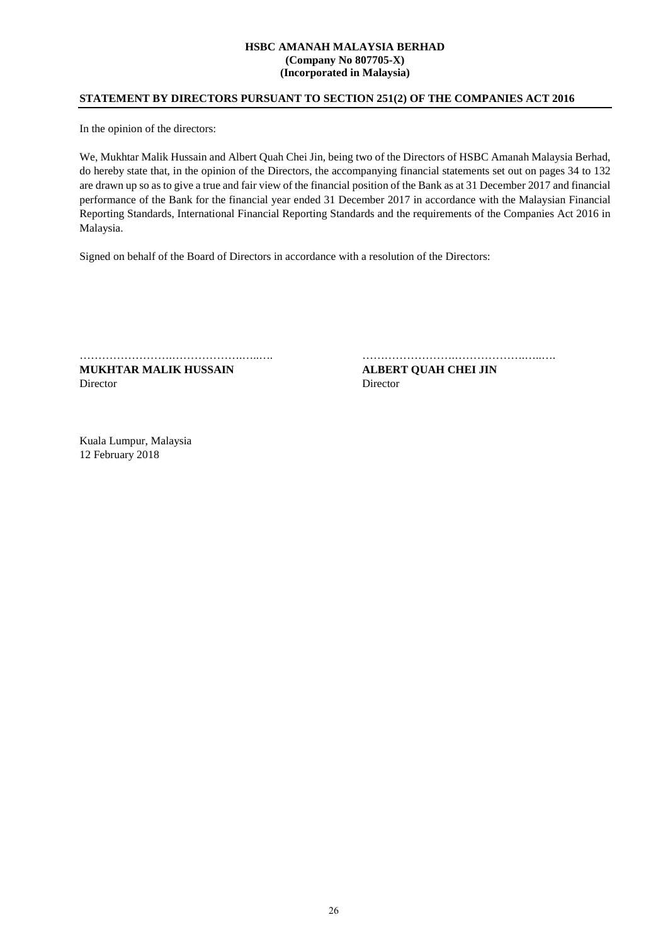# **STATEMENT BY DIRECTORS PURSUANT TO SECTION 251(2) OF THE COMPANIES ACT 2016**

In the opinion of the directors:

We, Mukhtar Malik Hussain and Albert Quah Chei Jin, being two of the Directors of HSBC Amanah Malaysia Berhad, do hereby state that, in the opinion of the Directors, the accompanying financial statements set out on pages 34 to 132 are drawn up so as to give a true and fair view of the financial position of the Bank as at 31 December 2017 and financial performance of the Bank for the financial year ended 31 December 2017 in accordance with the Malaysian Financial Reporting Standards, International Financial Reporting Standards and the requirements of the Companies Act 2016 in Malaysia.

Signed on behalf of the Board of Directors in accordance with a resolution of the Directors:

**MUKHTAR MALIK HUSSAIN ALBERT QUAH CHEI JIN**  Director Director

…………………….……………….…..…. …………………….……………….…..….

Kuala Lumpur, Malaysia 12 February 2018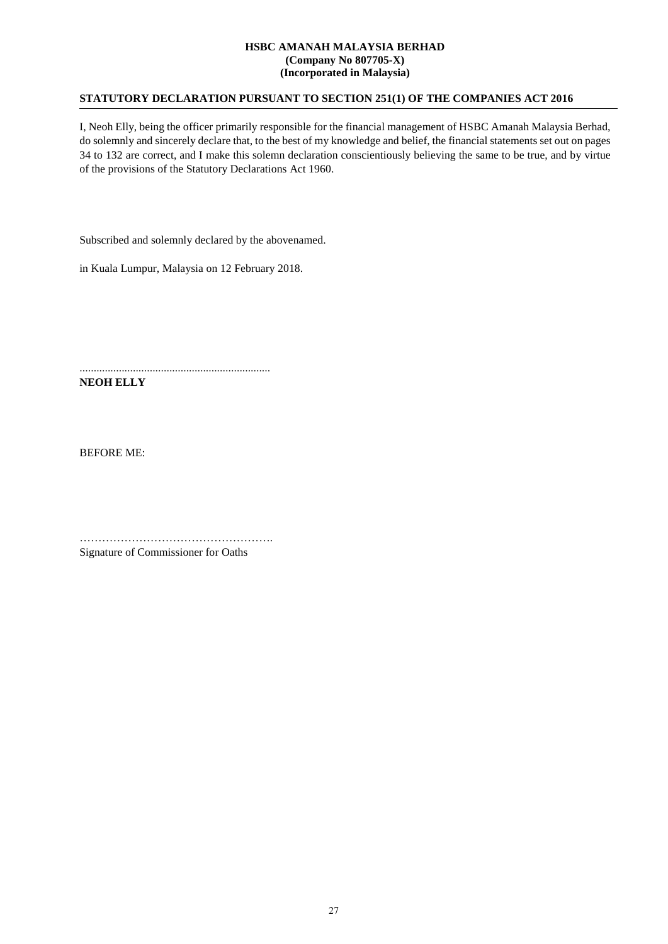# **STATUTORY DECLARATION PURSUANT TO SECTION 251(1) OF THE COMPANIES ACT 2016**

I, Neoh Elly, being the officer primarily responsible for the financial management of HSBC Amanah Malaysia Berhad, do solemnly and sincerely declare that, to the best of my knowledge and belief, the financial statements set out on pages 34 to 132 are correct, and I make this solemn declaration conscientiously believing the same to be true, and by virtue of the provisions of the Statutory Declarations Act 1960.

Subscribed and solemnly declared by the abovenamed.

in Kuala Lumpur, Malaysia on 12 February 2018.

....................................................................

**NEOH ELLY** 

BEFORE ME:

……………………………………………. Signature of Commissioner for Oaths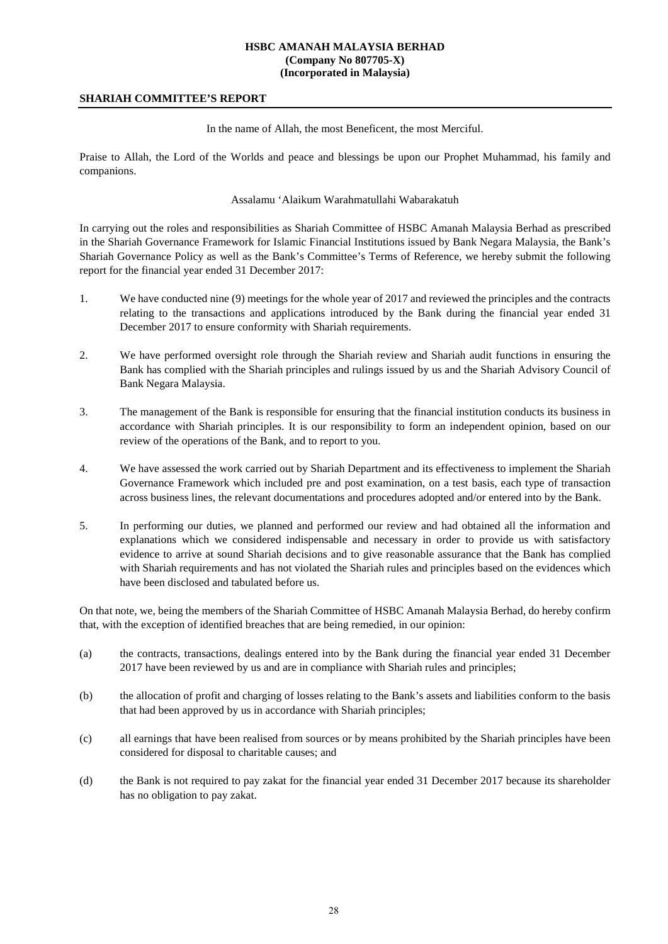# **SHARIAH COMMITTEE'S REPORT**

In the name of Allah, the most Beneficent, the most Merciful.

Praise to Allah, the Lord of the Worlds and peace and blessings be upon our Prophet Muhammad, his family and companions.

# Assalamu 'Alaikum Warahmatullahi Wabarakatuh

In carrying out the roles and responsibilities as Shariah Committee of HSBC Amanah Malaysia Berhad as prescribed in the Shariah Governance Framework for Islamic Financial Institutions issued by Bank Negara Malaysia, the Bank's Shariah Governance Policy as well as the Bank's Committee's Terms of Reference, we hereby submit the following report for the financial year ended 31 December 2017:

- 1. We have conducted nine (9) meetings for the whole year of 2017 and reviewed the principles and the contracts relating to the transactions and applications introduced by the Bank during the financial year ended 31 December 2017 to ensure conformity with Shariah requirements.
- 2. We have performed oversight role through the Shariah review and Shariah audit functions in ensuring the Bank has complied with the Shariah principles and rulings issued by us and the Shariah Advisory Council of Bank Negara Malaysia.
- 3. The management of the Bank is responsible for ensuring that the financial institution conducts its business in accordance with Shariah principles. It is our responsibility to form an independent opinion, based on our review of the operations of the Bank, and to report to you.
- 4. We have assessed the work carried out by Shariah Department and its effectiveness to implement the Shariah Governance Framework which included pre and post examination, on a test basis, each type of transaction across business lines, the relevant documentations and procedures adopted and/or entered into by the Bank.
- 5. In performing our duties, we planned and performed our review and had obtained all the information and explanations which we considered indispensable and necessary in order to provide us with satisfactory evidence to arrive at sound Shariah decisions and to give reasonable assurance that the Bank has complied with Shariah requirements and has not violated the Shariah rules and principles based on the evidences which have been disclosed and tabulated before us.

On that note, we, being the members of the Shariah Committee of HSBC Amanah Malaysia Berhad, do hereby confirm that, with the exception of identified breaches that are being remedied, in our opinion:

- (a) the contracts, transactions, dealings entered into by the Bank during the financial year ended 31 December 2017 have been reviewed by us and are in compliance with Shariah rules and principles;
- (b) the allocation of profit and charging of losses relating to the Bank's assets and liabilities conform to the basis that had been approved by us in accordance with Shariah principles;
- (c) all earnings that have been realised from sources or by means prohibited by the Shariah principles have been considered for disposal to charitable causes; and
- (d) the Bank is not required to pay zakat for the financial year ended 31 December 2017 because its shareholder has no obligation to pay zakat.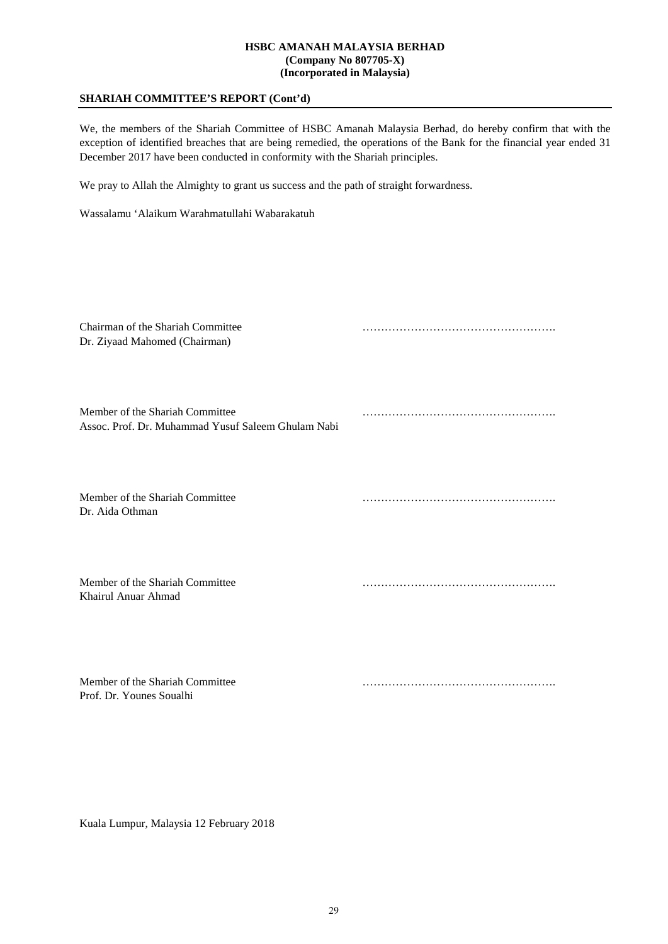# **SHARIAH COMMITTEE'S REPORT (Cont'd)**

We, the members of the Shariah Committee of HSBC Amanah Malaysia Berhad, do hereby confirm that with the exception of identified breaches that are being remedied, the operations of the Bank for the financial year ended 31 December 2017 have been conducted in conformity with the Shariah principles.

We pray to Allah the Almighty to grant us success and the path of straight forwardness.

Wassalamu 'Alaikum Warahmatullahi Wabarakatuh

| Chairman of the Shariah Committee<br>Dr. Ziyaad Mahomed (Chairman)                    |  |
|---------------------------------------------------------------------------------------|--|
| Member of the Shariah Committee<br>Assoc. Prof. Dr. Muhammad Yusuf Saleem Ghulam Nabi |  |
| Member of the Shariah Committee<br>Dr. Aida Othman                                    |  |
| Member of the Shariah Committee<br>Khairul Anuar Ahmad                                |  |
| Member of the Shariah Committee<br>Prof. Dr. Younes Soualhi                           |  |

Kuala Lumpur, Malaysia 12 February 2018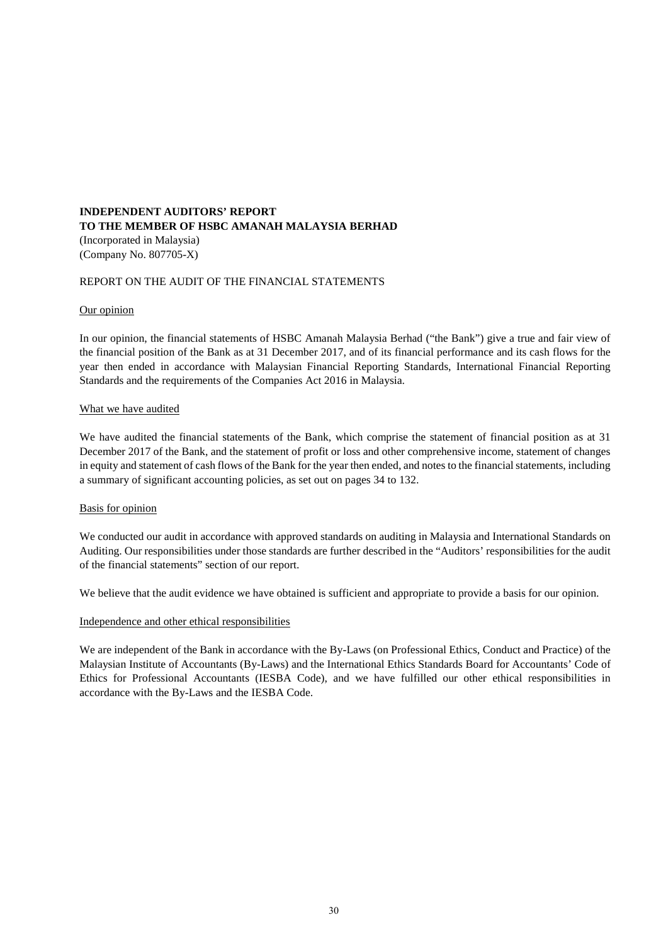# **INDEPENDENT AUDITORS' REPORT TO THE MEMBER OF HSBC AMANAH MALAYSIA BERHAD** (Incorporated in Malaysia) (Company No. 807705-X)

# REPORT ON THE AUDIT OF THE FINANCIAL STATEMENTS

#### Our opinion

In our opinion, the financial statements of HSBC Amanah Malaysia Berhad ("the Bank") give a true and fair view of the financial position of the Bank as at 31 December 2017, and of its financial performance and its cash flows for the year then ended in accordance with Malaysian Financial Reporting Standards, International Financial Reporting Standards and the requirements of the Companies Act 2016 in Malaysia.

#### What we have audited

We have audited the financial statements of the Bank, which comprise the statement of financial position as at 31 December 2017 of the Bank, and the statement of profit or loss and other comprehensive income, statement of changes in equity and statement of cash flows of the Bank for the year then ended, and notes to the financial statements, including a summary of significant accounting policies, as set out on pages 34 to 132.

#### Basis for opinion

We conducted our audit in accordance with approved standards on auditing in Malaysia and International Standards on Auditing. Our responsibilities under those standards are further described in the "Auditors' responsibilities for the audit of the financial statements" section of our report.

We believe that the audit evidence we have obtained is sufficient and appropriate to provide a basis for our opinion.

#### Independence and other ethical responsibilities

We are independent of the Bank in accordance with the By-Laws (on Professional Ethics, Conduct and Practice) of the Malaysian Institute of Accountants (By-Laws) and the International Ethics Standards Board for Accountants' Code of Ethics for Professional Accountants (IESBA Code), and we have fulfilled our other ethical responsibilities in accordance with the By-Laws and the IESBA Code.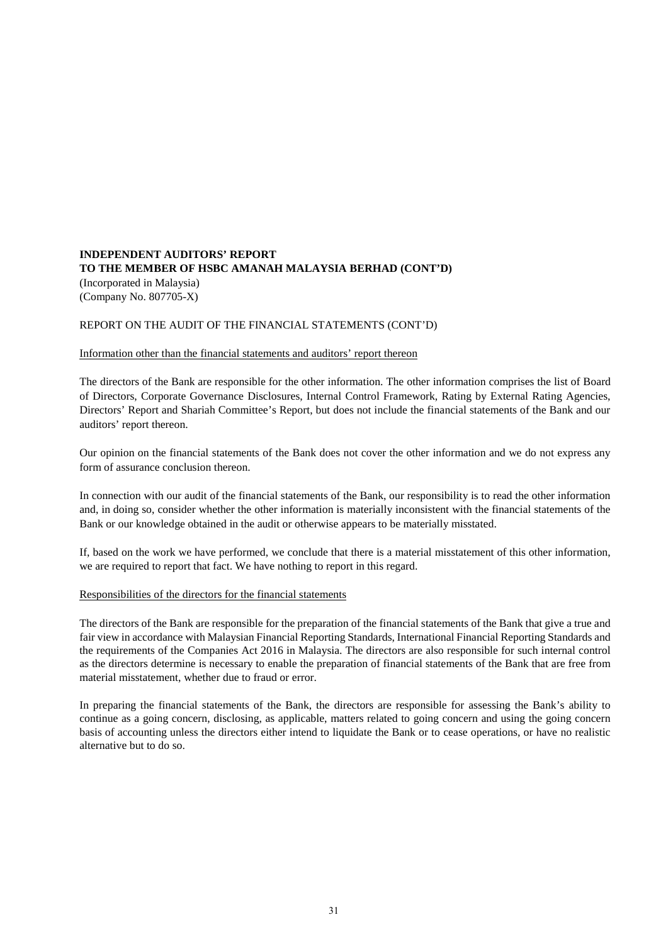# **INDEPENDENT AUDITORS' REPORT TO THE MEMBER OF HSBC AMANAH MALAYSIA BERHAD (CONT'D)** (Incorporated in Malaysia) (Company No. 807705-X)

# REPORT ON THE AUDIT OF THE FINANCIAL STATEMENTS (CONT'D)

# Information other than the financial statements and auditors' report thereon

The directors of the Bank are responsible for the other information. The other information comprises the list of Board of Directors, Corporate Governance Disclosures, Internal Control Framework, Rating by External Rating Agencies, Directors' Report and Shariah Committee's Report, but does not include the financial statements of the Bank and our auditors' report thereon.

Our opinion on the financial statements of the Bank does not cover the other information and we do not express any form of assurance conclusion thereon.

In connection with our audit of the financial statements of the Bank, our responsibility is to read the other information and, in doing so, consider whether the other information is materially inconsistent with the financial statements of the Bank or our knowledge obtained in the audit or otherwise appears to be materially misstated.

If, based on the work we have performed, we conclude that there is a material misstatement of this other information, we are required to report that fact. We have nothing to report in this regard.

### Responsibilities of the directors for the financial statements

The directors of the Bank are responsible for the preparation of the financial statements of the Bank that give a true and fair view in accordance with Malaysian Financial Reporting Standards, International Financial Reporting Standards and the requirements of the Companies Act 2016 in Malaysia. The directors are also responsible for such internal control as the directors determine is necessary to enable the preparation of financial statements of the Bank that are free from material misstatement, whether due to fraud or error.

In preparing the financial statements of the Bank, the directors are responsible for assessing the Bank's ability to continue as a going concern, disclosing, as applicable, matters related to going concern and using the going concern basis of accounting unless the directors either intend to liquidate the Bank or to cease operations, or have no realistic alternative but to do so.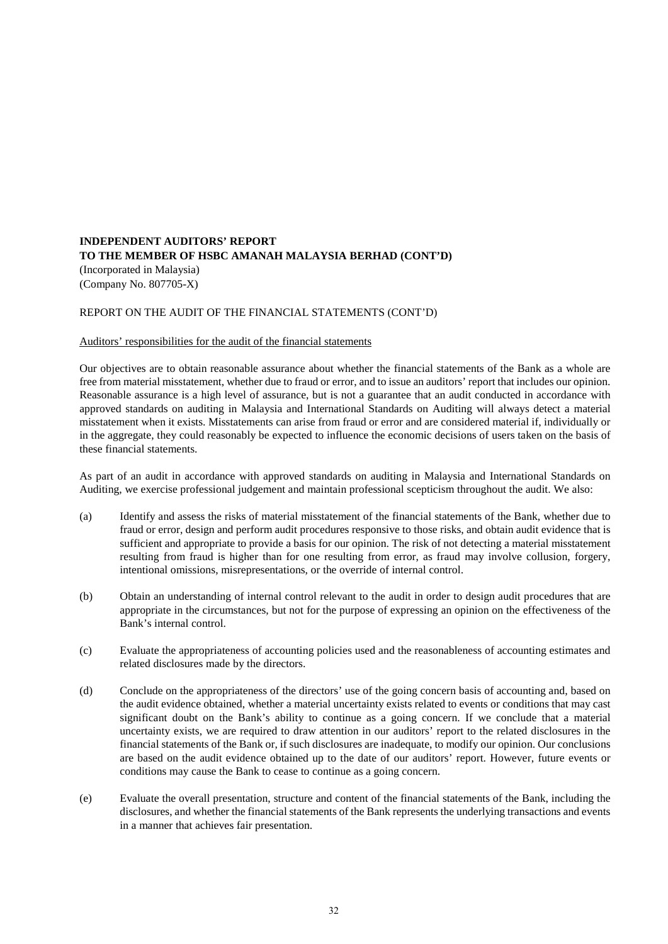# **INDEPENDENT AUDITORS' REPORT TO THE MEMBER OF HSBC AMANAH MALAYSIA BERHAD (CONT'D)** (Incorporated in Malaysia)

(Company No. 807705-X)

# REPORT ON THE AUDIT OF THE FINANCIAL STATEMENTS (CONT'D)

#### Auditors' responsibilities for the audit of the financial statements

Our objectives are to obtain reasonable assurance about whether the financial statements of the Bank as a whole are free from material misstatement, whether due to fraud or error, and to issue an auditors' report that includes our opinion. Reasonable assurance is a high level of assurance, but is not a guarantee that an audit conducted in accordance with approved standards on auditing in Malaysia and International Standards on Auditing will always detect a material misstatement when it exists. Misstatements can arise from fraud or error and are considered material if, individually or in the aggregate, they could reasonably be expected to influence the economic decisions of users taken on the basis of these financial statements.

As part of an audit in accordance with approved standards on auditing in Malaysia and International Standards on Auditing, we exercise professional judgement and maintain professional scepticism throughout the audit. We also:

- (a) Identify and assess the risks of material misstatement of the financial statements of the Bank, whether due to fraud or error, design and perform audit procedures responsive to those risks, and obtain audit evidence that is sufficient and appropriate to provide a basis for our opinion. The risk of not detecting a material misstatement resulting from fraud is higher than for one resulting from error, as fraud may involve collusion, forgery, intentional omissions, misrepresentations, or the override of internal control.
- (b) Obtain an understanding of internal control relevant to the audit in order to design audit procedures that are appropriate in the circumstances, but not for the purpose of expressing an opinion on the effectiveness of the Bank's internal control.
- (c) Evaluate the appropriateness of accounting policies used and the reasonableness of accounting estimates and related disclosures made by the directors.
- (d) Conclude on the appropriateness of the directors' use of the going concern basis of accounting and, based on the audit evidence obtained, whether a material uncertainty exists related to events or conditions that may cast significant doubt on the Bank's ability to continue as a going concern. If we conclude that a material uncertainty exists, we are required to draw attention in our auditors' report to the related disclosures in the financial statements of the Bank or, if such disclosures are inadequate, to modify our opinion. Our conclusions are based on the audit evidence obtained up to the date of our auditors' report. However, future events or conditions may cause the Bank to cease to continue as a going concern.
- (e) Evaluate the overall presentation, structure and content of the financial statements of the Bank, including the disclosures, and whether the financial statements of the Bank represents the underlying transactions and events in a manner that achieves fair presentation.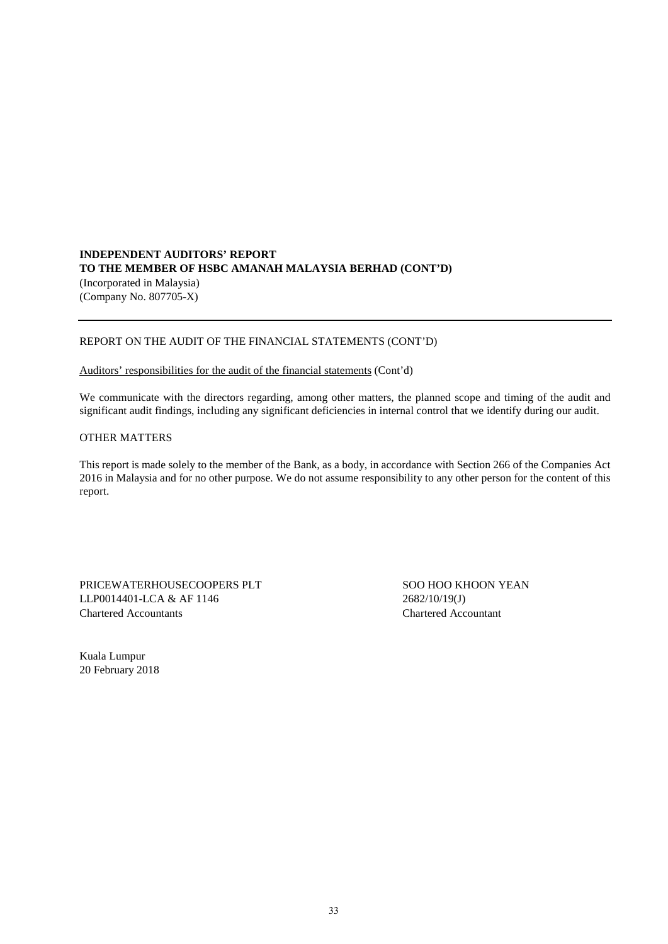# **INDEPENDENT AUDITORS' REPORT TO THE MEMBER OF HSBC AMANAH MALAYSIA BERHAD (CONT'D)** (Incorporated in Malaysia) (Company No. 807705-X)

# REPORT ON THE AUDIT OF THE FINANCIAL STATEMENTS (CONT'D)

### Auditors' responsibilities for the audit of the financial statements (Cont'd)

We communicate with the directors regarding, among other matters, the planned scope and timing of the audit and significant audit findings, including any significant deficiencies in internal control that we identify during our audit.

### OTHER MATTERS

This report is made solely to the member of the Bank, as a body, in accordance with Section 266 of the Companies Act 2016 in Malaysia and for no other purpose. We do not assume responsibility to any other person for the content of this report.

PRICEWATERHOUSECOOPERS PLT SOO HOO KHOON YEAN LLP0014401-LCA & AF 1146 2682/10/19(J) Chartered Accountants Chartered Accountant

Kuala Lumpur 20 February 2018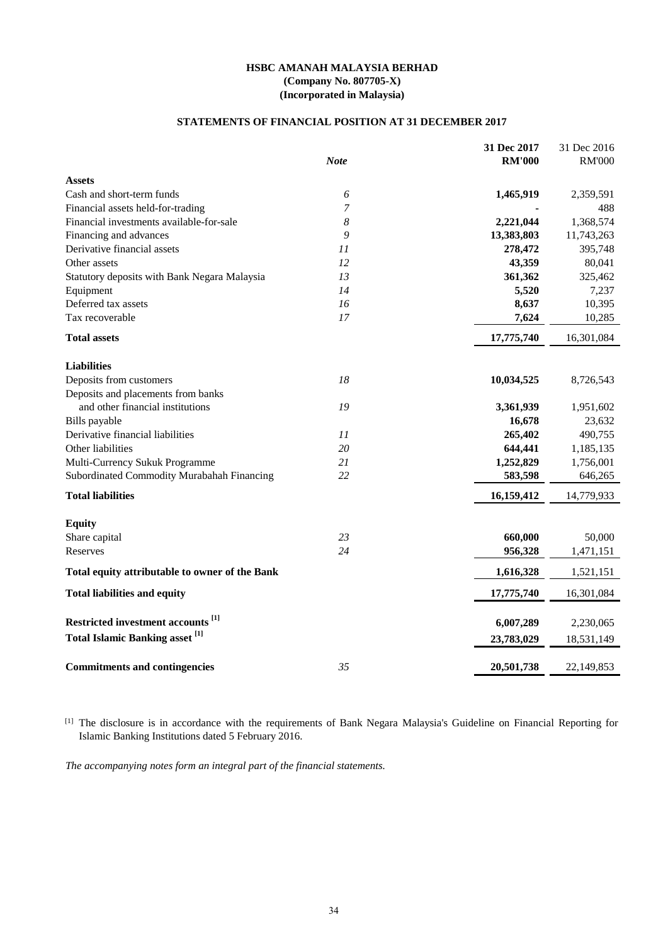# **STATEMENTS OF FINANCIAL POSITION AT 31 DECEMBER 2017**

|                                                | <b>Note</b>      | 31 Dec 2017<br><b>RM'000</b> | 31 Dec 2016<br><b>RM'000</b> |
|------------------------------------------------|------------------|------------------------------|------------------------------|
|                                                |                  |                              |                              |
| <b>Assets</b>                                  |                  |                              |                              |
| Cash and short-term funds                      | 6                | 1,465,919                    | 2,359,591                    |
| Financial assets held-for-trading              | 7                |                              | 488                          |
| Financial investments available-for-sale       | $\boldsymbol{8}$ | 2,221,044                    | 1,368,574                    |
| Financing and advances                         | 9                | 13,383,803                   | 11,743,263                   |
| Derivative financial assets                    | 11               | 278,472                      | 395,748                      |
| Other assets                                   | 12               | 43,359                       | 80,041                       |
| Statutory deposits with Bank Negara Malaysia   | 13               | 361,362                      | 325,462                      |
| Equipment                                      | 14               | 5,520                        | 7,237                        |
| Deferred tax assets                            | 16               | 8,637                        | 10,395                       |
| Tax recoverable                                | 17               | 7,624                        | 10,285                       |
| <b>Total assets</b>                            |                  | 17,775,740                   | 16,301,084                   |
| <b>Liabilities</b>                             |                  |                              |                              |
| Deposits from customers                        | 18               | 10,034,525                   | 8,726,543                    |
| Deposits and placements from banks             |                  |                              |                              |
| and other financial institutions               | 19               | 3,361,939                    | 1,951,602                    |
| Bills payable                                  |                  | 16,678                       | 23,632                       |
| Derivative financial liabilities               | 11               | 265,402                      | 490,755                      |
| Other liabilities                              | 20               | 644,441                      | 1,185,135                    |
| Multi-Currency Sukuk Programme                 | 21               | 1,252,829                    | 1,756,001                    |
| Subordinated Commodity Murabahah Financing     | 22               | 583,598                      | 646,265                      |
|                                                |                  |                              |                              |
| <b>Total liabilities</b>                       |                  | 16,159,412                   | 14,779,933                   |
| <b>Equity</b>                                  |                  |                              |                              |
| Share capital                                  | 23               | 660,000                      | 50,000                       |
| Reserves                                       | 24               | 956,328                      | 1,471,151                    |
| Total equity attributable to owner of the Bank |                  | 1,616,328                    | 1,521,151                    |
| <b>Total liabilities and equity</b>            |                  | 17,775,740                   | 16,301,084                   |
| Restricted investment accounts <sup>[1]</sup>  |                  | 6,007,289                    |                              |
|                                                |                  |                              | 2,230,065                    |
| Total Islamic Banking asset <sup>[1]</sup>     |                  | 23,783,029                   | 18,531,149                   |
| <b>Commitments and contingencies</b>           | 35               | 20,501,738                   | 22,149,853                   |

[1] The disclosure is in accordance with the requirements of Bank Negara Malaysia's Guideline on Financial Reporting for Islamic Banking Institutions dated 5 February 2016.

*The accompanying notes form an integral part of the financial statements.*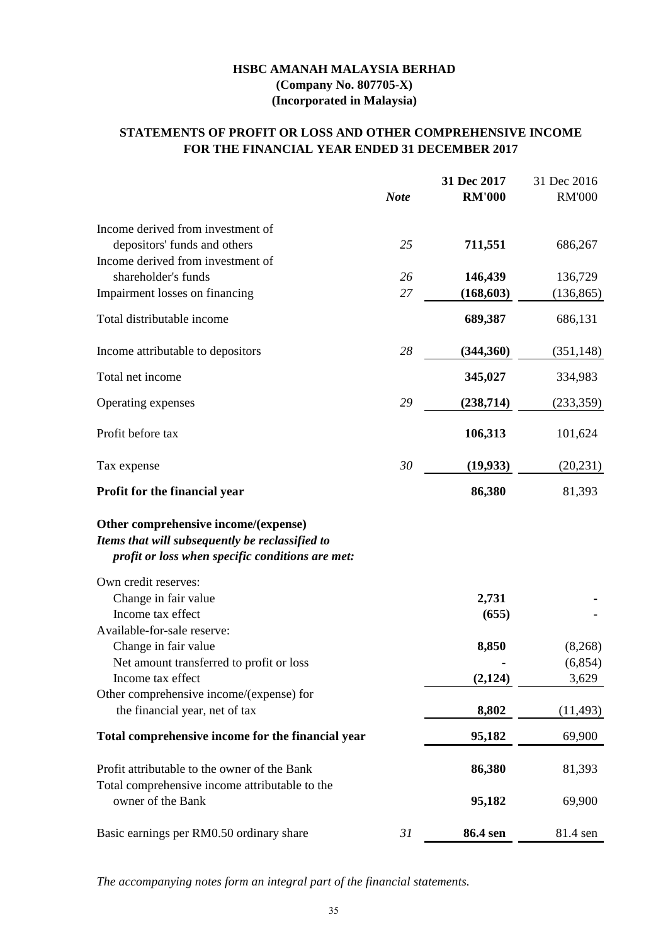# **STATEMENTS OF PROFIT OR LOSS AND OTHER COMPREHENSIVE INCOME FOR THE FINANCIAL YEAR ENDED 31 DECEMBER 2017**

|                                                                                                                                             |             | 31 Dec 2017   | 31 Dec 2016   |
|---------------------------------------------------------------------------------------------------------------------------------------------|-------------|---------------|---------------|
|                                                                                                                                             | <b>Note</b> | <b>RM'000</b> | <b>RM'000</b> |
| Income derived from investment of                                                                                                           |             |               |               |
| depositors' funds and others                                                                                                                | 25          | 711,551       | 686,267       |
| Income derived from investment of                                                                                                           |             |               |               |
| shareholder's funds                                                                                                                         | 26          | 146,439       | 136,729       |
| Impairment losses on financing                                                                                                              | 27          | (168, 603)    | (136, 865)    |
| Total distributable income                                                                                                                  |             | 689,387       | 686,131       |
| Income attributable to depositors                                                                                                           | 28          | (344, 360)    | (351, 148)    |
| Total net income                                                                                                                            |             | 345,027       | 334,983       |
| Operating expenses                                                                                                                          | 29          | (238, 714)    | (233, 359)    |
| Profit before tax                                                                                                                           |             | 106,313       | 101,624       |
| Tax expense                                                                                                                                 | 30          | (19, 933)     | (20, 231)     |
| Profit for the financial year                                                                                                               |             | 86,380        | 81,393        |
| Other comprehensive income/(expense)<br>Items that will subsequently be reclassified to<br>profit or loss when specific conditions are met: |             |               |               |
| Own credit reserves:                                                                                                                        |             |               |               |
| Change in fair value                                                                                                                        |             | 2,731         |               |
| Income tax effect                                                                                                                           |             | (655)         |               |
| Available-for-sale reserve:                                                                                                                 |             |               |               |
| Change in fair value                                                                                                                        |             | 8,850         | (8,268)       |
| Net amount transferred to profit or loss                                                                                                    |             |               | (6,854)       |
| Income tax effect                                                                                                                           |             | (2, 124)      | 3,629         |
| Other comprehensive income/(expense) for<br>the financial year, net of tax                                                                  |             | 8,802         | (11, 493)     |
|                                                                                                                                             |             |               |               |
| Total comprehensive income for the financial year                                                                                           |             | 95,182        | 69,900        |
| Profit attributable to the owner of the Bank                                                                                                |             | 86,380        | 81,393        |
| Total comprehensive income attributable to the<br>owner of the Bank                                                                         |             | 95,182        | 69,900        |
| Basic earnings per RM0.50 ordinary share                                                                                                    | 31          | 86.4 sen      | 81.4 sen      |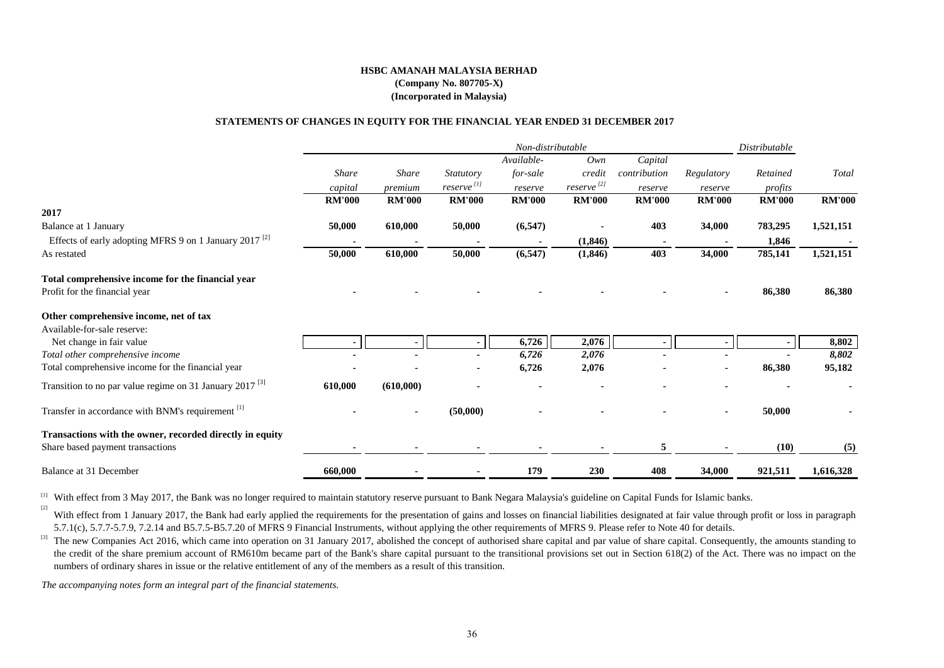#### **STATEMENTS OF CHANGES IN EQUITY FOR THE FINANCIAL YEAR ENDED 31 DECEMBER 2017**

|                                                                     | Non-distributable |                |                          |               |                        |               | Distributable |               |               |
|---------------------------------------------------------------------|-------------------|----------------|--------------------------|---------------|------------------------|---------------|---------------|---------------|---------------|
|                                                                     |                   |                |                          | Available-    | Own                    | Capital       |               |               |               |
|                                                                     | Share             | <b>Share</b>   | <i>Statutory</i>         | for-sale      | credit                 | contribution  | Regulatory    | Retained      | Total         |
|                                                                     | capital           | premium        | $reserve$ <sup>[1]</sup> | reserve       | reserve <sup>[2]</sup> | reserve       | reserve       | profits       |               |
|                                                                     | <b>RM'000</b>     | <b>RM'000</b>  | <b>RM'000</b>            | <b>RM'000</b> | <b>RM'000</b>          | <b>RM'000</b> | <b>RM'000</b> | <b>RM'000</b> | <b>RM'000</b> |
| 2017                                                                |                   |                |                          |               |                        |               |               |               |               |
| Balance at 1 January                                                | 50,000            | 610,000        | 50,000                   | (6, 547)      |                        | 403           | 34,000        | 783,295       | 1,521,151     |
| Effects of early adopting MFRS 9 on 1 January 2017 <sup>[2]</sup>   |                   |                |                          |               | (1,846)                |               |               | 1,846         |               |
| As restated                                                         | 50,000            | 610,000        | 50,000                   | (6, 547)      | (1, 846)               | 403           | 34,000        | 785,141       | 1,521,151     |
| Total comprehensive income for the financial year                   |                   |                |                          |               |                        |               |               |               |               |
| Profit for the financial year                                       |                   |                |                          |               |                        |               |               | 86,380        | 86,380        |
| Other comprehensive income, net of tax                              |                   |                |                          |               |                        |               |               |               |               |
| Available-for-sale reserve:                                         |                   |                |                          |               |                        |               |               |               |               |
| Net change in fair value                                            |                   |                |                          | 6,726         | 2,076                  |               |               | н.            | 8,802         |
| Total other comprehensive income                                    |                   |                |                          | 6,726         | 2,076                  |               |               |               | 8,802         |
| Total comprehensive income for the financial year                   |                   |                |                          | 6,726         | 2,076                  |               |               | 86,380        | 95,182        |
| Transition to no par value regime on 31 January 2017 <sup>[3]</sup> | 610,000           | (610,000)      |                          |               |                        |               |               |               |               |
| Transfer in accordance with BNM's requirement [1]                   |                   | $\blacksquare$ | (50,000)                 |               |                        |               |               | 50,000        |               |
| Transactions with the owner, recorded directly in equity            |                   |                |                          |               |                        |               |               |               |               |
| Share based payment transactions                                    |                   |                |                          |               |                        | 5             |               | (10)          | (5)           |
| Balance at 31 December                                              | 660,000           |                |                          | 179           | <b>230</b>             | 408           | 34,000        | 921,511       | 1,616,328     |

<sup>[1]</sup> With effect from 3 May 2017, the Bank was no longer required to maintain statutory reserve pursuant to Bank Negara Malaysia's guideline on Capital Funds for Islamic banks.

[2] With effect from 1 January 2017, the Bank had early applied the requirements for the presentation of gains and losses on financial liabilities designated at fair value through profit or loss in paragraph 5.7.1(c), 5.7.7-5.7.9, 7.2.14 and B5.7.5-B5.7.20 of MFRS 9 Financial Instruments, without applying the other requirements of MFRS 9. Please refer to Note 40 for details.

<sup>[3]</sup> The new Companies Act 2016, which came into operation on 31 January 2017, abolished the concept of authorised share capital and par value of share capital. Consequently, the amounts standing to the credit of the share premium account of RM610m became part of the Bank's share capital pursuant to the transitional provisions set out in Section 618(2) of the Act. There was no impact on the numbers of ordinary shares in issue or the relative entitlement of any of the members as a result of this transition.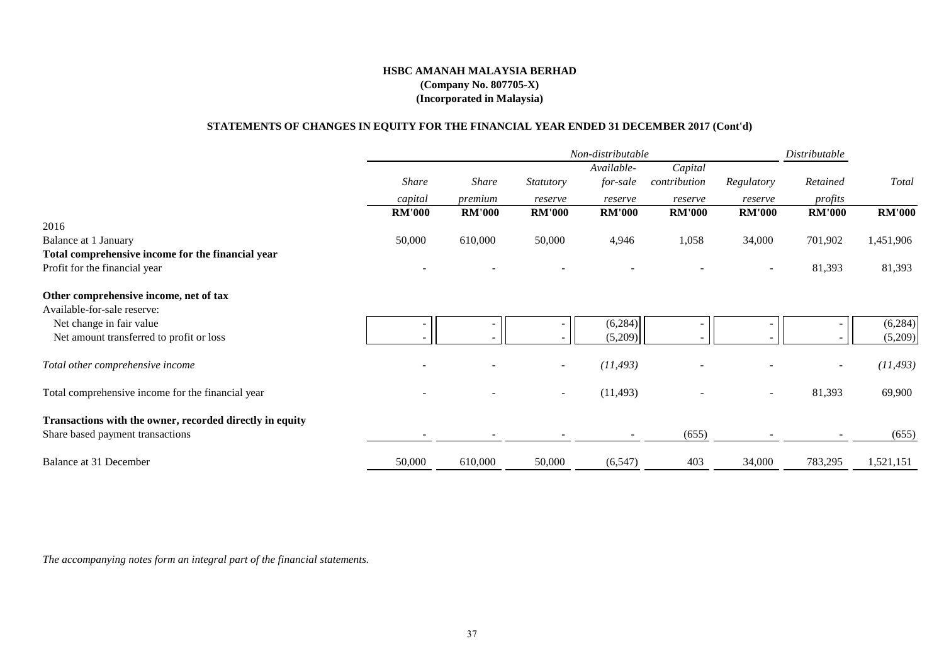# **STATEMENTS OF CHANGES IN EQUITY FOR THE FINANCIAL YEAR ENDED 31 DECEMBER 2017 (Cont'd)**

|                                                          | Distributable<br>Non-distributable |               |                          |               |               |                          |                          |               |
|----------------------------------------------------------|------------------------------------|---------------|--------------------------|---------------|---------------|--------------------------|--------------------------|---------------|
|                                                          |                                    |               |                          | Available-    | Capital       |                          |                          |               |
|                                                          | <b>Share</b>                       | <b>Share</b>  | <b>Statutory</b>         | for-sale      | contribution  | Regulatory               | Retained                 | Total         |
|                                                          | capital                            | premium       | reserve                  | reserve       | reserve       | reserve                  | profits                  |               |
|                                                          | <b>RM'000</b>                      | <b>RM'000</b> | <b>RM'000</b>            | <b>RM'000</b> | <b>RM'000</b> | <b>RM'000</b>            | <b>RM'000</b>            | <b>RM'000</b> |
| 2016                                                     |                                    |               |                          |               |               |                          |                          |               |
| Balance at 1 January                                     | 50,000                             | 610,000       | 50,000                   | 4,946         | 1,058         | 34,000                   | 701,902                  | 1,451,906     |
| Total comprehensive income for the financial year        |                                    |               |                          |               |               |                          |                          |               |
| Profit for the financial year                            |                                    |               |                          |               |               |                          | 81,393                   | 81,393        |
| Other comprehensive income, net of tax                   |                                    |               |                          |               |               |                          |                          |               |
| Available-for-sale reserve:                              |                                    |               |                          |               |               |                          |                          |               |
| Net change in fair value                                 |                                    |               |                          | (6,284)       |               |                          |                          | (6,284)       |
| Net amount transferred to profit or loss                 |                                    |               |                          | (5,209)       |               |                          |                          | (5,209)       |
| Total other comprehensive income                         |                                    |               | $\overline{\phantom{a}}$ | (11, 493)     |               |                          | $\overline{\phantom{a}}$ | (11, 493)     |
| Total comprehensive income for the financial year        |                                    |               | $\overline{\phantom{a}}$ | (11, 493)     |               | $\overline{\phantom{a}}$ | 81,393                   | 69,900        |
|                                                          |                                    |               |                          |               |               |                          |                          |               |
| Transactions with the owner, recorded directly in equity |                                    |               |                          |               |               |                          |                          |               |
| Share based payment transactions                         |                                    |               |                          |               | (655)         |                          |                          | (655)         |
| Balance at 31 December                                   | 50,000                             | 610,000       | 50,000                   | (6, 547)      | 403           | 34,000                   | 783,295                  | 1,521,151     |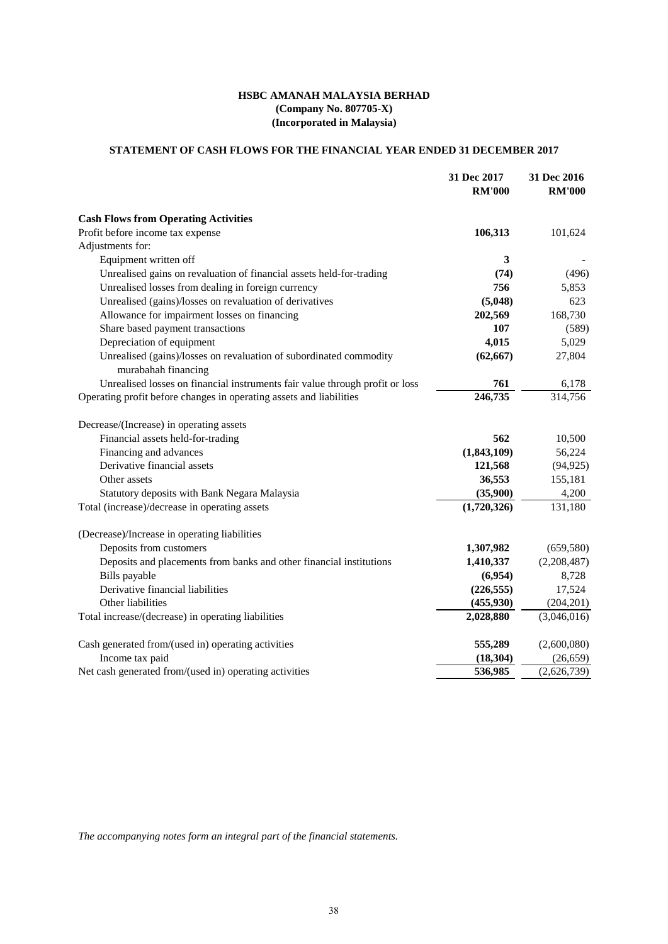# **(Incorporated in Malaysia) (Company No. 807705-X) HSBC AMANAH MALAYSIA BERHAD**

# **STATEMENT OF CASH FLOWS FOR THE FINANCIAL YEAR ENDED 31 DECEMBER 2017**

|                                                                                           | 31 Dec 2017<br><b>RM'000</b> | 31 Dec 2016<br><b>RM'000</b> |
|-------------------------------------------------------------------------------------------|------------------------------|------------------------------|
| <b>Cash Flows from Operating Activities</b>                                               |                              |                              |
| Profit before income tax expense                                                          | 106,313                      | 101,624                      |
| Adjustments for:                                                                          |                              |                              |
| Equipment written off                                                                     | 3                            |                              |
| Unrealised gains on revaluation of financial assets held-for-trading                      | (74)                         | (496)                        |
| Unrealised losses from dealing in foreign currency                                        | 756                          | 5,853                        |
| Unrealised (gains)/losses on revaluation of derivatives                                   | (5,048)                      | 623                          |
| Allowance for impairment losses on financing                                              | 202,569                      | 168,730                      |
| Share based payment transactions                                                          | 107                          | (589)                        |
| Depreciation of equipment                                                                 | 4,015                        | 5,029                        |
| Unrealised (gains)/losses on revaluation of subordinated commodity<br>murabahah financing | (62, 667)                    | 27,804                       |
| Unrealised losses on financial instruments fair value through profit or loss              | 761                          | 6,178                        |
| Operating profit before changes in operating assets and liabilities                       | 246,735                      | 314,756                      |
| Decrease/(Increase) in operating assets                                                   |                              |                              |
| Financial assets held-for-trading                                                         | 562                          | 10,500                       |
| Financing and advances                                                                    | (1,843,109)                  | 56,224                       |
| Derivative financial assets                                                               | 121,568                      | (94, 925)                    |
| Other assets                                                                              | 36,553                       | 155,181                      |
| Statutory deposits with Bank Negara Malaysia                                              | (35,900)                     | 4,200                        |
| Total (increase)/decrease in operating assets                                             | (1,720,326)                  | 131,180                      |
| (Decrease)/Increase in operating liabilities                                              |                              |                              |
| Deposits from customers                                                                   | 1,307,982                    | (659, 580)                   |
| Deposits and placements from banks and other financial institutions                       | 1,410,337                    | (2,208,487)                  |
| Bills payable                                                                             | (6,954)                      | 8,728                        |
| Derivative financial liabilities                                                          | (226, 555)                   | 17,524                       |
| Other liabilities                                                                         | (455, 930)                   | (204, 201)                   |
| Total increase/(decrease) in operating liabilities                                        | 2,028,880                    | (3,046,016)                  |
| Cash generated from/(used in) operating activities                                        | 555,289                      | (2,600,080)                  |
| Income tax paid                                                                           | (18, 304)                    | (26, 659)                    |
| Net cash generated from/(used in) operating activities                                    | 536,985                      | (2,626,739)                  |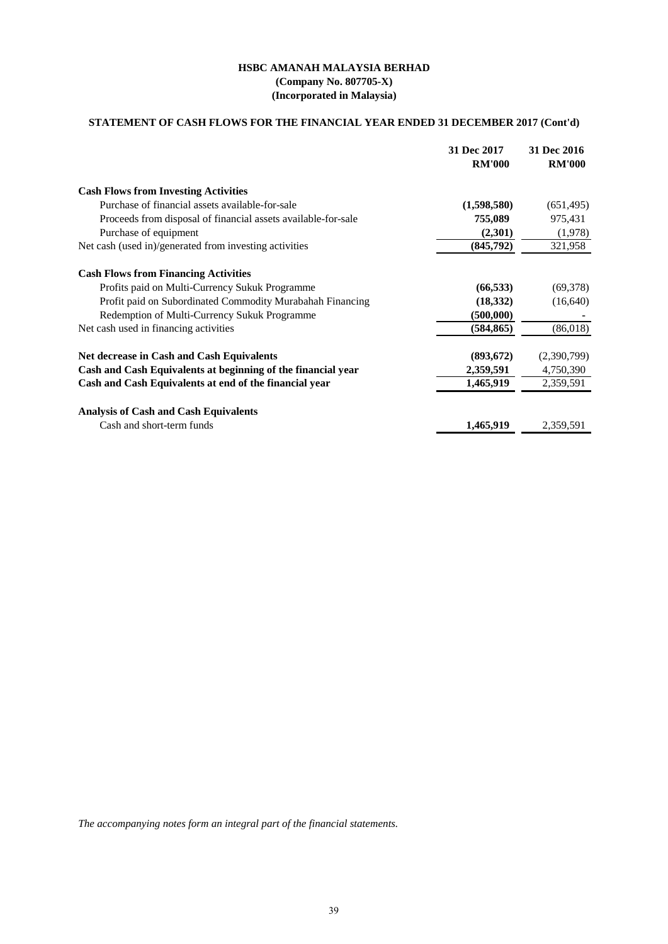# **STATEMENT OF CASH FLOWS FOR THE FINANCIAL YEAR ENDED 31 DECEMBER 2017 (Cont'd)**

|                                                               | 31 Dec 2017<br><b>RM'000</b> | 31 Dec 2016<br><b>RM'000</b> |
|---------------------------------------------------------------|------------------------------|------------------------------|
| <b>Cash Flows from Investing Activities</b>                   |                              |                              |
| Purchase of financial assets available-for-sale               | (1,598,580)                  | (651, 495)                   |
| Proceeds from disposal of financial assets available-for-sale | 755,089                      | 975,431                      |
| Purchase of equipment                                         | (2,301)                      | (1,978)                      |
| Net cash (used in)/generated from investing activities        | (845,792)                    | 321,958                      |
| <b>Cash Flows from Financing Activities</b>                   |                              |                              |
| Profits paid on Multi-Currency Sukuk Programme                | (66, 533)                    | (69, 378)                    |
| Profit paid on Subordinated Commodity Murabahah Financing     | (18, 332)                    | (16,640)                     |
| Redemption of Multi-Currency Sukuk Programme                  | (500,000)                    |                              |
| Net cash used in financing activities                         | (584, 865)                   | (86,018)                     |
| <b>Net decrease in Cash and Cash Equivalents</b>              | (893, 672)                   | (2,390,799)                  |
| Cash and Cash Equivalents at beginning of the financial year  | 2,359,591                    | 4,750,390                    |
| Cash and Cash Equivalents at end of the financial year        | 1,465,919                    | 2,359,591                    |
| <b>Analysis of Cash and Cash Equivalents</b>                  |                              |                              |
| Cash and short-term funds                                     | 1,465,919                    | 2,359,591                    |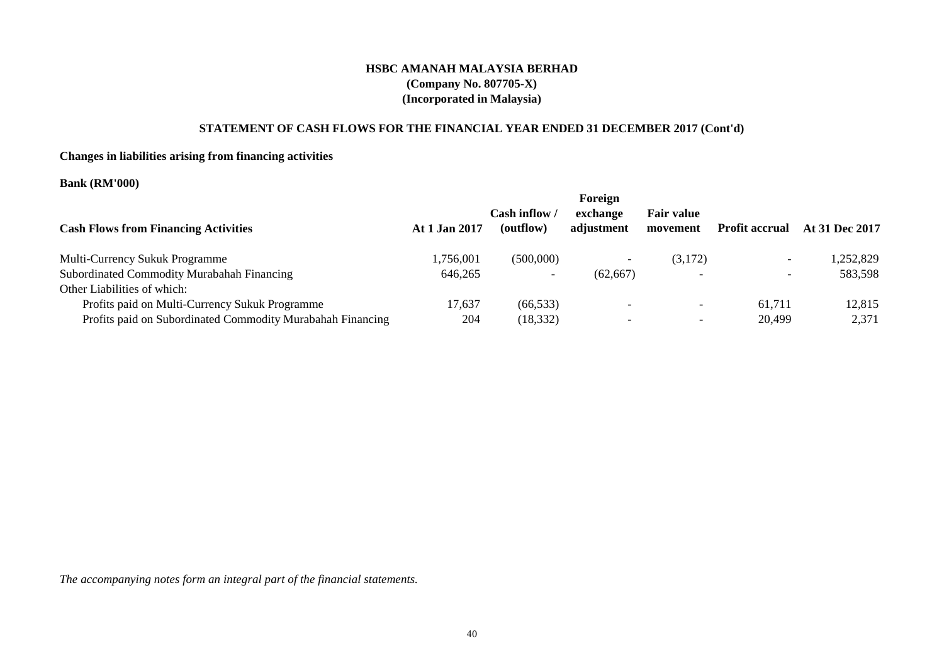# **STATEMENT OF CASH FLOWS FOR THE FINANCIAL YEAR ENDED 31 DECEMBER 2017 (Cont'd)**

# **Changes in liabilities arising from financing activities**

# **Bank (RM'000)**

| <b>Cash Flows from Financing Activities</b>                | At 1 Jan 2017 | Cash inflow<br>(outflow) | Foreign<br>exchange<br>adjustment | <b>Fair value</b><br>movement | <b>Profit accrual</b>    | At 31 Dec 2017 |
|------------------------------------------------------------|---------------|--------------------------|-----------------------------------|-------------------------------|--------------------------|----------------|
| <b>Multi-Currency Sukuk Programme</b>                      | 1.756.001     | (500,000)                |                                   | (3,172)                       | $\overline{\phantom{0}}$ | 1,252,829      |
| Subordinated Commodity Murabahah Financing                 | 646,265       |                          | (62.667)                          |                               | $\overline{\phantom{0}}$ | 583,598        |
| Other Liabilities of which:                                |               |                          |                                   |                               |                          |                |
| Profits paid on Multi-Currency Sukuk Programme             | 17,637        | (66, 533)                |                                   | $\overline{\phantom{0}}$      | 61.711                   | 12,815         |
| Profits paid on Subordinated Commodity Murabahah Financing | 204           | (18, 332)                |                                   | $\overline{\phantom{0}}$      | 20,499                   | 2,371          |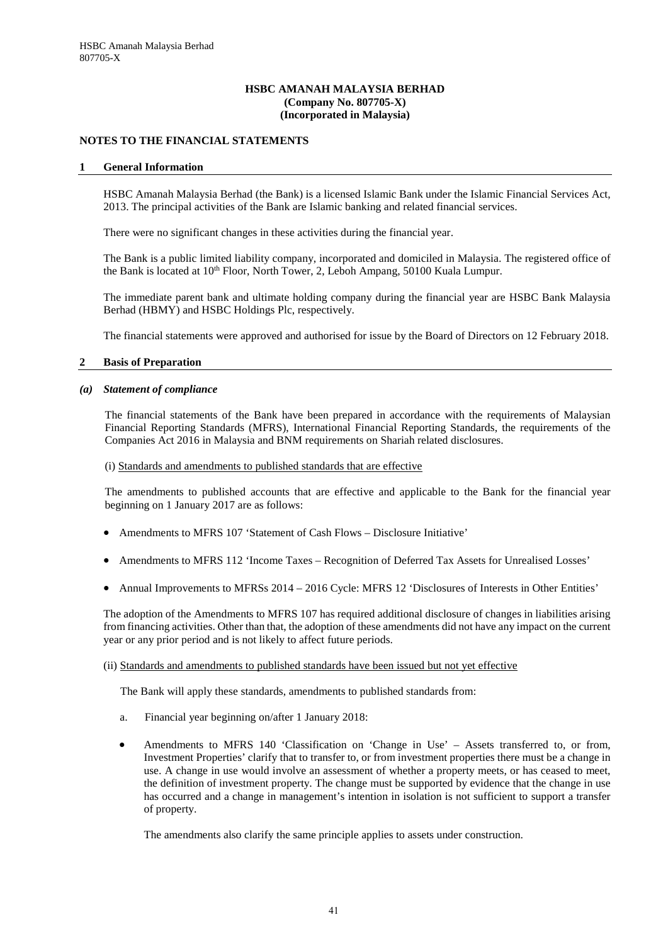# **NOTES TO THE FINANCIAL STATEMENTS**

#### **1 General Information**

HSBC Amanah Malaysia Berhad (the Bank) is a licensed Islamic Bank under the Islamic Financial Services Act, 2013. The principal activities of the Bank are Islamic banking and related financial services.

There were no significant changes in these activities during the financial year.

The Bank is a public limited liability company, incorporated and domiciled in Malaysia. The registered office of the Bank is located at 10<sup>th</sup> Floor, North Tower, 2, Leboh Ampang, 50100 Kuala Lumpur.

The immediate parent bank and ultimate holding company during the financial year are HSBC Bank Malaysia Berhad (HBMY) and HSBC Holdings Plc, respectively.

The financial statements were approved and authorised for issue by the Board of Directors on 12 February 2018.

#### **2 Basis of Preparation**

#### *(a) Statement of compliance*

The financial statements of the Bank have been prepared in accordance with the requirements of Malaysian Financial Reporting Standards (MFRS), International Financial Reporting Standards, the requirements of the Companies Act 2016 in Malaysia and BNM requirements on Shariah related disclosures.

#### (i) Standards and amendments to published standards that are effective

The amendments to published accounts that are effective and applicable to the Bank for the financial year beginning on 1 January 2017 are as follows:

- Amendments to MFRS 107 'Statement of Cash Flows Disclosure Initiative'
- Amendments to MFRS 112 'Income Taxes Recognition of Deferred Tax Assets for Unrealised Losses'
- Annual Improvements to MFRSs 2014 2016 Cycle: MFRS 12 'Disclosures of Interests in Other Entities'

The adoption of the Amendments to MFRS 107 has required additional disclosure of changes in liabilities arising from financing activities. Other than that, the adoption of these amendments did not have any impact on the current year or any prior period and is not likely to affect future periods.

#### (ii) Standards and amendments to published standards have been issued but not yet effective

The Bank will apply these standards, amendments to published standards from:

- a. Financial year beginning on/after 1 January 2018:
- Amendments to MFRS 140 'Classification on 'Change in Use' Assets transferred to, or from, Investment Properties' clarify that to transfer to, or from investment properties there must be a change in use. A change in use would involve an assessment of whether a property meets, or has ceased to meet, the definition of investment property. The change must be supported by evidence that the change in use has occurred and a change in management's intention in isolation is not sufficient to support a transfer of property.

The amendments also clarify the same principle applies to assets under construction.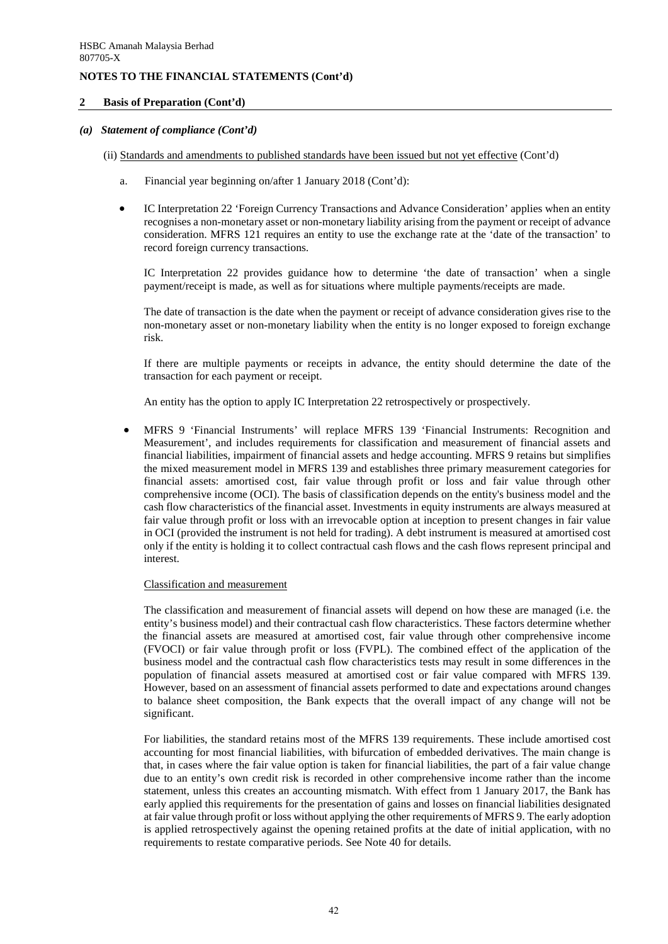### **2 Basis of Preparation (Cont'd)**

## *(a) Statement of compliance (Cont'd)*

- (ii) Standards and amendments to published standards have been issued but not yet effective (Cont'd)
	- a. Financial year beginning on/after 1 January 2018 (Cont'd):
	- IC Interpretation 22 'Foreign Currency Transactions and Advance Consideration' applies when an entity recognises a non-monetary asset or non-monetary liability arising from the payment or receipt of advance consideration. MFRS 121 requires an entity to use the exchange rate at the 'date of the transaction' to record foreign currency transactions.

IC Interpretation 22 provides guidance how to determine 'the date of transaction' when a single payment/receipt is made, as well as for situations where multiple payments/receipts are made.

The date of transaction is the date when the payment or receipt of advance consideration gives rise to the non-monetary asset or non-monetary liability when the entity is no longer exposed to foreign exchange risk.

If there are multiple payments or receipts in advance, the entity should determine the date of the transaction for each payment or receipt.

An entity has the option to apply IC Interpretation 22 retrospectively or prospectively.

• MFRS 9 'Financial Instruments' will replace MFRS 139 'Financial Instruments: Recognition and Measurement', and includes requirements for classification and measurement of financial assets and financial liabilities, impairment of financial assets and hedge accounting. MFRS 9 retains but simplifies the mixed measurement model in MFRS 139 and establishes three primary measurement categories for financial assets: amortised cost, fair value through profit or loss and fair value through other comprehensive income (OCI). The basis of classification depends on the entity's business model and the cash flow characteristics of the financial asset. Investments in equity instruments are always measured at fair value through profit or loss with an irrevocable option at inception to present changes in fair value in OCI (provided the instrument is not held for trading). A debt instrument is measured at amortised cost only if the entity is holding it to collect contractual cash flows and the cash flows represent principal and interest.

#### Classification and measurement

The classification and measurement of financial assets will depend on how these are managed (i.e. the entity's business model) and their contractual cash flow characteristics. These factors determine whether the financial assets are measured at amortised cost, fair value through other comprehensive income (FVOCI) or fair value through profit or loss (FVPL). The combined effect of the application of the business model and the contractual cash flow characteristics tests may result in some differences in the population of financial assets measured at amortised cost or fair value compared with MFRS 139. However, based on an assessment of financial assets performed to date and expectations around changes to balance sheet composition, the Bank expects that the overall impact of any change will not be significant.

For liabilities, the standard retains most of the MFRS 139 requirements. These include amortised cost accounting for most financial liabilities, with bifurcation of embedded derivatives. The main change is that, in cases where the fair value option is taken for financial liabilities, the part of a fair value change due to an entity's own credit risk is recorded in other comprehensive income rather than the income statement, unless this creates an accounting mismatch. With effect from 1 January 2017, the Bank has early applied this requirements for the presentation of gains and losses on financial liabilities designated at fair value through profit or loss without applying the other requirements of MFRS 9. The early adoption is applied retrospectively against the opening retained profits at the date of initial application, with no requirements to restate comparative periods. See Note 40 for details.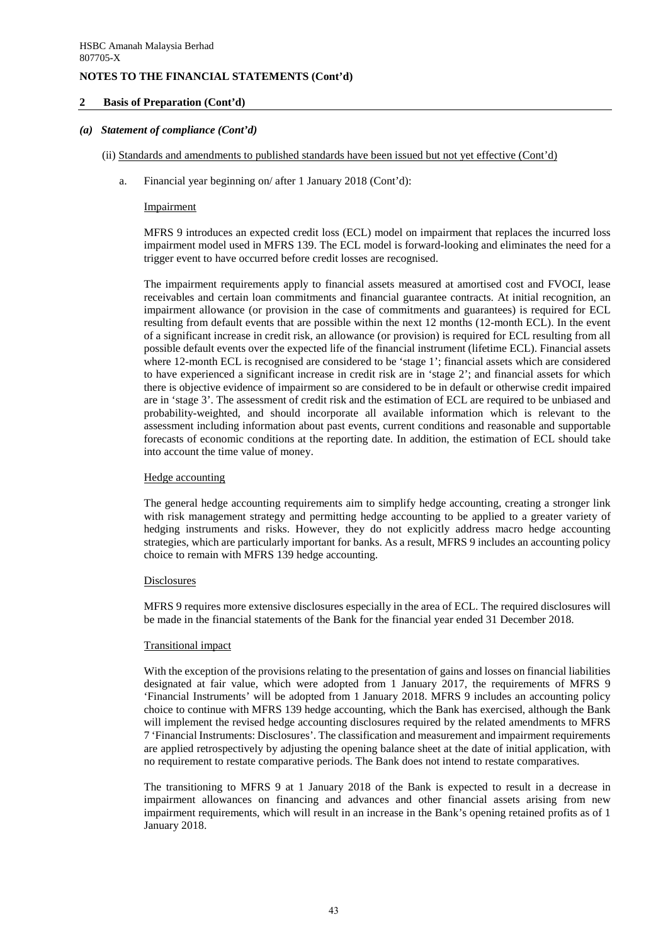## **2 Basis of Preparation (Cont'd)**

### *(a) Statement of compliance (Cont'd)*

- (ii) Standards and amendments to published standards have been issued but not yet effective (Cont'd)
	- a. Financial year beginning on/ after 1 January 2018 (Cont'd):

#### Impairment

MFRS 9 introduces an expected credit loss (ECL) model on impairment that replaces the incurred loss impairment model used in MFRS 139. The ECL model is forward-looking and eliminates the need for a trigger event to have occurred before credit losses are recognised.

The impairment requirements apply to financial assets measured at amortised cost and FVOCI, lease receivables and certain loan commitments and financial guarantee contracts. At initial recognition, an impairment allowance (or provision in the case of commitments and guarantees) is required for ECL resulting from default events that are possible within the next 12 months (12-month ECL). In the event of a significant increase in credit risk, an allowance (or provision) is required for ECL resulting from all possible default events over the expected life of the financial instrument (lifetime ECL). Financial assets where 12-month ECL is recognised are considered to be 'stage 1'; financial assets which are considered to have experienced a significant increase in credit risk are in 'stage 2'; and financial assets for which there is objective evidence of impairment so are considered to be in default or otherwise credit impaired are in 'stage 3'. The assessment of credit risk and the estimation of ECL are required to be unbiased and probability-weighted, and should incorporate all available information which is relevant to the assessment including information about past events, current conditions and reasonable and supportable forecasts of economic conditions at the reporting date. In addition, the estimation of ECL should take into account the time value of money.

#### Hedge accounting

The general hedge accounting requirements aim to simplify hedge accounting, creating a stronger link with risk management strategy and permitting hedge accounting to be applied to a greater variety of hedging instruments and risks. However, they do not explicitly address macro hedge accounting strategies, which are particularly important for banks. As a result, MFRS 9 includes an accounting policy choice to remain with MFRS 139 hedge accounting.

#### **Disclosures**

MFRS 9 requires more extensive disclosures especially in the area of ECL. The required disclosures will be made in the financial statements of the Bank for the financial year ended 31 December 2018.

#### Transitional impact

With the exception of the provisions relating to the presentation of gains and losses on financial liabilities designated at fair value, which were adopted from 1 January 2017, the requirements of MFRS 9 'Financial Instruments' will be adopted from 1 January 2018. MFRS 9 includes an accounting policy choice to continue with MFRS 139 hedge accounting, which the Bank has exercised, although the Bank will implement the revised hedge accounting disclosures required by the related amendments to MFRS 7 'Financial Instruments: Disclosures'. The classification and measurement and impairment requirements are applied retrospectively by adjusting the opening balance sheet at the date of initial application, with no requirement to restate comparative periods. The Bank does not intend to restate comparatives.

The transitioning to MFRS 9 at 1 January 2018 of the Bank is expected to result in a decrease in impairment allowances on financing and advances and other financial assets arising from new impairment requirements, which will result in an increase in the Bank's opening retained profits as of 1 January 2018.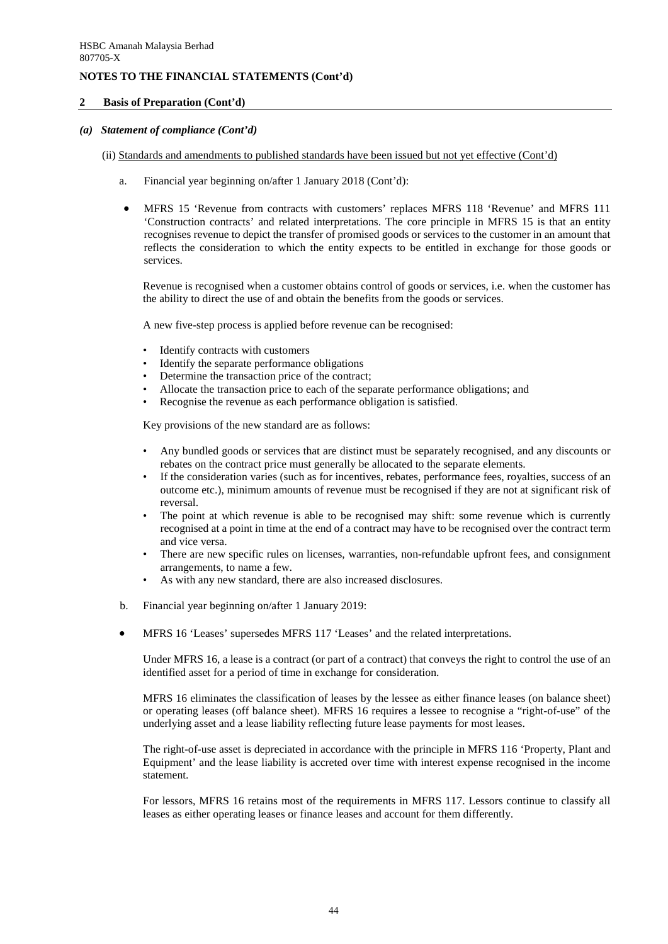### **2 Basis of Preparation (Cont'd)**

## *(a) Statement of compliance (Cont'd)*

- (ii) Standards and amendments to published standards have been issued but not yet effective (Cont'd)
	- a. Financial year beginning on/after 1 January 2018 (Cont'd):
	- MFRS 15 'Revenue from contracts with customers' replaces MFRS 118 'Revenue' and MFRS 111 'Construction contracts' and related interpretations. The core principle in MFRS 15 is that an entity recognises revenue to depict the transfer of promised goods or services to the customer in an amount that reflects the consideration to which the entity expects to be entitled in exchange for those goods or services.

Revenue is recognised when a customer obtains control of goods or services, i.e. when the customer has the ability to direct the use of and obtain the benefits from the goods or services.

A new five-step process is applied before revenue can be recognised:

- Identify contracts with customers
- Identify the separate performance obligations
- Determine the transaction price of the contract;
- Allocate the transaction price to each of the separate performance obligations; and
- Recognise the revenue as each performance obligation is satisfied.

Key provisions of the new standard are as follows:

- Any bundled goods or services that are distinct must be separately recognised, and any discounts or rebates on the contract price must generally be allocated to the separate elements.
- If the consideration varies (such as for incentives, rebates, performance fees, royalties, success of an outcome etc.), minimum amounts of revenue must be recognised if they are not at significant risk of reversal.
- The point at which revenue is able to be recognised may shift: some revenue which is currently recognised at a point in time at the end of a contract may have to be recognised over the contract term and vice versa.
- There are new specific rules on licenses, warranties, non-refundable upfront fees, and consignment arrangements, to name a few.
- As with any new standard, there are also increased disclosures.
- b. Financial year beginning on/after 1 January 2019:
- MFRS 16 'Leases' supersedes MFRS 117 'Leases' and the related interpretations.

Under MFRS 16, a lease is a contract (or part of a contract) that conveys the right to control the use of an identified asset for a period of time in exchange for consideration.

MFRS 16 eliminates the classification of leases by the lessee as either finance leases (on balance sheet) or operating leases (off balance sheet). MFRS 16 requires a lessee to recognise a "right-of-use" of the underlying asset and a lease liability reflecting future lease payments for most leases.

The right-of-use asset is depreciated in accordance with the principle in MFRS 116 'Property, Plant and Equipment' and the lease liability is accreted over time with interest expense recognised in the income statement.

For lessors, MFRS 16 retains most of the requirements in MFRS 117. Lessors continue to classify all leases as either operating leases or finance leases and account for them differently.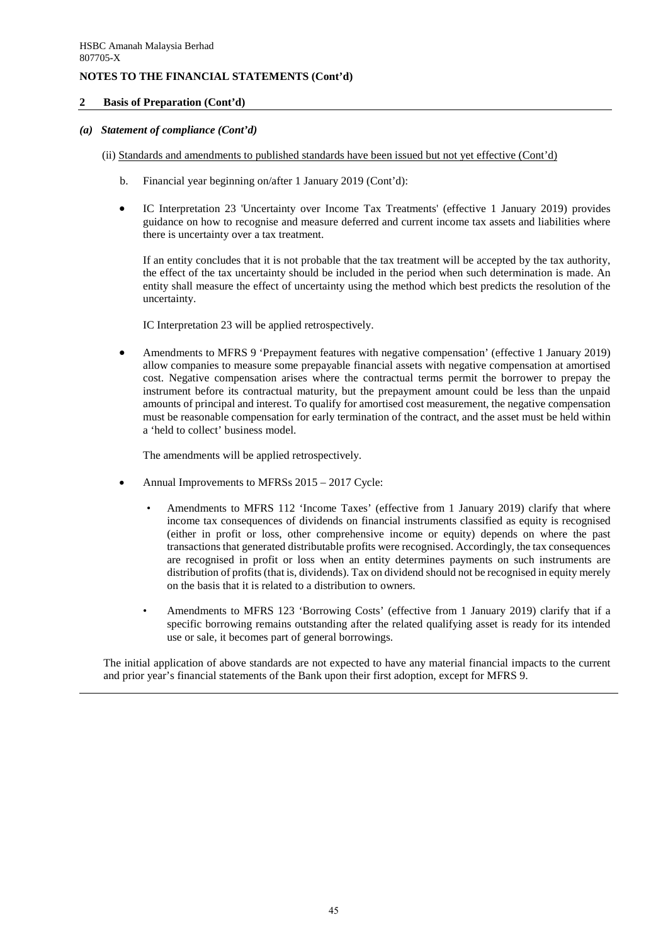### **2 Basis of Preparation (Cont'd)**

## *(a) Statement of compliance (Cont'd)*

- (ii) Standards and amendments to published standards have been issued but not yet effective (Cont'd)
	- b. Financial year beginning on/after 1 January 2019 (Cont'd):
	- IC Interpretation 23 'Uncertainty over Income Tax Treatments' (effective 1 January 2019) provides guidance on how to recognise and measure deferred and current income tax assets and liabilities where there is uncertainty over a tax treatment.

If an entity concludes that it is not probable that the tax treatment will be accepted by the tax authority, the effect of the tax uncertainty should be included in the period when such determination is made. An entity shall measure the effect of uncertainty using the method which best predicts the resolution of the uncertainty.

IC Interpretation 23 will be applied retrospectively.

• Amendments to MFRS 9 'Prepayment features with negative compensation' (effective 1 January 2019) allow companies to measure some prepayable financial assets with negative compensation at amortised cost. Negative compensation arises where the contractual terms permit the borrower to prepay the instrument before its contractual maturity, but the prepayment amount could be less than the unpaid amounts of principal and interest. To qualify for amortised cost measurement, the negative compensation must be reasonable compensation for early termination of the contract, and the asset must be held within a 'held to collect' business model.

The amendments will be applied retrospectively.

- Annual Improvements to MFRSs 2015 2017 Cycle:
	- Amendments to MFRS 112 'Income Taxes' (effective from 1 January 2019) clarify that where income tax consequences of dividends on financial instruments classified as equity is recognised (either in profit or loss, other comprehensive income or equity) depends on where the past transactions that generated distributable profits were recognised. Accordingly, the tax consequences are recognised in profit or loss when an entity determines payments on such instruments are distribution of profits (that is, dividends). Tax on dividend should not be recognised in equity merely on the basis that it is related to a distribution to owners.
	- Amendments to MFRS 123 'Borrowing Costs' (effective from 1 January 2019) clarify that if a specific borrowing remains outstanding after the related qualifying asset is ready for its intended use or sale, it becomes part of general borrowings.

The initial application of above standards are not expected to have any material financial impacts to the current and prior year's financial statements of the Bank upon their first adoption, except for MFRS 9.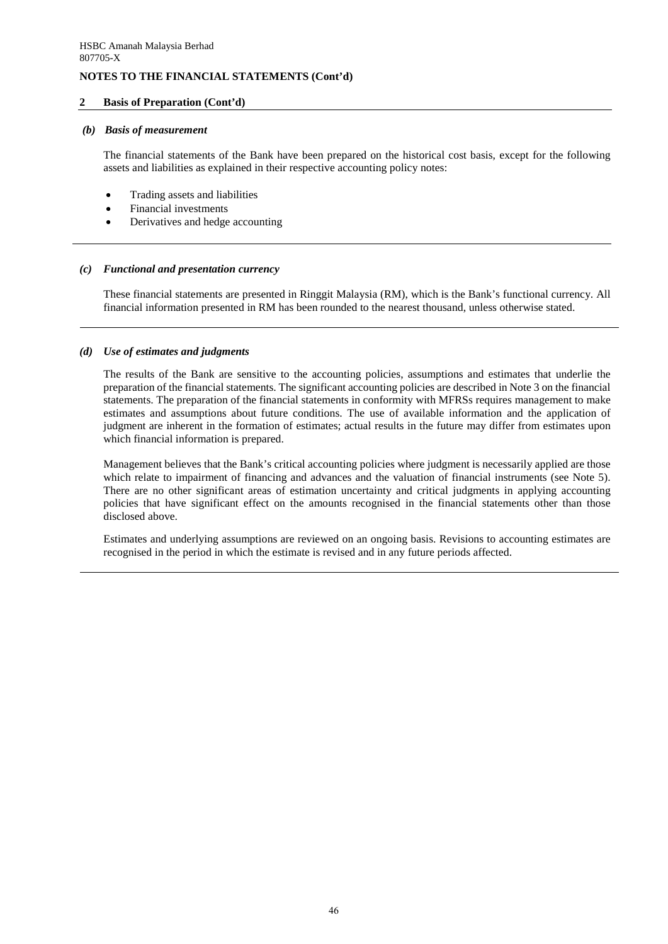## **2 Basis of Preparation (Cont'd)**

### *(b) Basis of measurement*

The financial statements of the Bank have been prepared on the historical cost basis, except for the following assets and liabilities as explained in their respective accounting policy notes:

- Trading assets and liabilities
- Financial investments
- Derivatives and hedge accounting

### *(c) Functional and presentation currency*

These financial statements are presented in Ringgit Malaysia (RM), which is the Bank's functional currency. All financial information presented in RM has been rounded to the nearest thousand, unless otherwise stated.

### *(d) Use of estimates and judgments*

The results of the Bank are sensitive to the accounting policies, assumptions and estimates that underlie the preparation of the financial statements. The significant accounting policies are described in Note 3 on the financial statements. The preparation of the financial statements in conformity with MFRSs requires management to make estimates and assumptions about future conditions. The use of available information and the application of judgment are inherent in the formation of estimates; actual results in the future may differ from estimates upon which financial information is prepared.

Management believes that the Bank's critical accounting policies where judgment is necessarily applied are those which relate to impairment of financing and advances and the valuation of financial instruments (see Note 5). There are no other significant areas of estimation uncertainty and critical judgments in applying accounting policies that have significant effect on the amounts recognised in the financial statements other than those disclosed above.

Estimates and underlying assumptions are reviewed on an ongoing basis. Revisions to accounting estimates are recognised in the period in which the estimate is revised and in any future periods affected.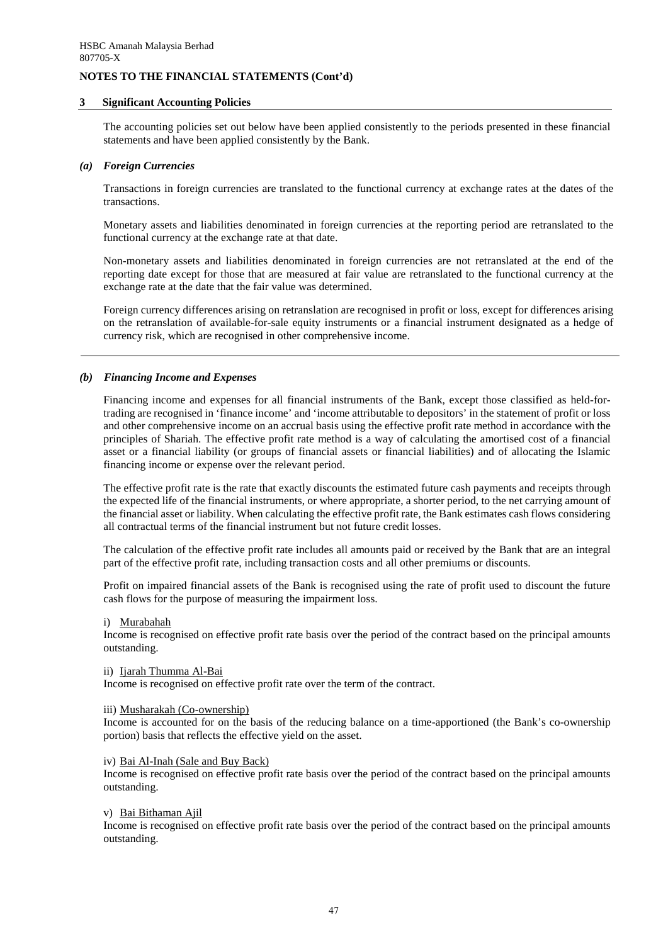### **3 Significant Accounting Policies**

The accounting policies set out below have been applied consistently to the periods presented in these financial statements and have been applied consistently by the Bank.

#### *(a) Foreign Currencies*

Transactions in foreign currencies are translated to the functional currency at exchange rates at the dates of the transactions.

Monetary assets and liabilities denominated in foreign currencies at the reporting period are retranslated to the functional currency at the exchange rate at that date.

Non-monetary assets and liabilities denominated in foreign currencies are not retranslated at the end of the reporting date except for those that are measured at fair value are retranslated to the functional currency at the exchange rate at the date that the fair value was determined.

Foreign currency differences arising on retranslation are recognised in profit or loss, except for differences arising on the retranslation of available-for-sale equity instruments or a financial instrument designated as a hedge of currency risk, which are recognised in other comprehensive income.

# *(b) Financing Income and Expenses*

Financing income and expenses for all financial instruments of the Bank, except those classified as held-fortrading are recognised in 'finance income' and 'income attributable to depositors' in the statement of profit or loss and other comprehensive income on an accrual basis using the effective profit rate method in accordance with the principles of Shariah. The effective profit rate method is a way of calculating the amortised cost of a financial asset or a financial liability (or groups of financial assets or financial liabilities) and of allocating the Islamic financing income or expense over the relevant period.

The effective profit rate is the rate that exactly discounts the estimated future cash payments and receipts through the expected life of the financial instruments, or where appropriate, a shorter period, to the net carrying amount of the financial asset or liability. When calculating the effective profit rate, the Bank estimates cash flows considering all contractual terms of the financial instrument but not future credit losses.

The calculation of the effective profit rate includes all amounts paid or received by the Bank that are an integral part of the effective profit rate, including transaction costs and all other premiums or discounts.

Profit on impaired financial assets of the Bank is recognised using the rate of profit used to discount the future cash flows for the purpose of measuring the impairment loss.

#### i) Murabahah

Income is recognised on effective profit rate basis over the period of the contract based on the principal amounts outstanding.

#### ii) Ijarah Thumma Al-Bai

Income is recognised on effective profit rate over the term of the contract.

### iii) Musharakah (Co-ownership)

Income is accounted for on the basis of the reducing balance on a time-apportioned (the Bank's co-ownership portion) basis that reflects the effective yield on the asset.

#### iv) Bai Al-Inah (Sale and Buy Back)

Income is recognised on effective profit rate basis over the period of the contract based on the principal amounts outstanding.

#### v) Bai Bithaman Ajil

Income is recognised on effective profit rate basis over the period of the contract based on the principal amounts outstanding.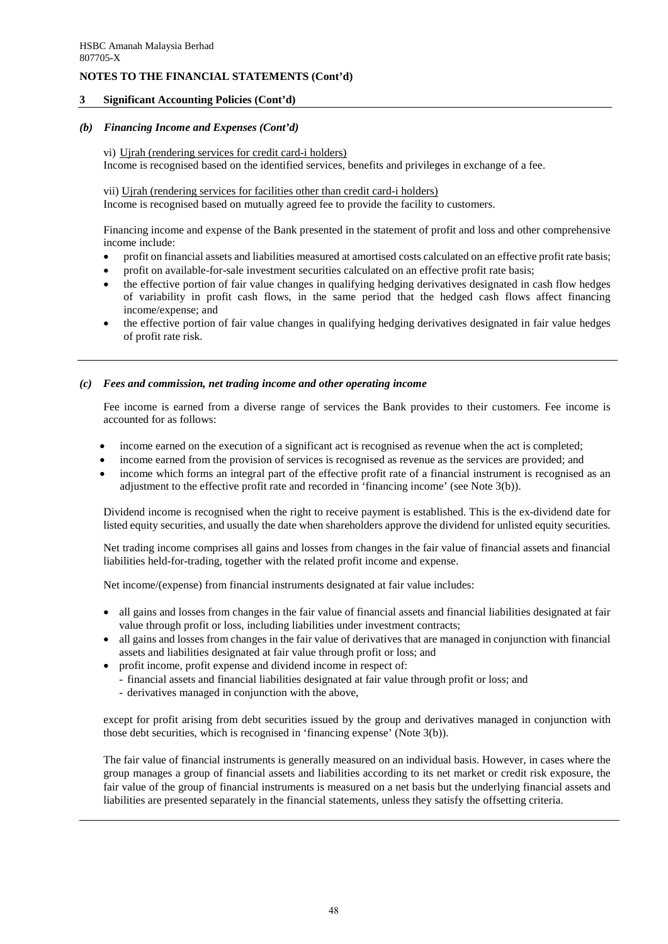## **3 Significant Accounting Policies (Cont'd)**

### *(b) Financing Income and Expenses (Cont'd)*

vi) Ujrah (rendering services for credit card-i holders) Income is recognised based on the identified services, benefits and privileges in exchange of a fee.

vii) Ujrah (rendering services for facilities other than credit card-i holders) Income is recognised based on mutually agreed fee to provide the facility to customers.

Financing income and expense of the Bank presented in the statement of profit and loss and other comprehensive income include:

- profit on financial assets and liabilities measured at amortised costs calculated on an effective profit rate basis;
- profit on available-for-sale investment securities calculated on an effective profit rate basis;
- the effective portion of fair value changes in qualifying hedging derivatives designated in cash flow hedges of variability in profit cash flows, in the same period that the hedged cash flows affect financing income/expense; and
- the effective portion of fair value changes in qualifying hedging derivatives designated in fair value hedges of profit rate risk.

#### *(c) Fees and commission, net trading income and other operating income*

Fee income is earned from a diverse range of services the Bank provides to their customers. Fee income is accounted for as follows:

- income earned on the execution of a significant act is recognised as revenue when the act is completed;
- income earned from the provision of services is recognised as revenue as the services are provided; and
- income which forms an integral part of the effective profit rate of a financial instrument is recognised as an adjustment to the effective profit rate and recorded in 'financing income' (see Note 3(b)).

Dividend income is recognised when the right to receive payment is established. This is the ex-dividend date for listed equity securities, and usually the date when shareholders approve the dividend for unlisted equity securities.

Net trading income comprises all gains and losses from changes in the fair value of financial assets and financial liabilities held-for-trading, together with the related profit income and expense.

Net income/(expense) from financial instruments designated at fair value includes:

- all gains and losses from changes in the fair value of financial assets and financial liabilities designated at fair value through profit or loss, including liabilities under investment contracts;
- all gains and losses from changes in the fair value of derivatives that are managed in conjunction with financial assets and liabilities designated at fair value through profit or loss; and
- profit income, profit expense and dividend income in respect of:
	- financial assets and financial liabilities designated at fair value through profit or loss; and
	- derivatives managed in conjunction with the above,

except for profit arising from debt securities issued by the group and derivatives managed in conjunction with those debt securities, which is recognised in 'financing expense' (Note 3(b)).

The fair value of financial instruments is generally measured on an individual basis. However, in cases where the group manages a group of financial assets and liabilities according to its net market or credit risk exposure, the fair value of the group of financial instruments is measured on a net basis but the underlying financial assets and liabilities are presented separately in the financial statements, unless they satisfy the offsetting criteria.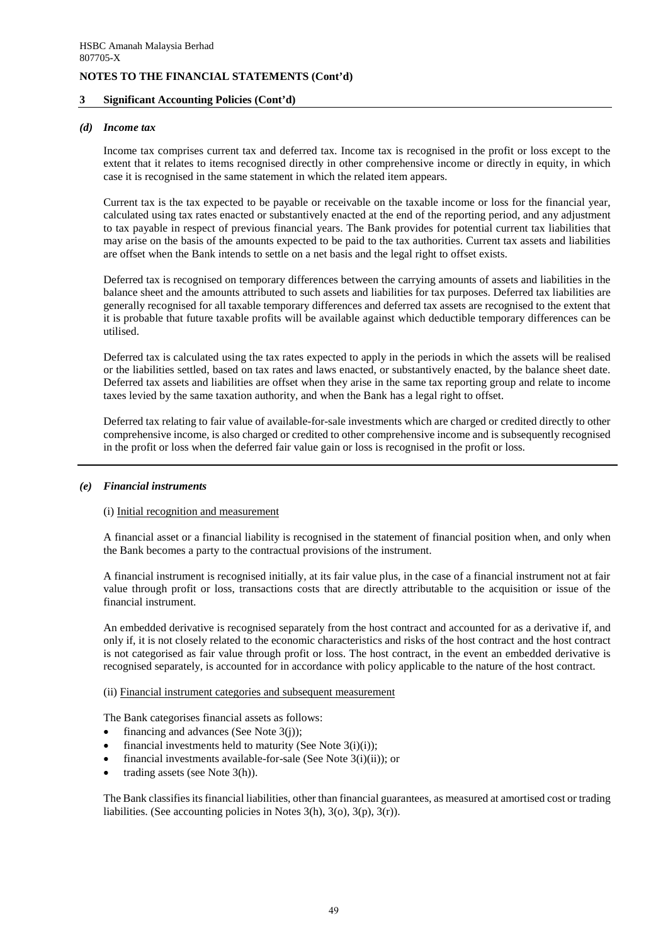### **3 Significant Accounting Policies (Cont'd)**

#### *(d) Income tax*

Income tax comprises current tax and deferred tax. Income tax is recognised in the profit or loss except to the extent that it relates to items recognised directly in other comprehensive income or directly in equity, in which case it is recognised in the same statement in which the related item appears.

Current tax is the tax expected to be payable or receivable on the taxable income or loss for the financial year, calculated using tax rates enacted or substantively enacted at the end of the reporting period, and any adjustment to tax payable in respect of previous financial years. The Bank provides for potential current tax liabilities that may arise on the basis of the amounts expected to be paid to the tax authorities. Current tax assets and liabilities are offset when the Bank intends to settle on a net basis and the legal right to offset exists.

Deferred tax is recognised on temporary differences between the carrying amounts of assets and liabilities in the balance sheet and the amounts attributed to such assets and liabilities for tax purposes. Deferred tax liabilities are generally recognised for all taxable temporary differences and deferred tax assets are recognised to the extent that it is probable that future taxable profits will be available against which deductible temporary differences can be utilised.

Deferred tax is calculated using the tax rates expected to apply in the periods in which the assets will be realised or the liabilities settled, based on tax rates and laws enacted, or substantively enacted, by the balance sheet date. Deferred tax assets and liabilities are offset when they arise in the same tax reporting group and relate to income taxes levied by the same taxation authority, and when the Bank has a legal right to offset.

Deferred tax relating to fair value of available-for-sale investments which are charged or credited directly to other comprehensive income, is also charged or credited to other comprehensive income and is subsequently recognised in the profit or loss when the deferred fair value gain or loss is recognised in the profit or loss.

#### *(e) Financial instruments*

#### (i) Initial recognition and measurement

A financial asset or a financial liability is recognised in the statement of financial position when, and only when the Bank becomes a party to the contractual provisions of the instrument.

A financial instrument is recognised initially, at its fair value plus, in the case of a financial instrument not at fair value through profit or loss, transactions costs that are directly attributable to the acquisition or issue of the financial instrument.

An embedded derivative is recognised separately from the host contract and accounted for as a derivative if, and only if, it is not closely related to the economic characteristics and risks of the host contract and the host contract is not categorised as fair value through profit or loss. The host contract, in the event an embedded derivative is recognised separately, is accounted for in accordance with policy applicable to the nature of the host contract.

#### (ii) Financial instrument categories and subsequent measurement

The Bank categorises financial assets as follows:

- financing and advances (See Note  $3(i)$ );
- financial investments held to maturity (See Note  $3(i)(i)$ );
- financial investments available-for-sale (See Note 3(i)(ii)); or
- trading assets (see Note 3(h)).

The Bank classifies its financial liabilities, other than financial guarantees, as measured at amortised cost or trading liabilities. (See accounting policies in Notes 3(h), 3(o), 3(p), 3(r)).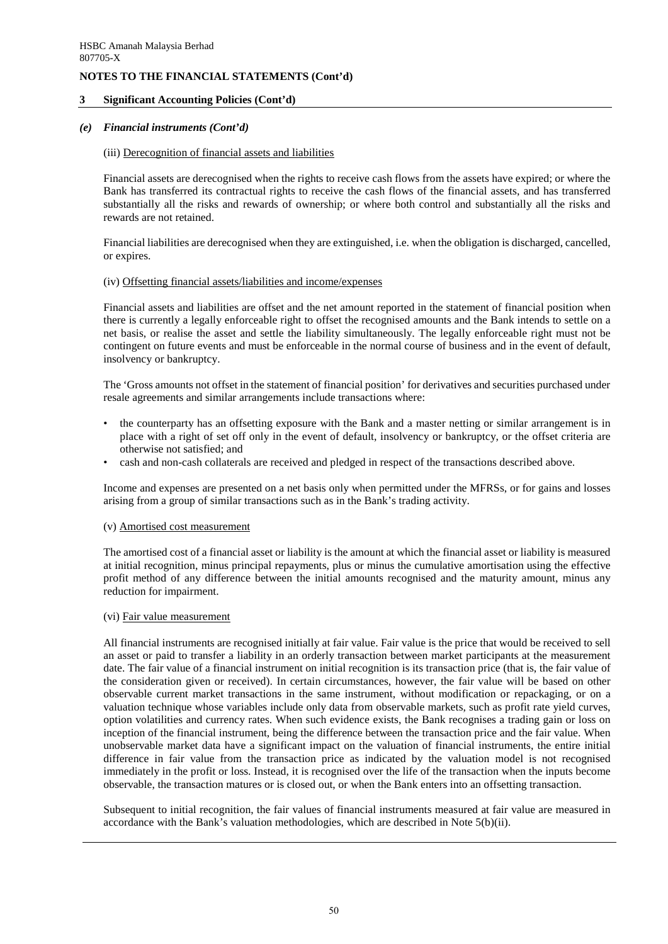### **3 Significant Accounting Policies (Cont'd)**

### *(e) Financial instruments (Cont'd)*

### (iii) Derecognition of financial assets and liabilities

Financial assets are derecognised when the rights to receive cash flows from the assets have expired; or where the Bank has transferred its contractual rights to receive the cash flows of the financial assets, and has transferred substantially all the risks and rewards of ownership; or where both control and substantially all the risks and rewards are not retained.

Financial liabilities are derecognised when they are extinguished, i.e. when the obligation is discharged, cancelled, or expires.

#### (iv) Offsetting financial assets/liabilities and income/expenses

Financial assets and liabilities are offset and the net amount reported in the statement of financial position when there is currently a legally enforceable right to offset the recognised amounts and the Bank intends to settle on a net basis, or realise the asset and settle the liability simultaneously. The legally enforceable right must not be contingent on future events and must be enforceable in the normal course of business and in the event of default, insolvency or bankruptcy.

The 'Gross amounts not offset in the statement of financial position' for derivatives and securities purchased under resale agreements and similar arrangements include transactions where:

- the counterparty has an offsetting exposure with the Bank and a master netting or similar arrangement is in place with a right of set off only in the event of default, insolvency or bankruptcy, or the offset criteria are otherwise not satisfied; and
- cash and non-cash collaterals are received and pledged in respect of the transactions described above.

Income and expenses are presented on a net basis only when permitted under the MFRSs, or for gains and losses arising from a group of similar transactions such as in the Bank's trading activity.

#### (v) Amortised cost measurement

The amortised cost of a financial asset or liability is the amount at which the financial asset or liability is measured at initial recognition, minus principal repayments, plus or minus the cumulative amortisation using the effective profit method of any difference between the initial amounts recognised and the maturity amount, minus any reduction for impairment.

#### (vi) Fair value measurement

All financial instruments are recognised initially at fair value. Fair value is the price that would be received to sell an asset or paid to transfer a liability in an orderly transaction between market participants at the measurement date. The fair value of a financial instrument on initial recognition is its transaction price (that is, the fair value of the consideration given or received). In certain circumstances, however, the fair value will be based on other observable current market transactions in the same instrument, without modification or repackaging, or on a valuation technique whose variables include only data from observable markets, such as profit rate yield curves, option volatilities and currency rates. When such evidence exists, the Bank recognises a trading gain or loss on inception of the financial instrument, being the difference between the transaction price and the fair value. When unobservable market data have a significant impact on the valuation of financial instruments, the entire initial difference in fair value from the transaction price as indicated by the valuation model is not recognised immediately in the profit or loss. Instead, it is recognised over the life of the transaction when the inputs become observable, the transaction matures or is closed out, or when the Bank enters into an offsetting transaction.

Subsequent to initial recognition, the fair values of financial instruments measured at fair value are measured in accordance with the Bank's valuation methodologies, which are described in Note 5(b)(ii).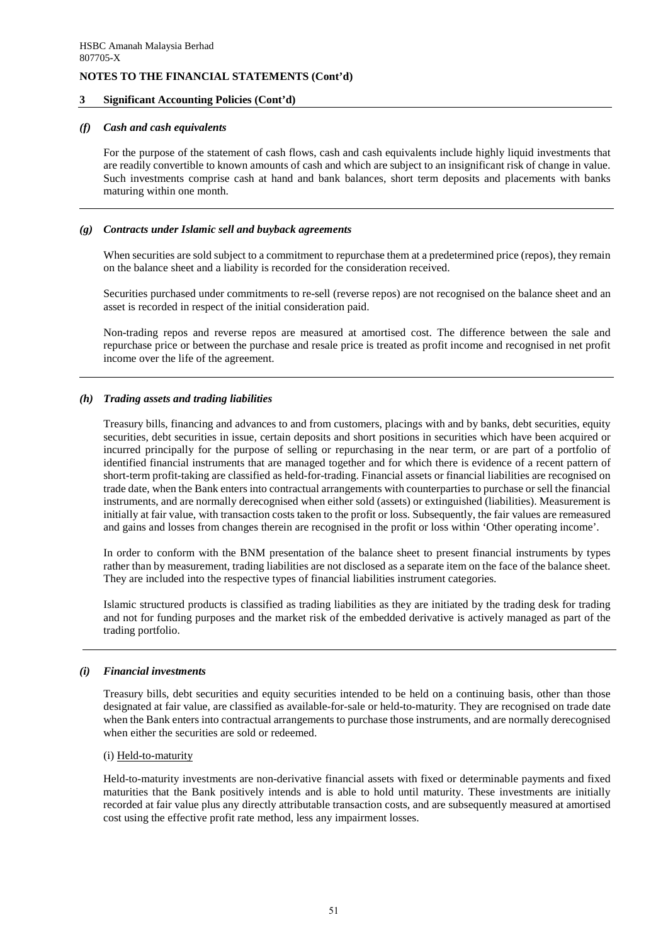### **3 Significant Accounting Policies (Cont'd)**

### *(f) Cash and cash equivalents*

For the purpose of the statement of cash flows, cash and cash equivalents include highly liquid investments that are readily convertible to known amounts of cash and which are subject to an insignificant risk of change in value. Such investments comprise cash at hand and bank balances, short term deposits and placements with banks maturing within one month.

### *(g) Contracts under Islamic sell and buyback agreements*

When securities are sold subject to a commitment to repurchase them at a predetermined price (repos), they remain on the balance sheet and a liability is recorded for the consideration received.

Securities purchased under commitments to re-sell (reverse repos) are not recognised on the balance sheet and an asset is recorded in respect of the initial consideration paid.

Non-trading repos and reverse repos are measured at amortised cost. The difference between the sale and repurchase price or between the purchase and resale price is treated as profit income and recognised in net profit income over the life of the agreement.

# *(h) Trading assets and trading liabilities*

Treasury bills, financing and advances to and from customers, placings with and by banks, debt securities, equity securities, debt securities in issue, certain deposits and short positions in securities which have been acquired or incurred principally for the purpose of selling or repurchasing in the near term, or are part of a portfolio of identified financial instruments that are managed together and for which there is evidence of a recent pattern of short-term profit-taking are classified as held-for-trading. Financial assets or financial liabilities are recognised on trade date, when the Bank enters into contractual arrangements with counterparties to purchase or sell the financial instruments, and are normally derecognised when either sold (assets) or extinguished (liabilities). Measurement is initially at fair value, with transaction costs taken to the profit or loss. Subsequently, the fair values are remeasured and gains and losses from changes therein are recognised in the profit or loss within 'Other operating income'.

In order to conform with the BNM presentation of the balance sheet to present financial instruments by types rather than by measurement, trading liabilities are not disclosed as a separate item on the face of the balance sheet. They are included into the respective types of financial liabilities instrument categories.

Islamic structured products is classified as trading liabilities as they are initiated by the trading desk for trading and not for funding purposes and the market risk of the embedded derivative is actively managed as part of the trading portfolio.

#### *(i) Financial investments*

Treasury bills, debt securities and equity securities intended to be held on a continuing basis, other than those designated at fair value, are classified as available-for-sale or held-to-maturity. They are recognised on trade date when the Bank enters into contractual arrangements to purchase those instruments, and are normally derecognised when either the securities are sold or redeemed.

#### (i) Held-to-maturity

Held-to-maturity investments are non-derivative financial assets with fixed or determinable payments and fixed maturities that the Bank positively intends and is able to hold until maturity. These investments are initially recorded at fair value plus any directly attributable transaction costs, and are subsequently measured at amortised cost using the effective profit rate method, less any impairment losses.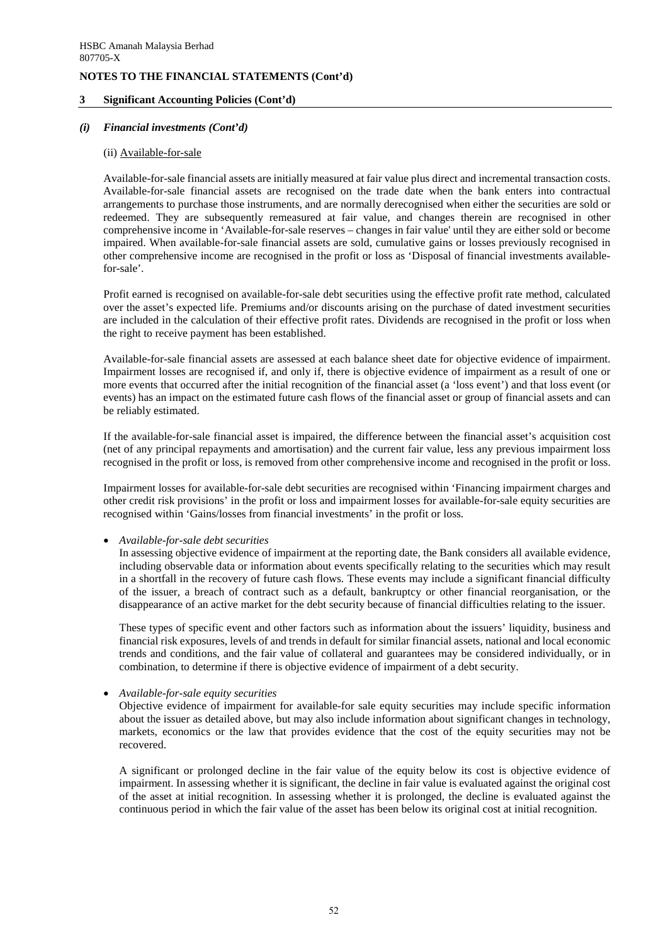### **3 Significant Accounting Policies (Cont'd)**

### *(i) Financial investments (Cont'd)*

#### (ii) Available-for-sale

Available-for-sale financial assets are initially measured at fair value plus direct and incremental transaction costs. Available-for-sale financial assets are recognised on the trade date when the bank enters into contractual arrangements to purchase those instruments, and are normally derecognised when either the securities are sold or redeemed. They are subsequently remeasured at fair value, and changes therein are recognised in other comprehensive income in 'Available-for-sale reserves – changes in fair value' until they are either sold or become impaired. When available-for-sale financial assets are sold, cumulative gains or losses previously recognised in other comprehensive income are recognised in the profit or loss as 'Disposal of financial investments availablefor-sale'.

Profit earned is recognised on available-for-sale debt securities using the effective profit rate method, calculated over the asset's expected life. Premiums and/or discounts arising on the purchase of dated investment securities are included in the calculation of their effective profit rates. Dividends are recognised in the profit or loss when the right to receive payment has been established.

Available-for-sale financial assets are assessed at each balance sheet date for objective evidence of impairment. Impairment losses are recognised if, and only if, there is objective evidence of impairment as a result of one or more events that occurred after the initial recognition of the financial asset (a 'loss event') and that loss event (or events) has an impact on the estimated future cash flows of the financial asset or group of financial assets and can be reliably estimated.

If the available-for-sale financial asset is impaired, the difference between the financial asset's acquisition cost (net of any principal repayments and amortisation) and the current fair value, less any previous impairment loss recognised in the profit or loss, is removed from other comprehensive income and recognised in the profit or loss.

Impairment losses for available-for-sale debt securities are recognised within 'Financing impairment charges and other credit risk provisions' in the profit or loss and impairment losses for available-for-sale equity securities are recognised within 'Gains/losses from financial investments' in the profit or loss.

• *Available-for-sale debt securities* 

In assessing objective evidence of impairment at the reporting date, the Bank considers all available evidence, including observable data or information about events specifically relating to the securities which may result in a shortfall in the recovery of future cash flows. These events may include a significant financial difficulty of the issuer, a breach of contract such as a default, bankruptcy or other financial reorganisation, or the disappearance of an active market for the debt security because of financial difficulties relating to the issuer.

These types of specific event and other factors such as information about the issuers' liquidity, business and financial risk exposures, levels of and trends in default for similar financial assets, national and local economic trends and conditions, and the fair value of collateral and guarantees may be considered individually, or in combination, to determine if there is objective evidence of impairment of a debt security.

• *Available-for-sale equity securities* 

Objective evidence of impairment for available-for sale equity securities may include specific information about the issuer as detailed above, but may also include information about significant changes in technology, markets, economics or the law that provides evidence that the cost of the equity securities may not be recovered.

A significant or prolonged decline in the fair value of the equity below its cost is objective evidence of impairment. In assessing whether it is significant, the decline in fair value is evaluated against the original cost of the asset at initial recognition. In assessing whether it is prolonged, the decline is evaluated against the continuous period in which the fair value of the asset has been below its original cost at initial recognition.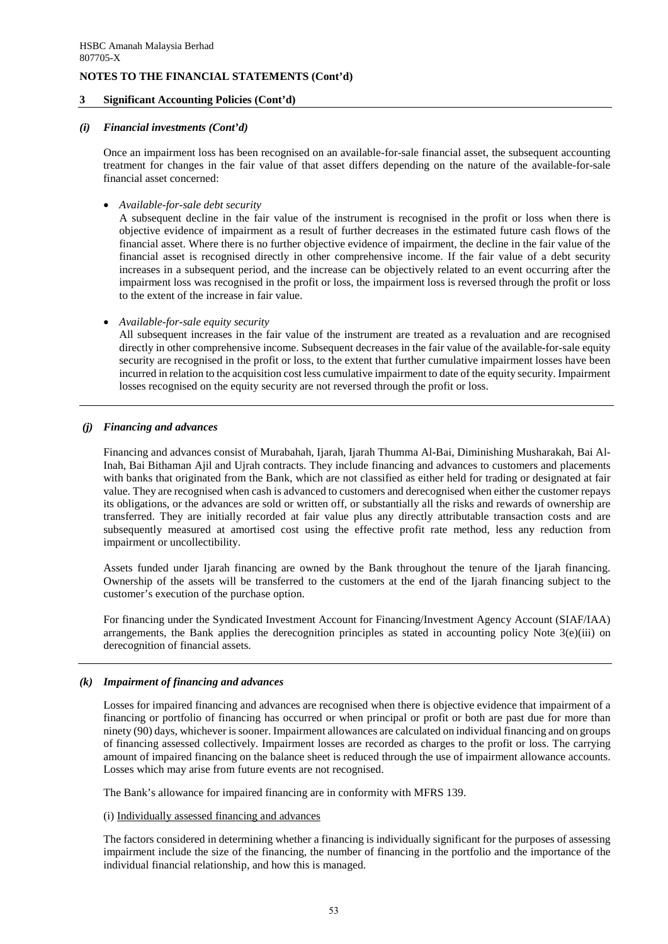## **3 Significant Accounting Policies (Cont'd)**

#### *(i) Financial investments (Cont'd)*

Once an impairment loss has been recognised on an available-for-sale financial asset, the subsequent accounting treatment for changes in the fair value of that asset differs depending on the nature of the available-for-sale financial asset concerned:

• *Available-for-sale debt security* 

A subsequent decline in the fair value of the instrument is recognised in the profit or loss when there is objective evidence of impairment as a result of further decreases in the estimated future cash flows of the financial asset. Where there is no further objective evidence of impairment, the decline in the fair value of the financial asset is recognised directly in other comprehensive income. If the fair value of a debt security increases in a subsequent period, and the increase can be objectively related to an event occurring after the impairment loss was recognised in the profit or loss, the impairment loss is reversed through the profit or loss to the extent of the increase in fair value.

• *Available-for-sale equity security* 

All subsequent increases in the fair value of the instrument are treated as a revaluation and are recognised directly in other comprehensive income. Subsequent decreases in the fair value of the available-for-sale equity security are recognised in the profit or loss, to the extent that further cumulative impairment losses have been incurred in relation to the acquisition cost less cumulative impairment to date of the equity security. Impairment losses recognised on the equity security are not reversed through the profit or loss.

### *(j) Financing and advances*

Financing and advances consist of Murabahah, Ijarah, Ijarah Thumma Al-Bai, Diminishing Musharakah, Bai Al-Inah, Bai Bithaman Ajil and Ujrah contracts. They include financing and advances to customers and placements with banks that originated from the Bank, which are not classified as either held for trading or designated at fair value. They are recognised when cash is advanced to customers and derecognised when either the customer repays its obligations, or the advances are sold or written off, or substantially all the risks and rewards of ownership are transferred. They are initially recorded at fair value plus any directly attributable transaction costs and are subsequently measured at amortised cost using the effective profit rate method, less any reduction from impairment or uncollectibility.

Assets funded under Ijarah financing are owned by the Bank throughout the tenure of the Ijarah financing. Ownership of the assets will be transferred to the customers at the end of the Ijarah financing subject to the customer's execution of the purchase option.

For financing under the Syndicated Investment Account for Financing/Investment Agency Account (SIAF/IAA) arrangements, the Bank applies the derecognition principles as stated in accounting policy Note 3(e)(iii) on derecognition of financial assets.

#### *(k) Impairment of financing and advances*

Losses for impaired financing and advances are recognised when there is objective evidence that impairment of a financing or portfolio of financing has occurred or when principal or profit or both are past due for more than ninety (90) days, whichever is sooner. Impairment allowances are calculated on individual financing and on groups of financing assessed collectively. Impairment losses are recorded as charges to the profit or loss. The carrying amount of impaired financing on the balance sheet is reduced through the use of impairment allowance accounts. Losses which may arise from future events are not recognised.

The Bank's allowance for impaired financing are in conformity with MFRS 139.

# (i) Individually assessed financing and advances

The factors considered in determining whether a financing is individually significant for the purposes of assessing impairment include the size of the financing, the number of financing in the portfolio and the importance of the individual financial relationship, and how this is managed.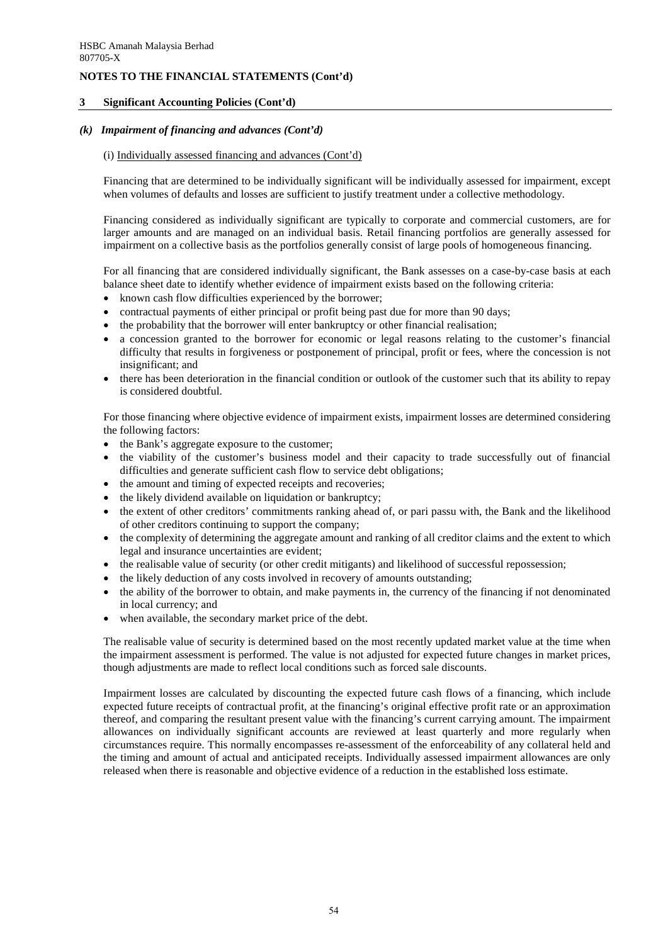# **3 Significant Accounting Policies (Cont'd)**

## *(k) Impairment of financing and advances (Cont'd)*

### (i) Individually assessed financing and advances (Cont'd)

Financing that are determined to be individually significant will be individually assessed for impairment, except when volumes of defaults and losses are sufficient to justify treatment under a collective methodology.

Financing considered as individually significant are typically to corporate and commercial customers, are for larger amounts and are managed on an individual basis. Retail financing portfolios are generally assessed for impairment on a collective basis as the portfolios generally consist of large pools of homogeneous financing.

For all financing that are considered individually significant, the Bank assesses on a case-by-case basis at each balance sheet date to identify whether evidence of impairment exists based on the following criteria:

- known cash flow difficulties experienced by the borrower;
- contractual payments of either principal or profit being past due for more than 90 days;
- the probability that the borrower will enter bankruptcy or other financial realisation;
- a concession granted to the borrower for economic or legal reasons relating to the customer's financial difficulty that results in forgiveness or postponement of principal, profit or fees, where the concession is not insignificant; and
- there has been deterioration in the financial condition or outlook of the customer such that its ability to repay is considered doubtful.

For those financing where objective evidence of impairment exists, impairment losses are determined considering the following factors:

- the Bank's aggregate exposure to the customer;
- the viability of the customer's business model and their capacity to trade successfully out of financial difficulties and generate sufficient cash flow to service debt obligations;
- the amount and timing of expected receipts and recoveries;
- the likely dividend available on liquidation or bankruptcy;
- the extent of other creditors' commitments ranking ahead of, or pari passu with, the Bank and the likelihood of other creditors continuing to support the company;
- the complexity of determining the aggregate amount and ranking of all creditor claims and the extent to which legal and insurance uncertainties are evident;
- the realisable value of security (or other credit mitigants) and likelihood of successful repossession;
- the likely deduction of any costs involved in recovery of amounts outstanding;
- the ability of the borrower to obtain, and make payments in, the currency of the financing if not denominated in local currency; and
- when available, the secondary market price of the debt.

The realisable value of security is determined based on the most recently updated market value at the time when the impairment assessment is performed. The value is not adjusted for expected future changes in market prices, though adjustments are made to reflect local conditions such as forced sale discounts.

Impairment losses are calculated by discounting the expected future cash flows of a financing, which include expected future receipts of contractual profit, at the financing's original effective profit rate or an approximation thereof, and comparing the resultant present value with the financing's current carrying amount. The impairment allowances on individually significant accounts are reviewed at least quarterly and more regularly when circumstances require. This normally encompasses re-assessment of the enforceability of any collateral held and the timing and amount of actual and anticipated receipts. Individually assessed impairment allowances are only released when there is reasonable and objective evidence of a reduction in the established loss estimate.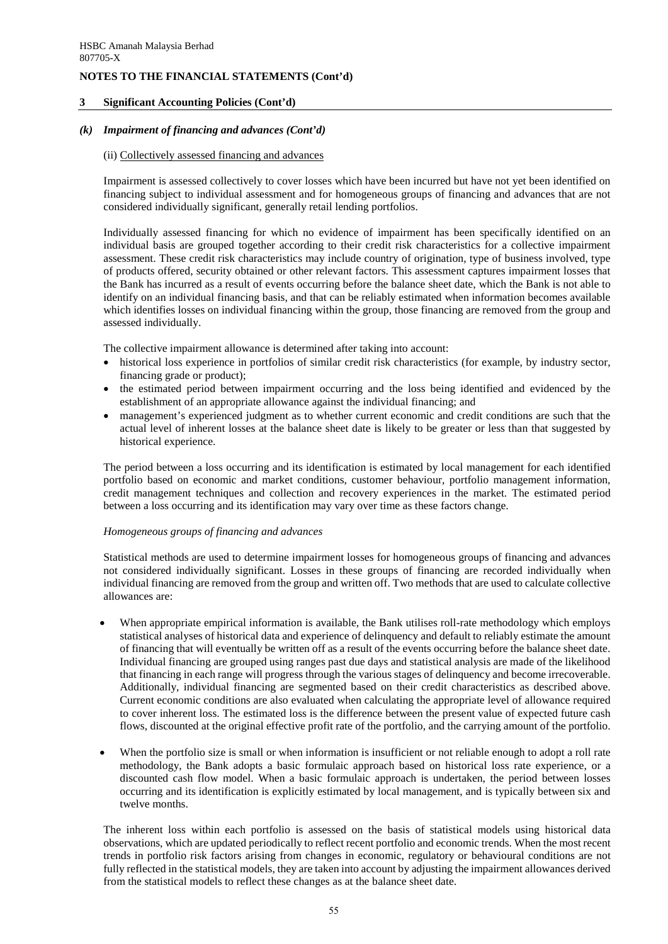## **3 Significant Accounting Policies (Cont'd)**

# *(k) Impairment of financing and advances (Cont'd)*

## (ii) Collectively assessed financing and advances

Impairment is assessed collectively to cover losses which have been incurred but have not yet been identified on financing subject to individual assessment and for homogeneous groups of financing and advances that are not considered individually significant, generally retail lending portfolios.

Individually assessed financing for which no evidence of impairment has been specifically identified on an individual basis are grouped together according to their credit risk characteristics for a collective impairment assessment. These credit risk characteristics may include country of origination, type of business involved, type of products offered, security obtained or other relevant factors. This assessment captures impairment losses that the Bank has incurred as a result of events occurring before the balance sheet date, which the Bank is not able to identify on an individual financing basis, and that can be reliably estimated when information becomes available which identifies losses on individual financing within the group, those financing are removed from the group and assessed individually.

The collective impairment allowance is determined after taking into account:

- historical loss experience in portfolios of similar credit risk characteristics (for example, by industry sector, financing grade or product);
- the estimated period between impairment occurring and the loss being identified and evidenced by the establishment of an appropriate allowance against the individual financing; and
- management's experienced judgment as to whether current economic and credit conditions are such that the actual level of inherent losses at the balance sheet date is likely to be greater or less than that suggested by historical experience.

The period between a loss occurring and its identification is estimated by local management for each identified portfolio based on economic and market conditions, customer behaviour, portfolio management information, credit management techniques and collection and recovery experiences in the market. The estimated period between a loss occurring and its identification may vary over time as these factors change.

#### *Homogeneous groups of financing and advances*

Statistical methods are used to determine impairment losses for homogeneous groups of financing and advances not considered individually significant. Losses in these groups of financing are recorded individually when individual financing are removed from the group and written off. Two methods that are used to calculate collective allowances are:

- When appropriate empirical information is available, the Bank utilises roll-rate methodology which employs statistical analyses of historical data and experience of delinquency and default to reliably estimate the amount of financing that will eventually be written off as a result of the events occurring before the balance sheet date. Individual financing are grouped using ranges past due days and statistical analysis are made of the likelihood that financing in each range will progress through the various stages of delinquency and become irrecoverable. Additionally, individual financing are segmented based on their credit characteristics as described above. Current economic conditions are also evaluated when calculating the appropriate level of allowance required to cover inherent loss. The estimated loss is the difference between the present value of expected future cash flows, discounted at the original effective profit rate of the portfolio, and the carrying amount of the portfolio.
- When the portfolio size is small or when information is insufficient or not reliable enough to adopt a roll rate methodology, the Bank adopts a basic formulaic approach based on historical loss rate experience, or a discounted cash flow model. When a basic formulaic approach is undertaken, the period between losses occurring and its identification is explicitly estimated by local management, and is typically between six and twelve months.

The inherent loss within each portfolio is assessed on the basis of statistical models using historical data observations, which are updated periodically to reflect recent portfolio and economic trends. When the most recent trends in portfolio risk factors arising from changes in economic, regulatory or behavioural conditions are not fully reflected in the statistical models, they are taken into account by adjusting the impairment allowances derived from the statistical models to reflect these changes as at the balance sheet date.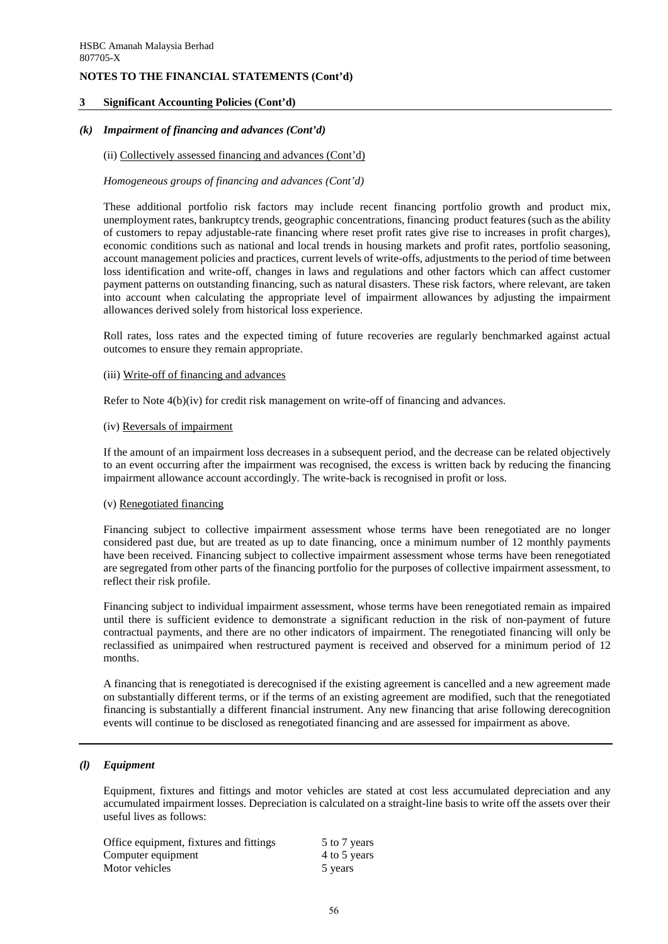## **3 Significant Accounting Policies (Cont'd)**

### *(k) Impairment of financing and advances (Cont'd)*

#### (ii) Collectively assessed financing and advances (Cont'd)

### *Homogeneous groups of financing and advances (Cont'd)*

These additional portfolio risk factors may include recent financing portfolio growth and product mix, unemployment rates, bankruptcy trends, geographic concentrations, financing product features (such as the ability of customers to repay adjustable-rate financing where reset profit rates give rise to increases in profit charges), economic conditions such as national and local trends in housing markets and profit rates, portfolio seasoning, account management policies and practices, current levels of write-offs, adjustments to the period of time between loss identification and write-off, changes in laws and regulations and other factors which can affect customer payment patterns on outstanding financing, such as natural disasters. These risk factors, where relevant, are taken into account when calculating the appropriate level of impairment allowances by adjusting the impairment allowances derived solely from historical loss experience.

Roll rates, loss rates and the expected timing of future recoveries are regularly benchmarked against actual outcomes to ensure they remain appropriate.

### (iii) Write-off of financing and advances

Refer to Note 4(b)(iv) for credit risk management on write-off of financing and advances.

#### (iv) Reversals of impairment

If the amount of an impairment loss decreases in a subsequent period, and the decrease can be related objectively to an event occurring after the impairment was recognised, the excess is written back by reducing the financing impairment allowance account accordingly. The write-back is recognised in profit or loss.

#### (v) Renegotiated financing

Financing subject to collective impairment assessment whose terms have been renegotiated are no longer considered past due, but are treated as up to date financing, once a minimum number of 12 monthly payments have been received. Financing subject to collective impairment assessment whose terms have been renegotiated are segregated from other parts of the financing portfolio for the purposes of collective impairment assessment, to reflect their risk profile.

Financing subject to individual impairment assessment, whose terms have been renegotiated remain as impaired until there is sufficient evidence to demonstrate a significant reduction in the risk of non-payment of future contractual payments, and there are no other indicators of impairment. The renegotiated financing will only be reclassified as unimpaired when restructured payment is received and observed for a minimum period of 12 months.

A financing that is renegotiated is derecognised if the existing agreement is cancelled and a new agreement made on substantially different terms, or if the terms of an existing agreement are modified, such that the renegotiated financing is substantially a different financial instrument. Any new financing that arise following derecognition events will continue to be disclosed as renegotiated financing and are assessed for impairment as above.

# *(l) Equipment*

Equipment, fixtures and fittings and motor vehicles are stated at cost less accumulated depreciation and any accumulated impairment losses. Depreciation is calculated on a straight-line basis to write off the assets over their useful lives as follows:

| Office equipment, fixtures and fittings | 5 to 7 years |
|-----------------------------------------|--------------|
| Computer equipment                      | 4 to 5 years |
| Motor vehicles                          | 5 years      |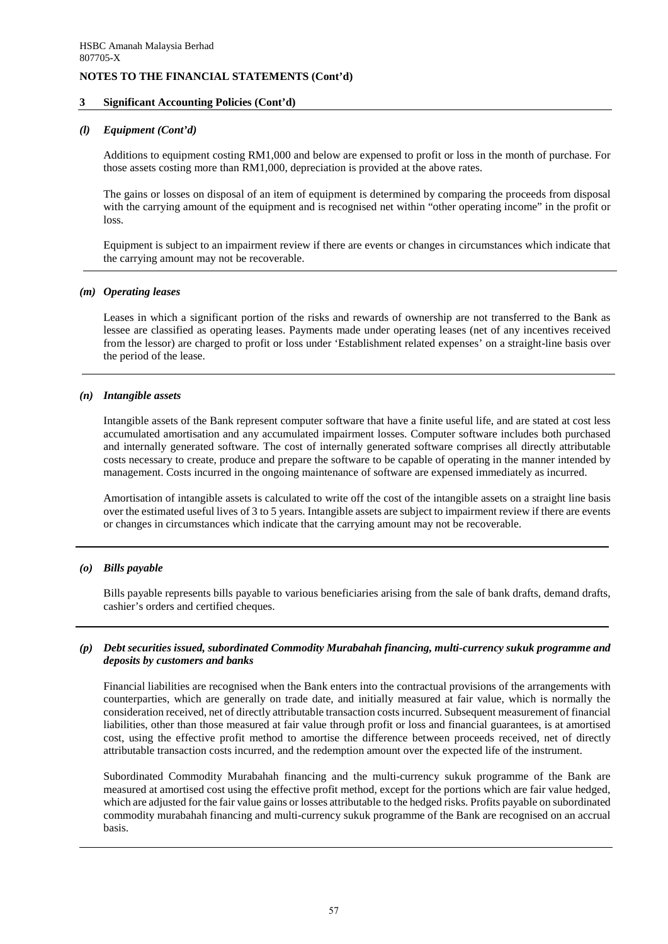### **3 Significant Accounting Policies (Cont'd)**

### *(l) Equipment (Cont'd)*

Additions to equipment costing RM1,000 and below are expensed to profit or loss in the month of purchase. For those assets costing more than RM1,000, depreciation is provided at the above rates.

The gains or losses on disposal of an item of equipment is determined by comparing the proceeds from disposal with the carrying amount of the equipment and is recognised net within "other operating income" in the profit or loss.

Equipment is subject to an impairment review if there are events or changes in circumstances which indicate that the carrying amount may not be recoverable.

### *(m) Operating leases*

Leases in which a significant portion of the risks and rewards of ownership are not transferred to the Bank as lessee are classified as operating leases. Payments made under operating leases (net of any incentives received from the lessor) are charged to profit or loss under 'Establishment related expenses' on a straight-line basis over the period of the lease.

### *(n) Intangible assets*

Intangible assets of the Bank represent computer software that have a finite useful life, and are stated at cost less accumulated amortisation and any accumulated impairment losses. Computer software includes both purchased and internally generated software. The cost of internally generated software comprises all directly attributable costs necessary to create, produce and prepare the software to be capable of operating in the manner intended by management. Costs incurred in the ongoing maintenance of software are expensed immediately as incurred.

Amortisation of intangible assets is calculated to write off the cost of the intangible assets on a straight line basis over the estimated useful lives of 3 to 5 years. Intangible assets are subject to impairment review if there are events or changes in circumstances which indicate that the carrying amount may not be recoverable.

# *(o) Bills payable*

Bills payable represents bills payable to various beneficiaries arising from the sale of bank drafts, demand drafts, cashier's orders and certified cheques.

### *(p) Debt securities issued, subordinated Commodity Murabahah financing, multi-currency sukuk programme and deposits by customers and banks*

Financial liabilities are recognised when the Bank enters into the contractual provisions of the arrangements with counterparties, which are generally on trade date, and initially measured at fair value, which is normally the consideration received, net of directly attributable transaction costs incurred. Subsequent measurement of financial liabilities, other than those measured at fair value through profit or loss and financial guarantees, is at amortised cost, using the effective profit method to amortise the difference between proceeds received, net of directly attributable transaction costs incurred, and the redemption amount over the expected life of the instrument.

Subordinated Commodity Murabahah financing and the multi-currency sukuk programme of the Bank are measured at amortised cost using the effective profit method, except for the portions which are fair value hedged, which are adjusted for the fair value gains or losses attributable to the hedged risks. Profits payable on subordinated commodity murabahah financing and multi-currency sukuk programme of the Bank are recognised on an accrual basis.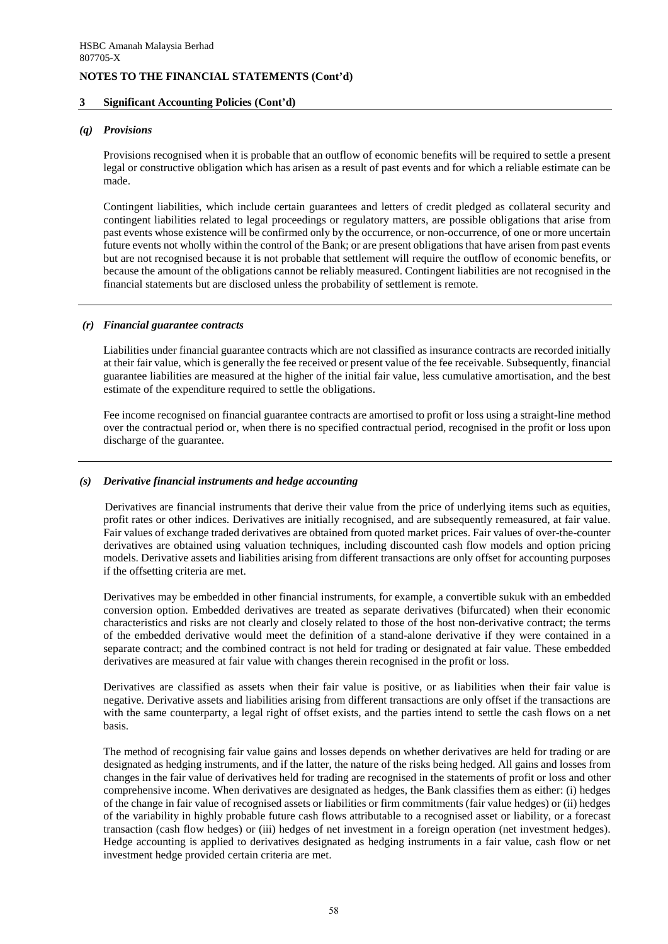### **3 Significant Accounting Policies (Cont'd)**

#### *(q) Provisions*

Provisions recognised when it is probable that an outflow of economic benefits will be required to settle a present legal or constructive obligation which has arisen as a result of past events and for which a reliable estimate can be made.

Contingent liabilities, which include certain guarantees and letters of credit pledged as collateral security and contingent liabilities related to legal proceedings or regulatory matters, are possible obligations that arise from past events whose existence will be confirmed only by the occurrence, or non-occurrence, of one or more uncertain future events not wholly within the control of the Bank; or are present obligations that have arisen from past events but are not recognised because it is not probable that settlement will require the outflow of economic benefits, or because the amount of the obligations cannot be reliably measured. Contingent liabilities are not recognised in the financial statements but are disclosed unless the probability of settlement is remote.

### *(r) Financial guarantee contracts*

Liabilities under financial guarantee contracts which are not classified as insurance contracts are recorded initially at their fair value, which is generally the fee received or present value of the fee receivable. Subsequently, financial guarantee liabilities are measured at the higher of the initial fair value, less cumulative amortisation, and the best estimate of the expenditure required to settle the obligations.

Fee income recognised on financial guarantee contracts are amortised to profit or loss using a straight-line method over the contractual period or, when there is no specified contractual period, recognised in the profit or loss upon discharge of the guarantee.

# *(s) Derivative financial instruments and hedge accounting*

 Derivatives are financial instruments that derive their value from the price of underlying items such as equities, profit rates or other indices. Derivatives are initially recognised, and are subsequently remeasured, at fair value. Fair values of exchange traded derivatives are obtained from quoted market prices. Fair values of over-the-counter derivatives are obtained using valuation techniques, including discounted cash flow models and option pricing models. Derivative assets and liabilities arising from different transactions are only offset for accounting purposes if the offsetting criteria are met.

Derivatives may be embedded in other financial instruments, for example, a convertible sukuk with an embedded conversion option. Embedded derivatives are treated as separate derivatives (bifurcated) when their economic characteristics and risks are not clearly and closely related to those of the host non-derivative contract; the terms of the embedded derivative would meet the definition of a stand-alone derivative if they were contained in a separate contract; and the combined contract is not held for trading or designated at fair value. These embedded derivatives are measured at fair value with changes therein recognised in the profit or loss.

Derivatives are classified as assets when their fair value is positive, or as liabilities when their fair value is negative. Derivative assets and liabilities arising from different transactions are only offset if the transactions are with the same counterparty, a legal right of offset exists, and the parties intend to settle the cash flows on a net basis.

The method of recognising fair value gains and losses depends on whether derivatives are held for trading or are designated as hedging instruments, and if the latter, the nature of the risks being hedged. All gains and losses from changes in the fair value of derivatives held for trading are recognised in the statements of profit or loss and other comprehensive income. When derivatives are designated as hedges, the Bank classifies them as either: (i) hedges of the change in fair value of recognised assets or liabilities or firm commitments (fair value hedges) or (ii) hedges of the variability in highly probable future cash flows attributable to a recognised asset or liability, or a forecast transaction (cash flow hedges) or (iii) hedges of net investment in a foreign operation (net investment hedges). Hedge accounting is applied to derivatives designated as hedging instruments in a fair value, cash flow or net investment hedge provided certain criteria are met.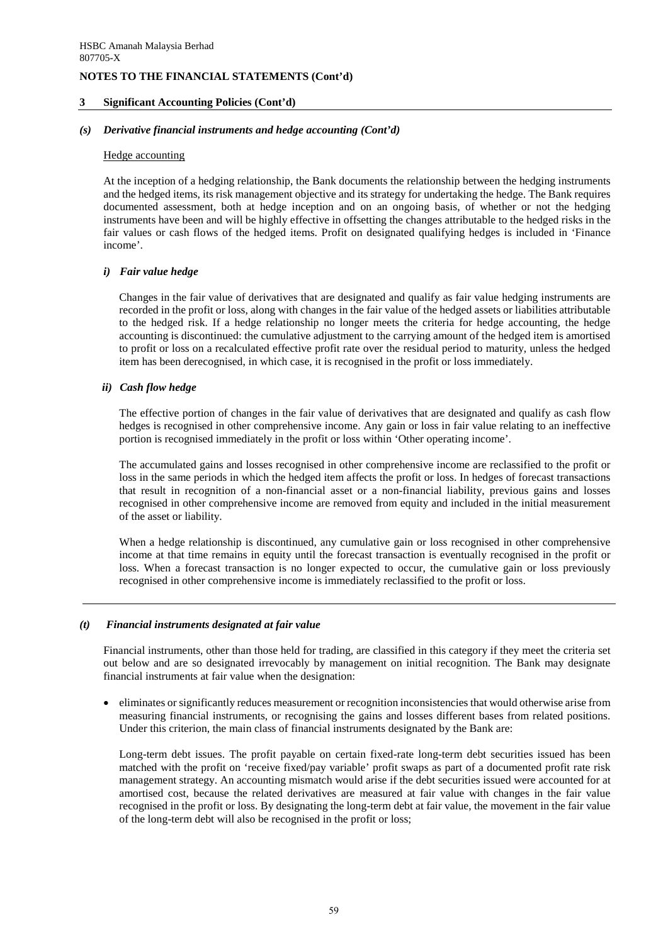### **3 Significant Accounting Policies (Cont'd)**

### *(s) Derivative financial instruments and hedge accounting (Cont'd)*

#### Hedge accounting

At the inception of a hedging relationship, the Bank documents the relationship between the hedging instruments and the hedged items, its risk management objective and its strategy for undertaking the hedge. The Bank requires documented assessment, both at hedge inception and on an ongoing basis, of whether or not the hedging instruments have been and will be highly effective in offsetting the changes attributable to the hedged risks in the fair values or cash flows of the hedged items. Profit on designated qualifying hedges is included in 'Finance income'.

### *i) Fair value hedge*

Changes in the fair value of derivatives that are designated and qualify as fair value hedging instruments are recorded in the profit or loss, along with changes in the fair value of the hedged assets or liabilities attributable to the hedged risk. If a hedge relationship no longer meets the criteria for hedge accounting, the hedge accounting is discontinued: the cumulative adjustment to the carrying amount of the hedged item is amortised to profit or loss on a recalculated effective profit rate over the residual period to maturity, unless the hedged item has been derecognised, in which case, it is recognised in the profit or loss immediately.

# *ii) Cash flow hedge*

The effective portion of changes in the fair value of derivatives that are designated and qualify as cash flow hedges is recognised in other comprehensive income. Any gain or loss in fair value relating to an ineffective portion is recognised immediately in the profit or loss within 'Other operating income'.

The accumulated gains and losses recognised in other comprehensive income are reclassified to the profit or loss in the same periods in which the hedged item affects the profit or loss. In hedges of forecast transactions that result in recognition of a non-financial asset or a non-financial liability, previous gains and losses recognised in other comprehensive income are removed from equity and included in the initial measurement of the asset or liability.

When a hedge relationship is discontinued, any cumulative gain or loss recognised in other comprehensive income at that time remains in equity until the forecast transaction is eventually recognised in the profit or loss. When a forecast transaction is no longer expected to occur, the cumulative gain or loss previously recognised in other comprehensive income is immediately reclassified to the profit or loss.

#### *(t) Financial instruments designated at fair value*

Financial instruments, other than those held for trading, are classified in this category if they meet the criteria set out below and are so designated irrevocably by management on initial recognition. The Bank may designate financial instruments at fair value when the designation:

• eliminates or significantly reduces measurement or recognition inconsistencies that would otherwise arise from measuring financial instruments, or recognising the gains and losses different bases from related positions. Under this criterion, the main class of financial instruments designated by the Bank are:

Long-term debt issues. The profit payable on certain fixed-rate long-term debt securities issued has been matched with the profit on 'receive fixed/pay variable' profit swaps as part of a documented profit rate risk management strategy. An accounting mismatch would arise if the debt securities issued were accounted for at amortised cost, because the related derivatives are measured at fair value with changes in the fair value recognised in the profit or loss. By designating the long-term debt at fair value, the movement in the fair value of the long-term debt will also be recognised in the profit or loss;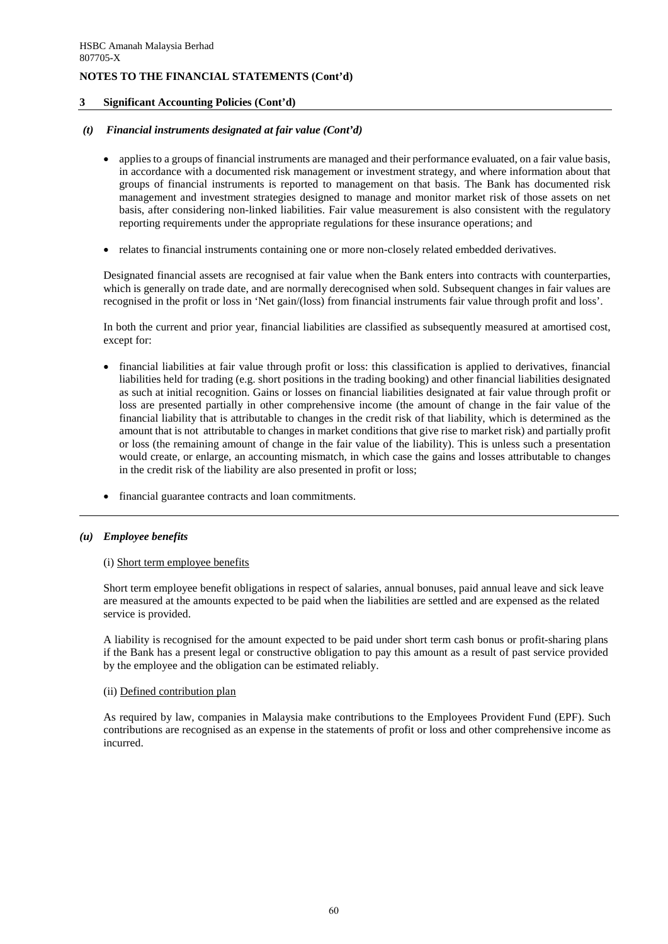## **3 Significant Accounting Policies (Cont'd)**

## *(t) Financial instruments designated at fair value (Cont'd)*

- applies to a groups of financial instruments are managed and their performance evaluated, on a fair value basis, in accordance with a documented risk management or investment strategy, and where information about that groups of financial instruments is reported to management on that basis. The Bank has documented risk management and investment strategies designed to manage and monitor market risk of those assets on net basis, after considering non-linked liabilities. Fair value measurement is also consistent with the regulatory reporting requirements under the appropriate regulations for these insurance operations; and
- relates to financial instruments containing one or more non-closely related embedded derivatives.

Designated financial assets are recognised at fair value when the Bank enters into contracts with counterparties, which is generally on trade date, and are normally derecognised when sold. Subsequent changes in fair values are recognised in the profit or loss in 'Net gain/(loss) from financial instruments fair value through profit and loss'.

In both the current and prior year, financial liabilities are classified as subsequently measured at amortised cost, except for:

- financial liabilities at fair value through profit or loss: this classification is applied to derivatives, financial liabilities held for trading (e.g. short positions in the trading booking) and other financial liabilities designated as such at initial recognition. Gains or losses on financial liabilities designated at fair value through profit or loss are presented partially in other comprehensive income (the amount of change in the fair value of the financial liability that is attributable to changes in the credit risk of that liability, which is determined as the amount that is not attributable to changes in market conditions that give rise to market risk) and partially profit or loss (the remaining amount of change in the fair value of the liability). This is unless such a presentation would create, or enlarge, an accounting mismatch, in which case the gains and losses attributable to changes in the credit risk of the liability are also presented in profit or loss;
- financial guarantee contracts and loan commitments.

#### *(u) Employee benefits*

#### (i) Short term employee benefits

Short term employee benefit obligations in respect of salaries, annual bonuses, paid annual leave and sick leave are measured at the amounts expected to be paid when the liabilities are settled and are expensed as the related service is provided.

A liability is recognised for the amount expected to be paid under short term cash bonus or profit-sharing plans if the Bank has a present legal or constructive obligation to pay this amount as a result of past service provided by the employee and the obligation can be estimated reliably.

#### (ii) Defined contribution plan

As required by law, companies in Malaysia make contributions to the Employees Provident Fund (EPF). Such contributions are recognised as an expense in the statements of profit or loss and other comprehensive income as incurred.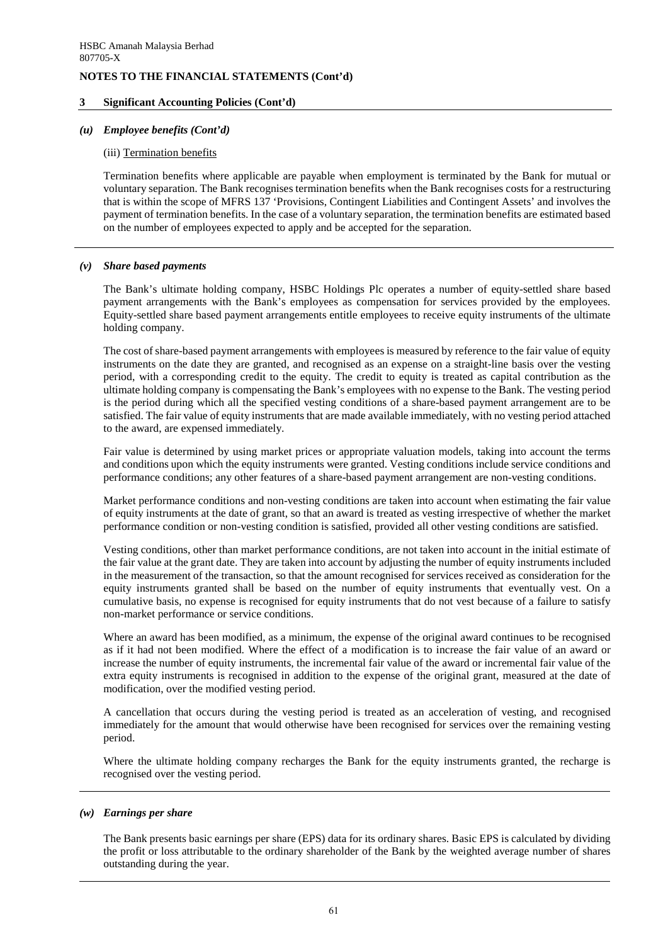### **3 Significant Accounting Policies (Cont'd)**

## *(u) Employee benefits (Cont'd)*

#### (iii) Termination benefits

Termination benefits where applicable are payable when employment is terminated by the Bank for mutual or voluntary separation. The Bank recognises termination benefits when the Bank recognises costs for a restructuring that is within the scope of MFRS 137 'Provisions, Contingent Liabilities and Contingent Assets' and involves the payment of termination benefits. In the case of a voluntary separation, the termination benefits are estimated based on the number of employees expected to apply and be accepted for the separation.

### *(v) Share based payments*

The Bank's ultimate holding company, HSBC Holdings Plc operates a number of equity-settled share based payment arrangements with the Bank's employees as compensation for services provided by the employees. Equity-settled share based payment arrangements entitle employees to receive equity instruments of the ultimate holding company.

The cost of share-based payment arrangements with employees is measured by reference to the fair value of equity instruments on the date they are granted, and recognised as an expense on a straight-line basis over the vesting period, with a corresponding credit to the equity. The credit to equity is treated as capital contribution as the ultimate holding company is compensating the Bank's employees with no expense to the Bank. The vesting period is the period during which all the specified vesting conditions of a share-based payment arrangement are to be satisfied. The fair value of equity instruments that are made available immediately, with no vesting period attached to the award, are expensed immediately.

Fair value is determined by using market prices or appropriate valuation models, taking into account the terms and conditions upon which the equity instruments were granted. Vesting conditions include service conditions and performance conditions; any other features of a share-based payment arrangement are non-vesting conditions.

Market performance conditions and non-vesting conditions are taken into account when estimating the fair value of equity instruments at the date of grant, so that an award is treated as vesting irrespective of whether the market performance condition or non-vesting condition is satisfied, provided all other vesting conditions are satisfied.

Vesting conditions, other than market performance conditions, are not taken into account in the initial estimate of the fair value at the grant date. They are taken into account by adjusting the number of equity instruments included in the measurement of the transaction, so that the amount recognised for services received as consideration for the equity instruments granted shall be based on the number of equity instruments that eventually vest. On a cumulative basis, no expense is recognised for equity instruments that do not vest because of a failure to satisfy non-market performance or service conditions.

Where an award has been modified, as a minimum, the expense of the original award continues to be recognised as if it had not been modified. Where the effect of a modification is to increase the fair value of an award or increase the number of equity instruments, the incremental fair value of the award or incremental fair value of the extra equity instruments is recognised in addition to the expense of the original grant, measured at the date of modification, over the modified vesting period.

A cancellation that occurs during the vesting period is treated as an acceleration of vesting, and recognised immediately for the amount that would otherwise have been recognised for services over the remaining vesting period.

Where the ultimate holding company recharges the Bank for the equity instruments granted, the recharge is recognised over the vesting period.

#### *(w) Earnings per share*

The Bank presents basic earnings per share (EPS) data for its ordinary shares. Basic EPS is calculated by dividing the profit or loss attributable to the ordinary shareholder of the Bank by the weighted average number of shares outstanding during the year.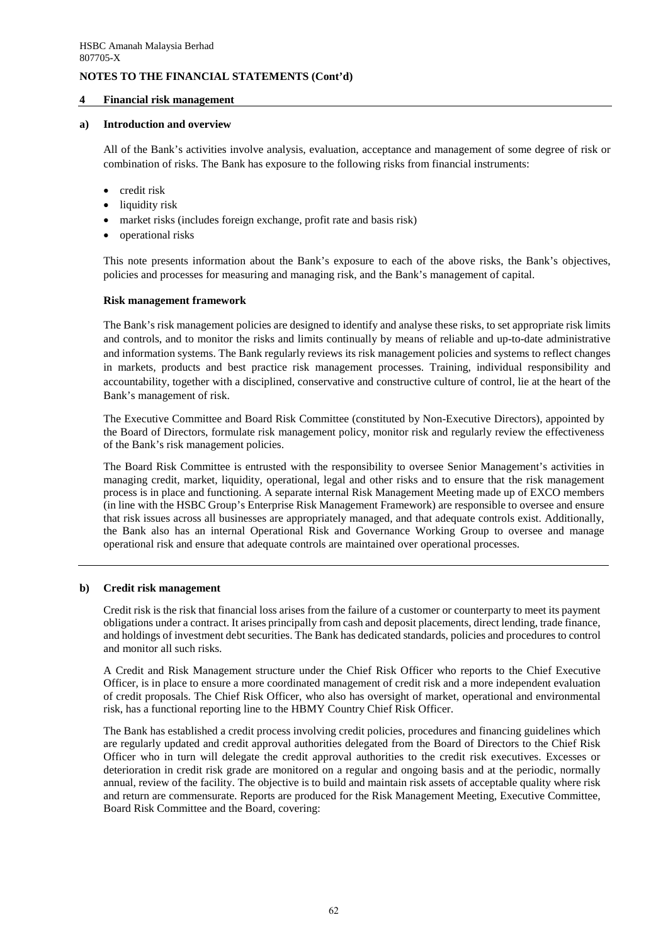### **4 Financial risk management**

### **a) Introduction and overview**

All of the Bank's activities involve analysis, evaluation, acceptance and management of some degree of risk or combination of risks. The Bank has exposure to the following risks from financial instruments:

- credit risk
- liquidity risk
- market risks (includes foreign exchange, profit rate and basis risk)
- operational risks

This note presents information about the Bank's exposure to each of the above risks, the Bank's objectives, policies and processes for measuring and managing risk, and the Bank's management of capital.

# **Risk management framework**

The Bank's risk management policies are designed to identify and analyse these risks, to set appropriate risk limits and controls, and to monitor the risks and limits continually by means of reliable and up-to-date administrative and information systems. The Bank regularly reviews its risk management policies and systems to reflect changes in markets, products and best practice risk management processes. Training, individual responsibility and accountability, together with a disciplined, conservative and constructive culture of control, lie at the heart of the Bank's management of risk.

The Executive Committee and Board Risk Committee (constituted by Non-Executive Directors), appointed by the Board of Directors, formulate risk management policy, monitor risk and regularly review the effectiveness of the Bank's risk management policies.

The Board Risk Committee is entrusted with the responsibility to oversee Senior Management's activities in managing credit, market, liquidity, operational, legal and other risks and to ensure that the risk management process is in place and functioning. A separate internal Risk Management Meeting made up of EXCO members (in line with the HSBC Group's Enterprise Risk Management Framework) are responsible to oversee and ensure that risk issues across all businesses are appropriately managed, and that adequate controls exist. Additionally, the Bank also has an internal Operational Risk and Governance Working Group to oversee and manage operational risk and ensure that adequate controls are maintained over operational processes.

# **b) Credit risk management**

Credit risk is the risk that financial loss arises from the failure of a customer or counterparty to meet its payment obligations under a contract. It arises principally from cash and deposit placements, direct lending, trade finance, and holdings of investment debt securities. The Bank has dedicated standards, policies and procedures to control and monitor all such risks.

A Credit and Risk Management structure under the Chief Risk Officer who reports to the Chief Executive Officer, is in place to ensure a more coordinated management of credit risk and a more independent evaluation of credit proposals. The Chief Risk Officer, who also has oversight of market, operational and environmental risk, has a functional reporting line to the HBMY Country Chief Risk Officer.

The Bank has established a credit process involving credit policies, procedures and financing guidelines which are regularly updated and credit approval authorities delegated from the Board of Directors to the Chief Risk Officer who in turn will delegate the credit approval authorities to the credit risk executives. Excesses or deterioration in credit risk grade are monitored on a regular and ongoing basis and at the periodic, normally annual, review of the facility. The objective is to build and maintain risk assets of acceptable quality where risk and return are commensurate. Reports are produced for the Risk Management Meeting, Executive Committee, Board Risk Committee and the Board, covering: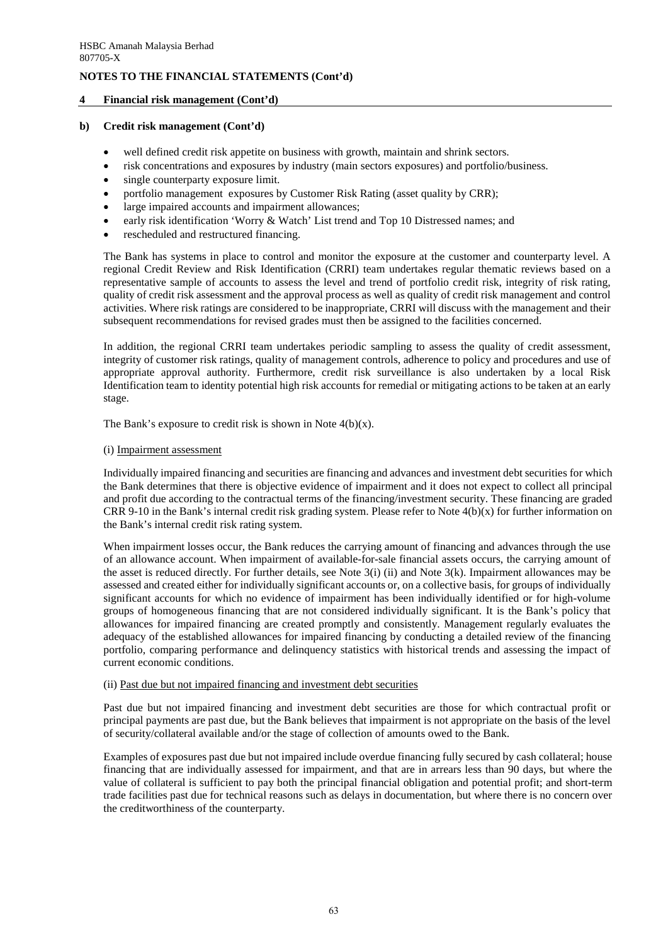## **4 Financial risk management (Cont'd)**

#### **b) Credit risk management (Cont'd)**

- well defined credit risk appetite on business with growth, maintain and shrink sectors.
- risk concentrations and exposures by industry (main sectors exposures) and portfolio/business.
- single counterparty exposure limit.
- portfolio management exposures by Customer Risk Rating (asset quality by CRR);
- large impaired accounts and impairment allowances;
- early risk identification 'Worry & Watch' List trend and Top 10 Distressed names; and
- rescheduled and restructured financing.

The Bank has systems in place to control and monitor the exposure at the customer and counterparty level. A regional Credit Review and Risk Identification (CRRI) team undertakes regular thematic reviews based on a representative sample of accounts to assess the level and trend of portfolio credit risk, integrity of risk rating, quality of credit risk assessment and the approval process as well as quality of credit risk management and control activities. Where risk ratings are considered to be inappropriate, CRRI will discuss with the management and their subsequent recommendations for revised grades must then be assigned to the facilities concerned.

In addition, the regional CRRI team undertakes periodic sampling to assess the quality of credit assessment, integrity of customer risk ratings, quality of management controls, adherence to policy and procedures and use of appropriate approval authority. Furthermore, credit risk surveillance is also undertaken by a local Risk Identification team to identity potential high risk accounts for remedial or mitigating actions to be taken at an early stage.

The Bank's exposure to credit risk is shown in Note  $4(b)(x)$ .

#### (i) Impairment assessment

Individually impaired financing and securities are financing and advances and investment debt securities for which the Bank determines that there is objective evidence of impairment and it does not expect to collect all principal and profit due according to the contractual terms of the financing/investment security. These financing are graded CRR 9-10 in the Bank's internal credit risk grading system. Please refer to Note  $4(b)(x)$  for further information on the Bank's internal credit risk rating system.

When impairment losses occur, the Bank reduces the carrying amount of financing and advances through the use of an allowance account. When impairment of available-for-sale financial assets occurs, the carrying amount of the asset is reduced directly. For further details, see Note 3(i) (ii) and Note 3(k). Impairment allowances may be assessed and created either for individually significant accounts or, on a collective basis, for groups of individually significant accounts for which no evidence of impairment has been individually identified or for high-volume groups of homogeneous financing that are not considered individually significant. It is the Bank's policy that allowances for impaired financing are created promptly and consistently. Management regularly evaluates the adequacy of the established allowances for impaired financing by conducting a detailed review of the financing portfolio, comparing performance and delinquency statistics with historical trends and assessing the impact of current economic conditions.

### (ii) Past due but not impaired financing and investment debt securities

Past due but not impaired financing and investment debt securities are those for which contractual profit or principal payments are past due, but the Bank believes that impairment is not appropriate on the basis of the level of security/collateral available and/or the stage of collection of amounts owed to the Bank.

Examples of exposures past due but not impaired include overdue financing fully secured by cash collateral; house financing that are individually assessed for impairment, and that are in arrears less than 90 days, but where the value of collateral is sufficient to pay both the principal financial obligation and potential profit; and short-term trade facilities past due for technical reasons such as delays in documentation, but where there is no concern over the creditworthiness of the counterparty.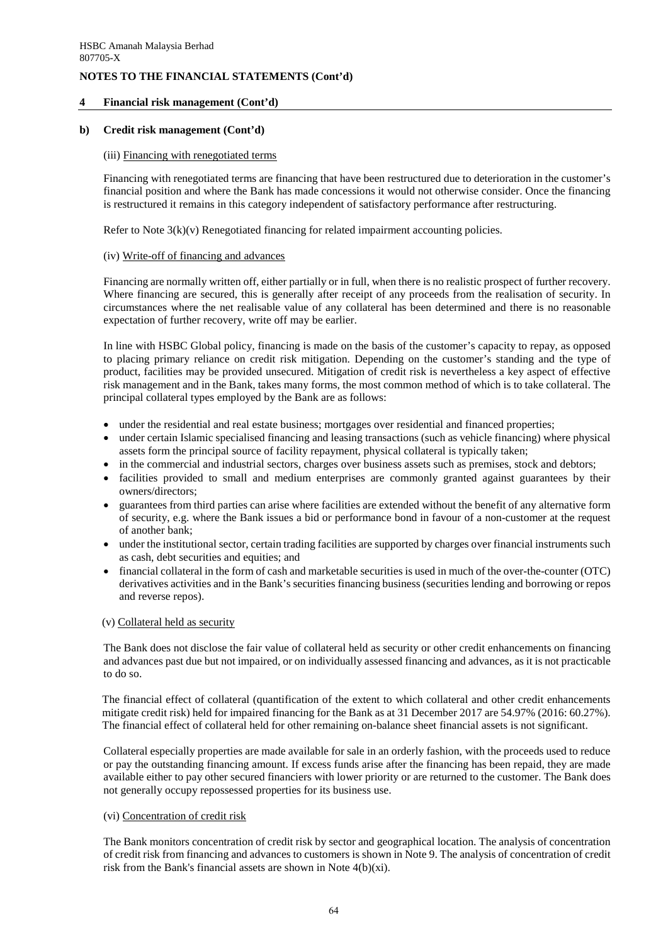# **4 Financial risk management (Cont'd)**

#### **b) Credit risk management (Cont'd)**

#### (iii) Financing with renegotiated terms

Financing with renegotiated terms are financing that have been restructured due to deterioration in the customer's financial position and where the Bank has made concessions it would not otherwise consider. Once the financing is restructured it remains in this category independent of satisfactory performance after restructuring.

Refer to Note  $3(k)(v)$  Renegotiated financing for related impairment accounting policies.

#### (iv) Write-off of financing and advances

Financing are normally written off, either partially or in full, when there is no realistic prospect of further recovery. Where financing are secured, this is generally after receipt of any proceeds from the realisation of security. In circumstances where the net realisable value of any collateral has been determined and there is no reasonable expectation of further recovery, write off may be earlier.

In line with HSBC Global policy, financing is made on the basis of the customer's capacity to repay, as opposed to placing primary reliance on credit risk mitigation. Depending on the customer's standing and the type of product, facilities may be provided unsecured. Mitigation of credit risk is nevertheless a key aspect of effective risk management and in the Bank, takes many forms, the most common method of which is to take collateral. The principal collateral types employed by the Bank are as follows:

- under the residential and real estate business; mortgages over residential and financed properties;
- under certain Islamic specialised financing and leasing transactions (such as vehicle financing) where physical assets form the principal source of facility repayment, physical collateral is typically taken;
	- in the commercial and industrial sectors, charges over business assets such as premises, stock and debtors;
- facilities provided to small and medium enterprises are commonly granted against guarantees by their owners/directors;
- guarantees from third parties can arise where facilities are extended without the benefit of any alternative form of security, e.g. where the Bank issues a bid or performance bond in favour of a non-customer at the request of another bank;
- under the institutional sector, certain trading facilities are supported by charges over financial instruments such as cash, debt securities and equities; and
- financial collateral in the form of cash and marketable securities is used in much of the over-the-counter (OTC) derivatives activities and in the Bank's securities financing business (securities lending and borrowing or repos and reverse repos).

#### (v) Collateral held as security

The Bank does not disclose the fair value of collateral held as security or other credit enhancements on financing and advances past due but not impaired, or on individually assessed financing and advances, as it is not practicable to do so.

The financial effect of collateral (quantification of the extent to which collateral and other credit enhancements mitigate credit risk) held for impaired financing for the Bank as at 31 December 2017 are 54.97% (2016: 60.27%). The financial effect of collateral held for other remaining on-balance sheet financial assets is not significant.

Collateral especially properties are made available for sale in an orderly fashion, with the proceeds used to reduce or pay the outstanding financing amount. If excess funds arise after the financing has been repaid, they are made available either to pay other secured financiers with lower priority or are returned to the customer. The Bank does not generally occupy repossessed properties for its business use.

# (vi) Concentration of credit risk

The Bank monitors concentration of credit risk by sector and geographical location. The analysis of concentration of credit risk from financing and advances to customers is shown in Note 9. The analysis of concentration of credit risk from the Bank's financial assets are shown in Note 4(b)(xi).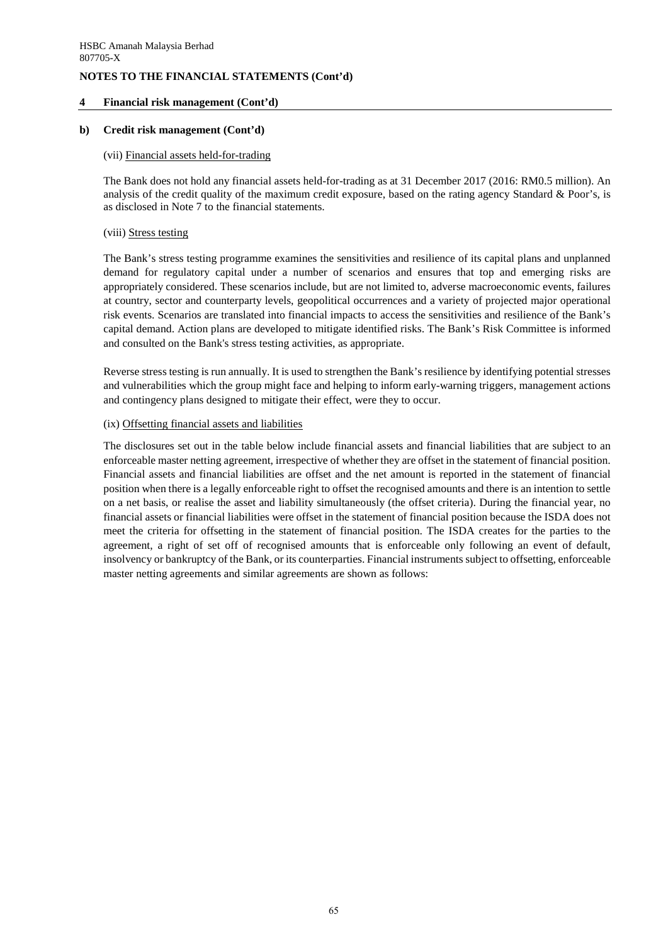# **4 Financial risk management (Cont'd)**

## **b) Credit risk management (Cont'd)**

#### (vii) Financial assets held-for-trading

The Bank does not hold any financial assets held-for-trading as at 31 December 2017 (2016: RM0.5 million). An analysis of the credit quality of the maximum credit exposure, based on the rating agency Standard & Poor's, is as disclosed in Note 7 to the financial statements.

### (viii) Stress testing

The Bank's stress testing programme examines the sensitivities and resilience of its capital plans and unplanned demand for regulatory capital under a number of scenarios and ensures that top and emerging risks are appropriately considered. These scenarios include, but are not limited to, adverse macroeconomic events, failures at country, sector and counterparty levels, geopolitical occurrences and a variety of projected major operational risk events. Scenarios are translated into financial impacts to access the sensitivities and resilience of the Bank's capital demand. Action plans are developed to mitigate identified risks. The Bank's Risk Committee is informed and consulted on the Bank's stress testing activities, as appropriate.

Reverse stress testing is run annually. It is used to strengthen the Bank's resilience by identifying potential stresses and vulnerabilities which the group might face and helping to inform early-warning triggers, management actions and contingency plans designed to mitigate their effect, were they to occur.

### (ix) Offsetting financial assets and liabilities

The disclosures set out in the table below include financial assets and financial liabilities that are subject to an enforceable master netting agreement, irrespective of whether they are offset in the statement of financial position. Financial assets and financial liabilities are offset and the net amount is reported in the statement of financial position when there is a legally enforceable right to offset the recognised amounts and there is an intention to settle on a net basis, or realise the asset and liability simultaneously (the offset criteria). During the financial year, no financial assets or financial liabilities were offset in the statement of financial position because the ISDA does not meet the criteria for offsetting in the statement of financial position. The ISDA creates for the parties to the agreement, a right of set off of recognised amounts that is enforceable only following an event of default, insolvency or bankruptcy of the Bank, or its counterparties. Financial instruments subject to offsetting, enforceable master netting agreements and similar agreements are shown as follows: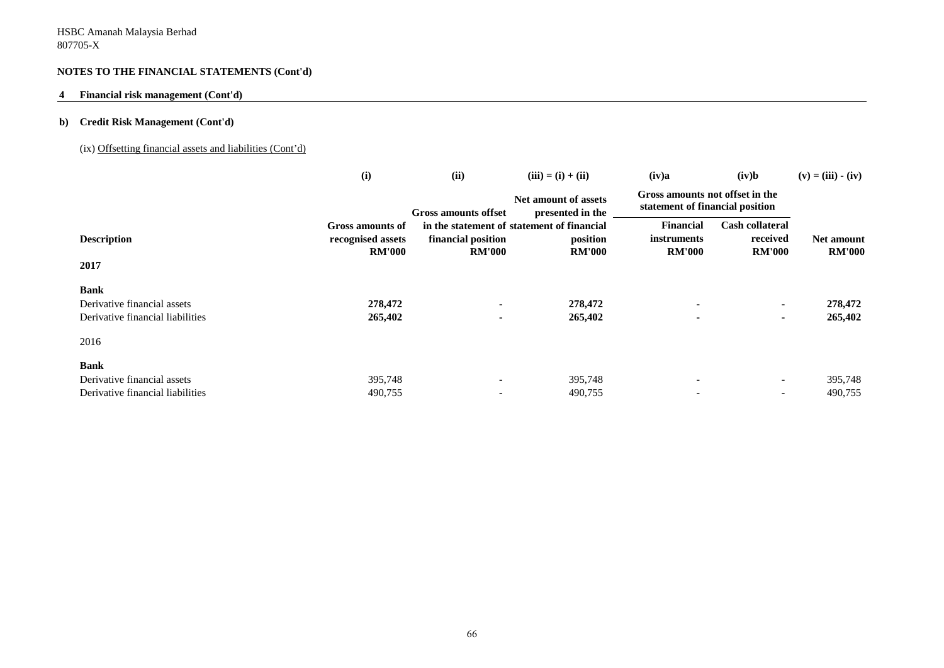# **4 Financial risk management (Cont'd)**

# **b) Credit Risk Management (Cont'd)**

# (ix) Offsetting financial assets and liabilities (Cont'd)

|                                  | (i)               | (ii)                 | $(iii) = (i) + (ii)$                       | (iv)a                                                              | (iv)b                  | $(v) = (iii) - (iv)$ |
|----------------------------------|-------------------|----------------------|--------------------------------------------|--------------------------------------------------------------------|------------------------|----------------------|
|                                  |                   | Gross amounts offset | Net amount of assets<br>presented in the   | Gross amounts not offset in the<br>statement of financial position |                        |                      |
|                                  | Gross amounts of  |                      | in the statement of statement of financial | <b>Financial</b>                                                   | <b>Cash collateral</b> |                      |
| <b>Description</b>               | recognised assets | financial position   | position                                   | <i>instruments</i>                                                 | received               | <b>Net amount</b>    |
|                                  | <b>RM'000</b>     | <b>RM'000</b>        | <b>RM'000</b>                              | <b>RM'000</b>                                                      | <b>RM'000</b>          | <b>RM'000</b>        |
| 2017                             |                   |                      |                                            |                                                                    |                        |                      |
| <b>Bank</b>                      |                   |                      |                                            |                                                                    |                        |                      |
| Derivative financial assets      | 278,472           |                      | 278,472                                    |                                                                    | $\blacksquare$         | 278,472              |
| Derivative financial liabilities | 265,402           | $\blacksquare$       | 265,402                                    |                                                                    | $\blacksquare$         | 265,402              |
| 2016                             |                   |                      |                                            |                                                                    |                        |                      |
| <b>Bank</b>                      |                   |                      |                                            |                                                                    |                        |                      |
| Derivative financial assets      | 395,748           |                      | 395,748                                    |                                                                    | $\blacksquare$         | 395,748              |
| Derivative financial liabilities | 490,755           |                      | 490,755                                    |                                                                    |                        | 490,755              |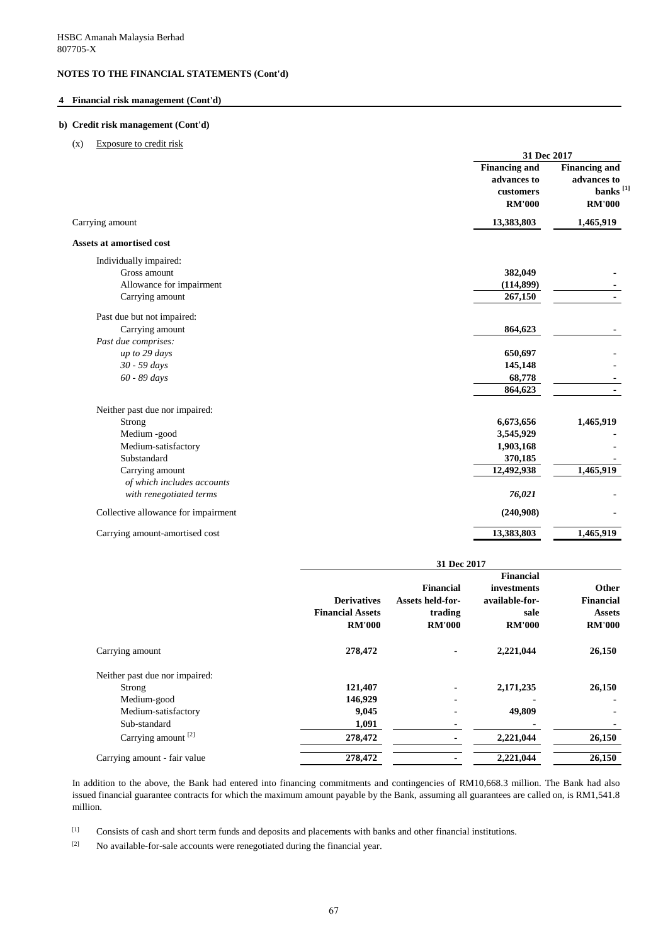#### **4 Financial risk management (Cont'd)**

#### **b) Credit risk management (Cont'd)**

(x) Exposure to credit risk

|                                     | 31 Dec 2017                                                       |                                                                              |
|-------------------------------------|-------------------------------------------------------------------|------------------------------------------------------------------------------|
|                                     | <b>Financing and</b><br>advances to<br>customers<br><b>RM'000</b> | <b>Financing and</b><br>advances to<br>banks <sup>[1]</sup><br><b>RM'000</b> |
| Carrying amount                     | 13,383,803                                                        | 1,465,919                                                                    |
| Assets at amortised cost            |                                                                   |                                                                              |
| Individually impaired:              |                                                                   |                                                                              |
| Gross amount                        | 382,049                                                           |                                                                              |
| Allowance for impairment            | (114, 899)                                                        |                                                                              |
| Carrying amount                     | 267,150                                                           |                                                                              |
| Past due but not impaired:          |                                                                   |                                                                              |
| Carrying amount                     | 864,623                                                           |                                                                              |
| Past due comprises:                 |                                                                   |                                                                              |
| up to 29 days                       | 650,697                                                           |                                                                              |
| 30 - 59 days                        | 145,148                                                           |                                                                              |
| 60 - 89 days                        | 68,778                                                            |                                                                              |
|                                     | 864,623                                                           |                                                                              |
| Neither past due nor impaired:      |                                                                   |                                                                              |
| Strong                              | 6,673,656                                                         | 1,465,919                                                                    |
| Medium -good                        | 3,545,929                                                         |                                                                              |
| Medium-satisfactory                 | 1,903,168                                                         |                                                                              |
| Substandard                         | 370,185                                                           |                                                                              |
| Carrying amount                     | 12,492,938                                                        | 1,465,919                                                                    |
| of which includes accounts          |                                                                   |                                                                              |
| with renegotiated terms             | 76,021                                                            |                                                                              |
| Collective allowance for impairment | (240,908)                                                         |                                                                              |
| Carrying amount-amortised cost      | 13,383,803                                                        | 1,465,919                                                                    |

|                                |                                                                | 31 Dec 2017                                                             |                                                                            |                                                             |  |  |  |  |
|--------------------------------|----------------------------------------------------------------|-------------------------------------------------------------------------|----------------------------------------------------------------------------|-------------------------------------------------------------|--|--|--|--|
|                                | <b>Derivatives</b><br><b>Financial Assets</b><br><b>RM'000</b> | <b>Financial</b><br><b>Assets held-for-</b><br>trading<br><b>RM'000</b> | <b>Financial</b><br>investments<br>available-for-<br>sale<br><b>RM'000</b> | Other<br><b>Financial</b><br><b>Assets</b><br><b>RM'000</b> |  |  |  |  |
| Carrying amount                | 278,472                                                        |                                                                         | 2,221,044                                                                  | 26,150                                                      |  |  |  |  |
| Neither past due nor impaired: |                                                                |                                                                         |                                                                            |                                                             |  |  |  |  |
| Strong                         | 121,407                                                        | ٠                                                                       | 2,171,235                                                                  | 26,150                                                      |  |  |  |  |
| Medium-good                    | 146,929                                                        |                                                                         |                                                                            |                                                             |  |  |  |  |
| Medium-satisfactory            | 9,045                                                          |                                                                         | 49,809                                                                     |                                                             |  |  |  |  |
| Sub-standard                   | 1,091                                                          | ۰                                                                       |                                                                            |                                                             |  |  |  |  |
| Carrying amount <sup>[2]</sup> | 278,472                                                        |                                                                         | 2,221,044                                                                  | 26,150                                                      |  |  |  |  |
| Carrying amount - fair value   | 278,472                                                        |                                                                         | 2,221,044                                                                  | 26,150                                                      |  |  |  |  |

In addition to the above, the Bank had entered into financing commitments and contingencies of RM10,668.3 million. The Bank had also issued financial guarantee contracts for which the maximum amount payable by the Bank, assuming all guarantees are called on, is RM1,541.8 million.

[1] Consists of cash and short term funds and deposits and placements with banks and other financial institutions.

[2] No available-for-sale accounts were renegotiated during the financial year.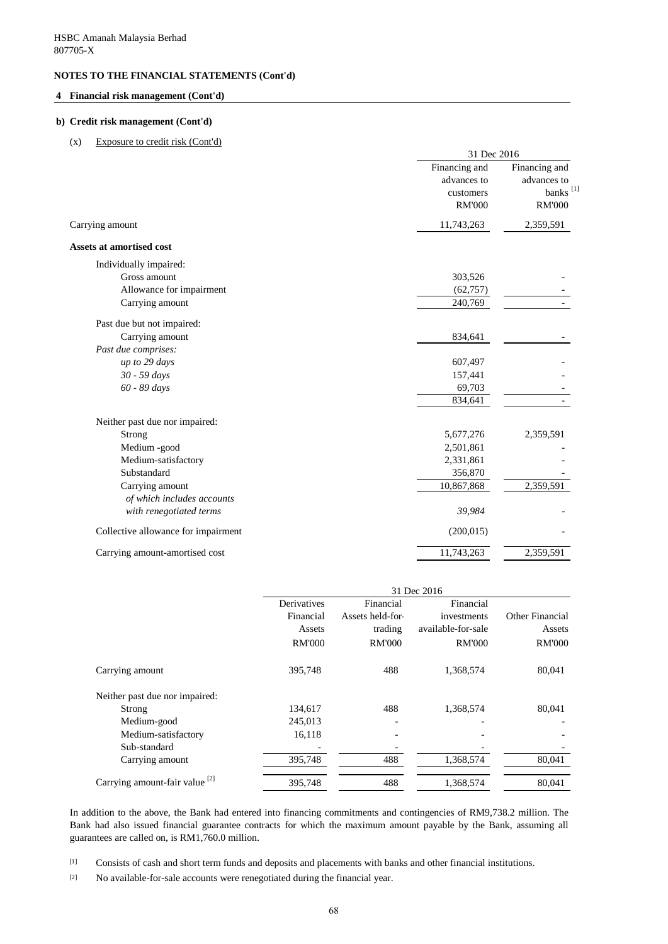### **4 Financial risk management (Cont'd)**

#### **b) Credit risk management (Cont'd)**

#### (x) Exposure to credit risk (Cont'd)

|                                     | 31 Dec 2016                                                |                                                                       |  |  |  |
|-------------------------------------|------------------------------------------------------------|-----------------------------------------------------------------------|--|--|--|
|                                     | Financing and<br>advances to<br>customers<br><b>RM'000</b> | Financing and<br>advances to<br>banks <sup>[1]</sup><br><b>RM'000</b> |  |  |  |
| Carrying amount                     | 11,743,263                                                 | 2,359,591                                                             |  |  |  |
| Assets at amortised cost            |                                                            |                                                                       |  |  |  |
| Individually impaired:              |                                                            |                                                                       |  |  |  |
| Gross amount                        | 303,526                                                    |                                                                       |  |  |  |
| Allowance for impairment            | (62, 757)                                                  |                                                                       |  |  |  |
| Carrying amount                     | 240,769                                                    |                                                                       |  |  |  |
| Past due but not impaired:          |                                                            |                                                                       |  |  |  |
| Carrying amount                     | 834,641                                                    |                                                                       |  |  |  |
| Past due comprises:                 |                                                            |                                                                       |  |  |  |
| up to 29 days                       | 607,497                                                    |                                                                       |  |  |  |
| 30 - 59 days                        | 157,441                                                    |                                                                       |  |  |  |
| 60 - 89 days                        | 69,703                                                     |                                                                       |  |  |  |
|                                     | 834,641                                                    |                                                                       |  |  |  |
| Neither past due nor impaired:      |                                                            |                                                                       |  |  |  |
| Strong                              | 5,677,276                                                  | 2,359,591                                                             |  |  |  |
| Medium -good                        | 2,501,861                                                  |                                                                       |  |  |  |
| Medium-satisfactory                 | 2,331,861                                                  |                                                                       |  |  |  |
| Substandard                         | 356,870                                                    |                                                                       |  |  |  |
| Carrying amount                     | 10,867,868                                                 | 2,359,591                                                             |  |  |  |
| of which includes accounts          |                                                            |                                                                       |  |  |  |
| with renegotiated terms             | 39,984                                                     |                                                                       |  |  |  |
| Collective allowance for impairment | (200, 015)                                                 |                                                                       |  |  |  |
| Carrying amount-amortised cost      | 11,743,263                                                 | 2,359,591                                                             |  |  |  |
|                                     |                                                            |                                                                       |  |  |  |

|                                           | 31 Dec 2016   |                  |                    |                 |  |  |  |  |
|-------------------------------------------|---------------|------------------|--------------------|-----------------|--|--|--|--|
|                                           | Derivatives   | Financial        | Financial          |                 |  |  |  |  |
|                                           | Financial     | Assets held-for- | investments        | Other Financial |  |  |  |  |
|                                           | Assets        | trading          | available-for-sale | Assets          |  |  |  |  |
|                                           | <b>RM'000</b> | <b>RM'000</b>    | <b>RM'000</b>      | <b>RM'000</b>   |  |  |  |  |
| Carrying amount                           | 395,748       | 488              | 1,368,574          | 80,041          |  |  |  |  |
| Neither past due nor impaired:            |               |                  |                    |                 |  |  |  |  |
| Strong                                    | 134,617       | 488              | 1,368,574          | 80,041          |  |  |  |  |
| Medium-good                               | 245,013       |                  |                    |                 |  |  |  |  |
| Medium-satisfactory                       | 16,118        |                  |                    |                 |  |  |  |  |
| Sub-standard                              |               |                  |                    |                 |  |  |  |  |
| Carrying amount                           | 395,748       | 488              | 1,368,574          | 80,041          |  |  |  |  |
| Carrying amount-fair value <sup>[2]</sup> | 395.748       | 488              | 1,368,574          | 80.041          |  |  |  |  |

In addition to the above, the Bank had entered into financing commitments and contingencies of RM9,738.2 million. The Bank had also issued financial guarantee contracts for which the maximum amount payable by the Bank, assuming all guarantees are called on, is RM1,760.0 million.

[1] Consists of cash and short term funds and deposits and placements with banks and other financial institutions.

[2] No available-for-sale accounts were renegotiated during the financial year.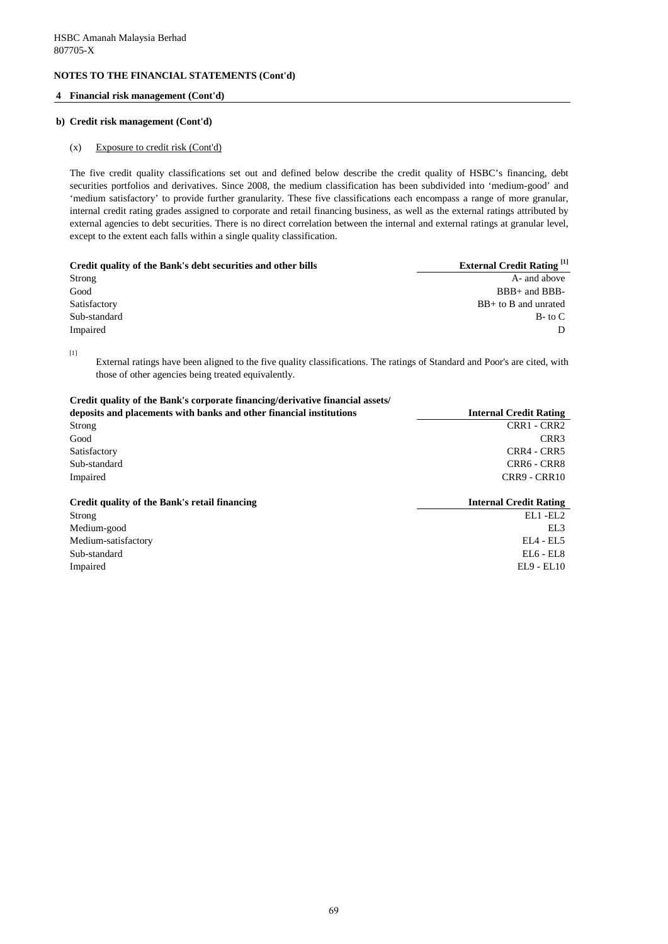#### **4 Financial risk management (Cont'd)**

#### **b) Credit risk management (Cont'd)**

#### (x) Exposure to credit risk (Cont'd)

The five credit quality classifications set out and defined below describe the credit quality of HSBC's financing, debt securities portfolios and derivatives. Since 2008, the medium classification has been subdivided into 'medium-good' and 'medium satisfactory' to provide further granularity. These five classifications each encompass a range of more granular, internal credit rating grades assigned to corporate and retail financing business, as well as the external ratings attributed by external agencies to debt securities. There is no direct correlation between the internal and external ratings at granular level, except to the extent each falls within a single quality classification.

| Credit quality of the Bank's debt securities and other bills | <b>External Credit Rating</b> <sup>[1]</sup> |  |  |
|--------------------------------------------------------------|----------------------------------------------|--|--|
| Strong                                                       | A- and above                                 |  |  |
| Good                                                         | $BBB+$ and $BBB-$                            |  |  |
| Satisfactory                                                 | $BB+$ to B and unrated                       |  |  |
| Sub-standard                                                 | $B$ - to $C$                                 |  |  |
| Impaired                                                     |                                              |  |  |

 $[1] % \begin{center} \includegraphics[width=\linewidth]{imagesSupplemental_3.png} \end{center} % \vspace*{-1em} \caption{The image shows the number of nodes of the two times, and the number of nodes of the two times.} \label{fig:example} %$ 

External ratings have been aligned to the five quality classifications. The ratings of Standard and Poor's are cited, with those of other agencies being treated equivalently.

## **Credit quality of the Bank's corporate financing/derivative financial assets/**

| deposits and placements with banks and other financial institutions | <b>Internal Credit Rating</b><br>CRR1 - CRR2<br>CRR <sub>3</sub> |  |  |
|---------------------------------------------------------------------|------------------------------------------------------------------|--|--|
| Strong                                                              |                                                                  |  |  |
| Good                                                                |                                                                  |  |  |
| Satisfactory                                                        | CRR4 - CRR5                                                      |  |  |
| Sub-standard                                                        | CRR6 - CRR8                                                      |  |  |
| Impaired                                                            | CRR9 - CRR10                                                     |  |  |
| Credit quality of the Bank's retail financing                       | <b>Internal Credit Rating</b>                                    |  |  |
| Strong                                                              | EL1-EL2                                                          |  |  |
| Medium-good                                                         | EL3                                                              |  |  |
| Medium-satisfactory                                                 | $EL4$ - $EL5$                                                    |  |  |

Sub-standard EL6 - EL8 Impaired EL9 - EL10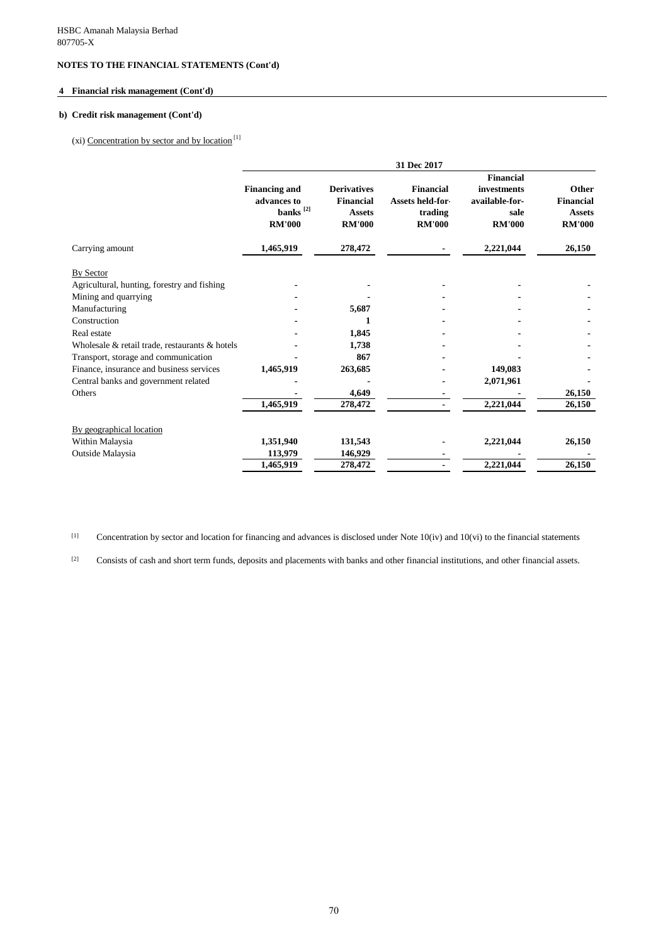# **4 Financial risk management (Cont'd)**

# **b) Credit risk management (Cont'd)**

(xi) Concentration by sector and by location $^{[1]}$ 

|                                                | 31 Dec 2017                                                            |                                                                   |                                                                  |                                                                            |                                                             |  |
|------------------------------------------------|------------------------------------------------------------------------|-------------------------------------------------------------------|------------------------------------------------------------------|----------------------------------------------------------------------------|-------------------------------------------------------------|--|
|                                                | <b>Financing and</b><br>advances to<br>banks $^{[2]}$<br><b>RM'000</b> | <b>Derivatives</b><br>Financial<br><b>Assets</b><br><b>RM'000</b> | Financial<br><b>Assets held-for-</b><br>trading<br><b>RM'000</b> | <b>Financial</b><br>investments<br>available-for-<br>sale<br><b>RM'000</b> | Other<br><b>Financial</b><br><b>Assets</b><br><b>RM'000</b> |  |
| Carrying amount                                | 1,465,919                                                              | 278,472                                                           |                                                                  | 2,221,044                                                                  | 26,150                                                      |  |
| By Sector                                      |                                                                        |                                                                   |                                                                  |                                                                            |                                                             |  |
| Agricultural, hunting, forestry and fishing    |                                                                        |                                                                   |                                                                  |                                                                            |                                                             |  |
| Mining and quarrying                           |                                                                        |                                                                   |                                                                  |                                                                            |                                                             |  |
| Manufacturing                                  |                                                                        | 5,687                                                             |                                                                  |                                                                            |                                                             |  |
| Construction                                   |                                                                        | 1                                                                 |                                                                  |                                                                            |                                                             |  |
| Real estate                                    |                                                                        | 1,845                                                             |                                                                  |                                                                            |                                                             |  |
| Wholesale & retail trade, restaurants & hotels |                                                                        | 1,738                                                             |                                                                  |                                                                            |                                                             |  |
| Transport, storage and communication           |                                                                        | 867                                                               |                                                                  |                                                                            |                                                             |  |
| Finance, insurance and business services       | 1,465,919                                                              | 263,685                                                           |                                                                  | 149,083                                                                    |                                                             |  |
| Central banks and government related           |                                                                        |                                                                   |                                                                  | 2,071,961                                                                  |                                                             |  |
| Others                                         |                                                                        | 4,649                                                             |                                                                  |                                                                            | 26,150                                                      |  |
|                                                | 1,465,919                                                              | 278,472                                                           |                                                                  | 2,221,044                                                                  | 26,150                                                      |  |
| By geographical location                       |                                                                        |                                                                   |                                                                  |                                                                            |                                                             |  |
| Within Malaysia                                | 1,351,940                                                              | 131,543                                                           |                                                                  | 2,221,044                                                                  | 26,150                                                      |  |
| Outside Malaysia                               | 113,979                                                                | 146,929                                                           |                                                                  |                                                                            |                                                             |  |
|                                                | 1,465,919                                                              | 278,472                                                           |                                                                  | 2,221,044                                                                  | 26,150                                                      |  |

[1] Concentration by sector and location for financing and advances is disclosed under Note  $10(iv)$  and  $10(vi)$  to the financial statements

[2] Consists of cash and short term funds, deposits and placements with banks and other financial institutions, and other financial assets.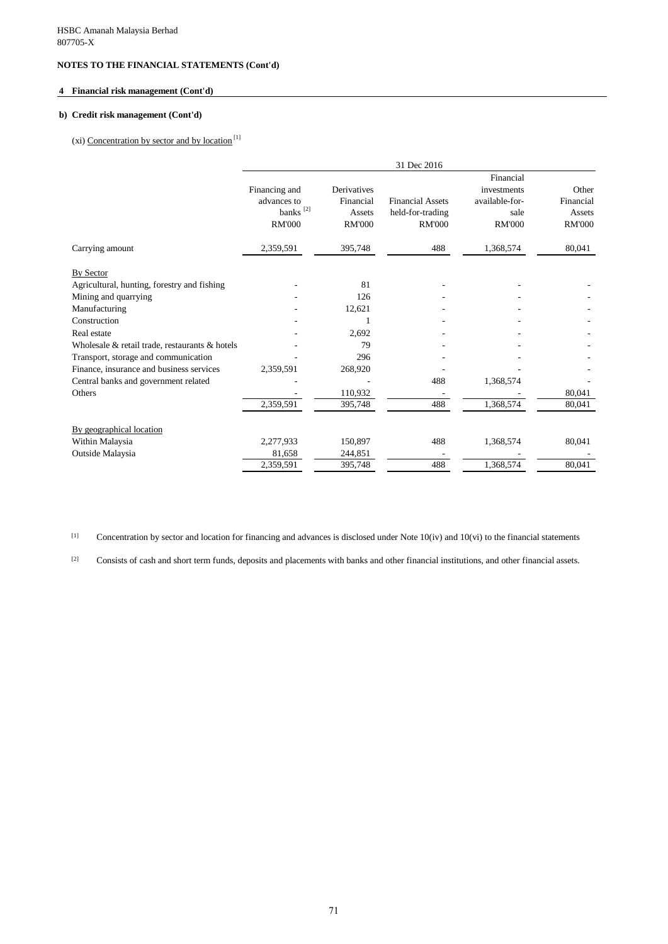### **4 Financial risk management (Cont'd)**

## **b) Credit risk management (Cont'd)**

# (xi) Concentration by sector and by location $^{[1]}$

|                                                |                                                                       |                                                     | 31 Dec 2016                                                  |                                                                     |                                               |
|------------------------------------------------|-----------------------------------------------------------------------|-----------------------------------------------------|--------------------------------------------------------------|---------------------------------------------------------------------|-----------------------------------------------|
|                                                | Financing and<br>advances to<br>banks <sup>[2]</sup><br><b>RM'000</b> | Derivatives<br>Financial<br>Assets<br><b>RM'000</b> | <b>Financial Assets</b><br>held-for-trading<br><b>RM'000</b> | Financial<br>investments<br>available-for-<br>sale<br><b>RM'000</b> | Other<br>Financial<br>Assets<br><b>RM'000</b> |
| Carrying amount                                | 2,359,591                                                             | 395,748                                             | 488                                                          | 1,368,574                                                           | 80,041                                        |
| By Sector                                      |                                                                       |                                                     |                                                              |                                                                     |                                               |
| Agricultural, hunting, forestry and fishing    |                                                                       | 81                                                  |                                                              |                                                                     |                                               |
| Mining and quarrying                           |                                                                       | 126                                                 |                                                              |                                                                     |                                               |
| Manufacturing                                  |                                                                       | 12,621                                              |                                                              |                                                                     |                                               |
| Construction                                   |                                                                       |                                                     |                                                              |                                                                     |                                               |
| Real estate                                    |                                                                       | 2,692                                               |                                                              |                                                                     |                                               |
| Wholesale & retail trade, restaurants & hotels |                                                                       | 79                                                  |                                                              |                                                                     |                                               |
| Transport, storage and communication           |                                                                       | 296                                                 |                                                              |                                                                     |                                               |
| Finance, insurance and business services       | 2,359,591                                                             | 268,920                                             |                                                              |                                                                     |                                               |
| Central banks and government related           |                                                                       |                                                     | 488                                                          | 1,368,574                                                           |                                               |
| Others                                         |                                                                       | 110,932                                             |                                                              |                                                                     | 80,041                                        |
|                                                | 2,359,591                                                             | 395,748                                             | 488                                                          | 1,368,574                                                           | 80,041                                        |
| By geographical location                       |                                                                       |                                                     |                                                              |                                                                     |                                               |
| Within Malaysia                                | 2,277,933                                                             | 150,897                                             | 488                                                          | 1,368,574                                                           | 80,041                                        |
| Outside Malaysia                               | 81,658                                                                | 244,851                                             |                                                              |                                                                     |                                               |
|                                                | 2,359,591                                                             | 395,748                                             | 488                                                          | 1,368,574                                                           | 80,041                                        |

[1] Concentration by sector and location for financing and advances is disclosed under Note 10(iv) and 10(vi) to the financial statements

[2] Consists of cash and short term funds, deposits and placements with banks and other financial institutions, and other financial assets.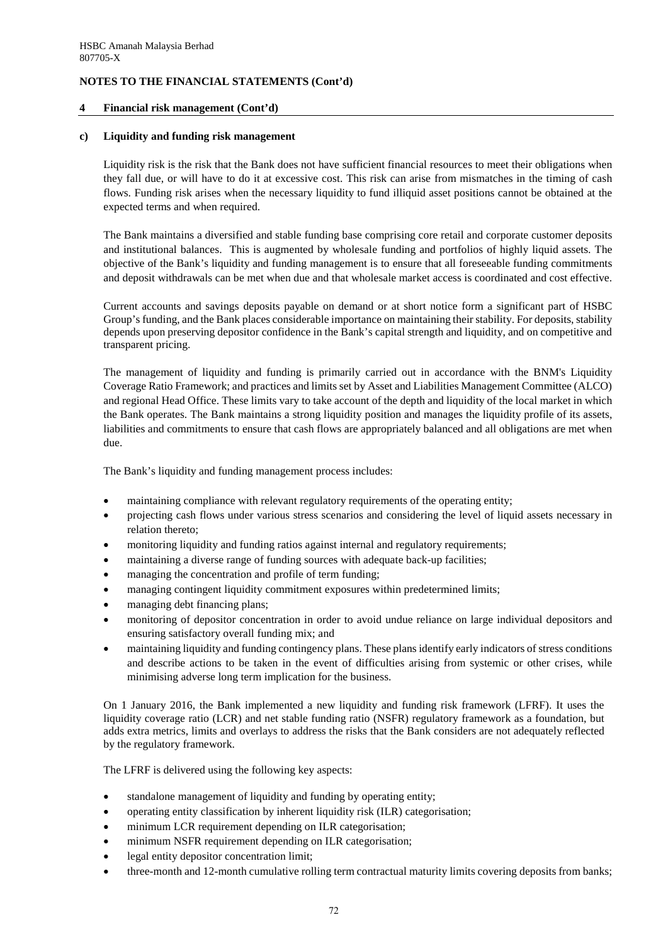#### **4 Financial risk management (Cont'd)**

#### **c) Liquidity and funding risk management**

Liquidity risk is the risk that the Bank does not have sufficient financial resources to meet their obligations when they fall due, or will have to do it at excessive cost. This risk can arise from mismatches in the timing of cash flows. Funding risk arises when the necessary liquidity to fund illiquid asset positions cannot be obtained at the expected terms and when required.

The Bank maintains a diversified and stable funding base comprising core retail and corporate customer deposits and institutional balances. This is augmented by wholesale funding and portfolios of highly liquid assets. The objective of the Bank's liquidity and funding management is to ensure that all foreseeable funding commitments and deposit withdrawals can be met when due and that wholesale market access is coordinated and cost effective.

Current accounts and savings deposits payable on demand or at short notice form a significant part of HSBC Group's funding, and the Bank places considerable importance on maintaining their stability. For deposits, stability depends upon preserving depositor confidence in the Bank's capital strength and liquidity, and on competitive and transparent pricing.

The management of liquidity and funding is primarily carried out in accordance with the BNM's Liquidity Coverage Ratio Framework; and practices and limits set by Asset and Liabilities Management Committee (ALCO) and regional Head Office. These limits vary to take account of the depth and liquidity of the local market in which the Bank operates. The Bank maintains a strong liquidity position and manages the liquidity profile of its assets, liabilities and commitments to ensure that cash flows are appropriately balanced and all obligations are met when due.

The Bank's liquidity and funding management process includes:

- maintaining compliance with relevant regulatory requirements of the operating entity;
- projecting cash flows under various stress scenarios and considering the level of liquid assets necessary in relation thereto;
- monitoring liquidity and funding ratios against internal and regulatory requirements;
- maintaining a diverse range of funding sources with adequate back-up facilities;
- managing the concentration and profile of term funding;
- managing contingent liquidity commitment exposures within predetermined limits;
- managing debt financing plans;
- monitoring of depositor concentration in order to avoid undue reliance on large individual depositors and ensuring satisfactory overall funding mix; and
- maintaining liquidity and funding contingency plans. These plans identify early indicators of stress conditions and describe actions to be taken in the event of difficulties arising from systemic or other crises, while minimising adverse long term implication for the business.

On 1 January 2016, the Bank implemented a new liquidity and funding risk framework (LFRF). It uses the liquidity coverage ratio (LCR) and net stable funding ratio (NSFR) regulatory framework as a foundation, but adds extra metrics, limits and overlays to address the risks that the Bank considers are not adequately reflected by the regulatory framework.

The LFRF is delivered using the following key aspects:

- standalone management of liquidity and funding by operating entity;
- operating entity classification by inherent liquidity risk (ILR) categorisation;
- minimum LCR requirement depending on ILR categorisation;
- minimum NSFR requirement depending on ILR categorisation;
- legal entity depositor concentration limit;
- three-month and 12-month cumulative rolling term contractual maturity limits covering deposits from banks;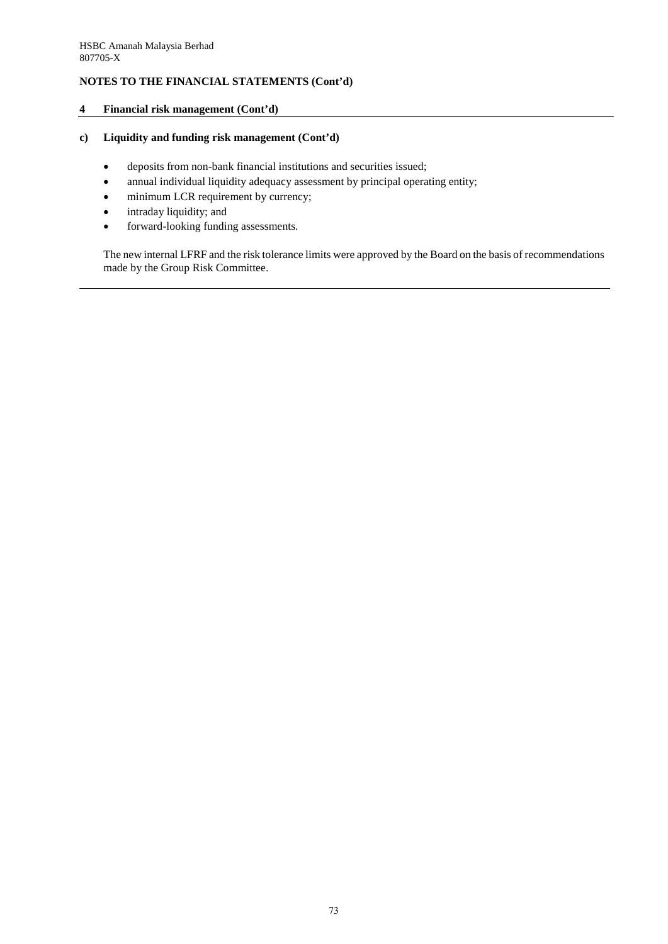## **4 Financial risk management (Cont'd)**

## **c) Liquidity and funding risk management (Cont'd)**

- deposits from non-bank financial institutions and securities issued;
- annual individual liquidity adequacy assessment by principal operating entity;
- minimum LCR requirement by currency;
- intraday liquidity; and
- forward-looking funding assessments.

The new internal LFRF and the risk tolerance limits were approved by the Board on the basis of recommendations made by the Group Risk Committee.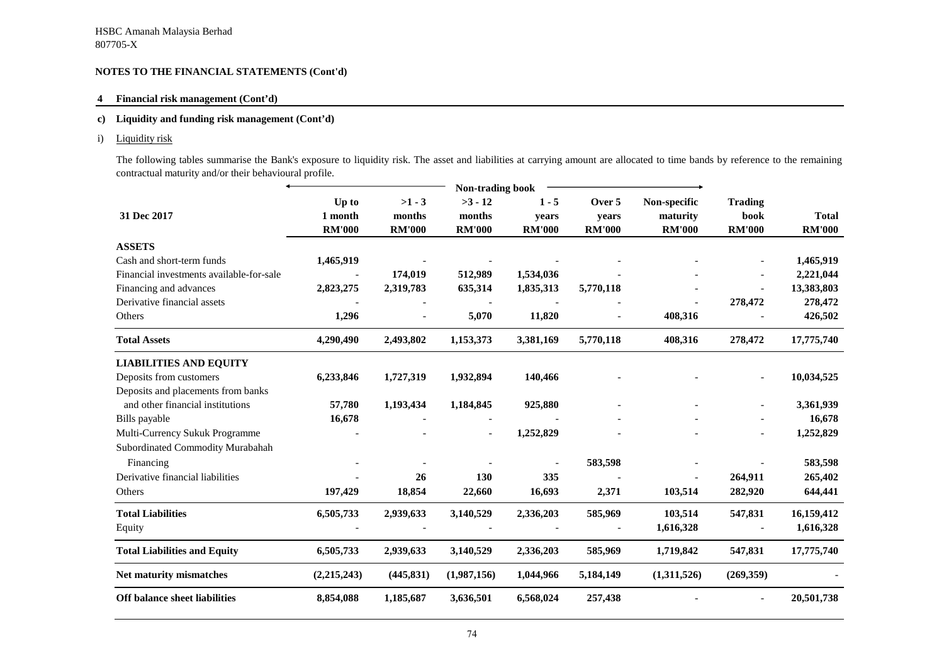### **4 Financial risk management (Cont'd)**

### **c) Liquidity and funding risk management (Cont'd)**

i) Liquidity risk

The following tables summarise the Bank's exposure to liquidity risk. The asset and liabilities at carrying amount are allocated to time bands by reference to the remaining contractual maturity and/or their behavioural profile.

|                                          | Non-trading book |               |                          |               |                          |               |                          |               |
|------------------------------------------|------------------|---------------|--------------------------|---------------|--------------------------|---------------|--------------------------|---------------|
|                                          | Up to            | $>1 - 3$      | $>3 - 12$                | $1 - 5$       | Over 5                   | Non-specific  | <b>Trading</b>           |               |
| 31 Dec 2017                              | 1 month          | months        | months                   | vears         | years                    | maturity      | book                     | <b>Total</b>  |
|                                          | <b>RM'000</b>    | <b>RM'000</b> | <b>RM'000</b>            | <b>RM'000</b> | <b>RM'000</b>            | <b>RM'000</b> | <b>RM'000</b>            | <b>RM'000</b> |
| <b>ASSETS</b>                            |                  |               |                          |               |                          |               |                          |               |
| Cash and short-term funds                | 1,465,919        |               |                          |               |                          |               |                          | 1,465,919     |
| Financial investments available-for-sale | $\overline{a}$   | 174,019       | 512,989                  | 1,534,036     |                          |               | $\overline{\phantom{0}}$ | 2,221,044     |
| Financing and advances                   | 2,823,275        | 2,319,783     | 635,314                  | 1,835,313     | 5,770,118                |               |                          | 13,383,803    |
| Derivative financial assets              |                  |               |                          |               |                          |               | 278,472                  | 278,472       |
| Others                                   | 1,296            |               | 5,070                    | 11,820        | $\overline{\phantom{a}}$ | 408,316       |                          | 426,502       |
| <b>Total Assets</b>                      | 4,290,490        | 2,493,802     | 1,153,373                | 3,381,169     | 5,770,118                | 408,316       | 278,472                  | 17,775,740    |
| <b>LIABILITIES AND EQUITY</b>            |                  |               |                          |               |                          |               |                          |               |
| Deposits from customers                  | 6,233,846        | 1,727,319     | 1,932,894                | 140,466       |                          |               | $\overline{\phantom{a}}$ | 10,034,525    |
| Deposits and placements from banks       |                  |               |                          |               |                          |               |                          |               |
| and other financial institutions         | 57,780           | 1,193,434     | 1,184,845                | 925,880       |                          |               |                          | 3,361,939     |
| Bills payable                            | 16,678           |               |                          |               |                          |               |                          | 16,678        |
| Multi-Currency Sukuk Programme           |                  |               | $\overline{\phantom{0}}$ | 1,252,829     |                          |               |                          | 1,252,829     |
| Subordinated Commodity Murabahah         |                  |               |                          |               |                          |               |                          |               |
| Financing                                |                  |               |                          |               | 583,598                  |               |                          | 583,598       |
| Derivative financial liabilities         |                  | 26            | 130                      | 335           |                          |               | 264,911                  | 265,402       |
| Others                                   | 197,429          | 18,854        | 22,660                   | 16,693        | 2,371                    | 103,514       | 282,920                  | 644,441       |
| <b>Total Liabilities</b>                 | 6,505,733        | 2,939,633     | 3,140,529                | 2,336,203     | 585,969                  | 103,514       | 547,831                  | 16,159,412    |
| Equity                                   |                  |               |                          |               |                          | 1,616,328     |                          | 1,616,328     |
| <b>Total Liabilities and Equity</b>      | 6,505,733        | 2,939,633     | 3,140,529                | 2,336,203     | 585,969                  | 1,719,842     | 547,831                  | 17,775,740    |
| Net maturity mismatches                  | (2,215,243)      | (445, 831)    | (1,987,156)              | 1,044,966     | 5,184,149                | (1,311,526)   | (269,359)                |               |
| <b>Off balance sheet liabilities</b>     | 8,854,088        | 1,185,687     | 3,636,501                | 6,568,024     | 257,438                  |               | $\overline{\phantom{a}}$ | 20,501,738    |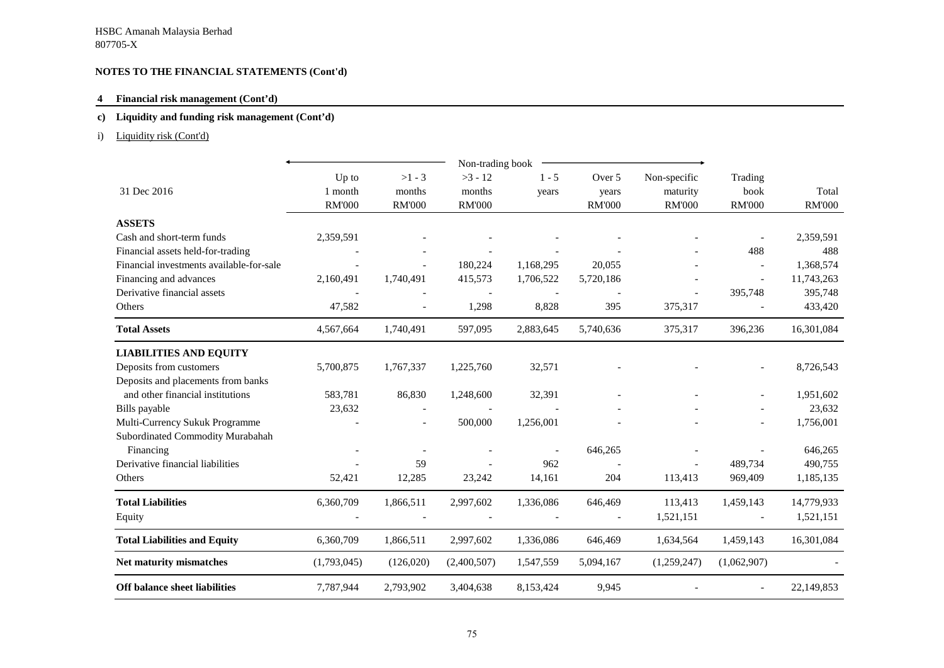### **4 Financial risk management (Cont'd)**

### **c) Liquidity and funding risk management (Cont'd)**

## i) Liquidity risk (Cont'd)

|                                          |                                   |                                     | Non-trading book                     |                  |                                  |                                           |                                  |                        |
|------------------------------------------|-----------------------------------|-------------------------------------|--------------------------------------|------------------|----------------------------------|-------------------------------------------|----------------------------------|------------------------|
| 31 Dec 2016                              | Up to<br>1 month<br><b>RM'000</b> | $>1 - 3$<br>months<br><b>RM'000</b> | $>3 - 12$<br>months<br><b>RM'000</b> | $1 - 5$<br>years | Over 5<br>years<br><b>RM'000</b> | Non-specific<br>maturity<br><b>RM'000</b> | Trading<br>book<br><b>RM'000</b> | Total<br><b>RM'000</b> |
| <b>ASSETS</b>                            |                                   |                                     |                                      |                  |                                  |                                           |                                  |                        |
| Cash and short-term funds                | 2,359,591                         |                                     |                                      |                  |                                  |                                           |                                  | 2,359,591              |
| Financial assets held-for-trading        |                                   |                                     |                                      |                  |                                  |                                           | 488                              | 488                    |
| Financial investments available-for-sale |                                   |                                     | 180,224                              | 1,168,295        | 20,055                           |                                           |                                  | 1,368,574              |
| Financing and advances                   | 2,160,491                         | 1,740,491                           | 415,573                              | 1,706,522        | 5,720,186                        |                                           | $\overline{\phantom{a}}$         | 11,743,263             |
| Derivative financial assets              |                                   |                                     |                                      |                  |                                  |                                           | 395,748                          | 395,748                |
| Others                                   | 47,582                            |                                     | 1,298                                | 8,828            | 395                              | 375,317                                   |                                  | 433,420                |
| <b>Total Assets</b>                      | 4,567,664                         | 1,740,491                           | 597,095                              | 2,883,645        | 5,740,636                        | 375,317                                   | 396,236                          | 16,301,084             |
| <b>LIABILITIES AND EQUITY</b>            |                                   |                                     |                                      |                  |                                  |                                           |                                  |                        |
| Deposits from customers                  | 5,700,875                         | 1,767,337                           | 1,225,760                            | 32,571           |                                  |                                           |                                  | 8,726,543              |
| Deposits and placements from banks       |                                   |                                     |                                      |                  |                                  |                                           |                                  |                        |
| and other financial institutions         | 583,781                           | 86,830                              | 1,248,600                            | 32,391           |                                  |                                           |                                  | 1,951,602              |
| Bills payable                            | 23,632                            |                                     |                                      |                  |                                  |                                           |                                  | 23,632                 |
| Multi-Currency Sukuk Programme           |                                   |                                     | 500,000                              | 1,256,001        |                                  |                                           |                                  | 1,756,001              |
| Subordinated Commodity Murabahah         |                                   |                                     |                                      |                  |                                  |                                           |                                  |                        |
| Financing                                |                                   |                                     |                                      |                  | 646,265                          |                                           |                                  | 646,265                |
| Derivative financial liabilities         |                                   | 59                                  |                                      | 962              |                                  |                                           | 489,734                          | 490,755                |
| Others                                   | 52,421                            | 12,285                              | 23,242                               | 14,161           | 204                              | 113,413                                   | 969,409                          | 1,185,135              |
| <b>Total Liabilities</b>                 | 6,360,709                         | 1,866,511                           | 2,997,602                            | 1,336,086        | 646,469                          | 113,413                                   | 1,459,143                        | 14,779,933             |
| Equity                                   |                                   |                                     |                                      |                  |                                  | 1,521,151                                 |                                  | 1,521,151              |
| <b>Total Liabilities and Equity</b>      | 6,360,709                         | 1,866,511                           | 2,997,602                            | 1,336,086        | 646,469                          | 1,634,564                                 | 1,459,143                        | 16,301,084             |
| Net maturity mismatches                  | (1,793,045)                       | (126,020)                           | (2,400,507)                          | 1,547,559        | 5,094,167                        | (1,259,247)                               | (1,062,907)                      |                        |
| <b>Off balance sheet liabilities</b>     | 7,787,944                         | 2,793,902                           | 3,404,638                            | 8,153,424        | 9,945                            |                                           |                                  | 22,149,853             |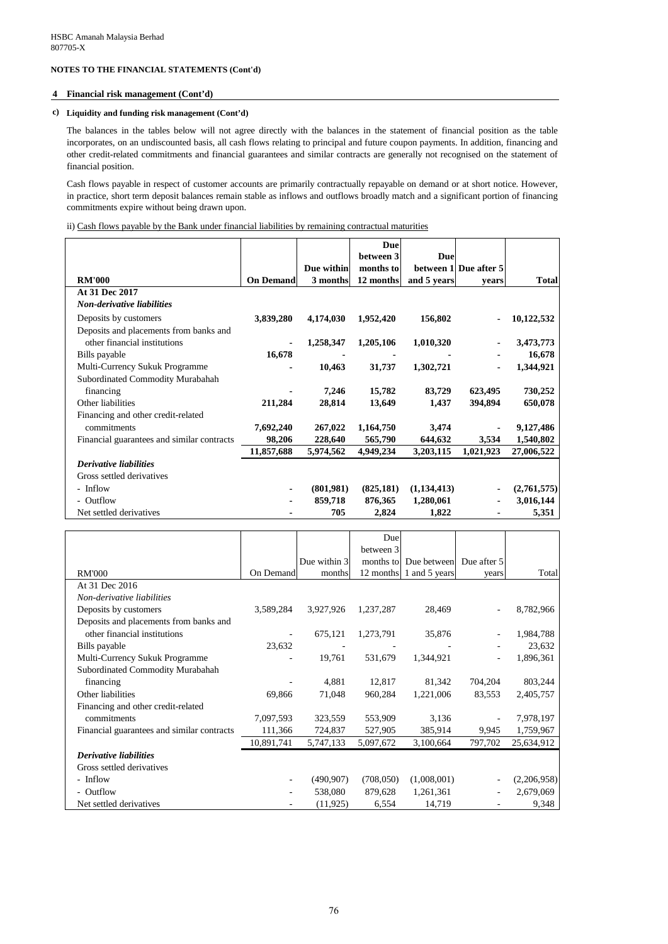#### **4 Financial risk management (Cont'd)**

#### **c) Liquidity and funding risk management (Cont'd)**

The balances in the tables below will not agree directly with the balances in the statement of financial position as the table incorporates, on an undiscounted basis, all cash flows relating to principal and future coupon payments. In addition, financing and other credit-related commitments and financial guarantees and similar contracts are generally not recognised on the statement of financial position.

Cash flows payable in respect of customer accounts are primarily contractually repayable on demand or at short notice. However, in practice, short term deposit balances remain stable as inflows and outflows broadly match and a significant portion of financing commitments expire without being drawn upon.

|                                            |                  |            | Due        |             |                       |              |
|--------------------------------------------|------------------|------------|------------|-------------|-----------------------|--------------|
|                                            |                  |            | between 3  | Due         |                       |              |
|                                            |                  | Due within | months to  |             | between 1 Due after 5 |              |
| <b>RM'000</b>                              | <b>On Demand</b> | 3 months   | 12 months  | and 5 years | vears                 | <b>Total</b> |
| At 31 Dec 2017                             |                  |            |            |             |                       |              |
| <b>Non-derivative liabilities</b>          |                  |            |            |             |                       |              |
| Deposits by customers                      | 3,839,280        | 4,174,030  | 1,952,420  | 156,802     |                       | 10,122,532   |
| Deposits and placements from banks and     |                  |            |            |             |                       |              |
| other financial institutions               |                  | 1,258,347  | 1,205,106  | 1,010,320   |                       | 3,473,773    |
| Bills payable                              | 16,678           |            |            |             |                       | 16,678       |
| Multi-Currency Sukuk Programme             |                  | 10,463     | 31,737     | 1,302,721   |                       | 1,344,921    |
| Subordinated Commodity Murabahah           |                  |            |            |             |                       |              |
| financing                                  |                  | 7,246      | 15,782     | 83,729      | 623,495               | 730,252      |
| Other liabilities                          | 211,284          | 28,814     | 13,649     | 1,437       | 394,894               | 650,078      |
| Financing and other credit-related         |                  |            |            |             |                       |              |
| commitments                                | 7,692,240        | 267,022    | 1,164,750  | 3,474       |                       | 9,127,486    |
| Financial guarantees and similar contracts | 98,206           | 228,640    | 565,790    | 644,632     | 3,534                 | 1,540,802    |
|                                            | 11,857,688       | 5,974,562  | 4,949,234  | 3,203,115   | 1,021,923             | 27,006,522   |
| <b>Derivative liabilities</b>              |                  |            |            |             |                       |              |
| Gross settled derivatives                  |                  |            |            |             |                       |              |
| - Inflow                                   |                  | (801,981)  | (825, 181) | (1,134,413) |                       | (2,761,575)  |
| - Outflow                                  |                  | 859,718    | 876,365    | 1,280,061   |                       | 3,016,144    |
| Net settled derivatives                    |                  | 705        | 2,824      | 1,822       |                       | 5,351        |

|                                            |            |              | Due       |                         |             |             |
|--------------------------------------------|------------|--------------|-----------|-------------------------|-------------|-------------|
|                                            |            |              | between 3 |                         |             |             |
|                                            |            | Due within 3 |           | months to Due between   | Due after 5 |             |
| <b>RM'000</b>                              | On Demand  | months       |           | 12 months 1 and 5 years | years       | Total       |
| At 31 Dec 2016                             |            |              |           |                         |             |             |
| Non-derivative liabilities                 |            |              |           |                         |             |             |
| Deposits by customers                      | 3,589,284  | 3,927,926    | 1,237,287 | 28,469                  |             | 8,782,966   |
| Deposits and placements from banks and     |            |              |           |                         |             |             |
| other financial institutions               |            | 675,121      | 1,273,791 | 35,876                  |             | 1,984,788   |
| Bills payable                              | 23,632     |              |           |                         |             | 23,632      |
| Multi-Currency Sukuk Programme             |            | 19,761       | 531,679   | 1,344,921               |             | 1,896,361   |
| Subordinated Commodity Murabahah           |            |              |           |                         |             |             |
| financing                                  |            | 4,881        | 12,817    | 81,342                  | 704,204     | 803,244     |
| Other liabilities                          | 69,866     | 71,048       | 960,284   | 1,221,006               | 83,553      | 2,405,757   |
| Financing and other credit-related         |            |              |           |                         |             |             |
| commitments                                | 7,097,593  | 323,559      | 553,909   | 3,136                   |             | 7,978,197   |
| Financial guarantees and similar contracts | 111,366    | 724,837      | 527,905   | 385,914                 | 9,945       | 1,759,967   |
|                                            | 10,891,741 | 5,747,133    | 5,097,672 | 3,100,664               | 797,702     | 25,634,912  |
| <b>Derivative liabilities</b>              |            |              |           |                         |             |             |
| Gross settled derivatives                  |            |              |           |                         |             |             |
| - Inflow                                   |            | (490, 907)   | (708,050) | (1,008,001)             |             | (2,206,958) |
| - Outflow                                  |            | 538,080      | 879,628   | 1,261,361               |             | 2,679,069   |
| Net settled derivatives                    |            | (11, 925)    | 6,554     | 14,719                  |             | 9,348       |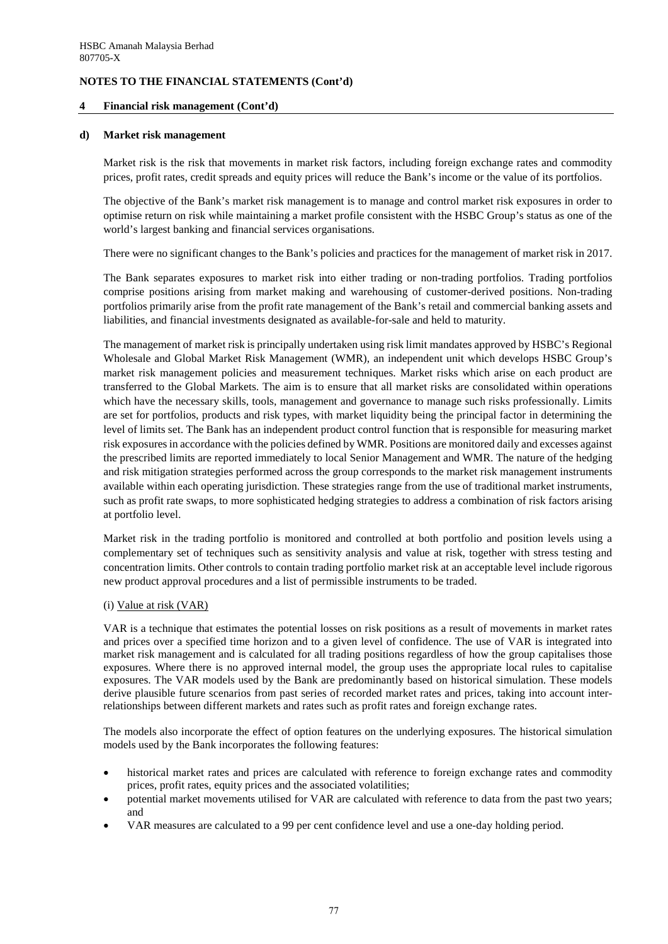### **4 Financial risk management (Cont'd)**

#### **d) Market risk management**

Market risk is the risk that movements in market risk factors, including foreign exchange rates and commodity prices, profit rates, credit spreads and equity prices will reduce the Bank's income or the value of its portfolios.

The objective of the Bank's market risk management is to manage and control market risk exposures in order to optimise return on risk while maintaining a market profile consistent with the HSBC Group's status as one of the world's largest banking and financial services organisations.

There were no significant changes to the Bank's policies and practices for the management of market risk in 2017.

The Bank separates exposures to market risk into either trading or non-trading portfolios. Trading portfolios comprise positions arising from market making and warehousing of customer-derived positions. Non-trading portfolios primarily arise from the profit rate management of the Bank's retail and commercial banking assets and liabilities, and financial investments designated as available-for-sale and held to maturity.

The management of market risk is principally undertaken using risk limit mandates approved by HSBC's Regional Wholesale and Global Market Risk Management (WMR), an independent unit which develops HSBC Group's market risk management policies and measurement techniques. Market risks which arise on each product are transferred to the Global Markets. The aim is to ensure that all market risks are consolidated within operations which have the necessary skills, tools, management and governance to manage such risks professionally. Limits are set for portfolios, products and risk types, with market liquidity being the principal factor in determining the level of limits set. The Bank has an independent product control function that is responsible for measuring market risk exposures in accordance with the policies defined by WMR. Positions are monitored daily and excesses against the prescribed limits are reported immediately to local Senior Management and WMR. The nature of the hedging and risk mitigation strategies performed across the group corresponds to the market risk management instruments available within each operating jurisdiction. These strategies range from the use of traditional market instruments, such as profit rate swaps, to more sophisticated hedging strategies to address a combination of risk factors arising at portfolio level.

Market risk in the trading portfolio is monitored and controlled at both portfolio and position levels using a complementary set of techniques such as sensitivity analysis and value at risk, together with stress testing and concentration limits. Other controls to contain trading portfolio market risk at an acceptable level include rigorous new product approval procedures and a list of permissible instruments to be traded.

#### (i) Value at risk (VAR)

VAR is a technique that estimates the potential losses on risk positions as a result of movements in market rates and prices over a specified time horizon and to a given level of confidence. The use of VAR is integrated into market risk management and is calculated for all trading positions regardless of how the group capitalises those exposures. Where there is no approved internal model, the group uses the appropriate local rules to capitalise exposures. The VAR models used by the Bank are predominantly based on historical simulation. These models derive plausible future scenarios from past series of recorded market rates and prices, taking into account interrelationships between different markets and rates such as profit rates and foreign exchange rates.

The models also incorporate the effect of option features on the underlying exposures. The historical simulation models used by the Bank incorporates the following features:

- historical market rates and prices are calculated with reference to foreign exchange rates and commodity prices, profit rates, equity prices and the associated volatilities;
- potential market movements utilised for VAR are calculated with reference to data from the past two years; and
- VAR measures are calculated to a 99 per cent confidence level and use a one-day holding period.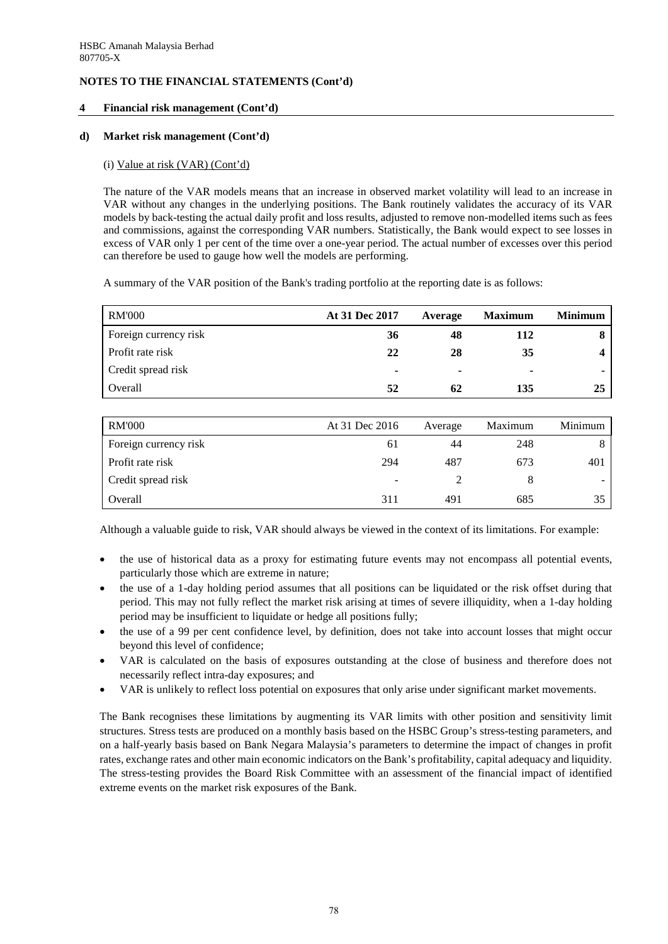### **4 Financial risk management (Cont'd)**

### **d) Market risk management (Cont'd)**

### (i) Value at risk (VAR) (Cont'd)

The nature of the VAR models means that an increase in observed market volatility will lead to an increase in VAR without any changes in the underlying positions. The Bank routinely validates the accuracy of its VAR models by back-testing the actual daily profit and loss results, adjusted to remove non-modelled items such as fees and commissions, against the corresponding VAR numbers. Statistically, the Bank would expect to see losses in excess of VAR only 1 per cent of the time over a one-year period. The actual number of excesses over this period can therefore be used to gauge how well the models are performing.

A summary of the VAR position of the Bank's trading portfolio at the reporting date is as follows:

| <b>RM'000</b>         | At 31 Dec 2017 | Average | <b>Maximum</b> | <b>Minimum</b> |
|-----------------------|----------------|---------|----------------|----------------|
| Foreign currency risk | 36             | 48      | 112            |                |
| Profit rate risk      | 22             | 28      | 35             |                |
| Credit spread risk    |                | ٠       |                |                |
| Overall               | 52             | 62      | 135            | 25             |
|                       |                |         |                |                |
| <b>RM'000</b>         | At 31 Dec 2016 | Average | Maximum        | Minimum        |

| <b>IVALOOO</b>        | $A \cup B \cup C$        | <b>AVGLAZU</b> | <u>iviaailinull</u> |     |
|-----------------------|--------------------------|----------------|---------------------|-----|
| Foreign currency risk | .61                      | 44             | 248                 |     |
| Profit rate risk      | 294                      | 487            | 673                 | 401 |
| Credit spread risk    | $\overline{\phantom{a}}$ |                |                     |     |
| Overall               | 311                      | 491            | 685                 |     |

Although a valuable guide to risk, VAR should always be viewed in the context of its limitations. For example:

- the use of historical data as a proxy for estimating future events may not encompass all potential events, particularly those which are extreme in nature;
- the use of a 1-day holding period assumes that all positions can be liquidated or the risk offset during that period. This may not fully reflect the market risk arising at times of severe illiquidity, when a 1-day holding period may be insufficient to liquidate or hedge all positions fully;
- the use of a 99 per cent confidence level, by definition, does not take into account losses that might occur beyond this level of confidence;
- VAR is calculated on the basis of exposures outstanding at the close of business and therefore does not necessarily reflect intra-day exposures; and
- VAR is unlikely to reflect loss potential on exposures that only arise under significant market movements.

The Bank recognises these limitations by augmenting its VAR limits with other position and sensitivity limit structures. Stress tests are produced on a monthly basis based on the HSBC Group's stress-testing parameters, and on a half-yearly basis based on Bank Negara Malaysia's parameters to determine the impact of changes in profit rates, exchange rates and other main economic indicators on the Bank's profitability, capital adequacy and liquidity. The stress-testing provides the Board Risk Committee with an assessment of the financial impact of identified extreme events on the market risk exposures of the Bank.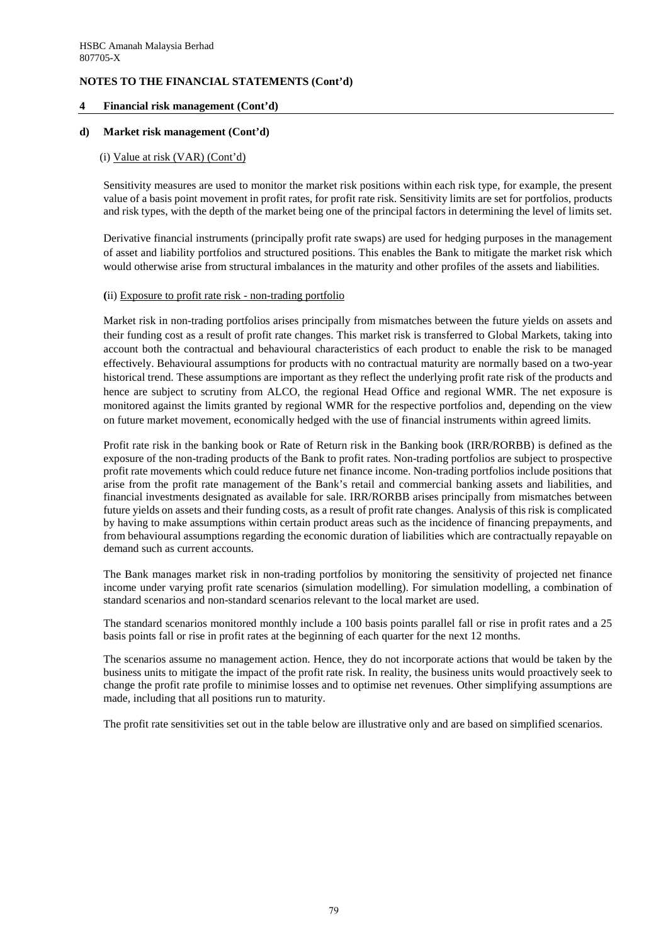### **4 Financial risk management (Cont'd)**

#### **d) Market risk management (Cont'd)**

#### (i) Value at risk (VAR) (Cont'd)

Sensitivity measures are used to monitor the market risk positions within each risk type, for example, the present value of a basis point movement in profit rates, for profit rate risk. Sensitivity limits are set for portfolios, products and risk types, with the depth of the market being one of the principal factors in determining the level of limits set.

Derivative financial instruments (principally profit rate swaps) are used for hedging purposes in the management of asset and liability portfolios and structured positions. This enables the Bank to mitigate the market risk which would otherwise arise from structural imbalances in the maturity and other profiles of the assets and liabilities.

#### **(**ii) Exposure to profit rate risk - non-trading portfolio

 Market risk in non-trading portfolios arises principally from mismatches between the future yields on assets and their funding cost as a result of profit rate changes. This market risk is transferred to Global Markets, taking into account both the contractual and behavioural characteristics of each product to enable the risk to be managed effectively. Behavioural assumptions for products with no contractual maturity are normally based on a two-year historical trend. These assumptions are important as they reflect the underlying profit rate risk of the products and hence are subject to scrutiny from ALCO, the regional Head Office and regional WMR. The net exposure is monitored against the limits granted by regional WMR for the respective portfolios and, depending on the view on future market movement, economically hedged with the use of financial instruments within agreed limits.

Profit rate risk in the banking book or Rate of Return risk in the Banking book (IRR/RORBB) is defined as the exposure of the non-trading products of the Bank to profit rates. Non-trading portfolios are subject to prospective profit rate movements which could reduce future net finance income. Non-trading portfolios include positions that arise from the profit rate management of the Bank's retail and commercial banking assets and liabilities, and financial investments designated as available for sale. IRR/RORBB arises principally from mismatches between future yields on assets and their funding costs, as a result of profit rate changes. Analysis of this risk is complicated by having to make assumptions within certain product areas such as the incidence of financing prepayments, and from behavioural assumptions regarding the economic duration of liabilities which are contractually repayable on demand such as current accounts.

 The Bank manages market risk in non-trading portfolios by monitoring the sensitivity of projected net finance income under varying profit rate scenarios (simulation modelling). For simulation modelling, a combination of standard scenarios and non-standard scenarios relevant to the local market are used.

 The standard scenarios monitored monthly include a 100 basis points parallel fall or rise in profit rates and a 25 basis points fall or rise in profit rates at the beginning of each quarter for the next 12 months.

 The scenarios assume no management action. Hence, they do not incorporate actions that would be taken by the business units to mitigate the impact of the profit rate risk. In reality, the business units would proactively seek to change the profit rate profile to minimise losses and to optimise net revenues. Other simplifying assumptions are made, including that all positions run to maturity.

The profit rate sensitivities set out in the table below are illustrative only and are based on simplified scenarios.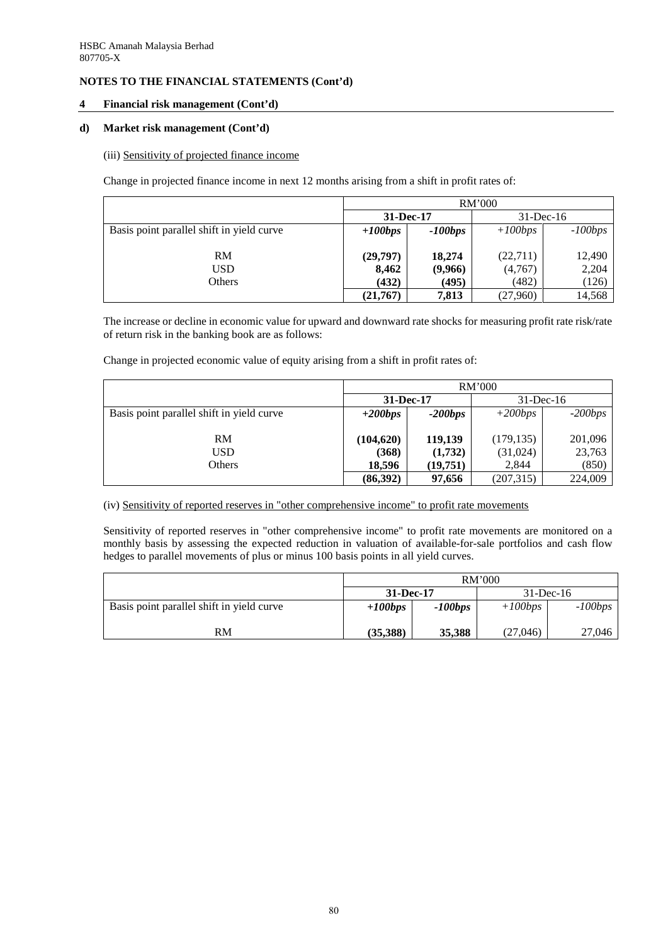### **4 Financial risk management (Cont'd)**

### **d) Market risk management (Cont'd)**

#### (iii) Sensitivity of projected finance income

Change in projected finance income in next 12 months arising from a shift in profit rates of:

|                                           | RM'000    |           |              |           |  |  |  |  |
|-------------------------------------------|-----------|-----------|--------------|-----------|--|--|--|--|
|                                           | 31-Dec-17 |           | $31$ -Dec-16 |           |  |  |  |  |
| Basis point parallel shift in yield curve | $+100bps$ | $-100bps$ | $+100bps$    | $-100bps$ |  |  |  |  |
|                                           |           |           |              |           |  |  |  |  |
| RM                                        | (29,797)  | 18,274    | (22,711)     | 12,490    |  |  |  |  |
| USD                                       | 8,462     | (9,966)   | (4,767)      | 2,204     |  |  |  |  |
| Others                                    | (432)     | (495)     | (482)        | (126)     |  |  |  |  |
|                                           | (21,767)  | 7,813     | (27,960)     | 14,568    |  |  |  |  |

The increase or decline in economic value for upward and downward rate shocks for measuring profit rate risk/rate of return risk in the banking book are as follows:

Change in projected economic value of equity arising from a shift in profit rates of:

|                                           | RM'000     |           |              |           |  |  |  |
|-------------------------------------------|------------|-----------|--------------|-----------|--|--|--|
|                                           | 31-Dec-17  |           | $31$ -Dec-16 |           |  |  |  |
| Basis point parallel shift in yield curve | $+200bps$  | $-200bps$ | $+200bps$    | $-200bps$ |  |  |  |
|                                           |            |           |              |           |  |  |  |
| RM                                        | (104, 620) | 119,139   | (179, 135)   | 201,096   |  |  |  |
| USD                                       | (368)      | (1,732)   | (31,024)     | 23,763    |  |  |  |
| Others                                    | 18,596     | (19,751)  | 2,844        | (850)     |  |  |  |
|                                           | (86,392)   | 97,656    | (207,315)    | 224,009   |  |  |  |

(iv) Sensitivity of reported reserves in "other comprehensive income" to profit rate movements

Sensitivity of reported reserves in "other comprehensive income" to profit rate movements are monitored on a monthly basis by assessing the expected reduction in valuation of available-for-sale portfolios and cash flow hedges to parallel movements of plus or minus 100 basis points in all yield curves.

|                                           | RM'000    |           |              |           |  |  |
|-------------------------------------------|-----------|-----------|--------------|-----------|--|--|
|                                           | 31-Dec-17 |           | $31$ -Dec-16 |           |  |  |
| Basis point parallel shift in yield curve | $+100bps$ | $-100bps$ | $+100bps$    | $-100bps$ |  |  |
| RM                                        | (35,388)  | 35,388    | (27,046)     | 27,046    |  |  |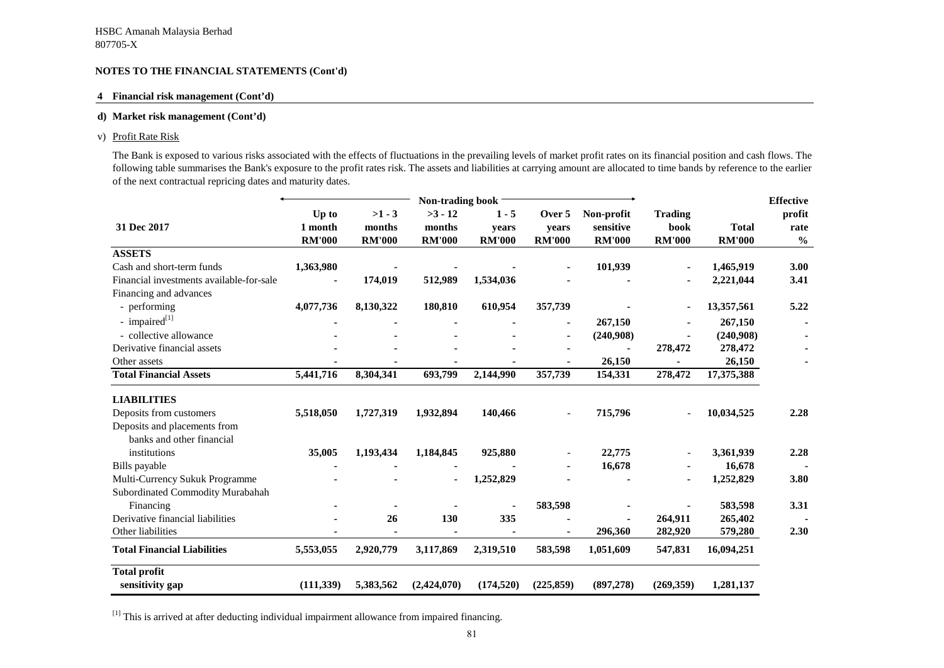### **4 Financial risk management (Cont'd)**

#### **d) Market risk management (Cont'd)**

#### v) Profit Rate Risk

The Bank is exposed to various risks associated with the effects of fluctuations in the prevailing levels of market profit rates on its financial position and cash flows. The following table summarises the Bank's exposure to the profit rates risk. The assets and liabilities at carrying amount are allocated to time bands by reference to the earlier of the next contractual repricing dates and maturity dates.

|                                          |               |               | Non-trading book |               |               |               |                |               | <b>Effective</b> |
|------------------------------------------|---------------|---------------|------------------|---------------|---------------|---------------|----------------|---------------|------------------|
|                                          | Up to         | $>1 - 3$      | $>3 - 12$        | $1 - 5$       | Over 5        | Non-profit    | <b>Trading</b> |               | profit           |
| 31 Dec 2017                              | 1 month       | months        | months           | years         | years         | sensitive     | book           | <b>Total</b>  | rate             |
|                                          | <b>RM'000</b> | <b>RM'000</b> | <b>RM'000</b>    | <b>RM'000</b> | <b>RM'000</b> | <b>RM'000</b> | <b>RM'000</b>  | <b>RM'000</b> | $\frac{0}{0}$    |
| <b>ASSETS</b>                            |               |               |                  |               |               |               |                |               |                  |
| Cash and short-term funds                | 1,363,980     |               |                  |               |               | 101,939       |                | 1,465,919     | 3.00             |
| Financial investments available-for-sale |               | 174,019       | 512,989          | 1,534,036     |               |               |                | 2,221,044     | 3.41             |
| Financing and advances                   |               |               |                  |               |               |               |                |               |                  |
| - performing                             | 4,077,736     | 8,130,322     | 180,810          | 610,954       | 357,739       |               |                | 13,357,561    | 5.22             |
| - impaired $^{[1]}$                      |               |               |                  |               |               | 267,150       |                | 267,150       |                  |
| - collective allowance                   |               |               |                  |               |               | (240,908)     |                | (240,908)     |                  |
| Derivative financial assets              |               |               |                  |               |               |               | 278,472        | 278,472       |                  |
| Other assets                             |               |               |                  |               |               | 26,150        |                | 26,150        |                  |
| <b>Total Financial Assets</b>            | 5,441,716     | 8,304,341     | 693,799          | 2,144,990     | 357,739       | 154,331       | 278,472        | 17,375,388    |                  |
| <b>LIABILITIES</b>                       |               |               |                  |               |               |               |                |               |                  |
| Deposits from customers                  | 5,518,050     | 1,727,319     | 1,932,894        | 140,466       |               | 715,796       |                | 10,034,525    | 2.28             |
| Deposits and placements from             |               |               |                  |               |               |               |                |               |                  |
| banks and other financial                |               |               |                  |               |               |               |                |               |                  |
| institutions                             | 35,005        | 1,193,434     | 1,184,845        | 925,880       |               | 22,775        |                | 3,361,939     | 2.28             |
| Bills payable                            |               |               |                  |               |               | 16,678        |                | 16,678        |                  |
| Multi-Currency Sukuk Programme           |               |               |                  | 1,252,829     |               |               |                | 1,252,829     | 3.80             |
| Subordinated Commodity Murabahah         |               |               |                  |               |               |               |                |               |                  |
| Financing                                |               |               |                  |               | 583,598       |               |                | 583,598       | 3.31             |
| Derivative financial liabilities         |               | 26            | 130              | 335           |               |               | 264,911        | 265,402       |                  |
| Other liabilities                        |               |               |                  |               |               | 296,360       | 282,920        | 579,280       | 2.30             |
| <b>Total Financial Liabilities</b>       | 5,553,055     | 2,920,779     | 3,117,869        | 2,319,510     | 583,598       | 1,051,609     | 547,831        | 16,094,251    |                  |
| <b>Total profit</b>                      |               |               |                  |               |               |               |                |               |                  |
| sensitivity gap                          | (111, 339)    | 5,383,562     | (2,424,070)      | (174, 520)    | (225, 859)    | (897, 278)    | (269,359)      | 1,281,137     |                  |

<sup>[1]</sup> This is arrived at after deducting individual impairment allowance from impaired financing.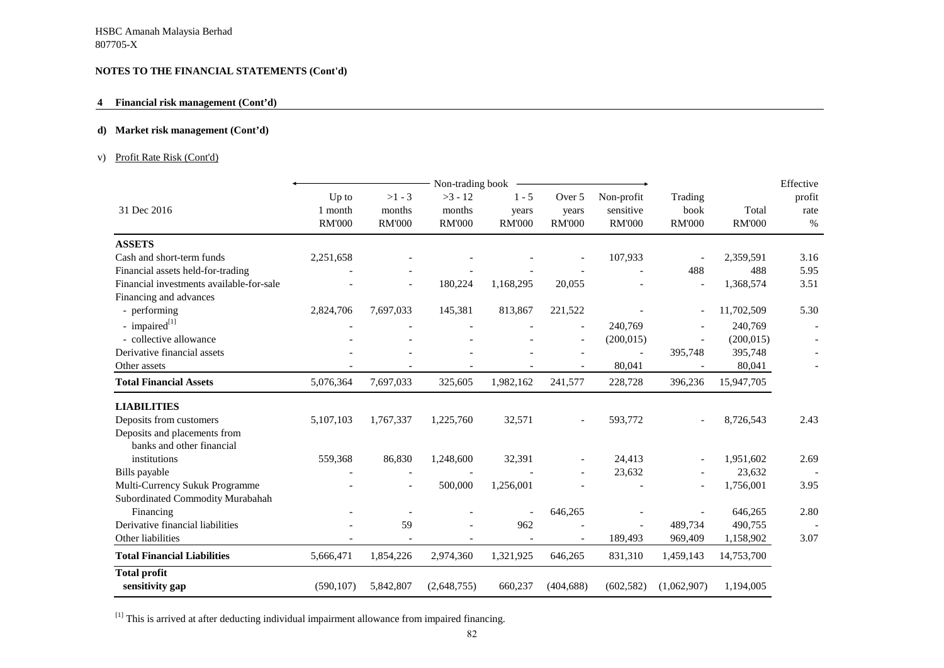### **4 Financial risk management (Cont'd)**

### **d) Market risk management (Cont'd)**

### v) Profit Rate Risk (Cont'd)

|                                   |                                     |                                      |                                     |                                                    |                                          |                                                                    |                        | Effective                                                                                   |
|-----------------------------------|-------------------------------------|--------------------------------------|-------------------------------------|----------------------------------------------------|------------------------------------------|--------------------------------------------------------------------|------------------------|---------------------------------------------------------------------------------------------|
| Up to<br>1 month<br><b>RM'000</b> | $>1 - 3$<br>months<br><b>RM'000</b> | $>3 - 12$<br>months<br><b>RM'000</b> | $1 - 5$<br>years<br><b>RM'000</b>   | Over 5<br>years<br><b>RM'000</b>                   | Non-profit<br>sensitive<br><b>RM'000</b> | Trading<br>book<br><b>RM'000</b>                                   | Total<br><b>RM'000</b> | profit<br>rate<br>$\%$                                                                      |
|                                   |                                     |                                      |                                     |                                                    |                                          |                                                                    |                        |                                                                                             |
| 2,251,658                         |                                     |                                      |                                     |                                                    | 107,933                                  |                                                                    | 2,359,591              | 3.16                                                                                        |
|                                   |                                     |                                      |                                     |                                                    |                                          | 488                                                                | 488                    | 5.95                                                                                        |
|                                   |                                     | 180,224                              | 1,168,295                           | 20,055                                             |                                          |                                                                    | 1,368,574              | 3.51                                                                                        |
|                                   |                                     |                                      |                                     |                                                    |                                          |                                                                    |                        |                                                                                             |
| 2,824,706                         | 7,697,033                           | 145,381                              | 813,867                             | 221,522                                            |                                          |                                                                    | 11,702,509             | 5.30                                                                                        |
|                                   |                                     |                                      |                                     |                                                    |                                          |                                                                    |                        |                                                                                             |
|                                   |                                     |                                      |                                     |                                                    |                                          |                                                                    | (200, 015)             |                                                                                             |
|                                   |                                     |                                      |                                     |                                                    |                                          |                                                                    |                        |                                                                                             |
|                                   |                                     |                                      |                                     |                                                    | 80,041                                   |                                                                    | 80,041                 |                                                                                             |
| 5,076,364                         | 7,697,033                           | 325,605                              | 1,982,162                           | 241,577                                            | 228,728                                  | 396,236                                                            | 15,947,705             |                                                                                             |
|                                   |                                     |                                      |                                     |                                                    |                                          |                                                                    |                        |                                                                                             |
| 5,107,103                         | 1,767,337                           | 1,225,760                            | 32,571                              |                                                    | 593,772                                  |                                                                    | 8,726,543              | 2.43                                                                                        |
|                                   |                                     |                                      |                                     |                                                    |                                          |                                                                    |                        |                                                                                             |
|                                   |                                     |                                      |                                     |                                                    |                                          |                                                                    |                        |                                                                                             |
|                                   |                                     |                                      |                                     |                                                    |                                          |                                                                    |                        | 2.69                                                                                        |
|                                   |                                     |                                      |                                     |                                                    |                                          |                                                                    |                        |                                                                                             |
|                                   |                                     |                                      |                                     |                                                    |                                          |                                                                    |                        | 3.95                                                                                        |
|                                   |                                     |                                      |                                     |                                                    |                                          |                                                                    |                        |                                                                                             |
|                                   |                                     |                                      |                                     |                                                    |                                          |                                                                    |                        | 2.80                                                                                        |
|                                   |                                     |                                      | 962                                 |                                                    |                                          | 489,734                                                            | 490,755                |                                                                                             |
|                                   |                                     |                                      |                                     |                                                    |                                          | 969,409                                                            |                        | 3.07                                                                                        |
| 5,666,471                         | 1,854,226                           | 2,974,360                            | 1,321,925                           | 646,265                                            | 831,310                                  | 1,459,143                                                          | 14,753,700             |                                                                                             |
| (590, 107)                        |                                     |                                      |                                     |                                                    |                                          |                                                                    |                        |                                                                                             |
|                                   | 559,368                             | 86,830<br>59<br>5,842,807            | 1,248,600<br>500,000<br>(2,648,755) | Non-trading book<br>32,391<br>1,256,001<br>660,237 | 646,265<br>(404, 688)                    | 240,769<br>(200, 015)<br>24,413<br>23,632<br>189,493<br>(602, 582) | 395,748<br>(1,062,907) | 240,769<br>395,748<br>1,951,602<br>23,632<br>1,756,001<br>646,265<br>1,158,902<br>1,194,005 |

 $[1]$  This is arrived at after deducting individual impairment allowance from impaired financing.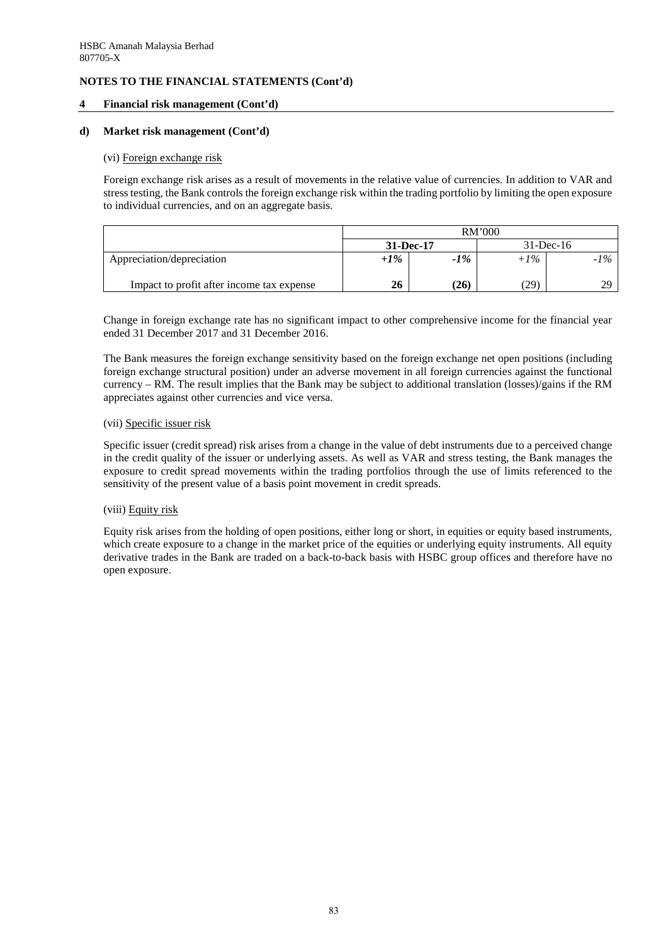### **4 Financial risk management (Cont'd)**

#### **d) Market risk management (Cont'd)**

#### (vi) Foreign exchange risk

Foreign exchange risk arises as a result of movements in the relative value of currencies. In addition to VAR and stress testing, the Bank controls the foreign exchange risk within the trading portfolio by limiting the open exposure to individual currencies, and on an aggregate basis.

|                                           | <b>RM'000</b> |           |        |              |  |
|-------------------------------------------|---------------|-----------|--------|--------------|--|
|                                           |               | 31-Dec-17 |        | $31$ -Dec-16 |  |
| Appreciation/depreciation                 | $+1\%$        | $-1\%$    | $+1\%$ | $-1\%$       |  |
| Impact to profit after income tax expense | 26            | (26)      | 29)    | 20           |  |

Change in foreign exchange rate has no significant impact to other comprehensive income for the financial year ended 31 December 2017 and 31 December 2016.

The Bank measures the foreign exchange sensitivity based on the foreign exchange net open positions (including foreign exchange structural position) under an adverse movement in all foreign currencies against the functional currency – RM. The result implies that the Bank may be subject to additional translation (losses)/gains if the RM appreciates against other currencies and vice versa.

#### (vii) Specific issuer risk

Specific issuer (credit spread) risk arises from a change in the value of debt instruments due to a perceived change in the credit quality of the issuer or underlying assets. As well as VAR and stress testing, the Bank manages the exposure to credit spread movements within the trading portfolios through the use of limits referenced to the sensitivity of the present value of a basis point movement in credit spreads.

### (viii) Equity risk

Equity risk arises from the holding of open positions, either long or short, in equities or equity based instruments, which create exposure to a change in the market price of the equities or underlying equity instruments. All equity derivative trades in the Bank are traded on a back-to-back basis with HSBC group offices and therefore have no open exposure.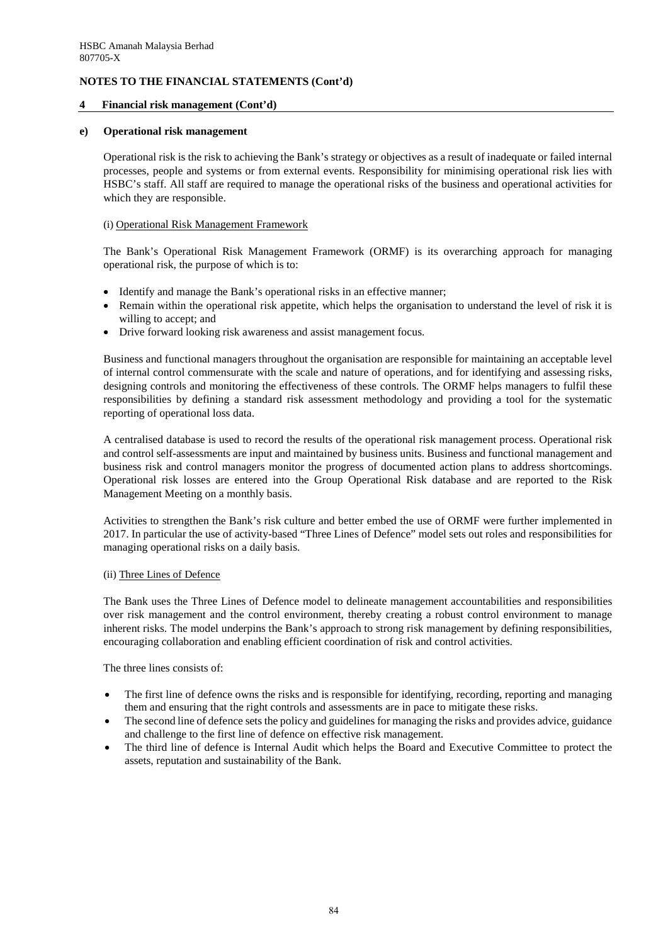### **4 Financial risk management (Cont'd)**

#### **e) Operational risk management**

Operational risk is the risk to achieving the Bank's strategy or objectives as a result of inadequate or failed internal processes, people and systems or from external events. Responsibility for minimising operational risk lies with HSBC's staff. All staff are required to manage the operational risks of the business and operational activities for which they are responsible.

#### (i) Operational Risk Management Framework

The Bank's Operational Risk Management Framework (ORMF) is its overarching approach for managing operational risk, the purpose of which is to:

- Identify and manage the Bank's operational risks in an effective manner;
- Remain within the operational risk appetite, which helps the organisation to understand the level of risk it is willing to accept; and
- Drive forward looking risk awareness and assist management focus.

Business and functional managers throughout the organisation are responsible for maintaining an acceptable level of internal control commensurate with the scale and nature of operations, and for identifying and assessing risks, designing controls and monitoring the effectiveness of these controls. The ORMF helps managers to fulfil these responsibilities by defining a standard risk assessment methodology and providing a tool for the systematic reporting of operational loss data.

A centralised database is used to record the results of the operational risk management process. Operational risk and control self-assessments are input and maintained by business units. Business and functional management and business risk and control managers monitor the progress of documented action plans to address shortcomings. Operational risk losses are entered into the Group Operational Risk database and are reported to the Risk Management Meeting on a monthly basis.

Activities to strengthen the Bank's risk culture and better embed the use of ORMF were further implemented in 2017. In particular the use of activity-based "Three Lines of Defence" model sets out roles and responsibilities for managing operational risks on a daily basis.

#### (ii) Three Lines of Defence

The Bank uses the Three Lines of Defence model to delineate management accountabilities and responsibilities over risk management and the control environment, thereby creating a robust control environment to manage inherent risks. The model underpins the Bank's approach to strong risk management by defining responsibilities, encouraging collaboration and enabling efficient coordination of risk and control activities.

The three lines consists of:

- The first line of defence owns the risks and is responsible for identifying, recording, reporting and managing them and ensuring that the right controls and assessments are in pace to mitigate these risks.
- The second line of defence sets the policy and guidelines for managing the risks and provides advice, guidance and challenge to the first line of defence on effective risk management.
- The third line of defence is Internal Audit which helps the Board and Executive Committee to protect the assets, reputation and sustainability of the Bank.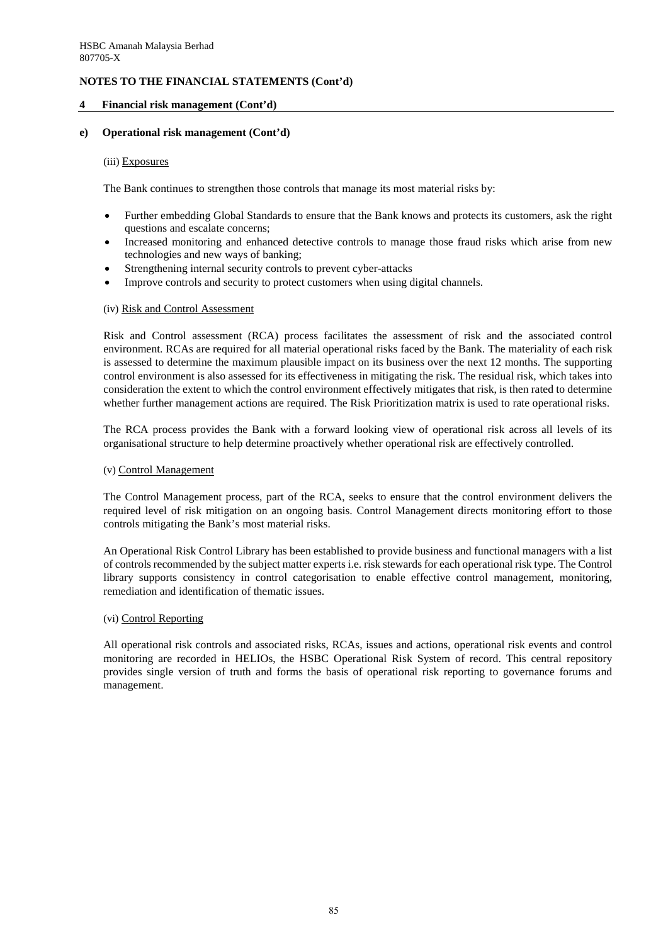### **4 Financial risk management (Cont'd)**

#### **e) Operational risk management (Cont'd)**

#### (iii) Exposures

The Bank continues to strengthen those controls that manage its most material risks by:

- Further embedding Global Standards to ensure that the Bank knows and protects its customers, ask the right questions and escalate concerns;
- Increased monitoring and enhanced detective controls to manage those fraud risks which arise from new technologies and new ways of banking;
- Strengthening internal security controls to prevent cyber-attacks
- Improve controls and security to protect customers when using digital channels.

#### (iv) Risk and Control Assessment

Risk and Control assessment (RCA) process facilitates the assessment of risk and the associated control environment. RCAs are required for all material operational risks faced by the Bank. The materiality of each risk is assessed to determine the maximum plausible impact on its business over the next 12 months. The supporting control environment is also assessed for its effectiveness in mitigating the risk. The residual risk, which takes into consideration the extent to which the control environment effectively mitigates that risk, is then rated to determine whether further management actions are required. The Risk Prioritization matrix is used to rate operational risks.

The RCA process provides the Bank with a forward looking view of operational risk across all levels of its organisational structure to help determine proactively whether operational risk are effectively controlled.

#### (v) Control Management

The Control Management process, part of the RCA, seeks to ensure that the control environment delivers the required level of risk mitigation on an ongoing basis. Control Management directs monitoring effort to those controls mitigating the Bank's most material risks.

An Operational Risk Control Library has been established to provide business and functional managers with a list of controls recommended by the subject matter experts i.e. risk stewards for each operational risk type. The Control library supports consistency in control categorisation to enable effective control management, monitoring, remediation and identification of thematic issues.

#### (vi) Control Reporting

All operational risk controls and associated risks, RCAs, issues and actions, operational risk events and control monitoring are recorded in HELIOs, the HSBC Operational Risk System of record. This central repository provides single version of truth and forms the basis of operational risk reporting to governance forums and management.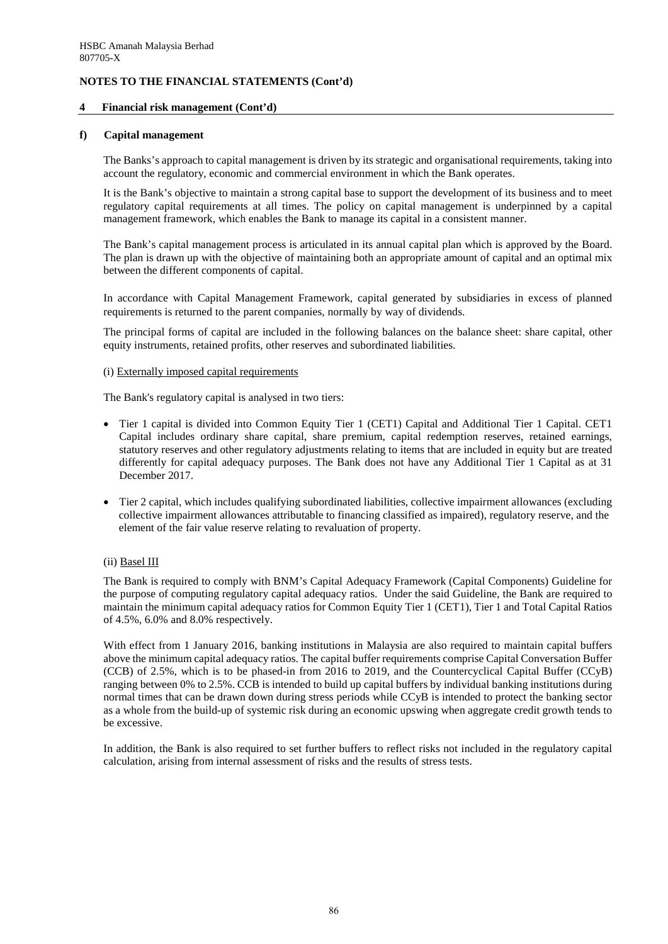### **4 Financial risk management (Cont'd)**

#### **f) Capital management**

The Banks's approach to capital management is driven by its strategic and organisational requirements, taking into account the regulatory, economic and commercial environment in which the Bank operates.

It is the Bank's objective to maintain a strong capital base to support the development of its business and to meet regulatory capital requirements at all times. The policy on capital management is underpinned by a capital management framework, which enables the Bank to manage its capital in a consistent manner.

The Bank's capital management process is articulated in its annual capital plan which is approved by the Board. The plan is drawn up with the objective of maintaining both an appropriate amount of capital and an optimal mix between the different components of capital.

In accordance with Capital Management Framework, capital generated by subsidiaries in excess of planned requirements is returned to the parent companies, normally by way of dividends.

The principal forms of capital are included in the following balances on the balance sheet: share capital, other equity instruments, retained profits, other reserves and subordinated liabilities.

#### (i) Externally imposed capital requirements

The Bank's regulatory capital is analysed in two tiers:

- Tier 1 capital is divided into Common Equity Tier 1 (CET1) Capital and Additional Tier 1 Capital. CET1 Capital includes ordinary share capital, share premium, capital redemption reserves, retained earnings, statutory reserves and other regulatory adjustments relating to items that are included in equity but are treated differently for capital adequacy purposes. The Bank does not have any Additional Tier 1 Capital as at 31 December 2017.
- Tier 2 capital, which includes qualifying subordinated liabilities, collective impairment allowances (excluding collective impairment allowances attributable to financing classified as impaired), regulatory reserve, and the element of the fair value reserve relating to revaluation of property.

### (ii) Basel III

The Bank is required to comply with BNM's Capital Adequacy Framework (Capital Components) Guideline for the purpose of computing regulatory capital adequacy ratios. Under the said Guideline, the Bank are required to maintain the minimum capital adequacy ratios for Common Equity Tier 1 (CET1), Tier 1 and Total Capital Ratios of 4.5%, 6.0% and 8.0% respectively.

With effect from 1 January 2016, banking institutions in Malaysia are also required to maintain capital buffers above the minimum capital adequacy ratios. The capital buffer requirements comprise Capital Conversation Buffer (CCB) of 2.5%, which is to be phased-in from 2016 to 2019, and the Countercyclical Capital Buffer (CCyB) ranging between 0% to 2.5%. CCB is intended to build up capital buffers by individual banking institutions during normal times that can be drawn down during stress periods while CCyB is intended to protect the banking sector as a whole from the build-up of systemic risk during an economic upswing when aggregate credit growth tends to be excessive.

In addition, the Bank is also required to set further buffers to reflect risks not included in the regulatory capital calculation, arising from internal assessment of risks and the results of stress tests.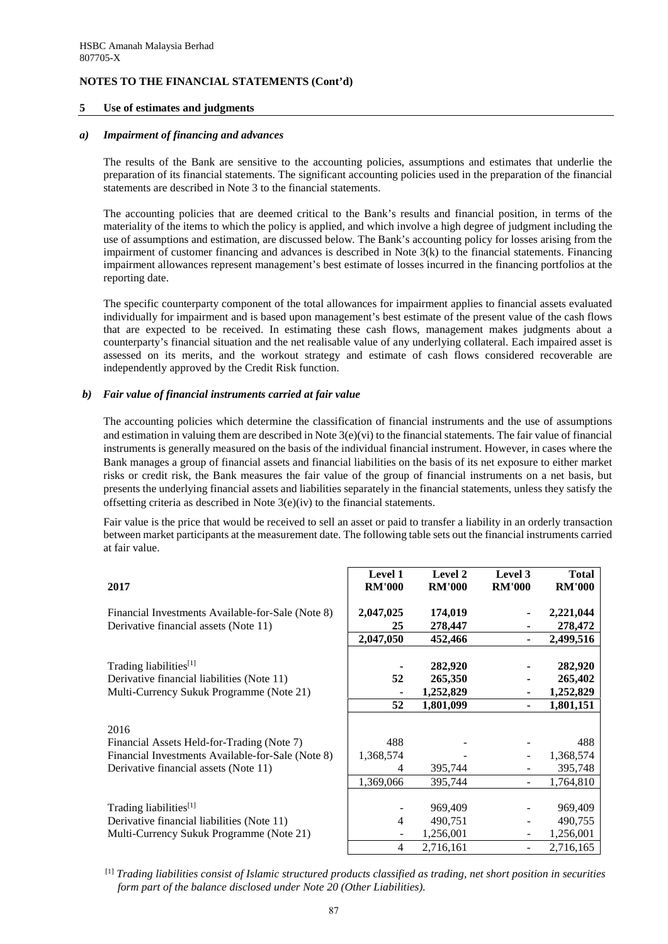#### **5 Use of estimates and judgments**

#### *a) Impairment of financing and advances*

The results of the Bank are sensitive to the accounting policies, assumptions and estimates that underlie the preparation of its financial statements. The significant accounting policies used in the preparation of the financial statements are described in Note 3 to the financial statements.

The accounting policies that are deemed critical to the Bank's results and financial position, in terms of the materiality of the items to which the policy is applied, and which involve a high degree of judgment including the use of assumptions and estimation, are discussed below. The Bank's accounting policy for losses arising from the impairment of customer financing and advances is described in Note 3(k) to the financial statements. Financing impairment allowances represent management's best estimate of losses incurred in the financing portfolios at the reporting date.

The specific counterparty component of the total allowances for impairment applies to financial assets evaluated individually for impairment and is based upon management's best estimate of the present value of the cash flows that are expected to be received. In estimating these cash flows, management makes judgments about a counterparty's financial situation and the net realisable value of any underlying collateral. Each impaired asset is assessed on its merits, and the workout strategy and estimate of cash flows considered recoverable are independently approved by the Credit Risk function.

#### *b) Fair value of financial instruments carried at fair value*

The accounting policies which determine the classification of financial instruments and the use of assumptions and estimation in valuing them are described in Note 3(e)(vi) to the financial statements. The fair value of financial instruments is generally measured on the basis of the individual financial instrument. However, in cases where the Bank manages a group of financial assets and financial liabilities on the basis of its net exposure to either market risks or credit risk, the Bank measures the fair value of the group of financial instruments on a net basis, but presents the underlying financial assets and liabilities separately in the financial statements, unless they satisfy the offsetting criteria as described in Note 3(e)(iv) to the financial statements.

Fair value is the price that would be received to sell an asset or paid to transfer a liability in an orderly transaction between market participants at the measurement date. The following table sets out the financial instruments carried at fair value.

| 2017                                              | <b>Level 1</b><br><b>RM'000</b> | Level 2<br><b>RM'000</b> | Level 3<br><b>RM'000</b> | <b>Total</b><br><b>RM'000</b> |
|---------------------------------------------------|---------------------------------|--------------------------|--------------------------|-------------------------------|
|                                                   |                                 |                          |                          |                               |
| Financial Investments Available-for-Sale (Note 8) | 2,047,025                       | 174,019                  |                          | 2,221,044                     |
| Derivative financial assets (Note 11)             | 25                              | 278,447                  |                          | 278,472                       |
|                                                   | 2,047,050                       | 452,466                  |                          | 2,499,516                     |
|                                                   |                                 |                          |                          |                               |
| Trading liabilities[1]                            |                                 | 282,920                  |                          | 282,920                       |
| Derivative financial liabilities (Note 11)        | 52                              | 265,350                  |                          | 265,402                       |
| Multi-Currency Sukuk Programme (Note 21)          |                                 | 1,252,829                |                          | 1,252,829                     |
|                                                   | 52                              | 1,801,099                |                          | 1,801,151                     |
|                                                   |                                 |                          |                          |                               |
| 2016                                              |                                 |                          |                          |                               |
| Financial Assets Held-for-Trading (Note 7)        | 488                             |                          |                          | 488                           |
| Financial Investments Available-for-Sale (Note 8) | 1,368,574                       |                          |                          | 1,368,574                     |
| Derivative financial assets (Note 11)             | 4                               | 395,744                  |                          | 395,748                       |
|                                                   | 1,369,066                       | 395,744                  |                          | 1,764,810                     |
|                                                   |                                 |                          |                          |                               |
| Trading liabilities[1]                            |                                 | 969,409                  |                          | 969,409                       |
| Derivative financial liabilities (Note 11)        | 4                               | 490,751                  |                          | 490,755                       |
| Multi-Currency Sukuk Programme (Note 21)          |                                 | 1,256,001                |                          | 1,256,001                     |
|                                                   | 4                               | 2,716,161                |                          | 2,716,165                     |

### [1] *Trading liabilities consist of Islamic structured products classified as trading, net short position in securities form part of the balance disclosed under Note 20 (Other Liabilities).*

87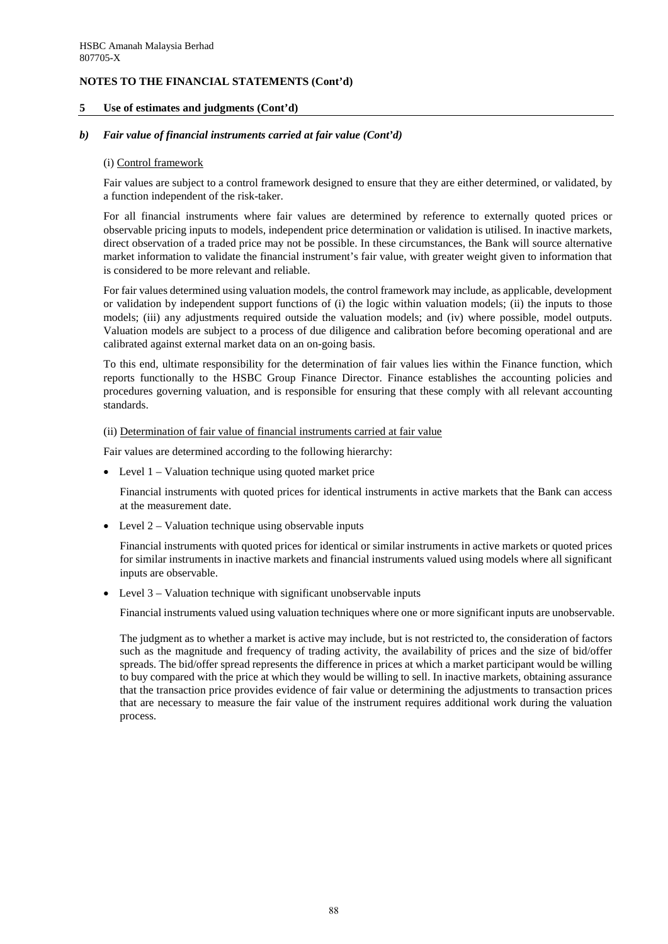#### **5 Use of estimates and judgments (Cont'd)**

#### *b) Fair value of financial instruments carried at fair value (Cont'd)*

#### (i) Control framework

Fair values are subject to a control framework designed to ensure that they are either determined, or validated, by a function independent of the risk-taker.

For all financial instruments where fair values are determined by reference to externally quoted prices or observable pricing inputs to models, independent price determination or validation is utilised. In inactive markets, direct observation of a traded price may not be possible. In these circumstances, the Bank will source alternative market information to validate the financial instrument's fair value, with greater weight given to information that is considered to be more relevant and reliable.

For fair values determined using valuation models, the control framework may include, as applicable, development or validation by independent support functions of (i) the logic within valuation models; (ii) the inputs to those models; (iii) any adjustments required outside the valuation models; and (iv) where possible, model outputs. Valuation models are subject to a process of due diligence and calibration before becoming operational and are calibrated against external market data on an on-going basis.

To this end, ultimate responsibility for the determination of fair values lies within the Finance function, which reports functionally to the HSBC Group Finance Director. Finance establishes the accounting policies and procedures governing valuation, and is responsible for ensuring that these comply with all relevant accounting standards.

#### (ii) Determination of fair value of financial instruments carried at fair value

Fair values are determined according to the following hierarchy:

• Level 1 – Valuation technique using quoted market price

Financial instruments with quoted prices for identical instruments in active markets that the Bank can access at the measurement date.

• Level 2 – Valuation technique using observable inputs

Financial instruments with quoted prices for identical or similar instruments in active markets or quoted prices for similar instruments in inactive markets and financial instruments valued using models where all significant inputs are observable.

Level  $3$  – Valuation technique with significant unobservable inputs

Financial instruments valued using valuation techniques where one or more significant inputs are unobservable.

The judgment as to whether a market is active may include, but is not restricted to, the consideration of factors such as the magnitude and frequency of trading activity, the availability of prices and the size of bid/offer spreads. The bid/offer spread represents the difference in prices at which a market participant would be willing to buy compared with the price at which they would be willing to sell. In inactive markets, obtaining assurance that the transaction price provides evidence of fair value or determining the adjustments to transaction prices that are necessary to measure the fair value of the instrument requires additional work during the valuation process.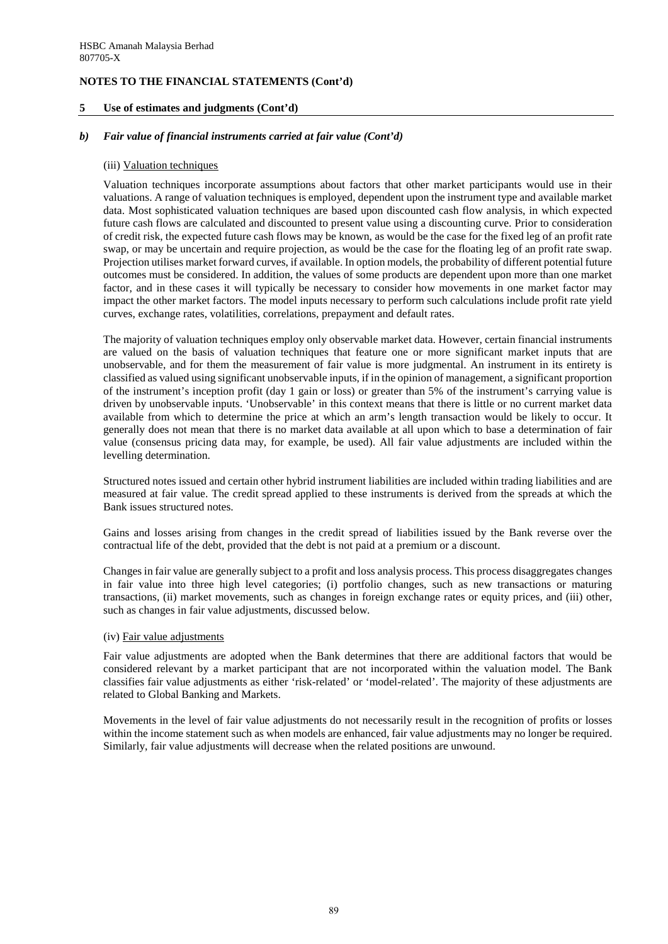### **5 Use of estimates and judgments (Cont'd)**

#### *b) Fair value of financial instruments carried at fair value (Cont'd)*

#### (iii) Valuation techniques

Valuation techniques incorporate assumptions about factors that other market participants would use in their valuations. A range of valuation techniques is employed, dependent upon the instrument type and available market data. Most sophisticated valuation techniques are based upon discounted cash flow analysis, in which expected future cash flows are calculated and discounted to present value using a discounting curve. Prior to consideration of credit risk, the expected future cash flows may be known, as would be the case for the fixed leg of an profit rate swap, or may be uncertain and require projection, as would be the case for the floating leg of an profit rate swap. Projection utilises market forward curves, if available. In option models, the probability of different potential future outcomes must be considered. In addition, the values of some products are dependent upon more than one market factor, and in these cases it will typically be necessary to consider how movements in one market factor may impact the other market factors. The model inputs necessary to perform such calculations include profit rate yield curves, exchange rates, volatilities, correlations, prepayment and default rates.

The majority of valuation techniques employ only observable market data. However, certain financial instruments are valued on the basis of valuation techniques that feature one or more significant market inputs that are unobservable, and for them the measurement of fair value is more judgmental. An instrument in its entirety is classified as valued using significant unobservable inputs, if in the opinion of management, a significant proportion of the instrument's inception profit (day 1 gain or loss) or greater than 5% of the instrument's carrying value is driven by unobservable inputs. 'Unobservable' in this context means that there is little or no current market data available from which to determine the price at which an arm's length transaction would be likely to occur. It generally does not mean that there is no market data available at all upon which to base a determination of fair value (consensus pricing data may, for example, be used). All fair value adjustments are included within the levelling determination.

Structured notes issued and certain other hybrid instrument liabilities are included within trading liabilities and are measured at fair value. The credit spread applied to these instruments is derived from the spreads at which the Bank issues structured notes.

Gains and losses arising from changes in the credit spread of liabilities issued by the Bank reverse over the contractual life of the debt, provided that the debt is not paid at a premium or a discount.

Changes in fair value are generally subject to a profit and loss analysis process. This process disaggregates changes in fair value into three high level categories; (i) portfolio changes, such as new transactions or maturing transactions, (ii) market movements, such as changes in foreign exchange rates or equity prices, and (iii) other, such as changes in fair value adjustments, discussed below.

### (iv) Fair value adjustments

Fair value adjustments are adopted when the Bank determines that there are additional factors that would be considered relevant by a market participant that are not incorporated within the valuation model. The Bank classifies fair value adjustments as either 'risk-related' or 'model-related'. The majority of these adjustments are related to Global Banking and Markets.

Movements in the level of fair value adjustments do not necessarily result in the recognition of profits or losses within the income statement such as when models are enhanced, fair value adjustments may no longer be required. Similarly, fair value adjustments will decrease when the related positions are unwound.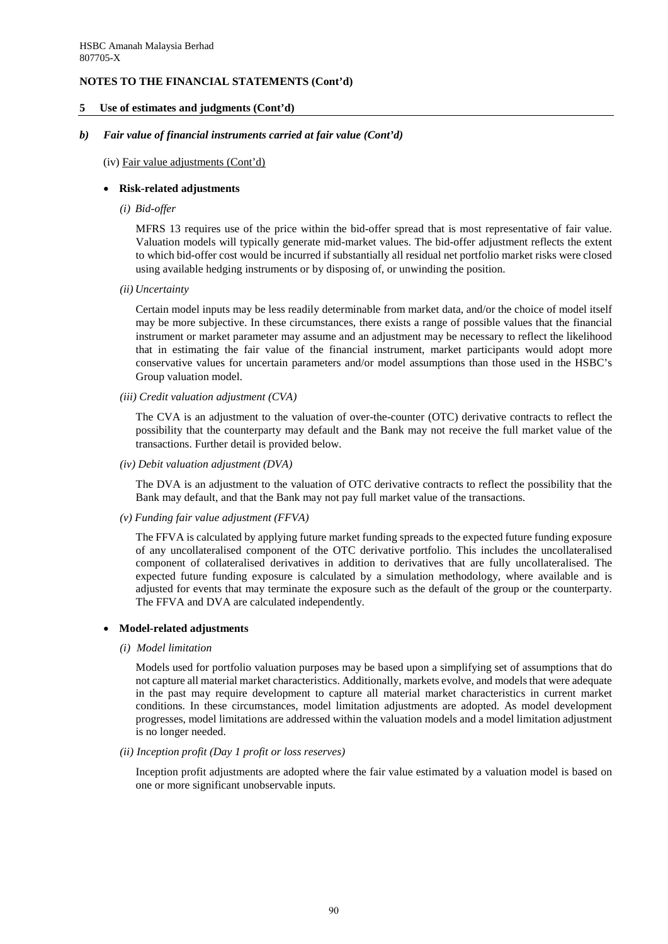#### **5 Use of estimates and judgments (Cont'd)**

#### *b) Fair value of financial instruments carried at fair value (Cont'd)*

#### (iv) Fair value adjustments (Cont'd)

#### • **Risk-related adjustments**

*(i) Bid-offer* 

MFRS 13 requires use of the price within the bid-offer spread that is most representative of fair value. Valuation models will typically generate mid-market values. The bid-offer adjustment reflects the extent to which bid-offer cost would be incurred if substantially all residual net portfolio market risks were closed using available hedging instruments or by disposing of, or unwinding the position.

 *(ii) Uncertainty* 

Certain model inputs may be less readily determinable from market data, and/or the choice of model itself may be more subjective. In these circumstances, there exists a range of possible values that the financial instrument or market parameter may assume and an adjustment may be necessary to reflect the likelihood that in estimating the fair value of the financial instrument, market participants would adopt more conservative values for uncertain parameters and/or model assumptions than those used in the HSBC's Group valuation model.

*(iii) Credit valuation adjustment (CVA)* 

The CVA is an adjustment to the valuation of over-the-counter (OTC) derivative contracts to reflect the possibility that the counterparty may default and the Bank may not receive the full market value of the transactions. Further detail is provided below.

*(iv) Debit valuation adjustment (DVA)* 

The DVA is an adjustment to the valuation of OTC derivative contracts to reflect the possibility that the Bank may default, and that the Bank may not pay full market value of the transactions.

*(v) Funding fair value adjustment (FFVA)* 

The FFVA is calculated by applying future market funding spreads to the expected future funding exposure of any uncollateralised component of the OTC derivative portfolio. This includes the uncollateralised component of collateralised derivatives in addition to derivatives that are fully uncollateralised. The expected future funding exposure is calculated by a simulation methodology, where available and is adjusted for events that may terminate the exposure such as the default of the group or the counterparty. The FFVA and DVA are calculated independently.

### • **Model-related adjustments**

*(i) Model limitation* 

Models used for portfolio valuation purposes may be based upon a simplifying set of assumptions that do not capture all material market characteristics. Additionally, markets evolve, and models that were adequate in the past may require development to capture all material market characteristics in current market conditions. In these circumstances, model limitation adjustments are adopted. As model development progresses, model limitations are addressed within the valuation models and a model limitation adjustment is no longer needed.

#### *(ii) Inception profit (Day 1 profit or loss reserves)*

Inception profit adjustments are adopted where the fair value estimated by a valuation model is based on one or more significant unobservable inputs.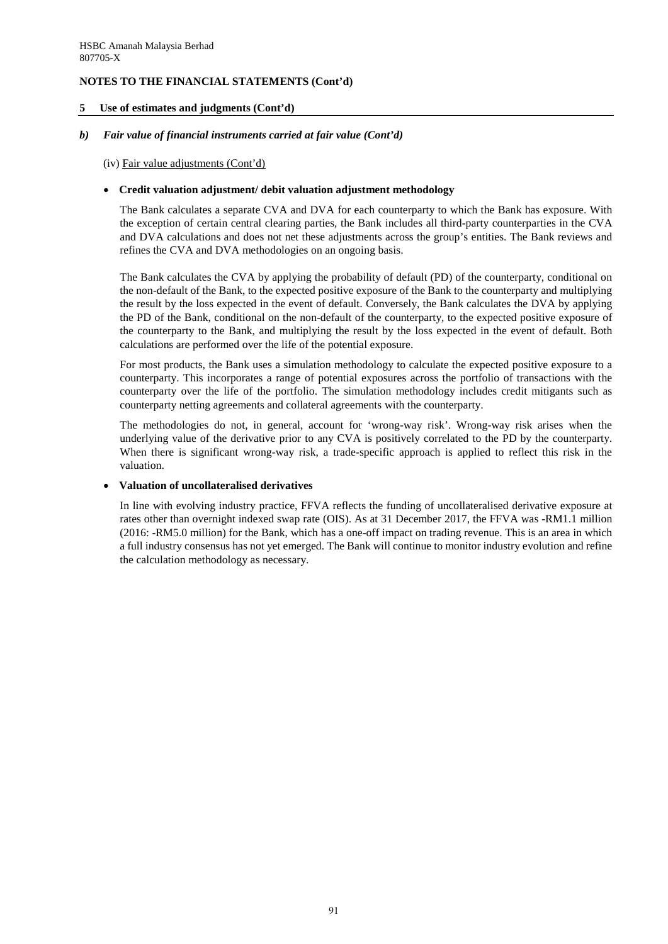#### **5 Use of estimates and judgments (Cont'd)**

#### *b) Fair value of financial instruments carried at fair value (Cont'd)*

(iv) Fair value adjustments (Cont'd)

#### • **Credit valuation adjustment/ debit valuation adjustment methodology**

The Bank calculates a separate CVA and DVA for each counterparty to which the Bank has exposure. With the exception of certain central clearing parties, the Bank includes all third-party counterparties in the CVA and DVA calculations and does not net these adjustments across the group's entities. The Bank reviews and refines the CVA and DVA methodologies on an ongoing basis.

The Bank calculates the CVA by applying the probability of default (PD) of the counterparty, conditional on the non-default of the Bank, to the expected positive exposure of the Bank to the counterparty and multiplying the result by the loss expected in the event of default. Conversely, the Bank calculates the DVA by applying the PD of the Bank, conditional on the non-default of the counterparty, to the expected positive exposure of the counterparty to the Bank, and multiplying the result by the loss expected in the event of default. Both calculations are performed over the life of the potential exposure.

For most products, the Bank uses a simulation methodology to calculate the expected positive exposure to a counterparty. This incorporates a range of potential exposures across the portfolio of transactions with the counterparty over the life of the portfolio. The simulation methodology includes credit mitigants such as counterparty netting agreements and collateral agreements with the counterparty.

The methodologies do not, in general, account for 'wrong-way risk'. Wrong-way risk arises when the underlying value of the derivative prior to any CVA is positively correlated to the PD by the counterparty. When there is significant wrong-way risk, a trade-specific approach is applied to reflect this risk in the valuation.

### • **Valuation of uncollateralised derivatives**

In line with evolving industry practice, FFVA reflects the funding of uncollateralised derivative exposure at rates other than overnight indexed swap rate (OIS). As at 31 December 2017, the FFVA was -RM1.1 million (2016: -RM5.0 million) for the Bank, which has a one-off impact on trading revenue. This is an area in which a full industry consensus has not yet emerged. The Bank will continue to monitor industry evolution and refine the calculation methodology as necessary.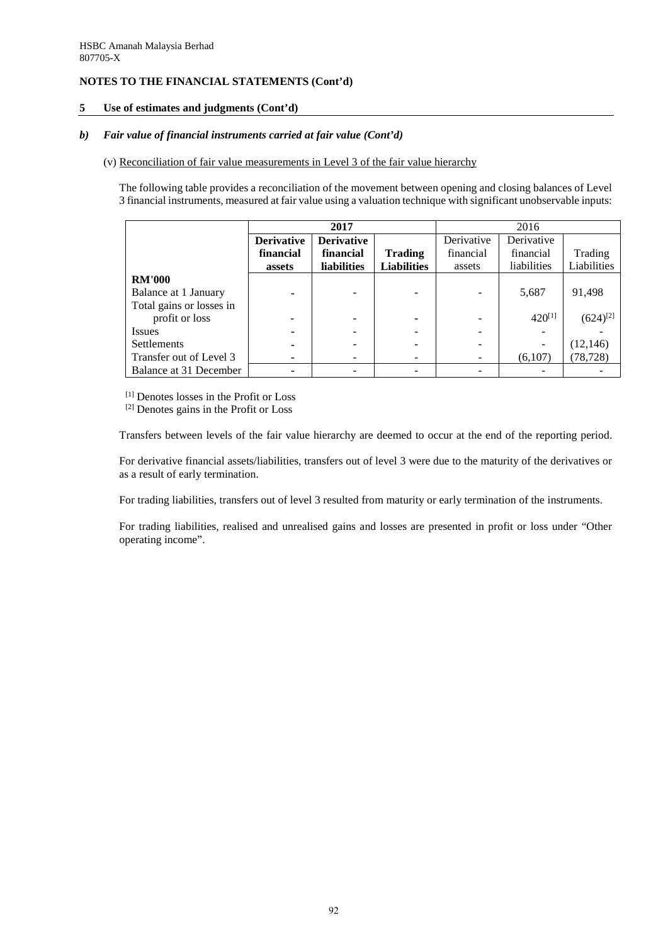### **5 Use of estimates and judgments (Cont'd)**

### *b) Fair value of financial instruments carried at fair value (Cont'd)*

(v) Reconciliation of fair value measurements in Level 3 of the fair value hierarchy

The following table provides a reconciliation of the movement between opening and closing balances of Level 3 financial instruments, measured at fair value using a valuation technique with significant unobservable inputs:

|                          | 2017              |                    |                    | 2016       |             |               |  |
|--------------------------|-------------------|--------------------|--------------------|------------|-------------|---------------|--|
|                          | <b>Derivative</b> | <b>Derivative</b>  |                    | Derivative | Derivative  |               |  |
|                          | financial         | financial          | <b>Trading</b>     | financial  | financial   | Trading       |  |
|                          | assets            | <b>liabilities</b> | <b>Liabilities</b> | assets     | liabilities | Liabilities   |  |
| <b>RM'000</b>            |                   |                    |                    |            |             |               |  |
| Balance at 1 January     |                   |                    |                    |            | 5,687       | 91,498        |  |
| Total gains or losses in |                   |                    |                    |            |             |               |  |
| profit or loss           |                   |                    |                    |            | $420^{[1]}$ | $(624)^{[2]}$ |  |
| Issues                   |                   |                    |                    |            |             |               |  |
| <b>Settlements</b>       |                   |                    |                    |            |             | (12, 146)     |  |
| Transfer out of Level 3  |                   |                    |                    |            | (6,107)     | (78, 728)     |  |
| Balance at 31 December   |                   |                    |                    |            |             |               |  |

[1] Denotes losses in the Profit or Loss

[2] Denotes gains in the Profit or Loss

Transfers between levels of the fair value hierarchy are deemed to occur at the end of the reporting period.

For derivative financial assets/liabilities, transfers out of level 3 were due to the maturity of the derivatives or as a result of early termination.

For trading liabilities, transfers out of level 3 resulted from maturity or early termination of the instruments.

For trading liabilities, realised and unrealised gains and losses are presented in profit or loss under "Other operating income".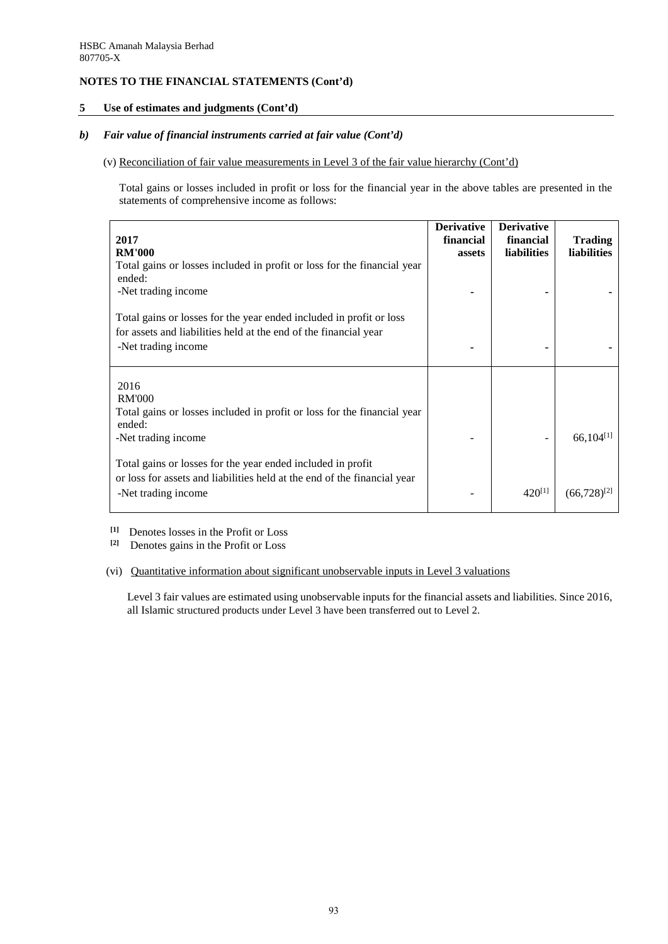#### **5 Use of estimates and judgments (Cont'd)**

### *b) Fair value of financial instruments carried at fair value (Cont'd)*

#### (v) Reconciliation of fair value measurements in Level 3 of the fair value hierarchy (Cont'd)

Total gains or losses included in profit or loss for the financial year in the above tables are presented in the statements of comprehensive income as follows:

| 2017<br><b>RM'000</b>                                                                                                                                          | <b>Derivative</b><br>financial<br>assets | <b>Derivative</b><br>financial<br><b>liabilities</b> | <b>Trading</b><br><b>liabilities</b> |
|----------------------------------------------------------------------------------------------------------------------------------------------------------------|------------------------------------------|------------------------------------------------------|--------------------------------------|
| Total gains or losses included in profit or loss for the financial year<br>ended:<br>-Net trading income                                                       |                                          |                                                      |                                      |
| Total gains or losses for the year ended included in profit or loss<br>for assets and liabilities held at the end of the financial year<br>-Net trading income |                                          |                                                      |                                      |
| 2016<br><b>RM'000</b><br>Total gains or losses included in profit or loss for the financial year<br>ended:<br>-Net trading income                              |                                          |                                                      | $66,104^{[1]}$                       |
| Total gains or losses for the year ended included in profit<br>or loss for assets and liabilities held at the end of the financial year<br>-Net trading income |                                          | $420^{[1]}$                                          | $(66,728)^{[2]}$                     |

<sup>[1]</sup> Denotes losses in the Profit or Loss<sup>[2]</sup> Denotes gains in the Profit or Loss

**[2]** Denotes gains in the Profit or Loss

#### (vi) Quantitative information about significant unobservable inputs in Level 3 valuations

Level 3 fair values are estimated using unobservable inputs for the financial assets and liabilities. Since 2016, all Islamic structured products under Level 3 have been transferred out to Level 2.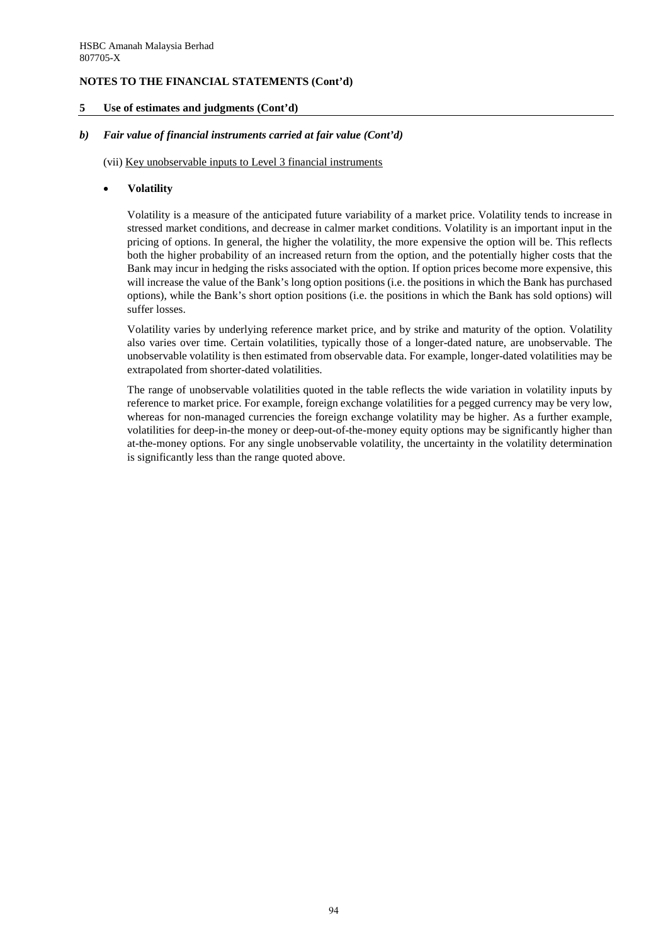#### **5 Use of estimates and judgments (Cont'd)**

#### *b) Fair value of financial instruments carried at fair value (Cont'd)*

(vii) Key unobservable inputs to Level 3 financial instruments

#### • **Volatility**

Volatility is a measure of the anticipated future variability of a market price. Volatility tends to increase in stressed market conditions, and decrease in calmer market conditions. Volatility is an important input in the pricing of options. In general, the higher the volatility, the more expensive the option will be. This reflects both the higher probability of an increased return from the option, and the potentially higher costs that the Bank may incur in hedging the risks associated with the option. If option prices become more expensive, this will increase the value of the Bank's long option positions (i.e. the positions in which the Bank has purchased options), while the Bank's short option positions (i.e. the positions in which the Bank has sold options) will suffer losses.

Volatility varies by underlying reference market price, and by strike and maturity of the option. Volatility also varies over time. Certain volatilities, typically those of a longer-dated nature, are unobservable. The unobservable volatility is then estimated from observable data. For example, longer-dated volatilities may be extrapolated from shorter-dated volatilities.

The range of unobservable volatilities quoted in the table reflects the wide variation in volatility inputs by reference to market price. For example, foreign exchange volatilities for a pegged currency may be very low, whereas for non-managed currencies the foreign exchange volatility may be higher. As a further example, volatilities for deep-in-the money or deep-out-of-the-money equity options may be significantly higher than at-the-money options. For any single unobservable volatility, the uncertainty in the volatility determination is significantly less than the range quoted above.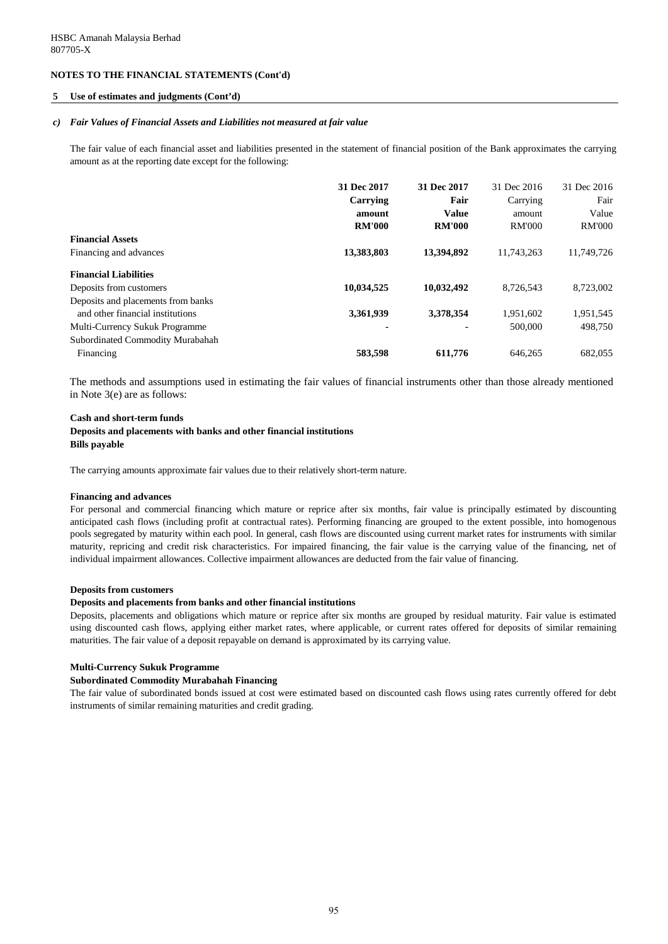#### **5 Use of estimates and judgments (Cont'd)**

#### *c) Fair Values of Financial Assets and Liabilities not measured at fair value*

The fair value of each financial asset and liabilities presented in the statement of financial position of the Bank approximates the carrying amount as at the reporting date except for the following:

|                                    | 31 Dec 2017   | 31 Dec 2017   | 31 Dec 2016   | 31 Dec 2016   |
|------------------------------------|---------------|---------------|---------------|---------------|
|                                    | Carrying      | Fair          | Carrying      | Fair          |
|                                    | amount        | <b>Value</b>  | amount        | Value         |
|                                    | <b>RM'000</b> | <b>RM'000</b> | <b>RM'000</b> | <b>RM'000</b> |
| <b>Financial Assets</b>            |               |               |               |               |
| Financing and advances             | 13,383,803    | 13,394,892    | 11.743.263    | 11,749,726    |
| <b>Financial Liabilities</b>       |               |               |               |               |
| Deposits from customers            | 10,034,525    | 10,032,492    | 8,726,543     | 8,723,002     |
| Deposits and placements from banks |               |               |               |               |
| and other financial institutions   | 3,361,939     | 3,378,354     | 1,951,602     | 1,951,545     |
| Multi-Currency Sukuk Programme     |               | ۰             | 500,000       | 498.750       |
| Subordinated Commodity Murabahah   |               |               |               |               |
| Financing                          | 583.598       | 611.776       | 646,265       | 682,055       |

The methods and assumptions used in estimating the fair values of financial instruments other than those already mentioned in Note 3(e) are as follows:

#### **Cash and short-term funds Deposits and placements with banks and other financial institutions Bills payable**

The carrying amounts approximate fair values due to their relatively short-term nature.

#### **Financing and advances**

For personal and commercial financing which mature or reprice after six months, fair value is principally estimated by discounting anticipated cash flows (including profit at contractual rates). Performing financing are grouped to the extent possible, into homogenous pools segregated by maturity within each pool. In general, cash flows are discounted using current market rates for instruments with similar maturity, repricing and credit risk characteristics. For impaired financing, the fair value is the carrying value of the financing, net of individual impairment allowances. Collective impairment allowances are deducted from the fair value of financing.

#### **Deposits from customers**

#### **Deposits and placements from banks and other financial institutions**

Deposits, placements and obligations which mature or reprice after six months are grouped by residual maturity. Fair value is estimated using discounted cash flows, applying either market rates, where applicable, or current rates offered for deposits of similar remaining maturities. The fair value of a deposit repayable on demand is approximated by its carrying value.

#### **Multi-Currency Sukuk Programme**

#### **Subordinated Commodity Murabahah Financing**

The fair value of subordinated bonds issued at cost were estimated based on discounted cash flows using rates currently offered for debt instruments of similar remaining maturities and credit grading.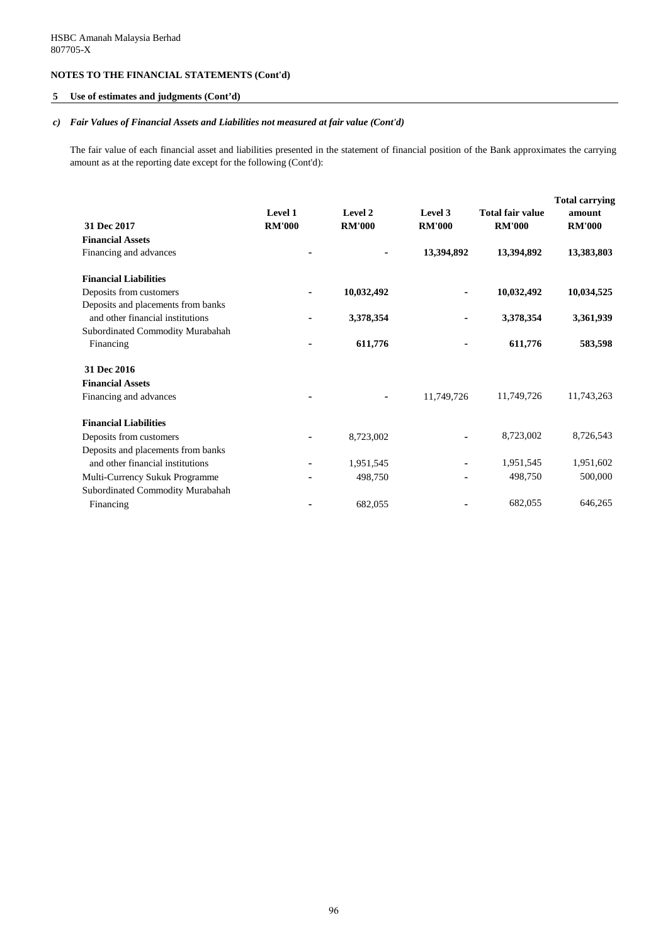### **5 Use of estimates and judgments (Cont'd)**

#### *c) Fair Values of Financial Assets and Liabilities not measured at fair value (Cont'd)*

The fair value of each financial asset and liabilities presented in the statement of financial position of the Bank approximates the carrying amount as at the reporting date except for the following (Cont'd):

| 31 Dec 2017                                                            | Level 1<br><b>RM'000</b> | Level 2<br><b>RM'000</b> | Level 3<br><b>RM'000</b> | <b>Total fair value</b><br><b>RM'000</b> | <b>Total carrying</b><br>amount<br><b>RM'000</b> |
|------------------------------------------------------------------------|--------------------------|--------------------------|--------------------------|------------------------------------------|--------------------------------------------------|
| <b>Financial Assets</b>                                                |                          |                          |                          |                                          |                                                  |
| Financing and advances                                                 |                          |                          | 13,394,892               | 13,394,892                               | 13,383,803                                       |
| <b>Financial Liabilities</b>                                           |                          |                          |                          |                                          |                                                  |
| Deposits from customers                                                |                          | 10,032,492               |                          | 10,032,492                               | 10,034,525                                       |
| Deposits and placements from banks<br>and other financial institutions |                          | 3,378,354                |                          | 3,378,354                                | 3,361,939                                        |
| Subordinated Commodity Murabahah                                       |                          |                          |                          |                                          |                                                  |
| Financing                                                              |                          | 611,776                  |                          | 611,776                                  | 583,598                                          |
| 31 Dec 2016                                                            |                          |                          |                          |                                          |                                                  |
| <b>Financial Assets</b>                                                |                          |                          |                          |                                          |                                                  |
| Financing and advances                                                 |                          |                          | 11,749,726               | 11,749,726                               | 11,743,263                                       |
| <b>Financial Liabilities</b>                                           |                          |                          |                          |                                          |                                                  |
| Deposits from customers                                                |                          | 8,723,002                |                          | 8,723,002                                | 8,726,543                                        |
| Deposits and placements from banks                                     |                          |                          |                          |                                          |                                                  |
| and other financial institutions                                       |                          | 1,951,545                |                          | 1,951,545                                | 1,951,602                                        |
| Multi-Currency Sukuk Programme                                         |                          | 498,750                  |                          | 498,750                                  | 500,000                                          |
| Subordinated Commodity Murabahah                                       |                          |                          |                          |                                          |                                                  |
| Financing                                                              |                          | 682,055                  |                          | 682,055                                  | 646,265                                          |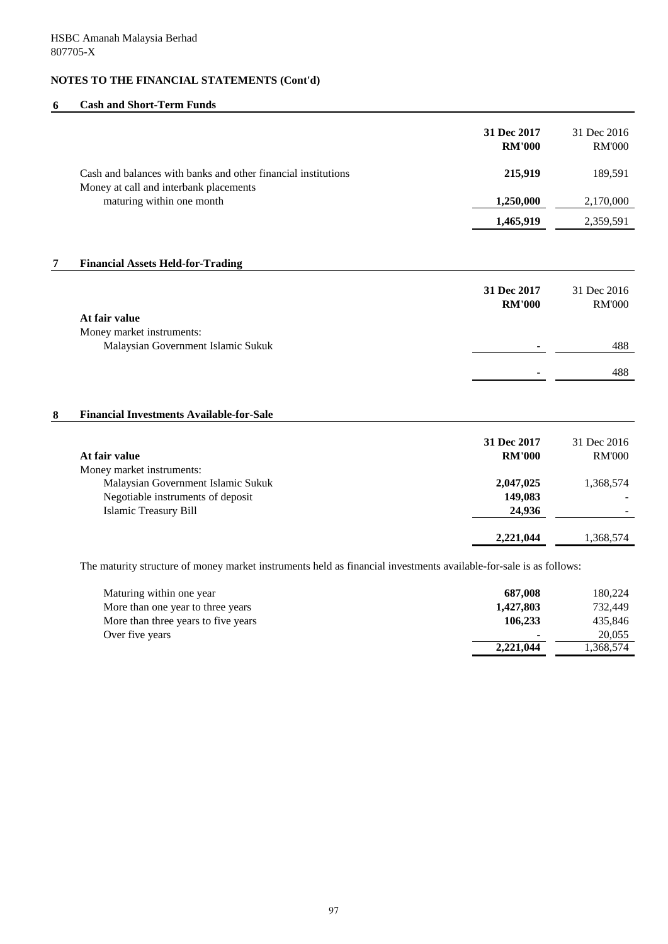### **6 Cash and Short-Term Funds**

|   |                                                                                                                    | 31 Dec 2017                  | 31 Dec 2016                  |
|---|--------------------------------------------------------------------------------------------------------------------|------------------------------|------------------------------|
|   |                                                                                                                    | <b>RM'000</b>                | <b>RM'000</b>                |
|   | Cash and balances with banks and other financial institutions<br>Money at call and interbank placements            | 215,919                      | 189,591                      |
|   | maturing within one month                                                                                          | 1,250,000                    | 2,170,000                    |
|   |                                                                                                                    | 1,465,919                    | 2,359,591                    |
|   |                                                                                                                    |                              |                              |
| 7 | <b>Financial Assets Held-for-Trading</b>                                                                           |                              |                              |
|   | At fair value                                                                                                      | 31 Dec 2017<br><b>RM'000</b> | 31 Dec 2016<br><b>RM'000</b> |
|   | Money market instruments:                                                                                          |                              |                              |
|   | Malaysian Government Islamic Sukuk                                                                                 |                              | 488                          |
|   |                                                                                                                    |                              | 488                          |
| 8 | <b>Financial Investments Available-for-Sale</b>                                                                    |                              |                              |
|   | At fair value<br>Money market instruments:                                                                         | 31 Dec 2017<br><b>RM'000</b> | 31 Dec 2016<br><b>RM'000</b> |
|   | Malaysian Government Islamic Sukuk                                                                                 | 2,047,025                    | 1,368,574                    |
|   | Negotiable instruments of deposit                                                                                  | 149,083                      |                              |
|   | <b>Islamic Treasury Bill</b>                                                                                       | 24,936                       |                              |
|   |                                                                                                                    | 2,221,044                    | 1,368,574                    |
|   | The maturity structure of money market instruments held as financial investments available-for-sale is as follows: |                              |                              |
|   | Maturing within one year                                                                                           | 687,008                      | 180,224                      |
|   | More than one year to three years                                                                                  | 1,427,803                    | 732,449                      |
|   | More than three years to five years                                                                                | 106,233                      | 435,846                      |

Over five years **1.1.200.055**<br>2,221,044 **-1.368,574** 

**2,221,044**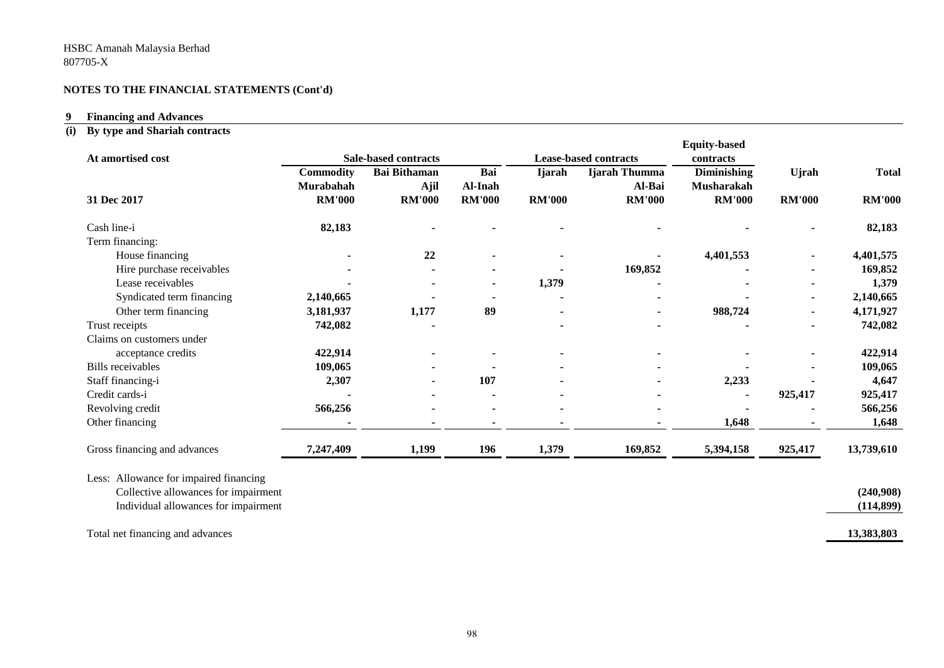#### **9 Financing and Advances**

#### **(i) By type and Shariah contracts**

| At amortised cost                      |                        | <b>Sale-based contracts</b>        |                |               | <b>Lease-based contracts</b> | <b>Equity-based</b><br>contracts |               |               |
|----------------------------------------|------------------------|------------------------------------|----------------|---------------|------------------------------|----------------------------------|---------------|---------------|
|                                        | Commodity<br>Murabahah | <b>Bai Bithaman</b><br><b>Ajil</b> | Bai<br>Al-Inah | <b>Ijarah</b> | Ijarah Thumma<br>Al-Bai      | <b>Diminishing</b><br>Musharakah | Ujrah         | <b>Total</b>  |
| 31 Dec 2017                            | <b>RM'000</b>          | <b>RM'000</b>                      | <b>RM'000</b>  | <b>RM'000</b> | <b>RM'000</b>                | <b>RM'000</b>                    | <b>RM'000</b> | <b>RM'000</b> |
| Cash line-i                            | 82,183                 |                                    |                |               |                              |                                  |               | 82,183        |
| Term financing:                        |                        |                                    |                |               |                              |                                  |               |               |
| House financing                        |                        | 22                                 |                |               |                              | 4,401,553                        |               | 4,401,575     |
| Hire purchase receivables              |                        |                                    |                |               | 169,852                      |                                  |               | 169,852       |
| Lease receivables                      |                        |                                    | $\blacksquare$ | 1,379         |                              |                                  |               | 1,379         |
| Syndicated term financing              | 2,140,665              |                                    |                |               |                              |                                  |               | 2,140,665     |
| Other term financing                   | 3,181,937              | 1,177                              | 89             |               | $\blacksquare$               | 988,724                          |               | 4,171,927     |
| Trust receipts                         | 742,082                |                                    |                |               |                              |                                  |               | 742,082       |
| Claims on customers under              |                        |                                    |                |               |                              |                                  |               |               |
| acceptance credits                     | 422,914                |                                    |                |               |                              |                                  |               | 422,914       |
| <b>Bills</b> receivables               | 109,065                |                                    |                |               |                              |                                  |               | 109,065       |
| Staff financing-i                      | 2,307                  |                                    | 107            |               |                              | 2,233                            |               | 4,647         |
| Credit cards-i                         |                        |                                    |                |               |                              |                                  | 925,417       | 925,417       |
| Revolving credit                       | 566,256                |                                    |                |               |                              |                                  |               | 566,256       |
| Other financing                        |                        |                                    |                |               |                              | 1,648                            |               | 1,648         |
| Gross financing and advances           | 7,247,409              | 1,199                              | 196            | 1,379         | 169,852                      | 5,394,158                        | 925,417       | 13,739,610    |
| Less: Allowance for impaired financing |                        |                                    |                |               |                              |                                  |               |               |
| Collective allowances for impairment   |                        |                                    |                |               |                              |                                  |               | (240,908)     |
| Individual allowances for impairment   |                        |                                    |                |               |                              |                                  |               | (114, 899)    |
| Total net financing and advances       |                        |                                    |                |               |                              |                                  |               | 13,383,803    |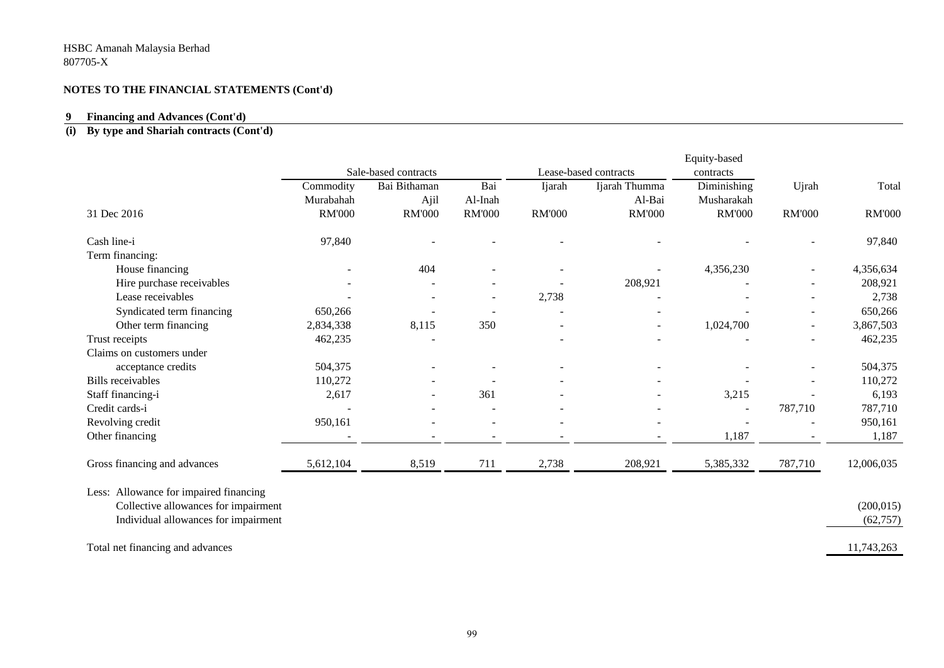#### **9 Financing and Advances (Cont'd)**

#### **(i) By type and Shariah contracts (Cont'd)**

|                                        |               |                      |               |               |                       | Equity-based  |                          |               |
|----------------------------------------|---------------|----------------------|---------------|---------------|-----------------------|---------------|--------------------------|---------------|
|                                        |               | Sale-based contracts |               |               | Lease-based contracts | contracts     |                          |               |
|                                        | Commodity     | Bai Bithaman         | Bai           | Ijarah        | Ijarah Thumma         | Diminishing   | Ujrah                    | Total         |
|                                        | Murabahah     | Ajil                 | Al-Inah       |               | Al-Bai                | Musharakah    |                          |               |
| 31 Dec 2016                            | <b>RM'000</b> | <b>RM'000</b>        | <b>RM'000</b> | <b>RM'000</b> | <b>RM'000</b>         | <b>RM'000</b> | <b>RM'000</b>            | <b>RM'000</b> |
| Cash line-i                            | 97,840        |                      |               |               |                       |               |                          | 97,840        |
| Term financing:                        |               |                      |               |               |                       |               |                          |               |
| House financing                        |               | 404                  |               |               |                       | 4,356,230     |                          | 4,356,634     |
| Hire purchase receivables              |               |                      |               |               | 208,921               |               |                          | 208,921       |
| Lease receivables                      |               |                      |               | 2,738         |                       |               |                          | 2,738         |
| Syndicated term financing              | 650,266       |                      |               |               |                       |               |                          | 650,266       |
| Other term financing                   | 2,834,338     | 8,115                | 350           |               | $\sim$                | 1,024,700     | $\overline{\phantom{a}}$ | 3,867,503     |
| Trust receipts                         | 462,235       |                      |               |               |                       |               |                          | 462,235       |
| Claims on customers under              |               |                      |               |               |                       |               |                          |               |
| acceptance credits                     | 504,375       |                      |               |               |                       |               |                          | 504,375       |
| <b>Bills</b> receivables               | 110,272       |                      |               |               |                       |               |                          | 110,272       |
| Staff financing-i                      | 2,617         |                      | 361           |               |                       | 3,215         |                          | 6,193         |
| Credit cards-i                         |               |                      |               |               |                       |               | 787,710                  | 787,710       |
| Revolving credit                       | 950,161       |                      |               |               |                       |               |                          | 950,161       |
| Other financing                        |               |                      |               |               |                       | 1,187         |                          | 1,187         |
| Gross financing and advances           | 5,612,104     | 8,519                | 711           | 2,738         | 208,921               | 5,385,332     | 787,710                  | 12,006,035    |
| Less: Allowance for impaired financing |               |                      |               |               |                       |               |                          |               |
| Collective allowances for impairment   |               |                      |               |               |                       |               |                          | (200, 015)    |
| Individual allowances for impairment   |               |                      |               |               |                       |               |                          | (62, 757)     |
|                                        |               |                      |               |               |                       |               |                          |               |
| Total net financing and advances       |               |                      |               |               |                       |               |                          | 11,743,263    |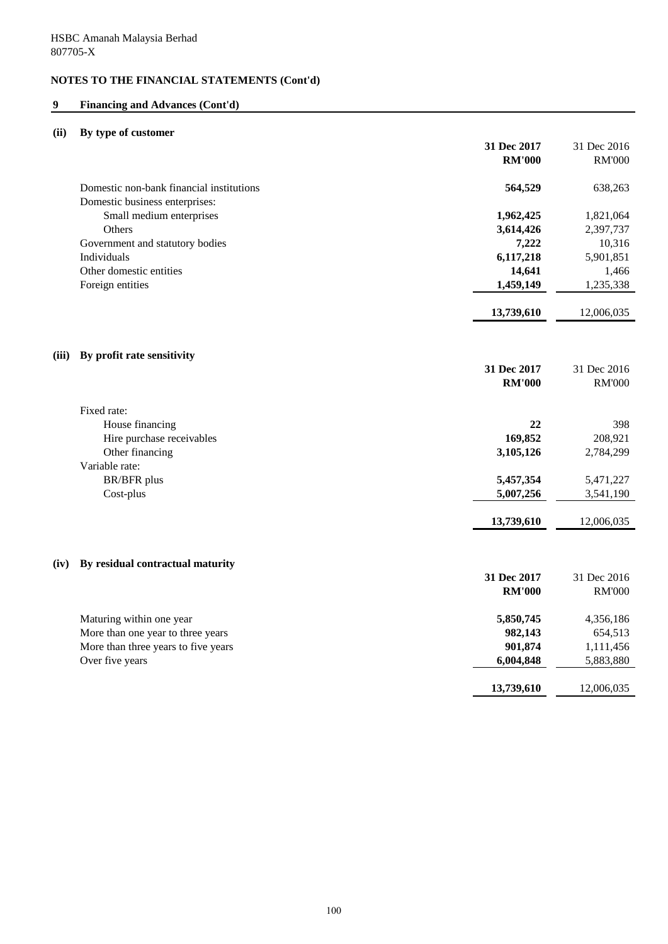## **9 Financing and Advances (Cont'd)**

## **(ii) By type of customer**

|                                          | 31 Dec 2017   | 31 Dec 2016   |
|------------------------------------------|---------------|---------------|
|                                          | <b>RM'000</b> | <b>RM'000</b> |
| Domestic non-bank financial institutions | 564,529       | 638,263       |
| Domestic business enterprises:           |               |               |
| Small medium enterprises                 | 1,962,425     | 1,821,064     |
| Others                                   | 3,614,426     | 2,397,737     |
| Government and statutory bodies          | 7,222         | 10,316        |
| Individuals                              | 6,117,218     | 5,901,851     |
| Other domestic entities                  | 14,641        | 1,466         |
| Foreign entities                         | 1,459,149     | 1,235,338     |
|                                          | 13,739,610    | 12,006,035    |
| By profit rate sensitivity<br>(iii)      |               |               |
|                                          | 31 Dec 2017   | 31 Dec 2016   |
|                                          | <b>RM'000</b> | <b>RM'000</b> |
|                                          |               |               |
| Fixed rate:                              |               |               |
| House financing                          | 22            | 398           |
| Hire purchase receivables                | 169,852       | 208,921       |
| Other financing<br>Variable rate:        | 3,105,126     | 2,784,299     |
| <b>BR/BFR</b> plus                       | 5,457,354     | 5,471,227     |
| Cost-plus                                | 5,007,256     | 3,541,190     |
|                                          |               |               |
|                                          | 13,739,610    | 12,006,035    |
| By residual contractual maturity<br>(iv) |               |               |
|                                          | 31 Dec 2017   | 31 Dec 2016   |
|                                          | <b>RM'000</b> | <b>RM'000</b> |
|                                          |               |               |
| Maturing within one year                 | 5,850,745     | 4,356,186     |
| More than one year to three years        | 982,143       | 654,513       |
| More than three years to five years      | 901,874       | 1,111,456     |
| Over five years                          | 6,004,848     | 5,883,880     |
|                                          | 13,739,610    | 12,006,035    |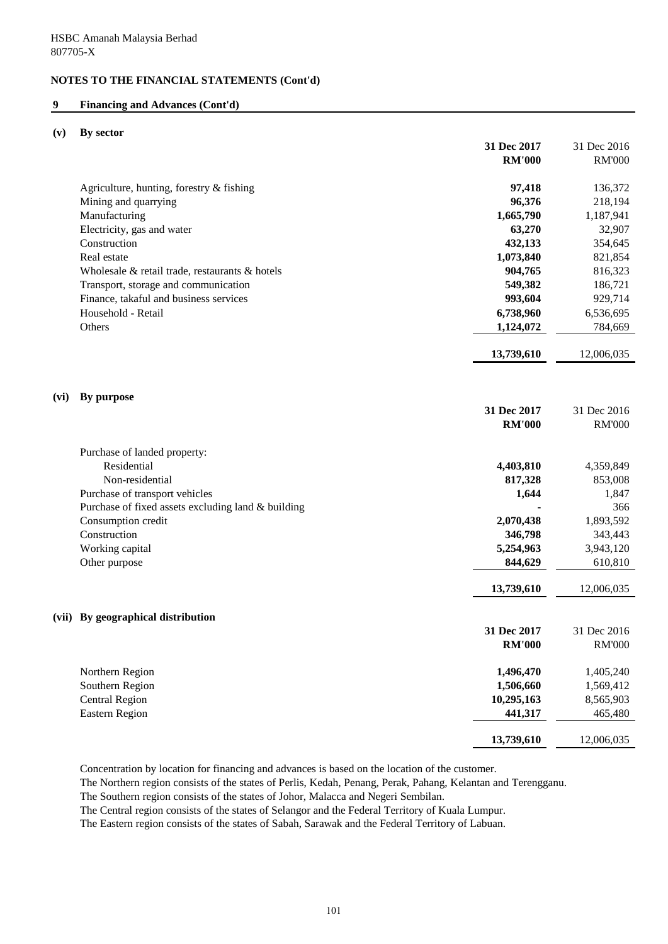### **9 Financing and Advances (Cont'd)**

#### **(v) By sector**

|      |                                                    | 31 Dec 2017   | 31 Dec 2016   |
|------|----------------------------------------------------|---------------|---------------|
|      |                                                    | <b>RM'000</b> | <b>RM'000</b> |
|      |                                                    |               |               |
|      | Agriculture, hunting, forestry & fishing           | 97,418        | 136,372       |
|      | Mining and quarrying                               | 96,376        | 218,194       |
|      | Manufacturing                                      | 1,665,790     | 1,187,941     |
|      | Electricity, gas and water                         | 63,270        | 32,907        |
|      | Construction                                       | 432,133       | 354,645       |
|      | Real estate                                        | 1,073,840     | 821,854       |
|      | Wholesale & retail trade, restaurants & hotels     | 904,765       | 816,323       |
|      | Transport, storage and communication               | 549,382       | 186,721       |
|      | Finance, takaful and business services             | 993,604       | 929,714       |
|      | Household - Retail                                 | 6,738,960     | 6,536,695     |
|      | Others                                             | 1,124,072     | 784,669       |
|      |                                                    | 13,739,610    | 12,006,035    |
|      |                                                    |               |               |
|      |                                                    |               |               |
| (vi) | By purpose                                         | 31 Dec 2017   | 31 Dec 2016   |
|      |                                                    | <b>RM'000</b> | <b>RM'000</b> |
|      |                                                    |               |               |
|      | Purchase of landed property:                       |               |               |
|      | Residential                                        | 4,403,810     | 4,359,849     |
|      | Non-residential                                    | 817,328       | 853,008       |
|      | Purchase of transport vehicles                     | 1,644         | 1,847         |
|      | Purchase of fixed assets excluding land & building |               | 366           |
|      | Consumption credit                                 | 2,070,438     | 1,893,592     |
|      | Construction                                       | 346,798       | 343,443       |
|      | Working capital                                    | 5,254,963     | 3,943,120     |
|      | Other purpose                                      | 844,629       | 610,810       |
|      |                                                    | 13,739,610    | 12,006,035    |
|      |                                                    |               |               |
|      | (vii) By geographical distribution                 | 31 Dec 2017   | 31 Dec 2016   |
|      |                                                    | <b>RM'000</b> | <b>RM'000</b> |
|      |                                                    |               |               |
|      | Northern Region                                    | 1,496,470     | 1,405,240     |
|      | Southern Region                                    | 1,506,660     | 1,569,412     |
|      | <b>Central Region</b>                              | 10,295,163    | 8,565,903     |
|      | <b>Eastern Region</b>                              | 441,317       | 465,480       |
|      |                                                    | 13,739,610    | 12,006,035    |
|      |                                                    |               |               |

Concentration by location for financing and advances is based on the location of the customer.

The Northern region consists of the states of Perlis, Kedah, Penang, Perak, Pahang, Kelantan and Terengganu.

The Southern region consists of the states of Johor, Malacca and Negeri Sembilan.

The Central region consists of the states of Selangor and the Federal Territory of Kuala Lumpur.

The Eastern region consists of the states of Sabah, Sarawak and the Federal Territory of Labuan.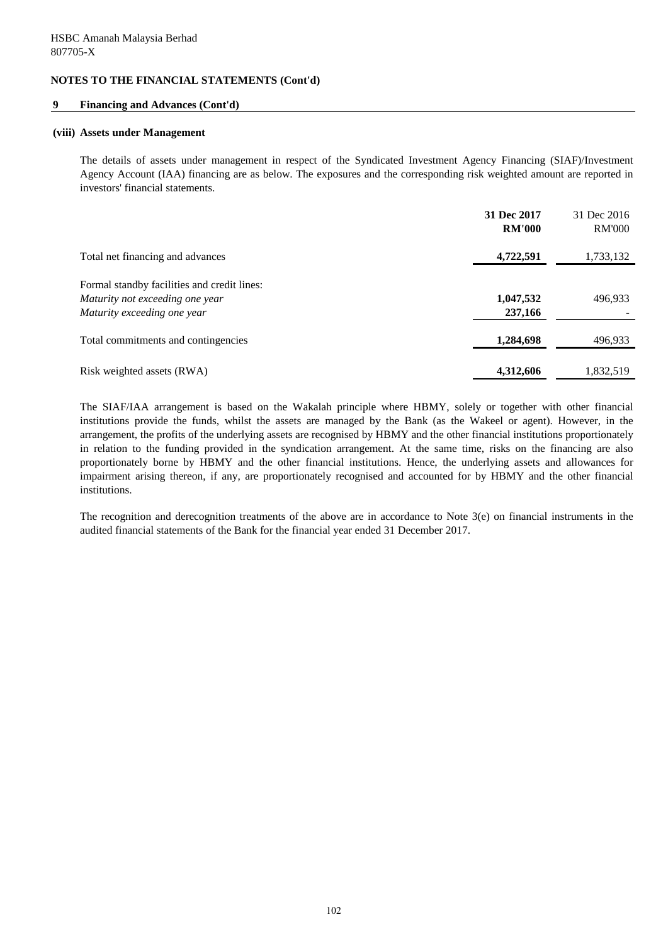#### **9 Financing and Advances (Cont'd)**

#### **(viii) Assets under Management**

The details of assets under management in respect of the Syndicated Investment Agency Financing (SIAF)/Investment Agency Account (IAA) financing are as below. The exposures and the corresponding risk weighted amount are reported in investors' financial statements.

|                                                                                                               | 31 Dec 2017<br><b>RM'000</b> | 31 Dec 2016<br><b>RM'000</b> |
|---------------------------------------------------------------------------------------------------------------|------------------------------|------------------------------|
| Total net financing and advances                                                                              | 4,722,591                    | 1,733,132                    |
| Formal standby facilities and credit lines:<br>Maturity not exceeding one year<br>Maturity exceeding one year | 1,047,532<br>237,166         | 496,933                      |
| Total commitments and contingencies                                                                           | 1,284,698                    | 496,933                      |
| Risk weighted assets (RWA)                                                                                    | 4,312,606                    | 1,832,519                    |

The SIAF/IAA arrangement is based on the Wakalah principle where HBMY, solely or together with other financial institutions provide the funds, whilst the assets are managed by the Bank (as the Wakeel or agent). However, in the arrangement, the profits of the underlying assets are recognised by HBMY and the other financial institutions proportionately in relation to the funding provided in the syndication arrangement. At the same time, risks on the financing are also proportionately borne by HBMY and the other financial institutions. Hence, the underlying assets and allowances for impairment arising thereon, if any, are proportionately recognised and accounted for by HBMY and the other financial institutions.

The recognition and derecognition treatments of the above are in accordance to Note 3(e) on financial instruments in the audited financial statements of the Bank for the financial year ended 31 December 2017.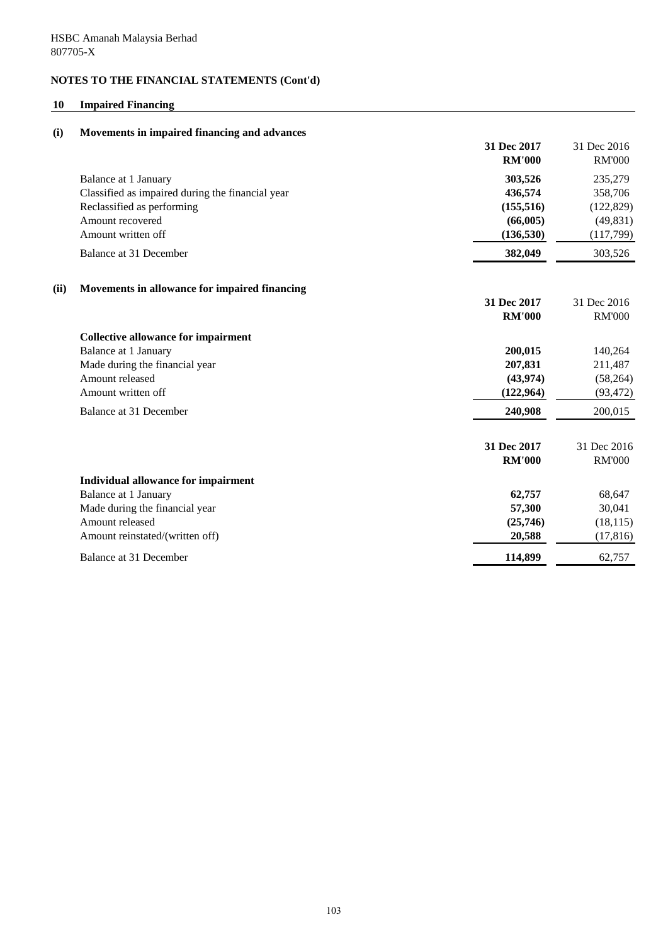## **10 Impaired Financing**

| (i)  | Movements in impaired financing and advances     |                              |                              |
|------|--------------------------------------------------|------------------------------|------------------------------|
|      |                                                  | 31 Dec 2017<br><b>RM'000</b> | 31 Dec 2016<br><b>RM'000</b> |
|      | Balance at 1 January                             | 303,526                      | 235,279                      |
|      | Classified as impaired during the financial year | 436,574                      | 358,706                      |
|      | Reclassified as performing                       | (155, 516)                   | (122, 829)                   |
|      | Amount recovered                                 | (66,005)                     | (49, 831)                    |
|      | Amount written off                               | (136, 530)                   | (117,799)                    |
|      | Balance at 31 December                           | 382,049                      | 303,526                      |
| (ii) | Movements in allowance for impaired financing    |                              |                              |
|      |                                                  | 31 Dec 2017                  | 31 Dec 2016                  |
|      |                                                  | <b>RM'000</b>                | <b>RM'000</b>                |
|      | <b>Collective allowance for impairment</b>       |                              |                              |
|      | Balance at 1 January                             | 200,015                      | 140,264                      |
|      | Made during the financial year                   | 207,831                      | 211,487                      |
|      | Amount released                                  | (43, 974)                    | (58, 264)                    |
|      | Amount written off                               | (122, 964)                   | (93, 472)                    |
|      | Balance at 31 December                           | 240,908                      | 200,015                      |
|      |                                                  | 31 Dec 2017                  | 31 Dec 2016                  |
|      |                                                  | <b>RM'000</b>                | <b>RM'000</b>                |
|      | Individual allowance for impairment              |                              |                              |
|      | Balance at 1 January                             | 62,757                       | 68,647                       |
|      | Made during the financial year                   | 57,300                       | 30,041                       |
|      | Amount released                                  | (25,746)                     | (18, 115)                    |
|      | Amount reinstated/(written off)                  | 20,588                       | (17, 816)                    |
|      | Balance at 31 December                           | 114,899                      | 62,757                       |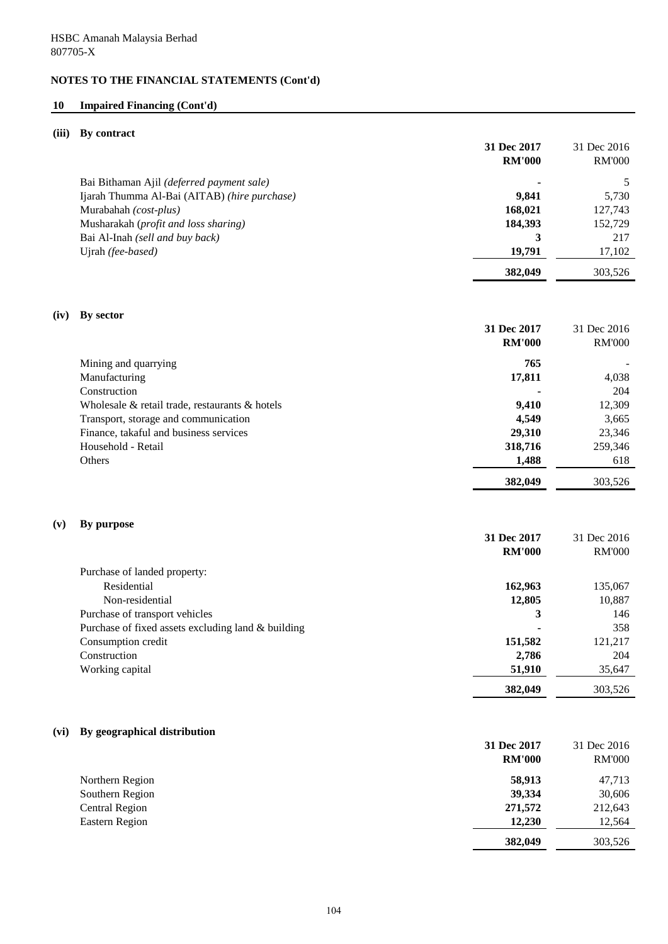# **10 Impaired Financing (Cont'd)**

## **(iii) By contract**

|      |                                                    | 31 Dec 2017<br><b>RM'000</b> | 31 Dec 2016<br><b>RM'000</b> |
|------|----------------------------------------------------|------------------------------|------------------------------|
|      |                                                    |                              |                              |
|      | Bai Bithaman Ajil (deferred payment sale)          |                              | 5                            |
|      | Ijarah Thumma Al-Bai (AITAB) (hire purchase)       | 9,841                        | 5,730                        |
|      | Murabahah (cost-plus)                              | 168,021                      | 127,743                      |
|      | Musharakah (profit and loss sharing)               | 184,393                      | 152,729                      |
|      | Bai Al-Inah (sell and buy back)                    | 3                            | 217                          |
|      | Ujrah (fee-based)                                  | 19,791                       | 17,102                       |
|      |                                                    | 382,049                      | 303,526                      |
| (iv) | By sector                                          |                              |                              |
|      |                                                    | 31 Dec 2017                  | 31 Dec 2016                  |
|      |                                                    | <b>RM'000</b>                | <b>RM'000</b>                |
|      |                                                    | 765                          |                              |
|      | Mining and quarrying                               |                              |                              |
|      | Manufacturing                                      | 17,811                       | 4,038                        |
|      | Construction                                       |                              | 204                          |
|      | Wholesale & retail trade, restaurants & hotels     | 9,410                        | 12,309                       |
|      | Transport, storage and communication               | 4,549                        | 3,665                        |
|      | Finance, takaful and business services             | 29,310                       | 23,346                       |
|      | Household - Retail                                 | 318,716                      | 259,346                      |
|      | Others                                             | 1,488                        | 618                          |
|      |                                                    | 382,049                      | 303,526                      |
| (v)  | By purpose                                         |                              |                              |
|      |                                                    | 31 Dec 2017                  | 31 Dec 2016                  |
|      |                                                    | <b>RM'000</b>                | <b>RM'000</b>                |
|      | Purchase of landed property:                       |                              |                              |
|      | Residential                                        | 162,963                      | 135,067                      |
|      | Non-residential                                    | 12,805                       | 10,887                       |
|      | Purchase of transport vehicles                     | 3                            | 146                          |
|      | Purchase of fixed assets excluding land & building |                              | 358                          |
|      | Consumption credit                                 | 151,582                      | 121,217                      |
|      | Construction                                       | 2,786                        | 204                          |
|      | Working capital                                    | 51,910                       |                              |
|      |                                                    |                              | 35,647                       |
|      |                                                    | 382,049                      | 303,526                      |
| (vi) | By geographical distribution                       |                              |                              |
|      |                                                    | 31 Dec 2017                  | 31 Dec 2016                  |
|      |                                                    | <b>RM'000</b>                | <b>RM'000</b>                |
|      |                                                    |                              |                              |
|      | Northern Region                                    | 58,913                       | 47,713                       |
|      | Southern Region                                    | 39,334                       | 30,606                       |
|      | <b>Central Region</b>                              | 271,572                      | 212,643                      |
|      | <b>Eastern Region</b>                              | 12,230                       | 12,564                       |
|      |                                                    | 382,049                      | 303,526                      |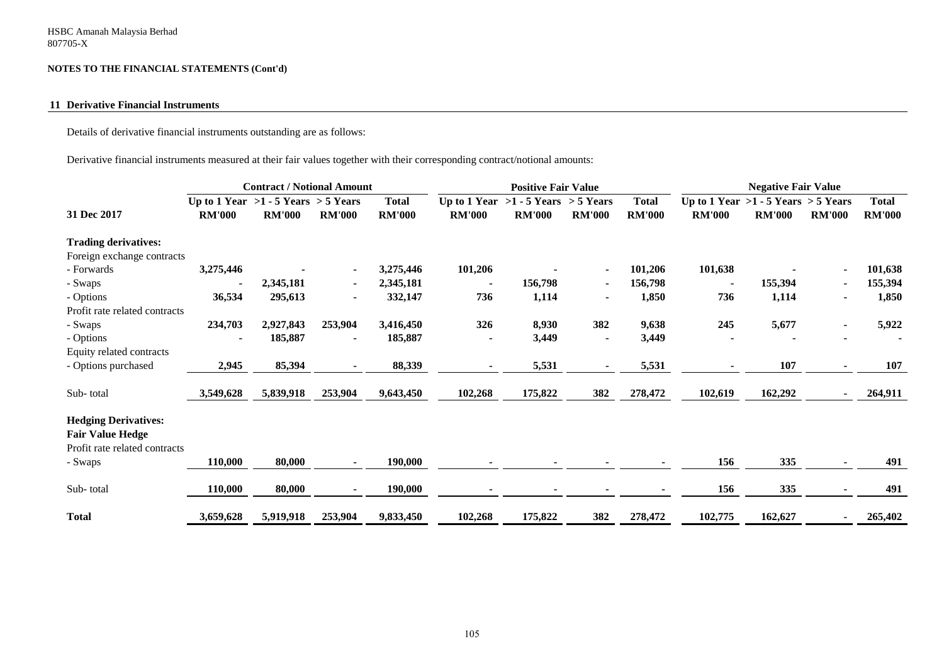#### **11 Derivative Financial Instruments**

Details of derivative financial instruments outstanding are as follows:

Derivative financial instruments measured at their fair values together with their corresponding contract/notional amounts:

|                               |                                         | <b>Contract / Notional Amount</b> |                |               | <b>Positive Fair Value</b> |                                         |                |               |                                         | <b>Negative Fair Value</b> |                |               |
|-------------------------------|-----------------------------------------|-----------------------------------|----------------|---------------|----------------------------|-----------------------------------------|----------------|---------------|-----------------------------------------|----------------------------|----------------|---------------|
|                               | Up to 1 Year $>1 - 5$ Years $> 5$ Years |                                   |                | <b>Total</b>  |                            | Up to 1 Year $>1 - 5$ Years $> 5$ Years |                | <b>Total</b>  | Up to 1 Year $>1 - 5$ Years $> 5$ Years |                            |                | <b>Total</b>  |
| 31 Dec 2017                   | <b>RM'000</b>                           | <b>RM'000</b>                     | <b>RM'000</b>  | <b>RM'000</b> | <b>RM'000</b>              | <b>RM'000</b>                           | <b>RM'000</b>  | <b>RM'000</b> | <b>RM'000</b>                           | <b>RM'000</b>              | <b>RM'000</b>  | <b>RM'000</b> |
| <b>Trading derivatives:</b>   |                                         |                                   |                |               |                            |                                         |                |               |                                         |                            |                |               |
| Foreign exchange contracts    |                                         |                                   |                |               |                            |                                         |                |               |                                         |                            |                |               |
| - Forwards                    | 3,275,446                               |                                   |                | 3,275,446     | 101,206                    |                                         |                | 101,206       | 101,638                                 |                            |                | 101,638       |
| - Swaps                       |                                         | 2,345,181                         | $\blacksquare$ | 2,345,181     |                            | 156,798                                 |                | 156,798       | $\blacksquare$                          | 155,394                    | $\blacksquare$ | 155,394       |
| - Options                     | 36,534                                  | 295,613                           | $\blacksquare$ | 332,147       | 736                        | 1,114                                   | $\blacksquare$ | 1,850         | 736                                     | 1,114                      |                | 1,850         |
| Profit rate related contracts |                                         |                                   |                |               |                            |                                         |                |               |                                         |                            |                |               |
| - Swaps                       | 234,703                                 | 2,927,843                         | 253,904        | 3,416,450     | 326                        | 8,930                                   | 382            | 9,638         | 245                                     | 5,677                      |                | 5,922         |
| - Options                     |                                         | 185,887                           |                | 185,887       | $\blacksquare$             | 3,449                                   | $\blacksquare$ | 3,449         |                                         |                            |                |               |
| Equity related contracts      |                                         |                                   |                |               |                            |                                         |                |               |                                         |                            |                |               |
| - Options purchased           | 2,945                                   | 85,394                            |                | 88,339        |                            | 5,531                                   | $\blacksquare$ | 5,531         |                                         | 107                        |                | 107           |
| Sub-total                     | 3,549,628                               | 5,839,918                         | 253,904        | 9,643,450     | 102,268                    | 175,822                                 | 382            | 278,472       | 102,619                                 | 162,292                    | ۰              | 264,911       |
| <b>Hedging Derivatives:</b>   |                                         |                                   |                |               |                            |                                         |                |               |                                         |                            |                |               |
| <b>Fair Value Hedge</b>       |                                         |                                   |                |               |                            |                                         |                |               |                                         |                            |                |               |
| Profit rate related contracts |                                         |                                   |                |               |                            |                                         |                |               |                                         |                            |                |               |
| - Swaps                       | 110,000                                 | 80,000                            |                | 190,000       |                            |                                         |                |               | 156                                     | 335                        |                | 491           |
| Sub-total                     | 110,000                                 | 80,000                            |                | 190,000       |                            | $\blacksquare$                          |                |               | 156                                     | 335                        |                | 491           |
| <b>Total</b>                  | 3,659,628                               | 5,919,918                         | 253,904        | 9,833,450     | 102,268                    | 175,822                                 | 382            | 278,472       | 102,775                                 | 162,627                    |                | 265,402       |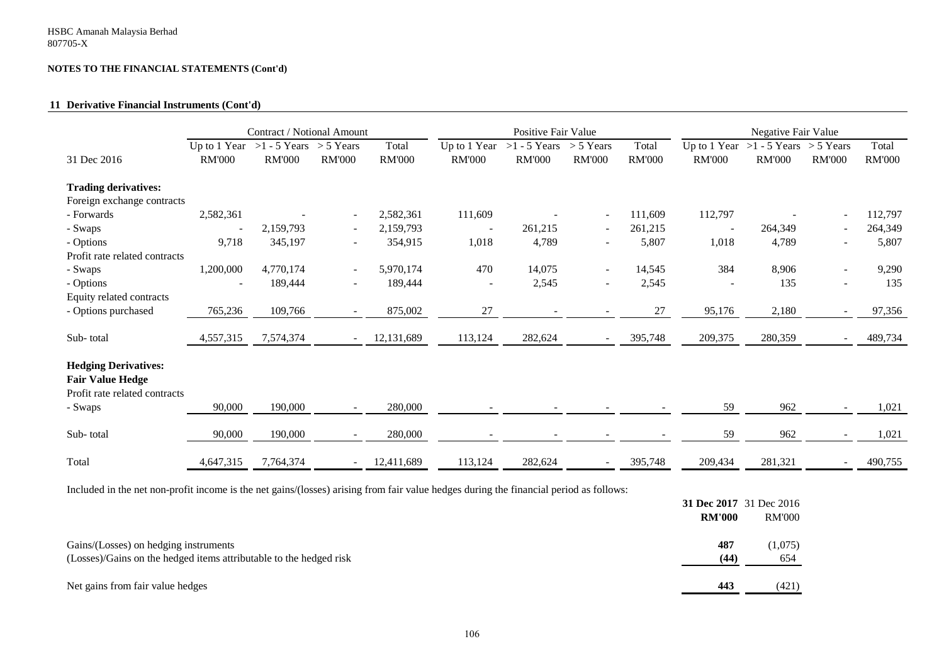#### **11 Derivative Financial Instruments (Cont'd)**

|                                                                                                    | Contract / Notional Amount |                                                         |                          | Positive Fair Value    |                               |                                 |                              | Negative Fair Value    |                               |                                             |                 |                        |
|----------------------------------------------------------------------------------------------------|----------------------------|---------------------------------------------------------|--------------------------|------------------------|-------------------------------|---------------------------------|------------------------------|------------------------|-------------------------------|---------------------------------------------|-----------------|------------------------|
| 31 Dec 2016                                                                                        | <b>RM'000</b>              | Up to 1 Year $>1 - 5$ Years $>5$ Years<br><b>RM'000</b> | <b>RM'000</b>            | Total<br><b>RM'000</b> | Up to 1 Year<br><b>RM'000</b> | $>1 - 5$ Years<br><b>RM'000</b> | $> 5$ Years<br><b>RM'000</b> | Total<br><b>RM'000</b> | Up to 1 Year<br><b>RM'000</b> | $>1 - 5$ Years $> 5$ Years<br><b>RM'000</b> | <b>RM'000</b>   | Total<br><b>RM'000</b> |
| <b>Trading derivatives:</b>                                                                        |                            |                                                         |                          |                        |                               |                                 |                              |                        |                               |                                             |                 |                        |
| Foreign exchange contracts                                                                         |                            |                                                         |                          |                        |                               |                                 |                              |                        |                               |                                             |                 |                        |
| - Forwards                                                                                         | 2,582,361                  |                                                         |                          | 2,582,361              | 111,609                       |                                 |                              | 111,609                | 112,797                       |                                             | $\qquad \qquad$ | 112,797                |
| - Swaps                                                                                            |                            | 2,159,793                                               | $\overline{\phantom{0}}$ | 2,159,793              |                               | 261,215                         | $\overline{\phantom{a}}$     | 261,215                |                               | 264,349                                     | $\blacksquare$  | 264,349                |
| - Options                                                                                          | 9,718                      | 345,197                                                 | $\overline{\phantom{0}}$ | 354,915                | 1,018                         | 4,789                           | $\overline{\phantom{a}}$     | 5,807                  | 1,018                         | 4,789                                       | $\blacksquare$  | 5,807                  |
| Profit rate related contracts                                                                      |                            |                                                         |                          |                        |                               |                                 |                              |                        |                               |                                             |                 |                        |
| - Swaps                                                                                            | 1,200,000                  | 4,770,174                                               | $\sim$                   | 5,970,174              | 470                           | 14,075                          | $\sim$                       | 14,545                 | 384                           | 8,906                                       | ۰               | 9,290                  |
| - Options                                                                                          |                            | 189,444                                                 | $\overline{\phantom{0}}$ | 189,444                |                               | 2,545                           | $\overline{\phantom{a}}$     | 2,545                  |                               | 135                                         | ۰               | 135                    |
| Equity related contracts                                                                           |                            |                                                         |                          |                        |                               |                                 |                              |                        |                               |                                             |                 |                        |
| - Options purchased                                                                                | 765,236                    | 109,766                                                 | $\overline{\phantom{0}}$ | 875,002                | 27                            | $\overline{\phantom{a}}$        | $\overline{\phantom{a}}$     | 27                     | 95,176                        | 2,180                                       | $\blacksquare$  | 97,356                 |
| Sub-total                                                                                          | 4,557,315                  | 7,574,374                                               | $\overline{\phantom{0}}$ | 12,131,689             | 113,124                       | 282,624                         | $\overline{\phantom{0}}$     | 395,748                | 209,375                       | 280,359                                     | $\blacksquare$  | 489,734                |
| <b>Hedging Derivatives:</b><br><b>Fair Value Hedge</b><br>Profit rate related contracts<br>- Swaps | 90,000                     | 190,000                                                 | $\blacksquare$           | 280,000                |                               |                                 |                              |                        | 59                            | 962                                         |                 | 1,021                  |
| Sub-total                                                                                          | 90,000                     | 190,000                                                 |                          | 280,000                |                               |                                 | $\overline{\phantom{a}}$     |                        | 59                            | 962                                         |                 | 1,021                  |
| Total                                                                                              | 4,647,315                  | 7,764,374                                               | $\overline{\phantom{a}}$ | 12,411,689             | 113,124                       | 282,624                         | $\qquad \qquad$              | 395,748                | 209,434                       | 281,321                                     | ۰               | 490,755                |

Included in the net non-profit income is the net gains/(losses) arising from fair value hedges during the financial period as follows:

|                                                                    |               | 31 Dec 2017 31 Dec 2016 |
|--------------------------------------------------------------------|---------------|-------------------------|
|                                                                    | <b>RM'000</b> | <b>RM'000</b>           |
| Gains/(Losses) on hedging instruments                              | 487           | (1,075)                 |
| (Losses)/Gains on the hedged items attributable to the hedged risk | (44)          | 654                     |
| Net gains from fair value hedges                                   | 443           | (421)                   |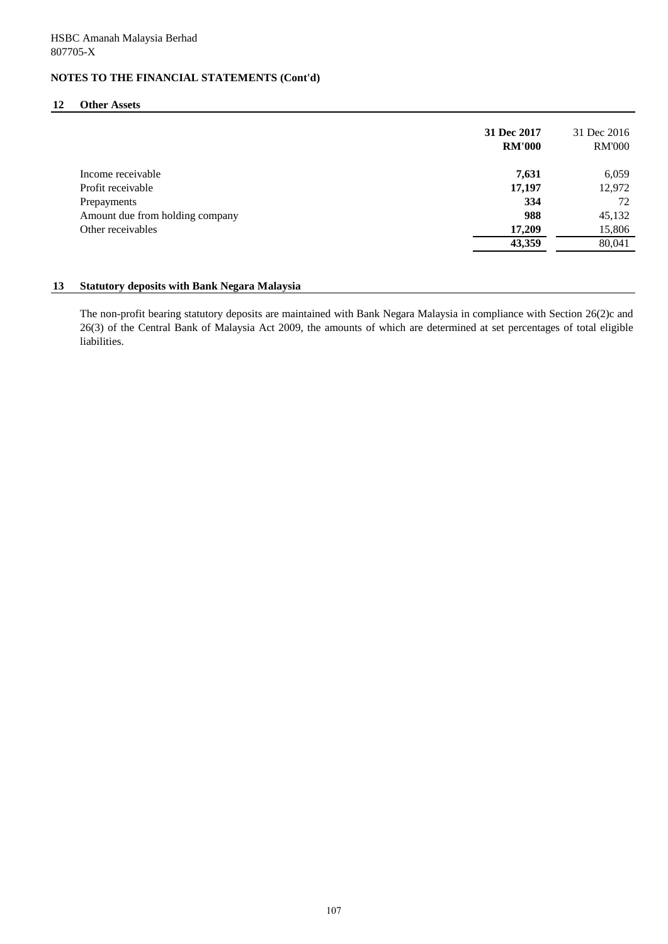#### **12 Other Assets**

|                                 | 31 Dec 2017<br><b>RM'000</b> | 31 Dec 2016<br><b>RM'000</b> |
|---------------------------------|------------------------------|------------------------------|
| Income receivable               | 7,631                        | 6,059                        |
| Profit receivable               | 17,197                       | 12,972                       |
| Prepayments                     | 334                          | 72                           |
| Amount due from holding company | 988                          | 45,132                       |
| Other receivables               | 17,209                       | 15,806                       |
|                                 | 43,359                       | 80,041                       |

### **13 Statutory deposits with Bank Negara Malaysia**

The non-profit bearing statutory deposits are maintained with Bank Negara Malaysia in compliance with Section 26(2)c and 26(3) of the Central Bank of Malaysia Act 2009, the amounts of which are determined at set percentages of total eligible liabilities.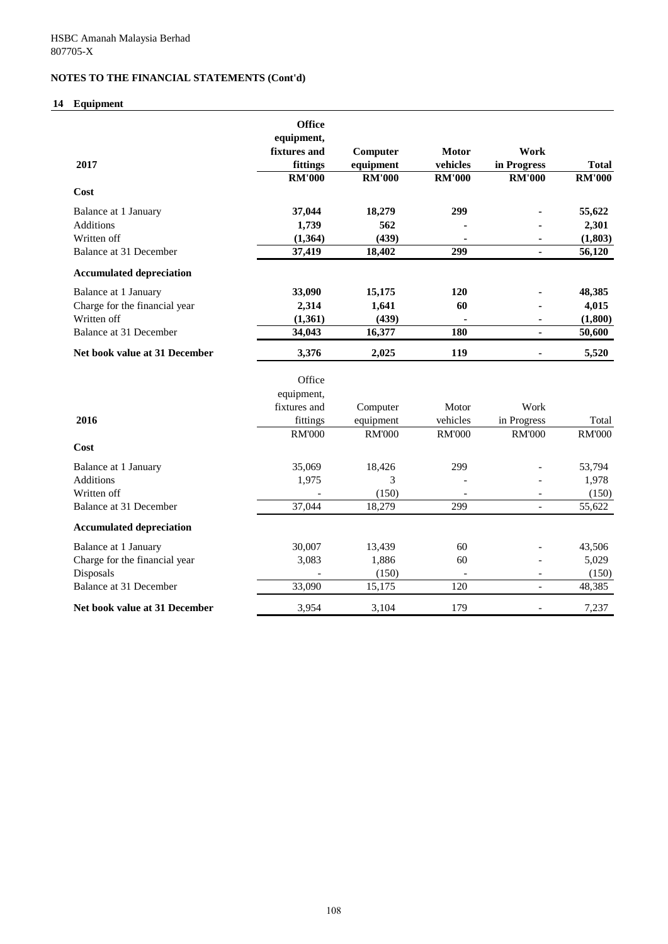# **14 Equipment**

|                                 | <b>Office</b> |               |                          |                              |               |
|---------------------------------|---------------|---------------|--------------------------|------------------------------|---------------|
|                                 | equipment,    |               |                          |                              |               |
|                                 | fixtures and  | Computer      | <b>Motor</b>             | Work                         |               |
| 2017                            | fittings      | equipment     | vehicles                 | in Progress                  | <b>Total</b>  |
|                                 | <b>RM'000</b> | <b>RM'000</b> | <b>RM'000</b>            | <b>RM'000</b>                | <b>RM'000</b> |
| Cost                            |               |               |                          |                              |               |
| Balance at 1 January            | 37,044        | 18,279        | 299                      |                              | 55,622        |
| <b>Additions</b>                | 1,739         | 562           |                          |                              | 2,301         |
| Written off                     | (1, 364)      | (439)         |                          | ۰                            | (1, 803)      |
| Balance at 31 December          | 37,419        | 18,402        | 299                      | $\blacksquare$               | 56,120        |
| <b>Accumulated depreciation</b> |               |               |                          |                              |               |
| Balance at 1 January            | 33,090        | 15,175        | 120                      |                              | 48,385        |
| Charge for the financial year   | 2,314         | 1,641         | 60                       |                              | 4,015         |
| Written off                     | (1,361)       | (439)         |                          | ۰                            | (1,800)       |
| Balance at 31 December          | 34,043        | 16,377        | 180                      | $\blacksquare$               | 50,600        |
| Net book value at 31 December   | 3,376         | 2,025         | 119                      | $\qquad \qquad \blacksquare$ | 5,520         |
|                                 | Office        |               |                          |                              |               |
|                                 | equipment,    |               |                          |                              |               |
|                                 | fixtures and  | Computer      | Motor                    | Work                         |               |
| 2016                            | fittings      | equipment     | vehicles                 | in Progress                  | Total         |
|                                 | <b>RM'000</b> | <b>RM'000</b> | <b>RM'000</b>            | <b>RM'000</b>                | <b>RM'000</b> |
| Cost                            |               |               |                          |                              |               |
| Balance at 1 January            | 35,069        | 18,426        | 299                      |                              | 53,794        |
| <b>Additions</b>                | 1,975         | 3             |                          |                              | 1,978         |
| Written off                     |               | (150)         |                          | $\overline{\phantom{a}}$     | (150)         |
| Balance at 31 December          | 37,044        | 18,279        | 299                      | $\overline{a}$               | 55,622        |
| <b>Accumulated depreciation</b> |               |               |                          |                              |               |
| Balance at 1 January            | 30,007        | 13,439        | 60                       |                              | 43,506        |
| Charge for the financial year   | 3,083         | 1,886         | 60                       |                              | 5,029         |
| Disposals                       |               | (150)         | $\overline{\phantom{a}}$ | $\overline{\phantom{a}}$     | (150)         |
| Balance at 31 December          | 33,090        | 15,175        | 120                      | $\overline{a}$               | 48,385        |
| Net book value at 31 December   | 3,954         | 3,104         | 179                      | $\overline{\phantom{a}}$     | 7,237         |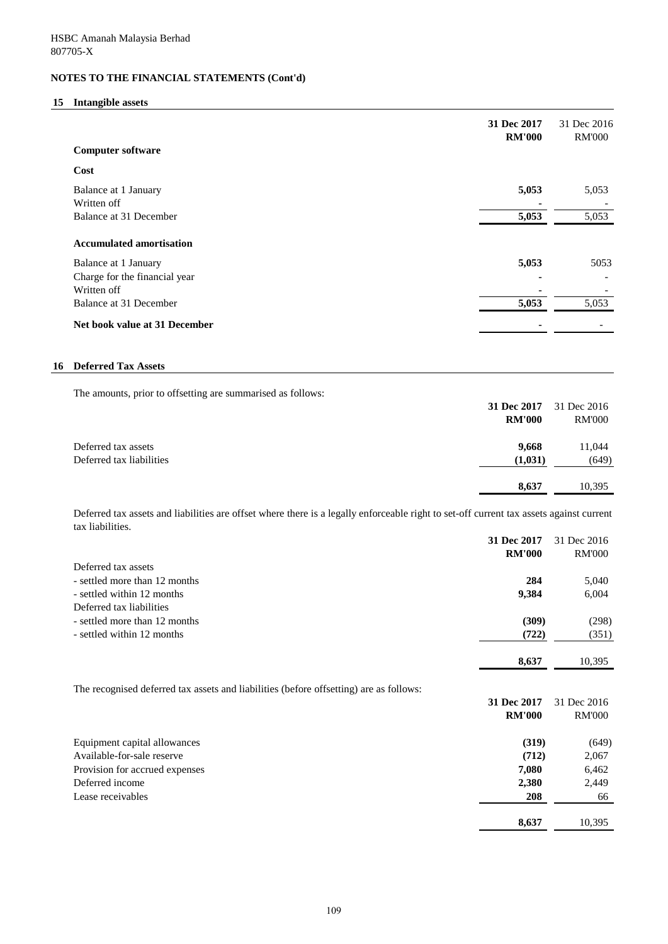## **15 Intangible assets**

|                                 | 31 Dec 2017<br><b>RM'000</b> | 31 Dec 2016<br><b>RM'000</b> |
|---------------------------------|------------------------------|------------------------------|
| <b>Computer software</b>        |                              |                              |
| Cost                            |                              |                              |
| Balance at 1 January            | 5,053                        | 5,053                        |
| Written off                     |                              |                              |
| Balance at 31 December          | 5,053                        | 5,053                        |
| <b>Accumulated amortisation</b> |                              |                              |
| Balance at 1 January            | 5,053                        | 5053                         |
| Charge for the financial year   |                              |                              |
| Written off                     |                              |                              |
| Balance at 31 December          | 5,053                        | 5,053                        |
| Net book value at 31 December   |                              |                              |

## **16 Deferred Tax Assets**

The amounts, prior to offsetting are summarised as follows:

|                          | 31 Dec 2017   | 31 Dec 2016   |
|--------------------------|---------------|---------------|
|                          | <b>RM'000</b> | <b>RM'000</b> |
| Deferred tax assets      | 9.668         | 11,044        |
| Deferred tax liabilities | (1,031)       | (649)         |
|                          | 8,637         | 10,395        |

Deferred tax assets and liabilities are offset where there is a legally enforceable right to set-off current tax assets against current tax liabilities.

|                                                                                        | 31 Dec 2017   | 31 Dec 2016   |
|----------------------------------------------------------------------------------------|---------------|---------------|
|                                                                                        | <b>RM'000</b> | <b>RM'000</b> |
| Deferred tax assets                                                                    |               |               |
| - settled more than 12 months                                                          | 284           | 5,040         |
| - settled within 12 months                                                             | 9,384         | 6,004         |
| Deferred tax liabilities                                                               |               |               |
| - settled more than 12 months                                                          | (309)         | (298)         |
| - settled within 12 months                                                             | (722)         | (351)         |
|                                                                                        | 8,637         | 10,395        |
| The recognised deferred tax assets and liabilities (before offsetting) are as follows: |               |               |
|                                                                                        | 31 Dec 2017   | 31 Dec 2016   |
|                                                                                        | <b>RM'000</b> | <b>RM'000</b> |
| Equipment capital allowances                                                           | (319)         | (649)         |
| Available-for-sale reserve                                                             | (712)         | 2,067         |
| Provision for accrued expenses                                                         | 7,080         | 6,462         |
| Deferred income                                                                        | 2,380         | 2,449         |
| Lease receivables                                                                      | 208           | 66            |
|                                                                                        | 8,637         | 10,395        |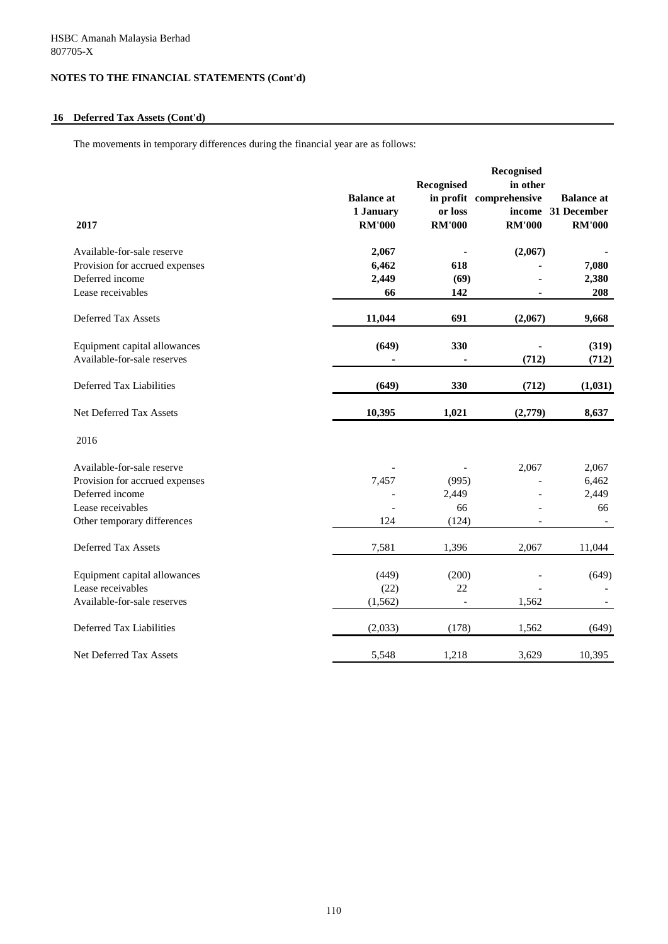## **16 Deferred Tax Assets (Cont'd)**

The movements in temporary differences during the financial year are as follows:

|                                |                   |               | Recognised              |                   |
|--------------------------------|-------------------|---------------|-------------------------|-------------------|
|                                |                   | Recognised    | in other                |                   |
|                                | <b>Balance</b> at |               | in profit comprehensive | <b>Balance</b> at |
|                                | 1 January         | or loss       | income                  | 31 December       |
| 2017                           | <b>RM'000</b>     | <b>RM'000</b> | <b>RM'000</b>           | <b>RM'000</b>     |
| Available-for-sale reserve     | 2,067             |               | (2,067)                 |                   |
| Provision for accrued expenses | 6,462             | 618           |                         | 7,080             |
| Deferred income                | 2,449             | (69)          |                         | 2,380             |
| Lease receivables              | 66                | 142           |                         | 208               |
| Deferred Tax Assets            | 11,044            | 691           | (2,067)                 | 9,668             |
| Equipment capital allowances   | (649)             | 330           |                         | (319)             |
| Available-for-sale reserves    |                   |               | (712)                   | (712)             |
| Deferred Tax Liabilities       | (649)             | 330           | (712)                   | (1,031)           |
| Net Deferred Tax Assets        | 10,395            | 1,021         | (2,779)                 | 8,637             |
| 2016                           |                   |               |                         |                   |
| Available-for-sale reserve     |                   |               | 2,067                   | 2,067             |
| Provision for accrued expenses | 7,457             | (995)         |                         | 6,462             |
| Deferred income                |                   | 2,449         |                         | 2,449             |
| Lease receivables              |                   | 66            |                         | 66                |
| Other temporary differences    | 124               | (124)         |                         |                   |
| <b>Deferred Tax Assets</b>     | 7,581             | 1,396         | 2,067                   | 11,044            |
| Equipment capital allowances   | (449)             | (200)         |                         | (649)             |
| Lease receivables              | (22)              | 22            |                         |                   |
| Available-for-sale reserves    | (1, 562)          |               | 1,562                   |                   |
| Deferred Tax Liabilities       | (2,033)           | (178)         | 1,562                   | (649)             |
| Net Deferred Tax Assets        | 5,548             | 1,218         | 3,629                   | 10,395            |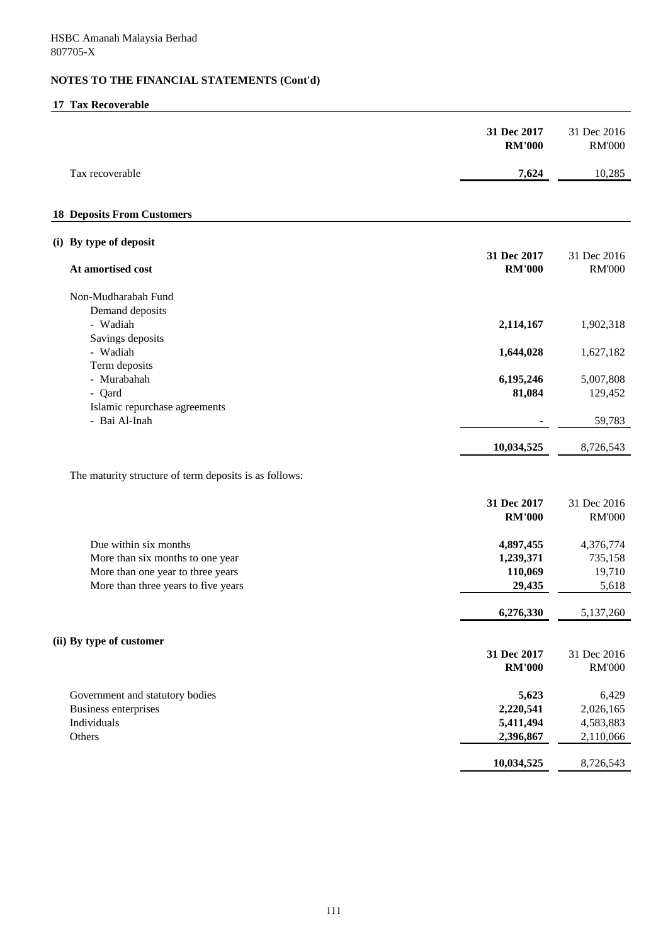## **17 Tax Recoverable**

|                                                                                                                                       | 31 Dec 2017<br><b>RM'000</b>                 | 31 Dec 2016<br><b>RM'000</b>                 |
|---------------------------------------------------------------------------------------------------------------------------------------|----------------------------------------------|----------------------------------------------|
| Tax recoverable                                                                                                                       | 7,624                                        | 10,285                                       |
| <b>18 Deposits From Customers</b>                                                                                                     |                                              |                                              |
| (i) By type of deposit                                                                                                                | 31 Dec 2017                                  | 31 Dec 2016                                  |
| At amortised cost                                                                                                                     | <b>RM'000</b>                                | <b>RM'000</b>                                |
| Non-Mudharabah Fund                                                                                                                   |                                              |                                              |
| Demand deposits<br>- Wadiah<br>Savings deposits                                                                                       | 2,114,167                                    | 1,902,318                                    |
| - Wadiah<br>Term deposits                                                                                                             | 1,644,028                                    | 1,627,182                                    |
| - Murabahah<br>- Qard                                                                                                                 | 6,195,246<br>81,084                          | 5,007,808<br>129,452                         |
| Islamic repurchase agreements<br>- Bai Al-Inah                                                                                        |                                              | 59,783                                       |
|                                                                                                                                       | 10,034,525                                   | 8,726,543                                    |
| The maturity structure of term deposits is as follows:                                                                                |                                              |                                              |
|                                                                                                                                       | 31 Dec 2017<br><b>RM'000</b>                 | 31 Dec 2016<br><b>RM'000</b>                 |
| Due within six months<br>More than six months to one year<br>More than one year to three years<br>More than three years to five years | 4,897,455<br>1,239,371<br>110,069<br>29,435  | 4,376,774<br>735,158<br>19,710<br>5,618      |
|                                                                                                                                       | 6,276,330                                    | 5,137,260                                    |
| (ii) By type of customer                                                                                                              |                                              |                                              |
|                                                                                                                                       | 31 Dec 2017<br><b>RM'000</b>                 | 31 Dec 2016<br><b>RM'000</b>                 |
| Government and statutory bodies<br>Business enterprises<br>Individuals<br>Others                                                      | 5,623<br>2,220,541<br>5,411,494<br>2,396,867 | 6,429<br>2,026,165<br>4,583,883<br>2,110,066 |
|                                                                                                                                       | 10,034,525                                   | 8,726,543                                    |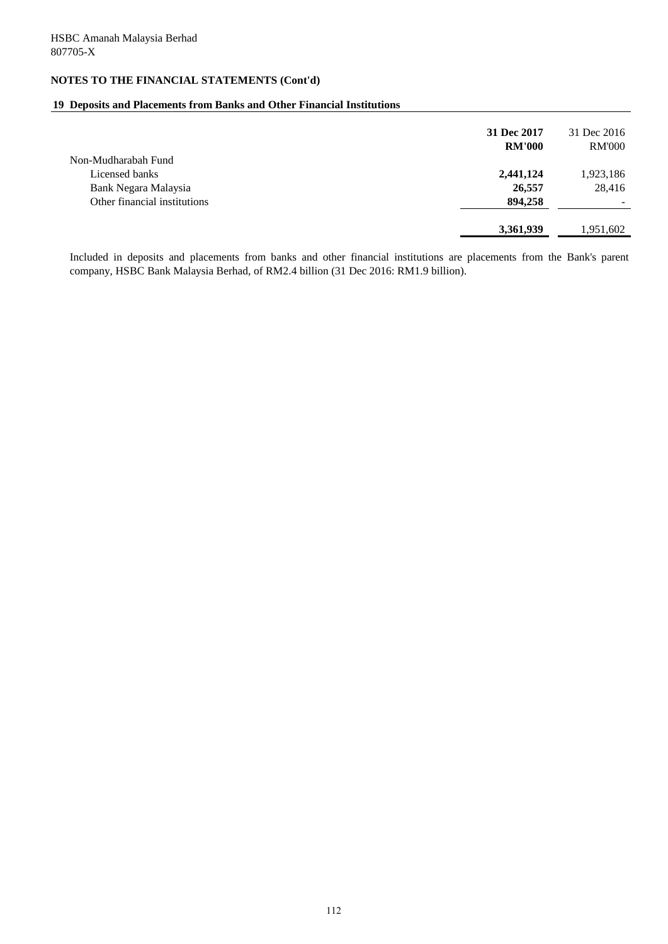## **19 Deposits and Placements from Banks and Other Financial Institutions**

| 31 Dec 2017<br><b>RM'000</b> |         | 31 Dec 2016<br><b>RM'000</b> |
|------------------------------|---------|------------------------------|
| Non-Mudharabah Fund          |         |                              |
| Licensed banks<br>2,441,124  |         | 1,923,186                    |
| Bank Negara Malaysia         | 26,557  | 28,416                       |
| Other financial institutions | 894,258 | ۰                            |
|                              |         |                              |
| 3,361,939                    |         | 1,951,602                    |

Included in deposits and placements from banks and other financial institutions are placements from the Bank's parent company, HSBC Bank Malaysia Berhad, of RM2.4 billion (31 Dec 2016: RM1.9 billion).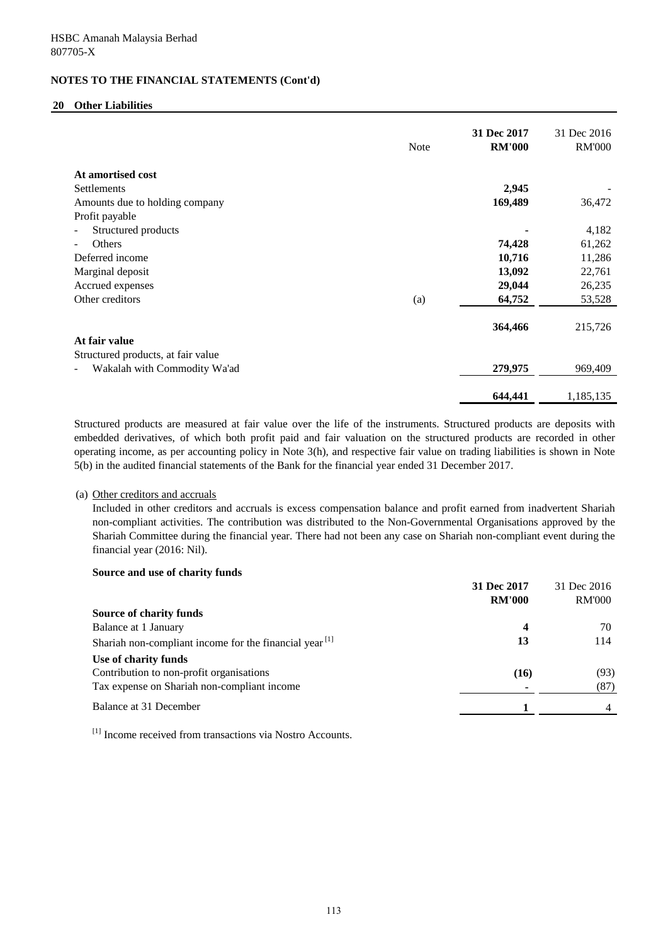## **20 Other Liabilities**

|                                    | <b>Note</b> | 31 Dec 2017<br><b>RM'000</b> | 31 Dec 2016<br><b>RM'000</b> |
|------------------------------------|-------------|------------------------------|------------------------------|
| At amortised cost                  |             |                              |                              |
| <b>Settlements</b>                 |             | 2,945                        |                              |
| Amounts due to holding company     |             | 169,489                      | 36,472                       |
| Profit payable                     |             |                              |                              |
| Structured products                |             |                              | 4,182                        |
| Others                             |             | 74,428                       | 61,262                       |
| Deferred income                    |             | 10,716                       | 11,286                       |
| Marginal deposit                   |             | 13,092                       | 22,761                       |
| Accrued expenses                   |             | 29,044                       | 26,235                       |
| Other creditors                    | (a)         | 64,752                       | 53,528                       |
|                                    |             | 364,466                      | 215,726                      |
| At fair value                      |             |                              |                              |
| Structured products, at fair value |             |                              |                              |
| Wakalah with Commodity Wa'ad       |             | 279,975                      | 969,409                      |
|                                    |             | 644,441                      | 1,185,135                    |

Structured products are measured at fair value over the life of the instruments. Structured products are deposits with embedded derivatives, of which both profit paid and fair valuation on the structured products are recorded in other operating income, as per accounting policy in Note 3(h), and respective fair value on trading liabilities is shown in Note 5(b) in the audited financial statements of the Bank for the financial year ended 31 December 2017.

## (a) Other creditors and accruals

Included in other creditors and accruals is excess compensation balance and profit earned from inadvertent Shariah non-compliant activities. The contribution was distributed to the Non-Governmental Organisations approved by the Shariah Committee during the financial year. There had not been any case on Shariah non-compliant event during the financial year (2016: Nil).

| Source and use of charity funds                           |               |               |
|-----------------------------------------------------------|---------------|---------------|
|                                                           | 31 Dec 2017   | 31 Dec 2016   |
|                                                           | <b>RM'000</b> | <b>RM'000</b> |
| Source of charity funds                                   |               |               |
| Balance at 1 January                                      | 4             | 70            |
| Shariah non-compliant income for the financial year $[1]$ | 13            | 114           |
| Use of charity funds                                      |               |               |
| Contribution to non-profit organisations                  | (16)          | (93)          |
| Tax expense on Shariah non-compliant income               |               | (87)          |
| Balance at 31 December                                    |               | 4             |

[1] Income received from transactions via Nostro Accounts.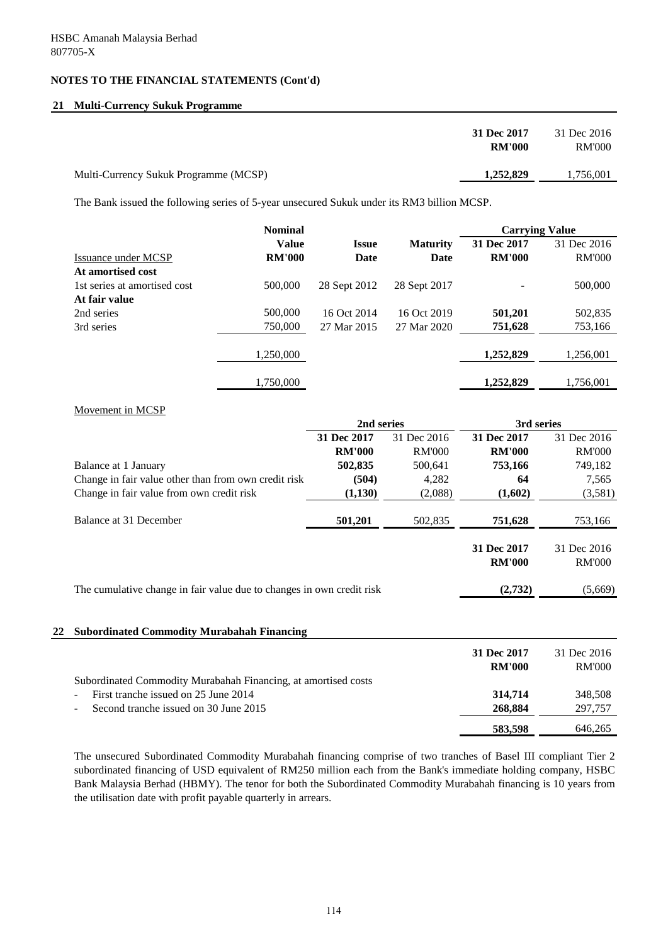## **21 Multi-Currency Sukuk Programme**

| 31 Dec 2017                                        | 31 Dec 2016   |
|----------------------------------------------------|---------------|
| <b>RM'000</b>                                      | <b>RM'000</b> |
| 1,252,829<br>Multi-Currency Sukuk Programme (MCSP) | 1,756,001     |

The Bank issued the following series of 5-year unsecured Sukuk under its RM3 billion MCSP.

|                              | <b>Nominal</b> |              |                 |               |               | <b>Carrying Value</b> |  |
|------------------------------|----------------|--------------|-----------------|---------------|---------------|-----------------------|--|
|                              | <b>Value</b>   | <b>Issue</b> | <b>Maturity</b> | 31 Dec 2017   | 31 Dec 2016   |                       |  |
| Issuance under MCSP          | <b>RM'000</b>  | <b>Date</b>  | Date            | <b>RM'000</b> | <b>RM'000</b> |                       |  |
| At amortised cost            |                |              |                 |               |               |                       |  |
| 1st series at amortised cost | 500,000        | 28 Sept 2012 | 28 Sept 2017    |               | 500,000       |                       |  |
| At fair value                |                |              |                 |               |               |                       |  |
| 2nd series                   | 500,000        | 16 Oct 2014  | 16 Oct 2019     | 501,201       | 502,835       |                       |  |
| 3rd series                   | 750,000        | 27 Mar 2015  | 27 Mar 2020     | 751,628       | 753,166       |                       |  |
|                              |                |              |                 |               |               |                       |  |
|                              | 1,250,000      |              |                 | 1,252,829     | 1,256,001     |                       |  |
|                              | 1,750,000      |              |                 | 1,252,829     | 1,756,001     |                       |  |

## Movement in MCSP

|                                                                       | 2nd series    |               | 3rd series                   |                              |
|-----------------------------------------------------------------------|---------------|---------------|------------------------------|------------------------------|
|                                                                       | 31 Dec 2017   | 31 Dec 2016   | 31 Dec 2017                  | 31 Dec 2016                  |
|                                                                       | <b>RM'000</b> | <b>RM'000</b> | <b>RM'000</b>                | <b>RM'000</b>                |
| Balance at 1 January                                                  | 502,835       | 500,641       | 753,166                      | 749,182                      |
| Change in fair value other than from own credit risk                  | (504)         | 4,282         | 64                           | 7,565                        |
| Change in fair value from own credit risk                             | (1,130)       | (2,088)       | (1,602)                      | (3,581)                      |
| Balance at 31 December                                                | 501,201       | 502,835       | 751,628                      | 753,166                      |
|                                                                       |               |               | 31 Dec 2017<br><b>RM'000</b> | 31 Dec 2016<br><b>RM'000</b> |
| The cumulative change in fair value due to changes in own credit risk |               |               | (2,732)                      | (5,669)                      |
|                                                                       |               |               |                              |                              |

## **22 Subordinated Commodity Murabahah Financing**

|                                                                | 31 Dec 2017   | 31 Dec 2016   |
|----------------------------------------------------------------|---------------|---------------|
|                                                                | <b>RM'000</b> | <b>RM'000</b> |
| Subordinated Commodity Murabahah Financing, at amortised costs |               |               |
| First tranche issued on 25 June 2014                           | 314,714       | 348.508       |
| Second tranche issued on 30 June 2015<br>$\sim 100$            | 268,884       | 297,757       |
|                                                                | 583,598       | 646,265       |

The unsecured Subordinated Commodity Murabahah financing comprise of two tranches of Basel III compliant Tier 2 subordinated financing of USD equivalent of RM250 million each from the Bank's immediate holding company, HSBC Bank Malaysia Berhad (HBMY). The tenor for both the Subordinated Commodity Murabahah financing is 10 years from the utilisation date with profit payable quarterly in arrears.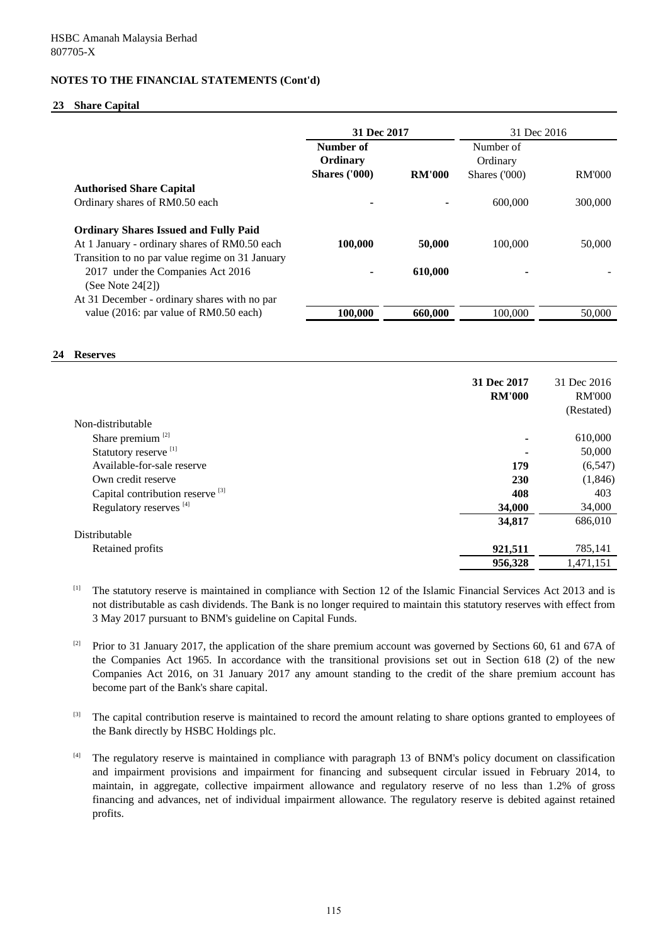#### **23 Share Capital**

|                                                 | 31 Dec 2017          |               | 31 Dec 2016   |         |
|-------------------------------------------------|----------------------|---------------|---------------|---------|
|                                                 | Number of            |               | Number of     |         |
|                                                 | Ordinary             |               | Ordinary      |         |
|                                                 | <b>Shares ('000)</b> | <b>RM'000</b> | Shares ('000) | RM'000  |
| <b>Authorised Share Capital</b>                 |                      |               |               |         |
| Ordinary shares of RM0.50 each                  |                      |               | 600,000       | 300,000 |
| <b>Ordinary Shares Issued and Fully Paid</b>    |                      |               |               |         |
| At 1 January - ordinary shares of RM0.50 each   | 100,000              | 50,000        | 100,000       | 50,000  |
| Transition to no par value regime on 31 January |                      |               |               |         |
| 2017 under the Companies Act 2016               |                      | 610.000       |               |         |
| (See Note $24[2]$ )                             |                      |               |               |         |
| At 31 December - ordinary shares with no par    |                      |               |               |         |
| value (2016: par value of RM0.50 each)          | 100,000              | 660,000       | 100,000       | 50,000  |
|                                                 |                      |               |               |         |

#### **24 Reserves**

|                                             | 31 Dec 2017<br><b>RM'000</b> | 31 Dec 2016<br><b>RM'000</b><br>(Restated) |
|---------------------------------------------|------------------------------|--------------------------------------------|
| Non-distributable                           |                              |                                            |
| Share premium <sup>[2]</sup>                | ۰                            | 610,000                                    |
| Statutory reserve [1]                       | $\blacksquare$               | 50,000                                     |
| Available-for-sale reserve                  | 179                          | (6, 547)                                   |
| Own credit reserve                          | 230                          | (1,846)                                    |
| Capital contribution reserve <sup>[3]</sup> | 408                          | 403                                        |
| Regulatory reserves <sup>[4]</sup>          | 34,000                       | 34,000                                     |
|                                             | 34,817                       | 686,010                                    |
| Distributable                               |                              |                                            |
| Retained profits                            | 921,511                      | 785,141                                    |
|                                             | 956,328                      | 1,471,151                                  |

[1] The statutory reserve is maintained in compliance with Section 12 of the Islamic Financial Services Act 2013 and is not distributable as cash dividends. The Bank is no longer required to maintain this statutory reserves with effect from 3 May 2017 pursuant to BNM's guideline on Capital Funds.

[2] Prior to 31 January 2017, the application of the share premium account was governed by Sections 60, 61 and 67A of the Companies Act 1965. In accordance with the transitional provisions set out in Section 618 (2) of the new Companies Act 2016, on 31 January 2017 any amount standing to the credit of the share premium account has become part of the Bank's share capital.

[3] The capital contribution reserve is maintained to record the amount relating to share options granted to employees of the Bank directly by HSBC Holdings plc.

[4] The regulatory reserve is maintained in compliance with paragraph 13 of BNM's policy document on classification and impairment provisions and impairment for financing and subsequent circular issued in February 2014, to maintain, in aggregate, collective impairment allowance and regulatory reserve of no less than 1.2% of gross financing and advances, net of individual impairment allowance. The regulatory reserve is debited against retained profits.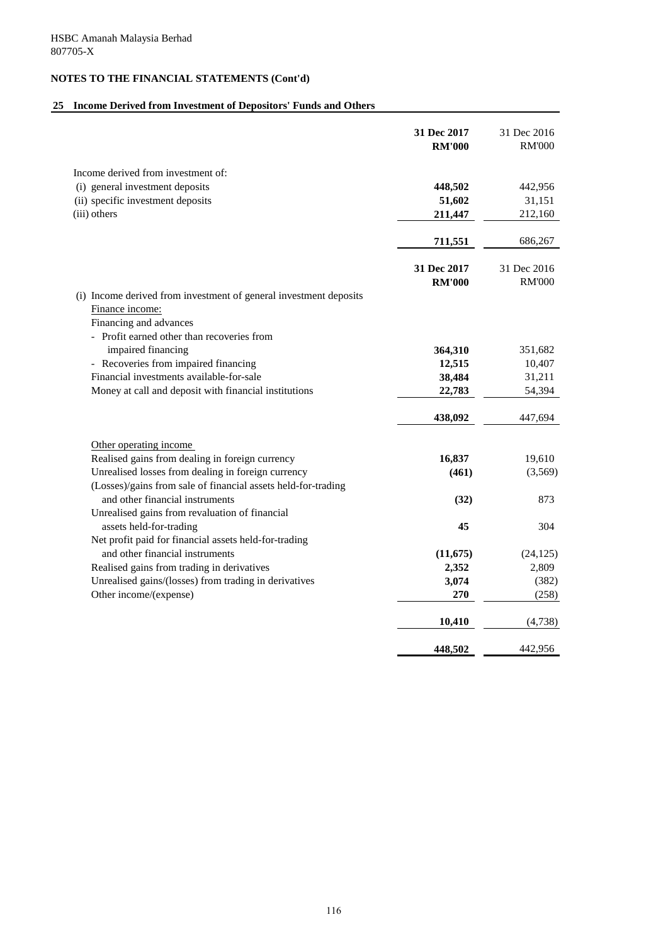# **25 Income Derived from Investment of Depositors' Funds and Others**

|                                                                                  | 31 Dec 2017<br><b>RM'000</b> | 31 Dec 2016<br><b>RM'000</b> |
|----------------------------------------------------------------------------------|------------------------------|------------------------------|
| Income derived from investment of:                                               |                              |                              |
| (i) general investment deposits                                                  | 448,502                      | 442,956                      |
| (ii) specific investment deposits                                                | 51,602                       | 31,151                       |
| (iii) others                                                                     | 211,447                      | 212,160                      |
|                                                                                  | 711,551                      | 686,267                      |
|                                                                                  |                              |                              |
|                                                                                  | 31 Dec 2017<br><b>RM'000</b> | 31 Dec 2016<br><b>RM'000</b> |
| (i) Income derived from investment of general investment deposits                |                              |                              |
| Finance income:                                                                  |                              |                              |
| Financing and advances                                                           |                              |                              |
| - Profit earned other than recoveries from                                       |                              |                              |
| impaired financing                                                               | 364,310                      | 351,682                      |
| - Recoveries from impaired financing                                             | 12,515                       | 10,407                       |
| Financial investments available-for-sale                                         | 38,484                       | 31,211                       |
| Money at call and deposit with financial institutions                            | 22,783                       | 54,394                       |
|                                                                                  | 438,092                      | 447,694                      |
|                                                                                  |                              |                              |
| Other operating income                                                           |                              |                              |
| Realised gains from dealing in foreign currency                                  | 16,837                       | 19,610                       |
| Unrealised losses from dealing in foreign currency                               | (461)                        | (3,569)                      |
| (Losses)/gains from sale of financial assets held-for-trading                    |                              |                              |
| and other financial instruments                                                  | (32)                         | 873                          |
| Unrealised gains from revaluation of financial                                   | 45                           | 304                          |
| assets held-for-trading<br>Net profit paid for financial assets held-for-trading |                              |                              |
| and other financial instruments                                                  | (11, 675)                    | (24, 125)                    |
| Realised gains from trading in derivatives                                       | 2,352                        | 2,809                        |
| Unrealised gains/(losses) from trading in derivatives                            | 3,074                        | (382)                        |
| Other income/(expense)                                                           | 270                          | (258)                        |
|                                                                                  | 10,410                       | (4,738)                      |
|                                                                                  | 448,502                      | 442,956                      |
|                                                                                  |                              |                              |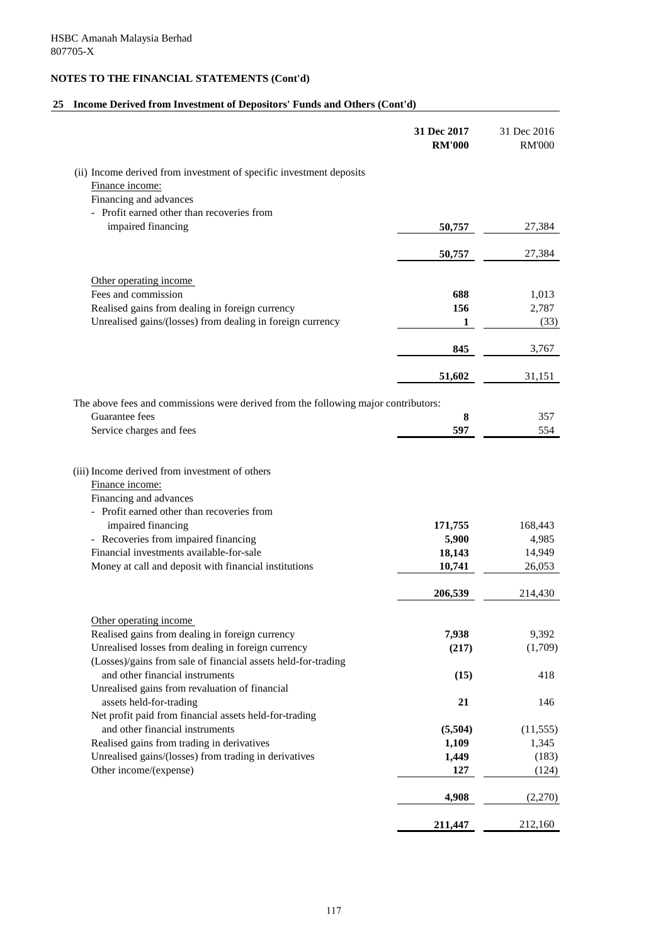# **25 Income Derived from Investment of Depositors' Funds and Others (Cont'd)**

|                                                                                                                                                                                                   | 31 Dec 2017<br><b>RM'000</b> | 31 Dec 2016<br><b>RM'000</b> |
|---------------------------------------------------------------------------------------------------------------------------------------------------------------------------------------------------|------------------------------|------------------------------|
| (ii) Income derived from investment of specific investment deposits<br>Finance income:                                                                                                            |                              |                              |
| Financing and advances                                                                                                                                                                            |                              |                              |
| - Profit earned other than recoveries from                                                                                                                                                        |                              |                              |
| impaired financing                                                                                                                                                                                | 50,757                       | 27,384                       |
|                                                                                                                                                                                                   | 50,757                       | 27,384                       |
| Other operating income                                                                                                                                                                            |                              |                              |
| Fees and commission                                                                                                                                                                               | 688                          | 1,013                        |
| Realised gains from dealing in foreign currency                                                                                                                                                   | 156                          | 2,787                        |
| Unrealised gains/(losses) from dealing in foreign currency                                                                                                                                        | 1                            | (33)                         |
|                                                                                                                                                                                                   | 845                          | 3,767                        |
|                                                                                                                                                                                                   | 51,602                       | 31,151                       |
| The above fees and commissions were derived from the following major contributors:                                                                                                                |                              |                              |
| Guarantee fees                                                                                                                                                                                    | 8                            | 357                          |
| Service charges and fees                                                                                                                                                                          | 597                          | 554                          |
| Finance income:<br>Financing and advances<br>- Profit earned other than recoveries from<br>impaired financing<br>- Recoveries from impaired financing<br>Financial investments available-for-sale | 171,755<br>5,900<br>18,143   | 168,443<br>4,985<br>14,949   |
| Money at call and deposit with financial institutions                                                                                                                                             | 10,741                       | 26,053                       |
|                                                                                                                                                                                                   | 206,539                      | 214,430                      |
| Other operating income                                                                                                                                                                            |                              |                              |
| Realised gains from dealing in foreign currency                                                                                                                                                   | 7,938                        | 9,392                        |
| Unrealised losses from dealing in foreign currency                                                                                                                                                | (217)                        | (1,709)                      |
| (Losses)/gains from sale of financial assets held-for-trading                                                                                                                                     |                              |                              |
| and other financial instruments                                                                                                                                                                   | (15)                         | 418                          |
| Unrealised gains from revaluation of financial<br>assets held-for-trading                                                                                                                         | 21                           | 146                          |
| Net profit paid from financial assets held-for-trading                                                                                                                                            |                              |                              |
| and other financial instruments                                                                                                                                                                   | (5,504)                      | (11, 555)                    |
| Realised gains from trading in derivatives                                                                                                                                                        | 1,109                        | 1,345                        |
| Unrealised gains/(losses) from trading in derivatives                                                                                                                                             | 1,449                        | (183)                        |
| Other income/(expense)                                                                                                                                                                            | 127                          | (124)                        |
|                                                                                                                                                                                                   | 4,908                        | (2,270)                      |
|                                                                                                                                                                                                   | 211,447                      | 212,160                      |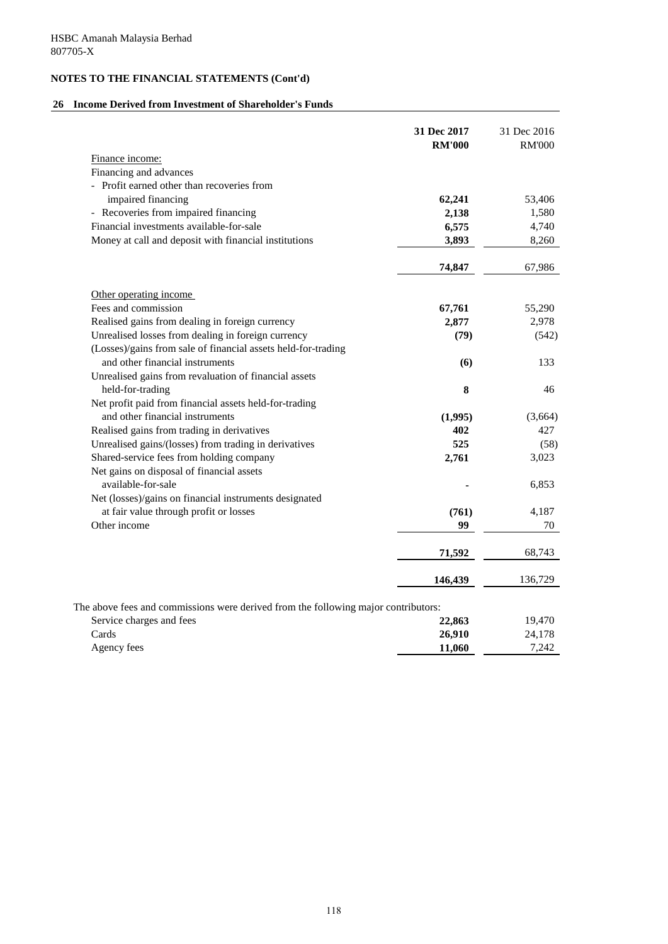# **26 Income Derived from Investment of Shareholder's Funds**

|                                                                                    | 31 Dec 2017<br><b>RM'000</b> | 31 Dec 2016<br><b>RM'000</b> |
|------------------------------------------------------------------------------------|------------------------------|------------------------------|
| Finance income:                                                                    |                              |                              |
| Financing and advances                                                             |                              |                              |
| - Profit earned other than recoveries from                                         |                              |                              |
| impaired financing                                                                 | 62,241                       | 53,406                       |
| - Recoveries from impaired financing                                               | 2,138                        | 1,580                        |
| Financial investments available-for-sale                                           | 6,575                        | 4,740                        |
| Money at call and deposit with financial institutions                              | 3,893                        | 8,260                        |
|                                                                                    |                              |                              |
|                                                                                    | 74,847                       | 67,986                       |
| Other operating income                                                             |                              |                              |
| Fees and commission                                                                | 67,761                       | 55,290                       |
| Realised gains from dealing in foreign currency                                    | 2,877                        | 2,978                        |
| Unrealised losses from dealing in foreign currency                                 | (79)                         | (542)                        |
| (Losses)/gains from sale of financial assets held-for-trading                      |                              |                              |
| and other financial instruments                                                    | (6)                          | 133                          |
| Unrealised gains from revaluation of financial assets                              |                              |                              |
| held-for-trading                                                                   | 8                            | 46                           |
| Net profit paid from financial assets held-for-trading                             |                              |                              |
| and other financial instruments                                                    | (1,995)                      | (3,664)                      |
| Realised gains from trading in derivatives                                         | 402                          | 427                          |
| Unrealised gains/(losses) from trading in derivatives                              | 525                          | (58)                         |
| Shared-service fees from holding company                                           | 2,761                        | 3,023                        |
| Net gains on disposal of financial assets                                          |                              |                              |
| available-for-sale                                                                 |                              | 6,853                        |
| Net (losses)/gains on financial instruments designated                             |                              |                              |
| at fair value through profit or losses                                             | (761)                        | 4,187                        |
| Other income                                                                       | 99                           | 70                           |
|                                                                                    |                              |                              |
|                                                                                    | 71,592                       | 68,743                       |
|                                                                                    | 146,439                      | 136,729                      |
| The above fees and commissions were derived from the following major contributors: |                              |                              |
| Service charges and fees                                                           | 22,863                       | 19,470                       |
| Cards                                                                              | 26,910                       | 24,178                       |
| Agency fees                                                                        | 11,060                       | 7,242                        |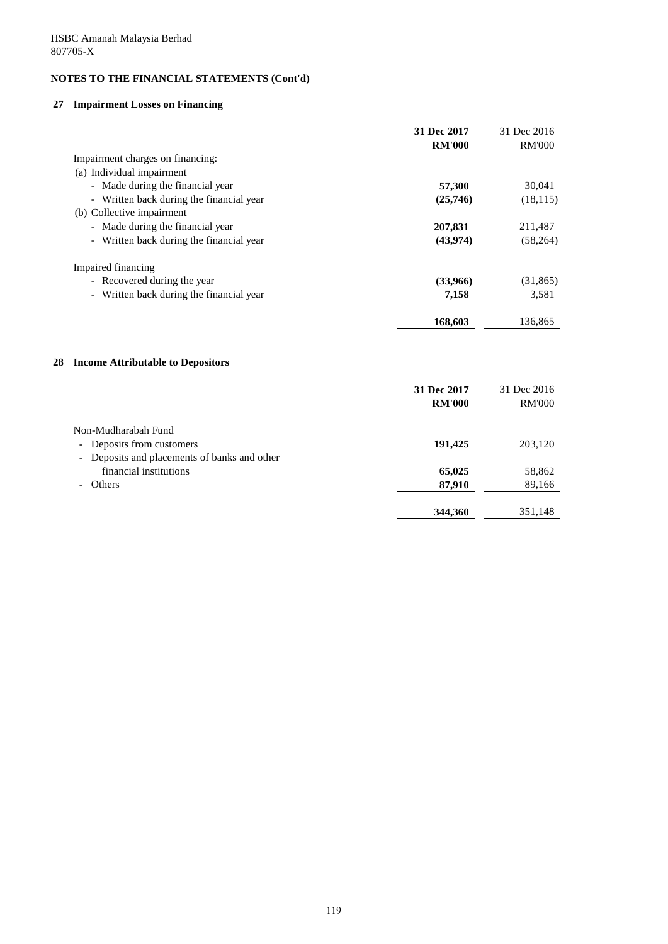# **27 Impairment Losses on Financing**

|                                          | 31 Dec 2017<br><b>RM'000</b> | 31 Dec 2016<br><b>RM'000</b> |
|------------------------------------------|------------------------------|------------------------------|
| Impairment charges on financing:         |                              |                              |
| (a) Individual impairment                |                              |                              |
| - Made during the financial year         | 57,300                       | 30,041                       |
| - Written back during the financial year | (25,746)                     | (18, 115)                    |
| (b) Collective impairment                |                              |                              |
| - Made during the financial year         | 207,831                      | 211,487                      |
| - Written back during the financial year | (43,974)                     | (58,264)                     |
| Impaired financing                       |                              |                              |
| - Recovered during the year              | (33,966)                     | (31,865)                     |
| - Written back during the financial year | 7,158                        | 3,581                        |
|                                          | 168,603                      | 136,865                      |

# **28 Income Attributable to Depositors**

|                                              | 31 Dec 2017<br><b>RM'000</b> | 31 Dec 2016<br><b>RM'000</b> |
|----------------------------------------------|------------------------------|------------------------------|
| Non-Mudharabah Fund                          |                              |                              |
| Deposits from customers<br>$\sim$            | 191,425                      | 203,120                      |
| - Deposits and placements of banks and other |                              |                              |
| financial institutions                       | 65,025                       | 58,862                       |
| - Others                                     | 87,910                       | 89,166                       |
|                                              |                              |                              |
|                                              | 344,360                      | 351,148                      |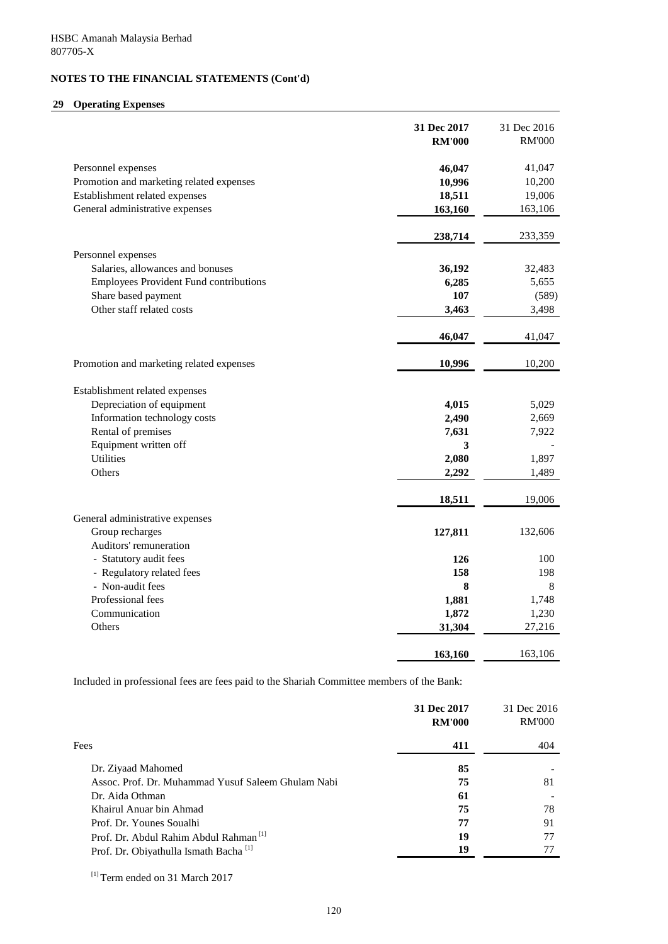## **29 Operating Expenses**

|                                               | 31 Dec 2017<br><b>RM'000</b> | 31 Dec 2016<br><b>RM'000</b> |
|-----------------------------------------------|------------------------------|------------------------------|
| Personnel expenses                            | 46,047                       | 41,047                       |
| Promotion and marketing related expenses      | 10,996                       | 10,200                       |
| Establishment related expenses                | 18,511                       | 19,006                       |
| General administrative expenses               | 163,160                      | 163,106                      |
|                                               |                              |                              |
|                                               | 238,714                      | 233,359                      |
| Personnel expenses                            |                              |                              |
| Salaries, allowances and bonuses              | 36,192                       | 32,483                       |
| <b>Employees Provident Fund contributions</b> | 6,285                        | 5,655                        |
| Share based payment                           | 107                          | (589)                        |
| Other staff related costs                     | 3,463                        | 3,498                        |
|                                               | 46,047                       | 41,047                       |
| Promotion and marketing related expenses      | 10,996                       | 10,200                       |
| Establishment related expenses                |                              |                              |
| Depreciation of equipment                     | 4,015                        | 5,029                        |
| Information technology costs                  | 2,490                        | 2,669                        |
| Rental of premises                            | 7,631                        | 7,922                        |
| Equipment written off                         | 3                            |                              |
| <b>Utilities</b>                              | 2,080                        | 1,897                        |
| Others                                        | 2,292                        | 1,489                        |
|                                               | 18,511                       | 19,006                       |
| General administrative expenses               |                              |                              |
| Group recharges                               | 127,811                      | 132,606                      |
| Auditors' remuneration                        |                              |                              |
| - Statutory audit fees                        | 126                          | 100                          |
| - Regulatory related fees                     | 158                          | 198                          |
| - Non-audit fees                              | 8                            | 8                            |
| Professional fees                             | 1,881                        | 1,748                        |
| Communication                                 | 1,872                        | 1,230                        |
| Others                                        | 31,304                       | 27,216                       |
|                                               | 163,160                      | 163,106                      |

Included in professional fees are fees paid to the Shariah Committee members of the Bank:

|                                                    | 31 Dec 2017<br><b>RM'000</b> | 31 Dec 2016<br><b>RM'000</b> |
|----------------------------------------------------|------------------------------|------------------------------|
| Fees                                               | 411                          | 404                          |
| Dr. Ziyaad Mahomed                                 | 85                           |                              |
| Assoc. Prof. Dr. Muhammad Yusuf Saleem Ghulam Nabi | 75                           | 81                           |
| Dr. Aida Othman                                    | 61                           |                              |
| Khairul Anuar bin Ahmad                            | 75                           | 78                           |
| Prof. Dr. Younes Soualhi                           | 77                           | 91                           |
| Prof. Dr. Abdul Rahim Abdul Rahman <sup>[1]</sup>  | 19                           | 77                           |
| Prof. Dr. Obiyathulla Ismath Bacha <sup>[1]</sup>  | 19                           |                              |

<sup>[1]</sup> Term ended on 31 March 2017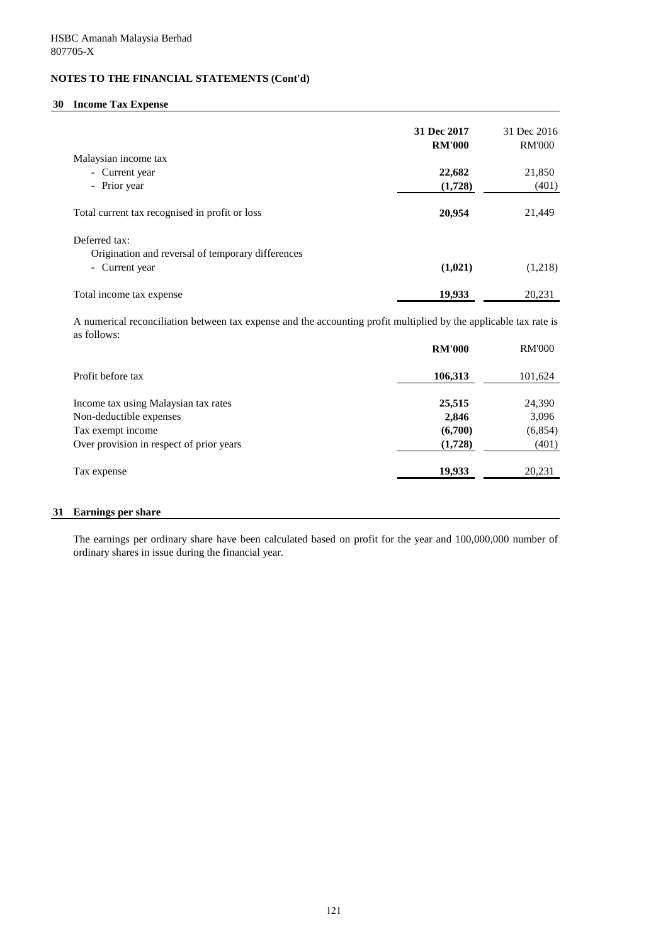## **30 Income Tax Expense**

|                                                   | 31 Dec 2017<br><b>RM'000</b> | 31 Dec 2016<br><b>RM'000</b> |
|---------------------------------------------------|------------------------------|------------------------------|
| Malaysian income tax                              |                              |                              |
| - Current year                                    | 22,682                       | 21,850                       |
| - Prior year                                      | (1,728)                      | (401)                        |
| Total current tax recognised in profit or loss    | 20,954                       | 21,449                       |
| Deferred tax:                                     |                              |                              |
| Origination and reversal of temporary differences |                              |                              |
| - Current year                                    | (1,021)                      | (1,218)                      |
| Total income tax expense                          | 19,933                       | 20.231                       |

A numerical reconciliation between tax expense and the accounting profit multiplied by the applicable tax rate is as follows:

|                                          | <b>RM'000</b> | <b>RM'000</b> |
|------------------------------------------|---------------|---------------|
| Profit before tax                        | 106,313       | 101,624       |
| Income tax using Malaysian tax rates     | 25,515        | 24,390        |
| Non-deductible expenses                  | 2,846         | 3,096         |
| Tax exempt income                        | (6,700)       | (6, 854)      |
| Over provision in respect of prior years | (1,728)       | (401)         |
| Tax expense                              | 19,933        | 20,231        |
|                                          |               |               |

## **31 Earnings per share**

The earnings per ordinary share have been calculated based on profit for the year and 100,000,000 number of ordinary shares in issue during the financial year.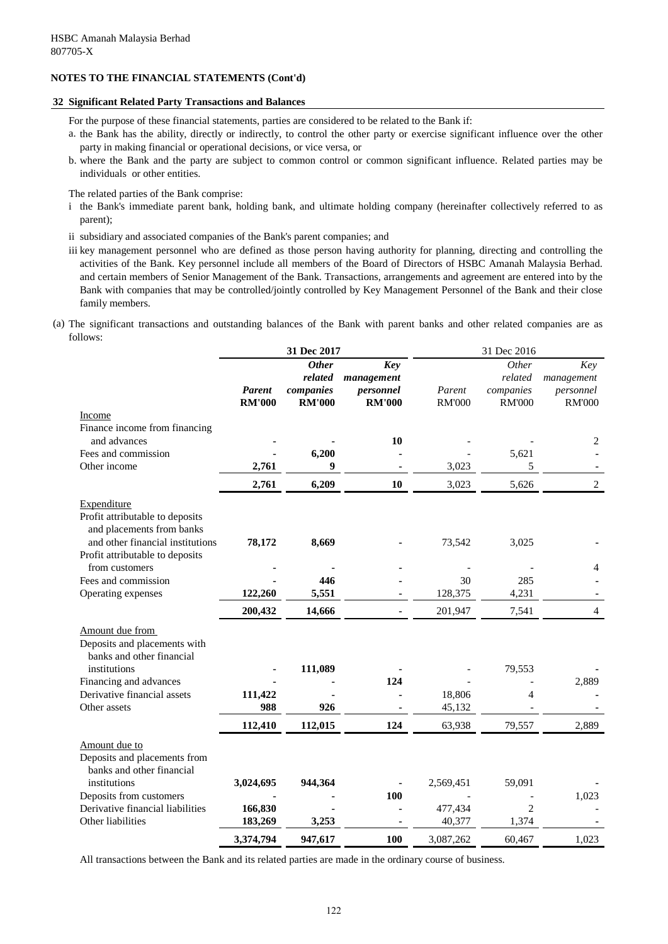#### **32 Significant Related Party Transactions and Balances**

For the purpose of these financial statements, parties are considered to be related to the Bank if:

- a. the Bank has the ability, directly or indirectly, to control the other party or exercise significant influence over the other party in making financial or operational decisions, or vice versa, or
- b. where the Bank and the party are subject to common control or common significant influence. Related parties may be individuals or other entities.

The related parties of the Bank comprise:

- i the Bank's immediate parent bank, holding bank, and ultimate holding company (hereinafter collectively referred to as parent);
- ii subsidiary and associated companies of the Bank's parent companies; and
- iii key management personnel who are defined as those person having authority for planning, directing and controlling the activities of the Bank. Key personnel include all members of the Board of Directors of HSBC Amanah Malaysia Berhad. and certain members of Senior Management of the Bank. Transactions, arrangements and agreement are entered into by the Bank with companies that may be controlled/jointly controlled by Key Management Personnel of the Bank and their close family members.
- (a) The significant transactions and outstanding balances of the Bank with parent banks and other related companies are as follows:

| <b>Other</b><br><b>Key</b><br><i>Other</i><br>related<br>management<br>related<br>companies<br>Parent<br>personnel<br>Parent<br>companies<br><b>RM'000</b><br><b>RM'000</b><br><b>RM'000</b><br><b>RM'000</b><br><b>RM'000</b><br>Income<br>Finance income from financing<br>and advances<br>10 | Key<br>management<br>personnel<br><b>RM'000</b><br>2 |
|-------------------------------------------------------------------------------------------------------------------------------------------------------------------------------------------------------------------------------------------------------------------------------------------------|------------------------------------------------------|
|                                                                                                                                                                                                                                                                                                 |                                                      |
|                                                                                                                                                                                                                                                                                                 |                                                      |
|                                                                                                                                                                                                                                                                                                 |                                                      |
| 6,200<br>Fees and commission<br>5,621                                                                                                                                                                                                                                                           |                                                      |
| 3,023<br>Other income<br>2,761<br>9<br>5                                                                                                                                                                                                                                                        |                                                      |
| 2,761<br>6,209<br>10<br>3,023<br>5,626                                                                                                                                                                                                                                                          | $\overline{2}$                                       |
|                                                                                                                                                                                                                                                                                                 |                                                      |
| Expenditure<br>Profit attributable to deposits<br>and placements from banks<br>and other financial institutions<br>78,172<br>8,669<br>3,025<br>73,542                                                                                                                                           |                                                      |
| Profit attributable to deposits                                                                                                                                                                                                                                                                 |                                                      |
| from customers<br>Fees and commission<br>446<br>30<br>285                                                                                                                                                                                                                                       | 4                                                    |
| 122,260<br>5,551<br>128,375<br>4,231<br>Operating expenses                                                                                                                                                                                                                                      |                                                      |
|                                                                                                                                                                                                                                                                                                 |                                                      |
| 200,432<br>14,666<br>201,947<br>7,541                                                                                                                                                                                                                                                           | 4                                                    |
| Amount due from<br>Deposits and placements with<br>banks and other financial                                                                                                                                                                                                                    |                                                      |
| 111,089<br>institutions<br>79,553                                                                                                                                                                                                                                                               |                                                      |
| Financing and advances<br>124                                                                                                                                                                                                                                                                   | 2,889                                                |
| Derivative financial assets<br>111,422<br>18,806<br>4                                                                                                                                                                                                                                           |                                                      |
| 988<br>926<br>45,132<br>Other assets                                                                                                                                                                                                                                                            |                                                      |
| 112,410<br>112,015<br>124<br>63,938<br>79,557                                                                                                                                                                                                                                                   | 2,889                                                |
| Amount due to<br>Deposits and placements from<br>banks and other financial                                                                                                                                                                                                                      |                                                      |
| institutions<br>944,364<br>3,024,695<br>2,569,451<br>59,091                                                                                                                                                                                                                                     |                                                      |
| Deposits from customers<br><b>100</b><br>166,830<br>477,434<br>$\overline{2}$<br>Derivative financial liabilities                                                                                                                                                                               | 1,023                                                |
| Other liabilities<br>183,269<br>3,253<br>40,377<br>1,374                                                                                                                                                                                                                                        |                                                      |
| 100<br>3,087,262<br>3,374,794<br>947,617<br>60,467                                                                                                                                                                                                                                              | 1,023                                                |

All transactions between the Bank and its related parties are made in the ordinary course of business.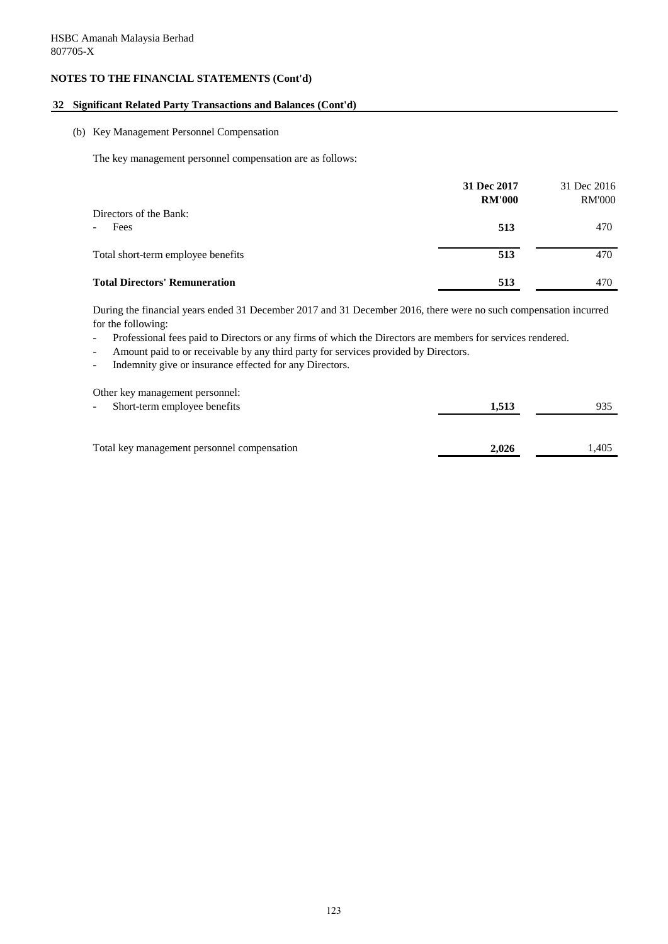## **32 Significant Related Party Transactions and Balances (Cont'd)**

#### (b) Key Management Personnel Compensation

The key management personnel compensation are as follows:

|                                      | 31 Dec 2017<br><b>RM'000</b> | 31 Dec 2016<br><b>RM'000</b> |
|--------------------------------------|------------------------------|------------------------------|
| Directors of the Bank:<br>Fees       | 513                          | 470                          |
| Total short-term employee benefits   | 513                          | 470                          |
| <b>Total Directors' Remuneration</b> | 513                          | 470                          |

for the following: During the financial years ended 31 December 2017 and 31 December 2016, there were no such compensation incurred

- Professional fees paid to Directors or any firms of which the Directors are members for services rendered.
- Amount paid to or receivable by any third party for services provided by Directors.
- Indemnity give or insurance effected for any Directors.

| Other key management personnel:             |       |       |
|---------------------------------------------|-------|-------|
| Short-term employee benefits<br>$\sim$      | 1,513 | 935   |
| Total key management personnel compensation | 2,026 | 1.405 |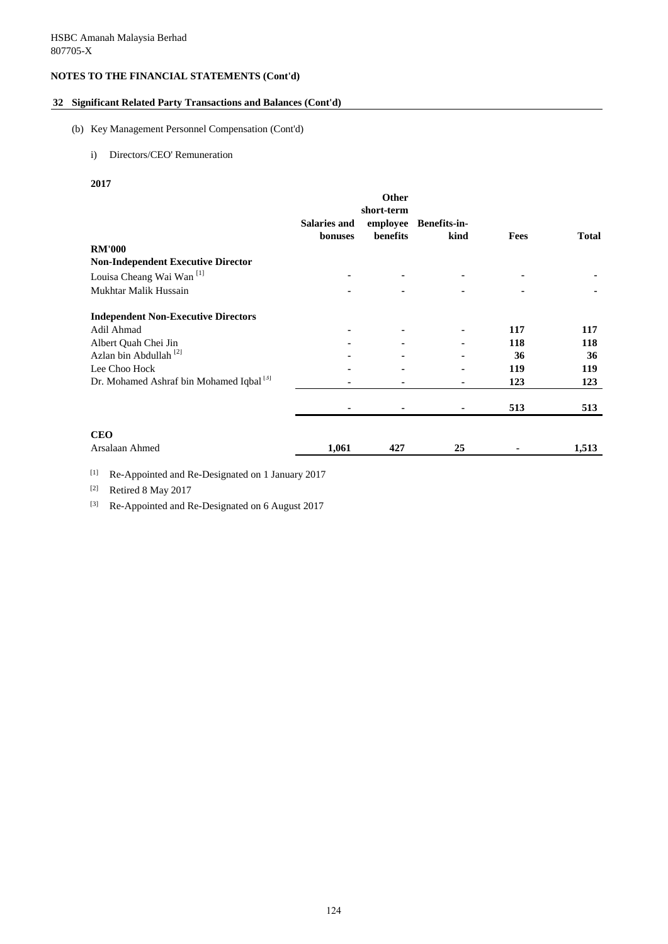## **32 Significant Related Party Transactions and Balances (Cont'd)**

#### (b) Key Management Personnel Compensation (Cont'd)

## i) Directors/CEO' Remuneration

**2017**

|                                                     |                                | Other                              |                             |             |              |
|-----------------------------------------------------|--------------------------------|------------------------------------|-----------------------------|-------------|--------------|
|                                                     | <b>Salaries and</b><br>bonuses | short-term<br>employee<br>benefits | <b>Benefits-in-</b><br>kind | <b>Fees</b> | <b>Total</b> |
| <b>RM'000</b>                                       |                                |                                    |                             |             |              |
| <b>Non-Independent Executive Director</b>           |                                |                                    |                             |             |              |
| Louisa Cheang Wai Wan <sup>[1]</sup>                |                                |                                    |                             |             |              |
| Mukhtar Malik Hussain                               |                                |                                    |                             |             |              |
| <b>Independent Non-Executive Directors</b>          |                                |                                    |                             |             |              |
| Adil Ahmad                                          |                                |                                    |                             | 117         | 117          |
| Albert Quah Chei Jin                                |                                |                                    |                             | 118         | 118          |
| Azlan bin Abdullah <sup>[2]</sup>                   |                                |                                    |                             | 36          | 36           |
| Lee Choo Hock                                       |                                |                                    |                             | 119         | 119          |
| Dr. Mohamed Ashraf bin Mohamed Iqbal <sup>[3]</sup> |                                |                                    |                             | 123         | 123          |
|                                                     |                                |                                    |                             | 513         | 513          |
| <b>CEO</b>                                          |                                |                                    |                             |             |              |
| Arsalaan Ahmed                                      | 1,061                          | 427                                | 25                          |             | 1,513        |

[1] Re-Appointed and Re-Designated on 1 January 2017

[2] Retired 8 May 2017

[3] Re-Appointed and Re-Designated on 6 August 2017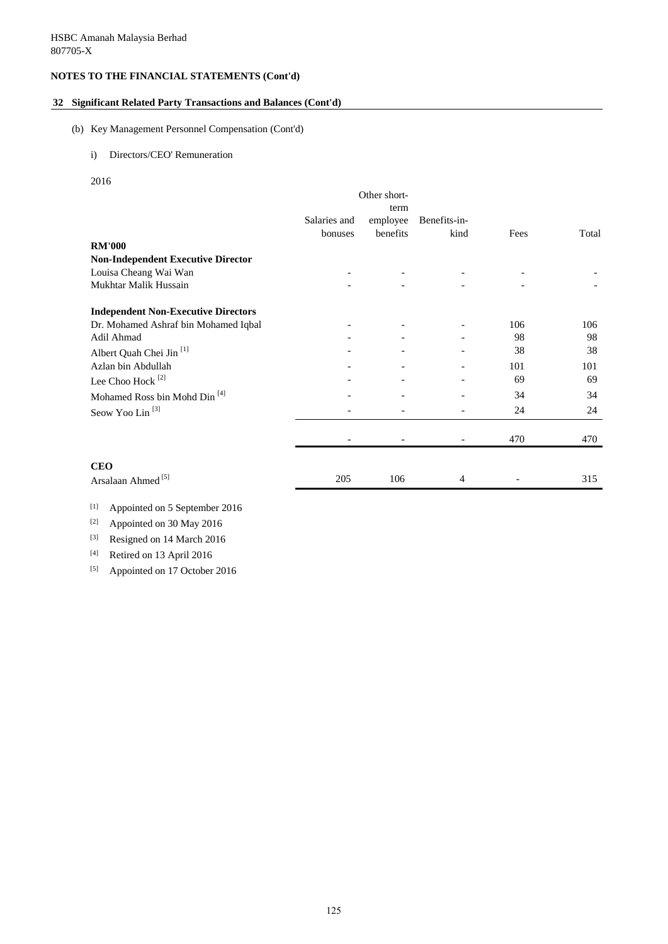## **32 Significant Related Party Transactions and Balances (Cont'd)**

#### (b) Key Management Personnel Compensation (Cont'd)

### i) Directors/CEO' Remuneration

2016

|                                            |              | Other short-             |                          |      |       |
|--------------------------------------------|--------------|--------------------------|--------------------------|------|-------|
|                                            |              | term                     |                          |      |       |
|                                            | Salaries and | employee                 | Benefits-in-             |      |       |
|                                            | bonuses      | benefits                 | kind                     | Fees | Total |
| <b>RM'000</b>                              |              |                          |                          |      |       |
| <b>Non-Independent Executive Director</b>  |              |                          |                          |      |       |
| Louisa Cheang Wai Wan                      |              |                          |                          |      |       |
| Mukhtar Malik Hussain                      |              |                          |                          |      |       |
| <b>Independent Non-Executive Directors</b> |              |                          |                          |      |       |
| Dr. Mohamed Ashraf bin Mohamed Iqbal       |              |                          |                          | 106  | 106   |
| Adil Ahmad                                 |              |                          |                          | 98   | 98    |
| Albert Quah Chei Jin <sup>[1]</sup>        |              |                          |                          | 38   | 38    |
| Azlan bin Abdullah                         |              |                          |                          | 101  | 101   |
| Lee Choo Hock <sup>[2]</sup>               |              |                          |                          | 69   | 69    |
| Mohamed Ross bin Mohd Din <sup>[4]</sup>   |              | $\overline{\phantom{a}}$ |                          | 34   | 34    |
| Seow Yoo Lin <sup>[3]</sup>                |              | $\overline{\phantom{0}}$ |                          | 24   | 24    |
|                                            |              |                          | $\overline{\phantom{a}}$ | 470  | 470   |
| <b>CEO</b>                                 |              |                          |                          |      |       |
| Arsalaan Ahmed <sup>[5]</sup>              | 205          | 106                      | 4                        |      | 315   |

# [1] Appointed on 5 September 2016

[2] Appointed on 30 May 2016

[3] Resigned on 14 March 2016

[4] Retired on 13 April 2016

[5] Appointed on 17 October 2016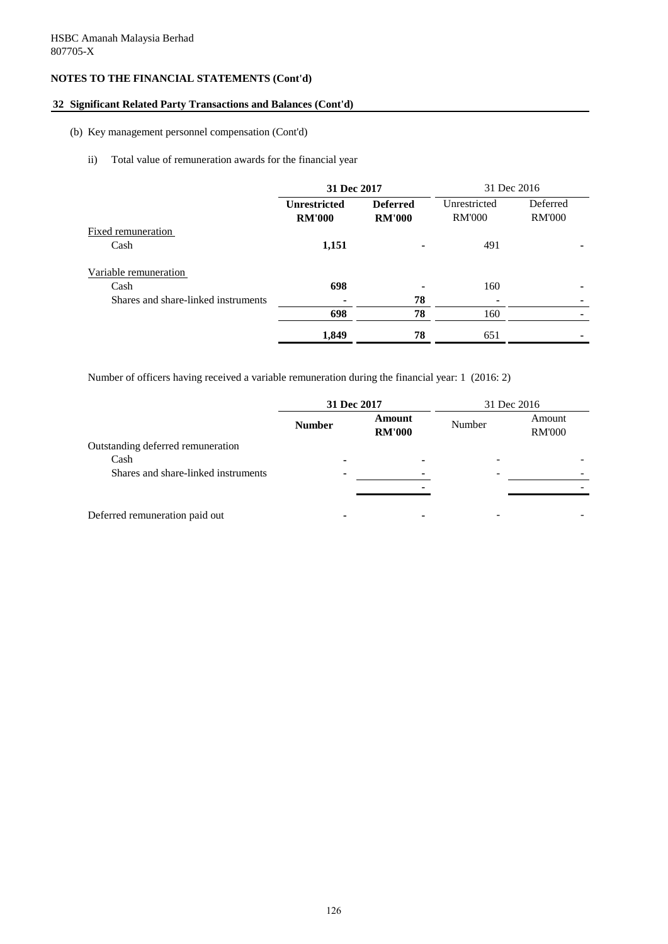## **32 Significant Related Party Transactions and Balances (Cont'd)**

#### (b) Key management personnel compensation (Cont'd)

## ii) Total value of remuneration awards for the financial year

|                                     | 31 Dec 2017                          |                                  | 31 Dec 2016                   |                           |
|-------------------------------------|--------------------------------------|----------------------------------|-------------------------------|---------------------------|
|                                     | <b>Unrestricted</b><br><b>RM'000</b> | <b>Deferred</b><br><b>RM'000</b> | Unrestricted<br><b>RM'000</b> | Deferred<br><b>RM'000</b> |
| Fixed remuneration                  |                                      |                                  |                               |                           |
| Cash                                | 1,151                                |                                  | 491                           |                           |
| Variable remuneration               |                                      |                                  |                               |                           |
| Cash                                | 698                                  |                                  | 160                           | -                         |
| Shares and share-linked instruments | ٠                                    | 78                               |                               |                           |
|                                     | 698                                  | 78                               | 160                           |                           |
|                                     | 1,849                                | 78                               | 651                           |                           |

Number of officers having received a variable remuneration during the financial year: 1 (2016: 2)

|                                     | 31 Dec 2017   |                         |        | 31 Dec 2016             |
|-------------------------------------|---------------|-------------------------|--------|-------------------------|
|                                     | <b>Number</b> | Amount<br><b>RM'000</b> | Number | Amount<br><b>RM'000</b> |
| Outstanding deferred remuneration   |               |                         |        |                         |
| Cash                                |               |                         |        |                         |
| Shares and share-linked instruments |               |                         |        |                         |
|                                     |               |                         |        |                         |
|                                     |               |                         |        |                         |
| Deferred remuneration paid out      |               |                         |        |                         |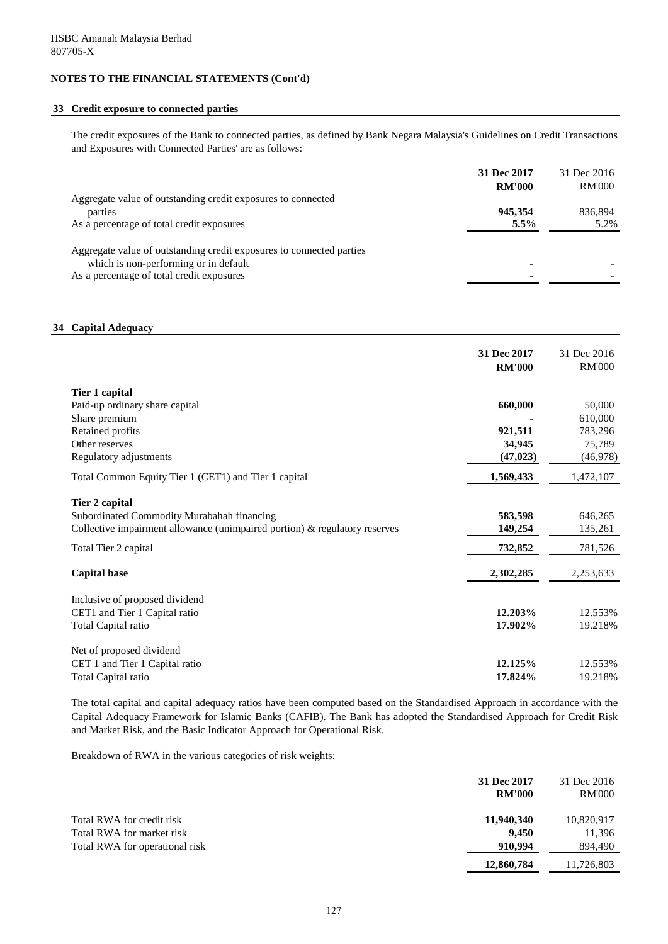## **33 Credit exposure to connected parties**

The credit exposures of the Bank to connected parties, as defined by Bank Negara Malaysia's Guidelines on Credit Transactions and Exposures with Connected Parties' are as follows:

|                                                                      | 31 Dec 2017   | 31 Dec 2016   |
|----------------------------------------------------------------------|---------------|---------------|
|                                                                      | <b>RM'000</b> | <b>RM'000</b> |
| Aggregate value of outstanding credit exposures to connected         |               |               |
| parties                                                              | 945.354       | 836,894       |
| As a percentage of total credit exposures                            | $5.5\%$       | 5.2%          |
|                                                                      |               |               |
| Aggregate value of outstanding credit exposures to connected parties |               |               |
| which is non-performing or in default                                |               |               |
| As a percentage of total credit exposures                            |               |               |

### **34 Capital Adequacy**

|                                                                            | 31 Dec 2017<br><b>RM'000</b> | 31 Dec 2016<br><b>RM'000</b> |
|----------------------------------------------------------------------------|------------------------------|------------------------------|
| Tier 1 capital                                                             |                              |                              |
| Paid-up ordinary share capital                                             | 660,000                      | 50,000                       |
| Share premium                                                              |                              | 610,000                      |
| Retained profits                                                           | 921,511                      | 783,296                      |
| Other reserves                                                             | 34,945                       | 75,789                       |
| Regulatory adjustments                                                     | (47, 023)                    | (46,978)                     |
| Total Common Equity Tier 1 (CET1) and Tier 1 capital                       | 1,569,433                    | 1,472,107                    |
| Tier 2 capital                                                             |                              |                              |
| Subordinated Commodity Murabahah financing                                 | 583,598                      | 646,265                      |
| Collective impairment allowance (unimpaired portion) & regulatory reserves | 149,254                      | 135,261                      |
| Total Tier 2 capital                                                       | 732,852                      | 781,526                      |
| <b>Capital base</b>                                                        | 2,302,285                    | 2,253,633                    |
| Inclusive of proposed dividend                                             |                              |                              |
| CET1 and Tier 1 Capital ratio                                              | 12.203%                      | 12.553%                      |
| Total Capital ratio                                                        | 17.902%                      | 19.218%                      |
| Net of proposed dividend                                                   |                              |                              |
| CET 1 and Tier 1 Capital ratio                                             | 12.125%                      | 12.553%                      |
| Total Capital ratio                                                        | 17.824%                      | 19.218%                      |

The total capital and capital adequacy ratios have been computed based on the Standardised Approach in accordance with the Capital Adequacy Framework for Islamic Banks (CAFIB). The Bank has adopted the Standardised Approach for Credit Risk and Market Risk, and the Basic Indicator Approach for Operational Risk.

Breakdown of RWA in the various categories of risk weights:

|                                | 31 Dec 2017<br><b>RM'000</b> | 31 Dec 2016<br><b>RM'000</b> |
|--------------------------------|------------------------------|------------------------------|
| Total RWA for credit risk      | 11,940,340                   | 10,820,917                   |
| Total RWA for market risk      | 9.450                        | 11,396                       |
| Total RWA for operational risk | 910.994                      | 894,490                      |
|                                | 12,860,784                   | 11,726,803                   |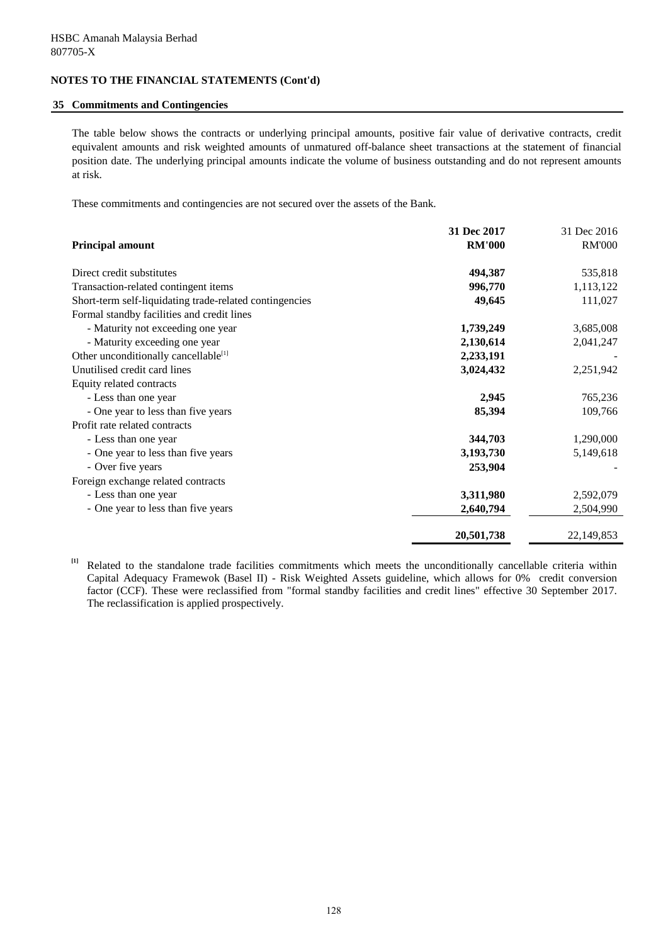#### **35 Commitments and Contingencies**

The table below shows the contracts or underlying principal amounts, positive fair value of derivative contracts, credit equivalent amounts and risk weighted amounts of unmatured off-balance sheet transactions at the statement of financial position date. The underlying principal amounts indicate the volume of business outstanding and do not represent amounts at risk.

These commitments and contingencies are not secured over the assets of the Bank.

|                                                         | 31 Dec 2017   | 31 Dec 2016   |
|---------------------------------------------------------|---------------|---------------|
| <b>Principal amount</b>                                 | <b>RM'000</b> | <b>RM'000</b> |
| Direct credit substitutes                               | 494,387       | 535,818       |
| Transaction-related contingent items                    | 996,770       | 1,113,122     |
| Short-term self-liquidating trade-related contingencies | 49,645        | 111,027       |
| Formal standby facilities and credit lines              |               |               |
| - Maturity not exceeding one year                       | 1,739,249     | 3,685,008     |
| - Maturity exceeding one year                           | 2,130,614     | 2,041,247     |
| Other unconditionally cancellable <sup>[1]</sup>        | 2,233,191     |               |
| Unutilised credit card lines                            | 3,024,432     | 2,251,942     |
| Equity related contracts                                |               |               |
| - Less than one year                                    | 2,945         | 765,236       |
| - One year to less than five years                      | 85,394        | 109,766       |
| Profit rate related contracts                           |               |               |
| - Less than one year                                    | 344,703       | 1,290,000     |
| - One year to less than five years                      | 3,193,730     | 5,149,618     |
| - Over five years                                       | 253,904       |               |
| Foreign exchange related contracts                      |               |               |
| - Less than one year                                    | 3,311,980     | 2,592,079     |
| - One year to less than five years                      | 2,640,794     | 2,504,990     |
|                                                         | 20,501,738    | 22,149,853    |

**[1]** Related to the standalone trade facilities commitments which meets the unconditionally cancellable criteria within Capital Adequacy Framewok (Basel II) - Risk Weighted Assets guideline, which allows for 0% credit conversion factor (CCF). These were reclassified from "formal standby facilities and credit lines" effective 30 September 2017. The reclassification is applied prospectively.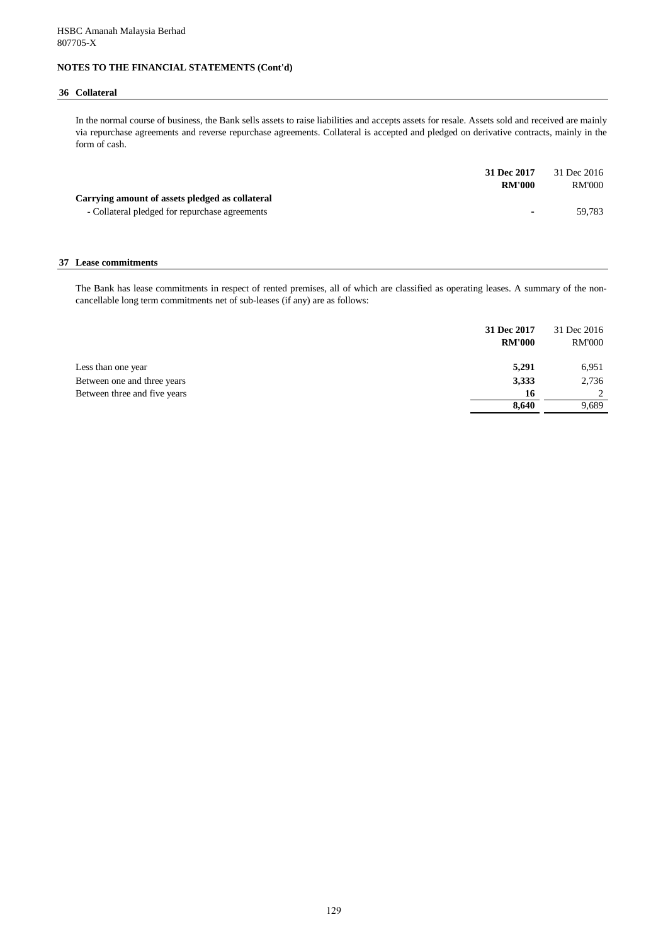#### **36 Collateral**

In the normal course of business, the Bank sells assets to raise liabilities and accepts assets for resale. Assets sold and received are mainly via repurchase agreements and reverse repurchase agreements. Collateral is accepted and pledged on derivative contracts, mainly in the form of cash.

|                                                 | 31 Dec 2017    | 31 Dec 2016   |
|-------------------------------------------------|----------------|---------------|
|                                                 | <b>RM'000</b>  | <b>RM'000</b> |
| Carrying amount of assets pledged as collateral |                |               |
| - Collateral pledged for repurchase agreements  | $\blacksquare$ | 59.783        |

#### **37 Lease commitments**

The Bank has lease commitments in respect of rented premises, all of which are classified as operating leases. A summary of the noncancellable long term commitments net of sub-leases (if any) are as follows:

| 31 Dec 2017<br><b>RM'000</b>         | 31 Dec 2016<br><b>RM'000</b> |
|--------------------------------------|------------------------------|
| 5,291<br>Less than one year          | 6,951                        |
| 3,333<br>Between one and three years | 2,736                        |
| Between three and five years<br>16   | 2                            |
| 8,640                                | 9,689                        |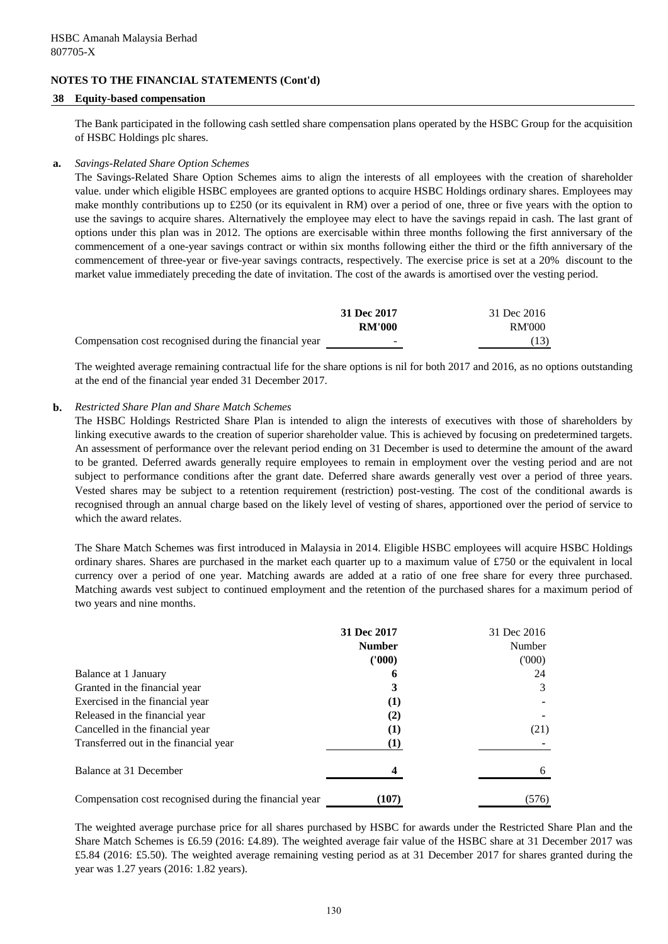#### **38 Equity-based compensation**

The Bank participated in the following cash settled share compensation plans operated by the HSBC Group for the acquisition of HSBC Holdings plc shares.

#### **a.** *Savings-Related Share Option Schemes*

The Savings-Related Share Option Schemes aims to align the interests of all employees with the creation of shareholder value. under which eligible HSBC employees are granted options to acquire HSBC Holdings ordinary shares. Employees may make monthly contributions up to £250 (or its equivalent in RM) over a period of one, three or five years with the option to use the savings to acquire shares. Alternatively the employee may elect to have the savings repaid in cash. The last grant of options under this plan was in 2012. The options are exercisable within three months following the first anniversary of the commencement of a one-year savings contract or within six months following either the third or the fifth anniversary of the commencement of three-year or five-year savings contracts, respectively. The exercise price is set at a 20% discount to the market value immediately preceding the date of invitation. The cost of the awards is amortised over the vesting period.

|                                                        | 31 Dec 2017   | 31 Dec 2016   |
|--------------------------------------------------------|---------------|---------------|
|                                                        | <b>RM'000</b> | <b>RM'000</b> |
| Compensation cost recognised during the financial year | -             | (13)          |

The weighted average remaining contractual life for the share options is nil for both 2017 and 2016, as no options outstanding at the end of the financial year ended 31 December 2017.

#### **b.** *Restricted Share Plan and Share Match Schemes*

The HSBC Holdings Restricted Share Plan is intended to align the interests of executives with those of shareholders by linking executive awards to the creation of superior shareholder value. This is achieved by focusing on predetermined targets. An assessment of performance over the relevant period ending on 31 December is used to determine the amount of the award to be granted. Deferred awards generally require employees to remain in employment over the vesting period and are not subject to performance conditions after the grant date. Deferred share awards generally vest over a period of three years. Vested shares may be subject to a retention requirement (restriction) post-vesting. The cost of the conditional awards is recognised through an annual charge based on the likely level of vesting of shares, apportioned over the period of service to which the award relates.

The Share Match Schemes was first introduced in Malaysia in 2014. Eligible HSBC employees will acquire HSBC Holdings ordinary shares. Shares are purchased in the market each quarter up to a maximum value of £750 or the equivalent in local currency over a period of one year. Matching awards are added at a ratio of one free share for every three purchased. Matching awards vest subject to continued employment and the retention of the purchased shares for a maximum period of two years and nine months.

|                                                        | 31 Dec 2017   | 31 Dec 2016 |
|--------------------------------------------------------|---------------|-------------|
|                                                        | <b>Number</b> | Number      |
|                                                        | (1000)        | (000)       |
| Balance at 1 January                                   | 6             | 24          |
| Granted in the financial year                          | 3             |             |
| Exercised in the financial year                        | $\bf(1)$      |             |
| Released in the financial year                         | (2)           |             |
| Cancelled in the financial year                        | (1)           | (21)        |
| Transferred out in the financial year                  | $\bf(1)$      |             |
| Balance at 31 December                                 |               |             |
| Compensation cost recognised during the financial year | (107)         | (576)       |

The weighted average purchase price for all shares purchased by HSBC for awards under the Restricted Share Plan and the Share Match Schemes is £6.59 (2016: £4.89). The weighted average fair value of the HSBC share at 31 December 2017 was £5.84 (2016: £5.50). The weighted average remaining vesting period as at 31 December 2017 for shares granted during the year was 1.27 years (2016: 1.82 years).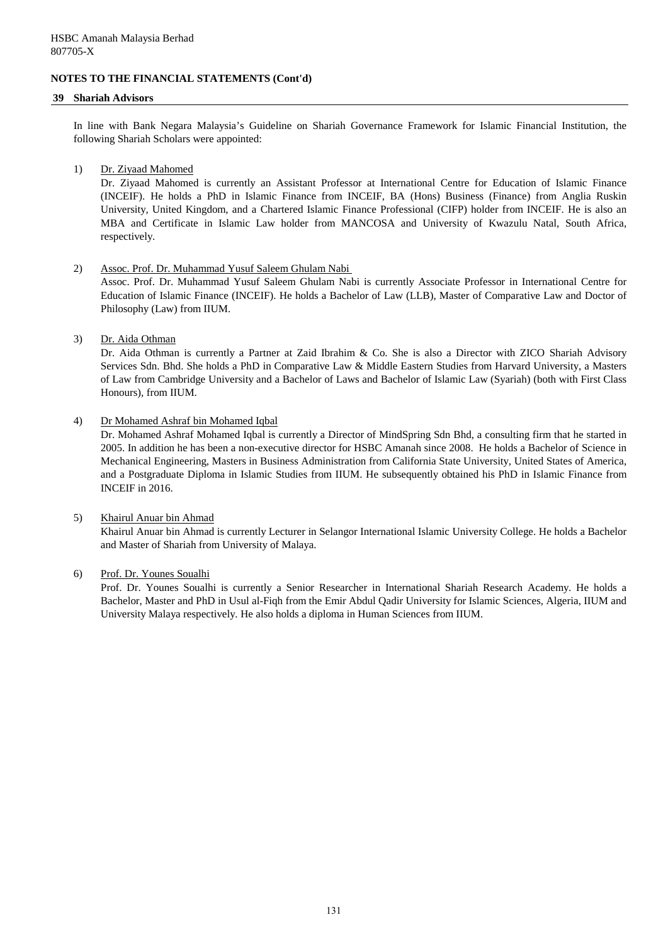#### **39 Shariah Advisors**

In line with Bank Negara Malaysia's Guideline on Shariah Governance Framework for Islamic Financial Institution, the following Shariah Scholars were appointed:

#### 1) Dr. Ziyaad Mahomed

Dr. Ziyaad Mahomed is currently an Assistant Professor at International Centre for Education of Islamic Finance (INCEIF). He holds a PhD in Islamic Finance from INCEIF, BA (Hons) Business (Finance) from Anglia Ruskin University, United Kingdom, and a Chartered Islamic Finance Professional (CIFP) holder from INCEIF. He is also an MBA and Certificate in Islamic Law holder from MANCOSA and University of Kwazulu Natal, South Africa, respectively.

#### 2) Assoc. Prof. Dr. Muhammad Yusuf Saleem Ghulam Nabi

Assoc. Prof. Dr. Muhammad Yusuf Saleem Ghulam Nabi is currently Associate Professor in International Centre for Education of Islamic Finance (INCEIF). He holds a Bachelor of Law (LLB), Master of Comparative Law and Doctor of Philosophy (Law) from IIUM.

#### 3) Dr. Aida Othman

Dr. Aida Othman is currently a Partner at Zaid Ibrahim & Co. She is also a Director with ZICO Shariah Advisory Services Sdn. Bhd. She holds a PhD in Comparative Law & Middle Eastern Studies from Harvard University, a Masters of Law from Cambridge University and a Bachelor of Laws and Bachelor of Islamic Law (Syariah) (both with First Class Honours), from IIUM.

#### 4) Dr Mohamed Ashraf bin Mohamed Iqbal

Dr. Mohamed Ashraf Mohamed Iqbal is currently a Director of MindSpring Sdn Bhd, a consulting firm that he started in 2005. In addition he has been a non-executive director for HSBC Amanah since 2008. He holds a Bachelor of Science in Mechanical Engineering, Masters in Business Administration from California State University, United States of America, and a Postgraduate Diploma in Islamic Studies from IIUM. He subsequently obtained his PhD in Islamic Finance from INCEIF in 2016.

## 5) Khairul Anuar bin Ahmad

Khairul Anuar bin Ahmad is currently Lecturer in Selangor International Islamic University College. He holds a Bachelor and Master of Shariah from University of Malaya.

## 6) Prof. Dr. Younes Soualhi

Prof. Dr. Younes Soualhi is currently a Senior Researcher in International Shariah Research Academy. He holds a Bachelor, Master and PhD in Usul al-Fiqh from the Emir Abdul Qadir University for Islamic Sciences, Algeria, IIUM and University Malaya respectively. He also holds a diploma in Human Sciences from IIUM.